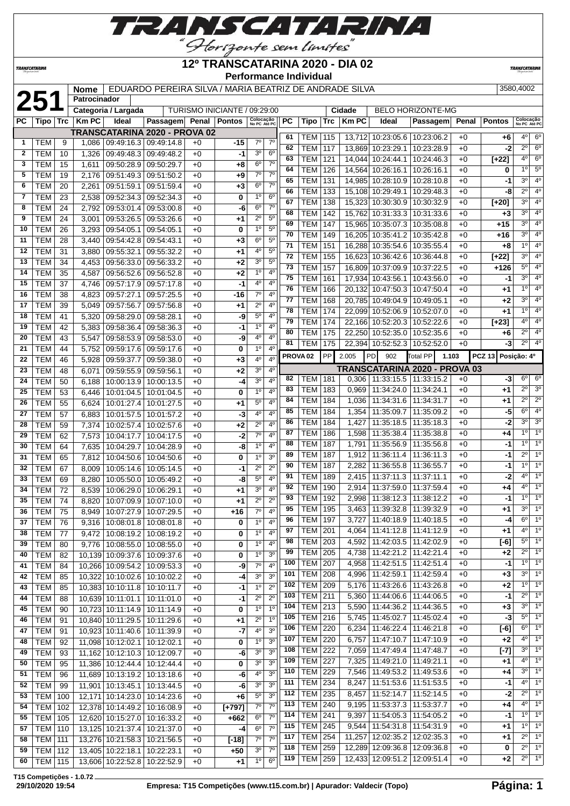

**TRANSCATARINA** 

**Patrocinador**

#### **12º TRANSCATARINA 2020 - DIA 02 Performance Individual**

**TRANSCATARIN** 

# **2580,4002 121 Nome** EDUARDO PEREIRA SILVA / MARIA BEATRIZ DE ANDRADE SILVA 3580,4002

|              |                  |    |              | Categoria / Largada             |                               |      | TURISMO INICIANTE / 09:29:00 |                           |                |     |                     |     | Cidade       |                   | <b>BELO HORIZONTE-MG</b>          |       |                    |                           |                  |
|--------------|------------------|----|--------------|---------------------------------|-------------------------------|------|------------------------------|---------------------------|----------------|-----|---------------------|-----|--------------|-------------------|-----------------------------------|-------|--------------------|---------------------------|------------------|
| РC           | Tipo   Trc       |    | <b>Km PC</b> | Ideal                           | Passagem Penal Pontos         |      |                              | Colocação<br>No PC Até PC |                | PC  | Tipo                | Trc | <b>Km PC</b> | Ideal             | Passagem                          | Penal | Pontos             | Colocação<br>No PC Até PC |                  |
|              |                  |    |              |                                 | TRANSCATARINA 2020 - PROVA 02 |      |                              |                           |                |     |                     |     |              |                   |                                   |       |                    |                           |                  |
| 1            | TEM              | 9  | 1,086        |                                 | 09:49:16.3 09:49:14.8         | $+0$ | -15                          | $7^\circ$                 | 7 <sup>0</sup> | 61  | TEM                 | 115 |              |                   | 13.712 10:23:05.6 10:23:06.2      | $+0$  | +6                 | 40                        | $6^{\circ}$      |
| $\mathbf{2}$ | <b>TEM</b>       | 10 | 1,326        | 09:49:48.3                      | 09:49:48.2                    | $+0$ | -1                           | 30                        | 6 <sup>o</sup> | 62  | <b>TEM</b>          | 117 | 13,869       | 10:23:29.1        | 10:23:28.9                        | $+0$  | -2                 | $\overline{2^0}$          | $6^{\circ}$      |
| 3            | <b>TEM</b>       | 15 | 1,611        |                                 | 09:50:28.9 09:50:29.7         | $+0$ | +8                           | $6^{\circ}$               | 7 <sup>0</sup> | 63  | <b>TEM</b>          | 121 | 14,044       | 10:24:44.1        | 10:24:46.3                        | $+0$  | $[+22]$            | 4 <sup>0</sup>            | $6^{\circ}$      |
| 5            | <b>TEM</b>       | 19 | 2.176        |                                 | 09:51:49.3 09:51:50.2         | $+0$ | +9                           | $7^\circ$                 | $7^\circ$      | 64  | <b>TEM</b>          | 126 | 14,564       | 10:26:16.1        | 10:26:16.1                        | $+0$  | 0                  | 1 <sup>0</sup>            | $5^{\circ}$      |
| 6            | <b>TEM</b>       |    |              |                                 |                               |      |                              | $6^{\circ}$               | $7^\circ$      | 65  | <b>TEM</b>          | 131 | 14,985       |                   | 10:28:10.9 10:28:10.8             | $+0$  | -1                 | 3 <sup>0</sup>            | 4 <sup>0</sup>   |
|              |                  | 20 | 2,261        | 09:51:59.1                      | 09:51:59.4                    | $+0$ | $+3$                         |                           |                | 66  | <b>TEM</b>          | 133 |              | 15,108 10:29:49.1 | 10:29:48.3                        | $+0$  | -8                 | $\overline{2^0}$          | 4 <sup>0</sup>   |
| 7            | <b>TEM</b>       | 23 | 2,538        | 09:52:34.3                      | 09:52:34.3                    | $+0$ | 0                            | 1 <sup>0</sup>            | 6 <sup>o</sup> | 67  | TEM                 | 138 | 15.323       | 10:30:30.9        | 10:30:32.9                        | $+0$  | $\overline{[+20]}$ | 3 <sup>0</sup>            | 4 <sup>0</sup>   |
| 8            | <b>TEM</b>       | 24 | 2,792        | 09:53:01.4                      | 09:53:00.8                    | $+0$ | -6                           | 6 <sup>o</sup>            | $7^\circ$      | 68  | <b>TEM</b>          | 142 | 15,762       | 10:31:33.3        | 10:31:33.6                        | $+0$  | $+3$               | 3 <sup>0</sup>            | 4 <sup>0</sup>   |
| 9            | <b>TEM</b>       | 24 | 3,001        |                                 | 09:53:26.5 09:53:26.6         | $+0$ | +1                           | $2^{\circ}$               | 5 <sup>o</sup> | 69  | <b>TEM</b>          | 147 | 15,965       | 10:35:07.3        | 10:35:08.8                        | $+0$  | $+15$              | 30                        | $4^{\circ}$      |
| 10           | <b>TEM</b>       | 26 | 3,293        | 09:54:05.1                      | 09:54:05.1                    | $+0$ | 0                            | 1 <sup>0</sup>            | 5 <sup>0</sup> | 70  | <b>TEM</b>          | 149 | 16,205       | 10:35:41.2        | 10:35:42.8                        | $+0$  | +16                | 3 <sup>o</sup>            | 4 <sup>0</sup>   |
| 11           | <b>TEM</b>       | 28 | 3,440        | 09:54:42.8                      | 09:54:43.1                    | $+0$ | $+3$                         | $6^{\circ}$               | $5^{\circ}$    | 71  |                     |     |              |                   |                                   |       |                    | 1 <sup>0</sup>            | 4°               |
| 12           | <b>TEM</b>       | 31 | 3,880        | 09:55:32.1                      | 09:55:32.2                    | $+0$ | +1                           | 4°                        | $5^{\circ}$    |     | <b>TEM</b>          | 151 | 16,288       | 10:35:54.6        | 10:35:55.4                        | $+0$  | $+8$               |                           |                  |
| 13           | <b>TEM</b>       | 34 | 4,453        | 09:56:33.0                      | 09:56:33.2                    | $+0$ | +2                           | 3 <sup>o</sup>            | $5^{\circ}$    | 72  | <b>TEM</b>          | 155 | 16,623       | 10:36:42.6        | 10:36:44.8                        | $+0$  | $[+22]$            | 3 <sup>0</sup>            | 4 <sup>o</sup>   |
| 14           | <b>TEM</b>       | 35 | 4,587        |                                 | 09:56:52.6   09:56:52.8       | $+0$ | $+2$                         | 1 <sup>0</sup>            | $4^{\circ}$    | 73  | <b>TEM</b>          | 157 | 16,809       | 10:37:09.9        | 10:37:22.5                        | $+0$  | $+126$             | $5^{\circ}$               | 4 <sup>0</sup>   |
| 15           | <b>TEM</b>       | 37 | 4,746        |                                 | 09:57:17.9 09:57:17.8         | $+0$ | -1                           | 4 <sup>0</sup>            | 4 <sup>0</sup> | 75  | <b>TEM</b>          | 161 | 17,934       |                   | 10:43:56.1   10:43:56.0           | $+0$  | -1                 | 3 <sup>0</sup>            | 4°               |
| 16           | <b>TEM</b>       | 38 | 4,823        | 09:57:27.1                      | 09:57:25.5                    | $+0$ | $-16$                        | $7^\circ$                 | $4^{\circ}$    | 76  | <b>TEM</b>          | 166 | 20,132       | 10:47:50.3        | 10:47:50.4                        | $+0$  | $+1$               | 1 <sup>0</sup>            | 4 <sup>0</sup>   |
|              |                  |    |              |                                 |                               |      |                              | $2^{\circ}$               | 4 <sup>0</sup> | 77  | <b>TEM</b>          | 168 | 20,785       | 10:49:04.9        | 10:49:05.1                        | $+0$  | $+2$               | 30                        | 4°               |
| 17           | <b>TEM</b>       | 39 | 5,049        | 09:57:56.7                      | 09:57:56.8                    | $+0$ | $+1$                         |                           |                | 78  | <b>TEM</b>          | 174 | 22,099       | 10:52:06.9        | 10:52:07.0                        | $+0$  | $+1$               | 1 <sup>0</sup>            | 4 <sup>0</sup>   |
| 18           | <b>TEM</b>       | 41 | 5,320        | 09:58:29.0                      | 09:58:28.1                    | $+0$ | -9                           | $5^{\circ}$               | 4 <sup>0</sup> | 79  | <b>TEM</b>          | 174 | 22,166       | 10:52:20.3        | 10:52:22.6                        | $+0$  | $[+23]$            | 4°                        | $4^{\circ}$      |
| 19           | <b>TEM</b>       | 42 | 5,383        | 09:58:36.4                      | 09:58:36.3                    | $+0$ | -1                           | 1 <sup>0</sup>            | 4 <sup>0</sup> | 80  | <b>TEM</b>          | 175 | 22,250       | 10:52:35.0        | 10:52:35.6                        | $+0$  | +6                 | $\overline{2^0}$          | 4 <sup>o</sup>   |
| 20           | <b>TEM</b>       | 43 | 5,547        | 09:58:53.9                      | 09:58:53.0                    | $+0$ | -9                           | 4°                        | 4 <sup>0</sup> | 81  | <b>TEM</b>          | 175 |              | 22,394 10:52:52.3 | 10:52:52.0                        | $+0$  | -3                 | $\overline{2^{\circ}}$    | 4 <sup>o</sup>   |
| 21           | <b>TEM</b>       | 44 | 5,752        | 09:59:17.6                      | 09:59:17.6                    | $+0$ | 0                            | 1 <sup>0</sup>            | 4 <sup>0</sup> |     |                     |     |              |                   |                                   |       |                    |                           |                  |
| 22           | <b>TEM</b>       | 46 | 5,928        | 09:59:37.7                      | 09:59:38.0                    | $+0$ | $+3$                         | 4 <sup>0</sup>            | 4 <sup>0</sup> |     | PROVA <sub>02</sub> | PP  | 2.005        | PD<br>902         | Total PP                          | 1.103 | <b>PCZ 13</b>      | Posição: 4º               |                  |
| 23           | <b>TEM</b>       | 48 | 6,071        | 09:59:55.9                      | 09:59:56.1                    | $+0$ | $+2$                         | 3 <sup>0</sup>            | 4 <sup>0</sup> |     |                     |     |              |                   | TRANSCATARINA 2020 - PROVA 03     |       |                    |                           |                  |
| 24           | <b>TEM</b>       | 50 | 6,188        | 10:00:13.9                      | 10:00:13.5                    | $+0$ | -4                           | 3 <sup>0</sup>            | $4^{\circ}$    | 82  | TEM                 | 181 |              |                   | $0.306$   11:33:15.5   11:33:15.2 | $+0$  | $-3$               | 6 <sup>o</sup>            | $6^{\circ}$      |
| 25           | <b>TEM</b>       | 53 | 6,446        | 10:01:04.5                      | 10:01:04.5                    | $+0$ | 0                            | 1 <sup>0</sup>            | 4 <sup>0</sup> | 83  | <b>TEM</b>          | 183 | 0,969        | 11:34:24.0        | 11:34:24.1                        | $+0$  | +1                 | $\overline{2^0}$          | 3 <sup>o</sup>   |
| 26           | <b>TEM</b>       | 55 | 6,624        |                                 | 10:01:27.4   10:01:27.5       | $+0$ | +1                           | $5^{\circ}$               | 4 <sup>0</sup> | 84  | <b>TEM</b>          | 184 | 1,036        | 11:34:31.6        | 11:34:31.7                        | $+0$  | $+1$               | $2^{\circ}$               | $\overline{2^0}$ |
| 27           | <b>TEM</b>       | 57 |              |                                 |                               |      |                              | $4^{\circ}$               | 4 <sup>0</sup> | 85  | <b>TEM</b>          | 184 | 1,354        |                   | 11:35:09.7   11:35:09.2           | $+0$  | $-5$               | 6 <sup>o</sup>            | 4 <sup>0</sup>   |
|              |                  |    | 6,883        |                                 | 10:01:57.5   10:01:57.2       | $+0$ | -3                           |                           |                | 86  | <b>TEM</b>          | 184 | 1,427        |                   | 11:35:18.5   11:35:18.3           | $+0$  | -2                 | 30                        | 3 <sup>0</sup>   |
| 28           | <b>TEM</b>       | 59 | 7,374        | 10:02:57.4                      | 10:02:57.6                    | $+0$ | $+2$                         | $2^{\circ}$               | $4^{\circ}$    | 87  | <b>TEM</b>          | 186 | 1,598        | 11:35:38.4        | 11:35:38.8                        | $+0$  | $+4$               | 1 <sup>0</sup>            | 10               |
| 29           | <b>TEM</b>       | 62 | 7,573        | 10:04:17.7                      | 10:04:17.5                    | $+0$ | -2                           | $7^\circ$                 | 4 <sup>0</sup> | 88  | <b>TEM</b>          |     |              |                   |                                   |       | $-1$               | 1 <sup>0</sup>            | 10               |
| 30           | <b>TEM</b>       | 64 | 7,635        | 10:04:29.7                      | 10:04:28.9                    | $+0$ | -8                           | 1 <sup>0</sup>            | 4 <sup>0</sup> |     |                     | 187 | 1,791        | 11:35:56.9        | 11:35:56.8                        | $+0$  |                    |                           |                  |
| 31           | <b>TEM</b>       | 65 | 7,812        | 10:04:50.6                      | 10:04:50.6                    | $+0$ | 0                            | 1 <sup>0</sup>            | 3 <sup>0</sup> | 89  | <b>TEM</b>          | 187 | 1,912        | 11:36:11.4        | 11:36:11.3                        | $+0$  | -1                 | $2^{\circ}$               | 1 <sup>0</sup>   |
| 32           | <b>TEM</b>       | 67 | 8,009        | 10:05:14.6                      | 10:05:14.5                    | $+0$ | -1                           | $2^{\circ}$               | $2^{\circ}$    | 90  | <b>TEM</b>          | 187 | 2,282        | 11:36:55.8        | 11:36:55.7                        | $+0$  | -1                 | 10                        | 1 <sup>0</sup>   |
| 33           | <b>TEM</b>       | 69 | 8,280        | 10:05:50.0                      | 10:05:49.2                    | $+0$ | -8                           | $5^{\circ}$               | $4^{\circ}$    | 91  | <b>TEM</b>          | 189 | 2,415        | 11:37:11.3        | 11:37:11.1                        | $+0$  | -2                 | 4°                        | 1 <sup>0</sup>   |
| 34           | <b>TEM</b>       | 72 | 8,539        | 10:06:29.0                      | 10:06:29.1                    | $+0$ | +1                           | 3 <sup>0</sup>            | 4 <sup>0</sup> | 92  | <b>TEM</b>          | 190 | 2,914        | 11:37:59.0        | 11:37:59.4                        | $+0$  | +4                 | 40                        | 1 <sup>0</sup>   |
| 35           | <b>TEM</b>       | 74 | 8,820        | 10:07:09.9                      | 10:07:10.0                    | $+0$ | +1                           | $2^{\circ}$               | $2^{\circ}$    | 93  | <b>TEM</b>          | 192 | 2,998        | 11:38:12.3        | 11:38:12.2                        | $+0$  | -1                 | 1 <sup>0</sup>            | 1 <sup>0</sup>   |
| 36           | <b>TEM</b>       | 75 | 8,949        | 10:07:27.9                      | 10:07:29.5                    | $+0$ | $+16$                        | $7^{\circ}$               | 4 <sup>0</sup> | 95  | <b>TEM</b>          | 195 | 3,463        | 11:39:32.8        | 11:39:32.9                        | $+0$  | $+1$               | 3 <sup>0</sup>            | 10               |
| 37           | <b>TEM</b>       | 76 | 9,316        |                                 | 10:08:01.8 10:08:01.8         | $+0$ | 0                            | 1 <sup>0</sup>            | $4^{\circ}$    | 96  | <b>TEM</b>          | 197 | 3,727        | 11:40:18.9        | 11:40:18.5                        | $+0$  | -4                 | $6^{\circ}$               | 1 <sup>°</sup>   |
| 38           | <b>TEM</b>       | 77 |              |                                 |                               |      | $\overline{\mathbf{0}}$      | $1^{\circ}$               | 4 <sup>0</sup> | 97  | <b>TEM</b>          | 201 | 4,064        |                   | 11:41:12.8   11:41:12.9           | $+0$  | $+1$               | 4 <sup>0</sup>            | 1 <sup>0</sup>   |
|              |                  |    |              | 9,472   10:08:19.2   10:08:19.2 |                               | $+0$ |                              |                           |                | 98  | TEM   203           |     |              |                   | 4,592   11:42:03.5   11:42:02.9   | $+0$  | $[-6]$             | $5^{\circ}$               | $1^{\circ}$      |
| 39           | TEM              | 80 |              | 9,776   10:08:55.0   10:08:55.0 |                               | $+0$ | 0                            | $1^{\circ}$               | 4 <sup>0</sup> | 99  | <b>TEM</b>          |     |              |                   |                                   |       |                    | $2^{\circ}$               | 1 <sup>0</sup>   |
| 40           | <b>TEM</b>       | 82 |              |                                 | 10,139 10:09:37.6 10:09:37.6  | $+0$ | 0                            | 1 <sup>°</sup>            | 3 <sup>o</sup> |     |                     | 205 | 4,738        |                   | 11:42:21.2 11:42:21.4             | $+0$  | $+2$               | $1^{\circ}$               | 1 <sup>0</sup>   |
| 41           | <b>TEM</b>       | 84 |              |                                 | 10,266 10:09:54.2 10:09:53.3  | $+0$ | -9                           | 7 <sup>0</sup>            | 4 <sup>0</sup> | 100 | <b>TEM</b>          | 207 | 4,958        |                   | 11:42:51.5   11:42:51.4           | $+0$  | $-1$               |                           |                  |
| 42           | <b>TEM</b>       | 85 |              |                                 | 10,322 10:10:02.6 10:10:02.2  | $+0$ | -4                           | 3 <sup>0</sup>            | 3 <sup>o</sup> | 101 | <b>TEM</b>          | 208 | 4,996        |                   | 11:42:59.1   11:42:59.4           | $+0$  | $+3$               | 3 <sup>o</sup>            | $1^{\circ}$      |
| 43           | <b>TEM</b>       | 85 |              | 10,383 10:10:11.8 10:10:11.7    |                               | $+0$ | -1                           | 1 <sup>0</sup>            | $2^{\circ}$    | 102 | <b>TEM</b>          | 209 | 5,176        |                   | 11:43:26.6   11:43:26.8           | $+0$  | +2                 | $1^{\circ}$               | 1 <sup>°</sup>   |
| 44           | TEM              | 88 |              | 10,639 10:11:01.1               | 10:11:01.0                    | $+0$ | -1                           | $2^{\circ}$               | $2^{\circ}$    | 103 | <b>TEM</b>          | 211 | 5,360        |                   | 11:44:06.6   11:44:06.5           | $+0$  | $-1$               | $2^{\circ}$               | $1^{\circ}$      |
| 45           | <b>TEM</b>       | 90 |              | 10,723 10:11:14.9               | 10:11:14.9                    | $+0$ | 0                            | 1 <sup>0</sup>            | 1 <sup>0</sup> | 104 | <b>TEM 213</b>      |     | 5,590        |                   | 11:44:36.2   11:44:36.5           | $+0$  | $+3$               | 3 <sup>0</sup>            | 1 <sup>0</sup>   |
| 46           | <b>TEM</b>       | 91 |              | 10,840 10:11:29.5               | 10:11:29.6                    | $+0$ | +1                           | $2^{\circ}$               | 1 <sup>0</sup> | 105 | <b>TEM 216</b>      |     | 5,745        |                   | 11:45:02.7   11:45:02.4           | $+0$  | $-3$               | $5^{\circ}$               | $1^{\circ}$      |
| 47           | <b>TEM</b>       | 91 |              | 10,923 10:11:40.6               | 10:11:39.9                    | $+0$ | $-7$                         | 4 <sup>0</sup>            | 3 <sup>o</sup> | 106 | <b>TEM</b>          | 220 | 6,234        |                   | 11:46:22.4   11:46:21.8           | $+0$  | $[-6]$             | 6 <sup>o</sup>            | 1 <sup>0</sup>   |
| 48           | <b>TEM</b>       | 92 |              | 11,098 10:12:02.1               | 10:12:02.1                    | $+0$ | 0                            | $1^{\circ}$               | 3 <sup>o</sup> | 107 | <b>TEM</b>          | 220 | 6,757        |                   | 11:47:10.7   11:47:10.9           | $+0$  | +2                 | 40                        | $1^{\circ}$      |
|              |                  |    |              |                                 |                               |      |                              | 3 <sup>0</sup>            | 3 <sup>0</sup> | 108 | <b>TEM</b>          | 222 | 7,059        |                   | 11:47:49.4   11:47:48.7           | $+0$  | $[-7]$             | $3^{\circ}$               | 1 <sup>0</sup>   |
| 49           | <b>TEM</b>       | 93 |              | 11,162 10:12:10.3 10:12:09.7    |                               | $+0$ | -6                           |                           |                | 109 | <b>TEM</b>          | 227 | 7,325        |                   | 11:49:21.0   11:49:21.1           | $+0$  | +1                 | 4°                        | 1 <sup>°</sup>   |
| 50           | <b>TEM</b>       | 95 |              | 11,386 10:12:44.4               | 10:12:44.4                    | $+0$ | 0                            | 3 <sup>o</sup>            | 3 <sup>o</sup> | 110 | <b>TEM</b>          | 229 |              |                   |                                   |       |                    | 3 <sup>o</sup>            | $1^{\circ}$      |
| 51           | TEM              | 96 |              |                                 | 11,689 10:13:19.2 10:13:18.6  | $+0$ | -6                           | 4 <sup>0</sup>            | 3 <sup>o</sup> |     |                     |     |              |                   | 7,546   11:49:53.2   11:49:53.6   | $+0$  | +4                 |                           | 1 <sup>o</sup>   |
| 52           | TEM              | 99 |              | 11,901 10:13:45.1               | 10:13:44.5                    | $+0$ | -6                           | 3 <sup>o</sup>            | 3 <sup>0</sup> | 111 | <b>TEM</b>          | 234 | 8,247        |                   | 11:51:53.6   11:51:53.5           | $+0$  | -1                 | 40                        |                  |
| 53           | <b>TEM 100</b>   |    |              | 12,171 10:14:23.0               | 10:14:23.6                    | $+0$ | $+6$                         | $5^{\circ}$               | 3 <sup>o</sup> | 112 | <b>TEM</b>          | 235 | 8,457        |                   | 11:52:14.7   11:52:14.5           | $+0$  | $-2$               | $2^{\circ}$               | $1^{\circ}$      |
| 54           | <b>TEM 102</b>   |    |              |                                 | 12,378 10:14:49.2 10:16:08.9  | $+0$ | $[+797]$                     | $7^\circ$                 | $7^\circ$      | 113 | <b>TEM</b>          | 240 | 9,195        |                   | 11:53:37.3   11:53:37.7           | $+0$  | +4                 | 4°                        | 1 <sup>o</sup>   |
| 55           | <b>TEM   105</b> |    |              | 12,620 10:15:27.0 10:16:33.2    |                               | $+0$ | $+662$                       | $6^{\circ}$               | $7^\circ$      | 114 | <b>TEM 241</b>      |     | 9,397        |                   | 11:54:05.3   11:54:05.2           | $+0$  | -1                 | 1 <sup>°</sup>            | $1^{\circ}$      |
| 57           | <b>TEM 110</b>   |    |              | 13,125 10:21:37.4               | 10:21:37.0                    | $+0$ | -4                           | 6 <sup>o</sup>            | $7^\circ$      | 115 | <b>TEM</b>          | 245 | 9,544        |                   | 11:54:31.8   11:54:31.9           | $+0$  | +1                 | $1^{\circ}$               | $1^{\circ}$      |
| 58           | <b>TEM   111</b> |    |              | 13,276 10:21:58.3               | 10:21:56.5                    | $+0$ | $[-18]$                      | $7^\circ$                 | $7^\circ$      | 117 | <b>TEM</b>          | 254 | 11,257       |                   | 12:02:35.2   12:02:35.3           | $+0$  | +1                 | $2^{\circ}$               | $1^{\circ}$      |
| 59           | <b>TEM 112</b>   |    |              | 13,405 10:22:18.1               | 10:22:23.1                    | $+0$ | +50                          | 3 <sup>o</sup>            | $7^\circ$      | 118 | <b>TEM</b>          | 259 |              |                   | 12,289 12:09:36.8 12:09:36.8      | $+0$  | 0                  | $2^{\circ}$               | 1 <sup>0</sup>   |
|              |                  |    |              |                                 |                               |      |                              | 1 <sup>0</sup>            |                | 119 | <b>TEM 259</b>      |     |              |                   | 12,433 12:09:51.2 12:09:51.4      | $+0$  | +2                 | $2^{\circ}$               | 1 <sup>0</sup>   |
| 60           | <b>TEM 115</b>   |    |              | 13,606 10:22:52.8               | 10:22:52.9                    | $+0$ | $+1$                         |                           | $6^{\circ}$    |     |                     |     |              |                   |                                   |       |                    |                           |                  |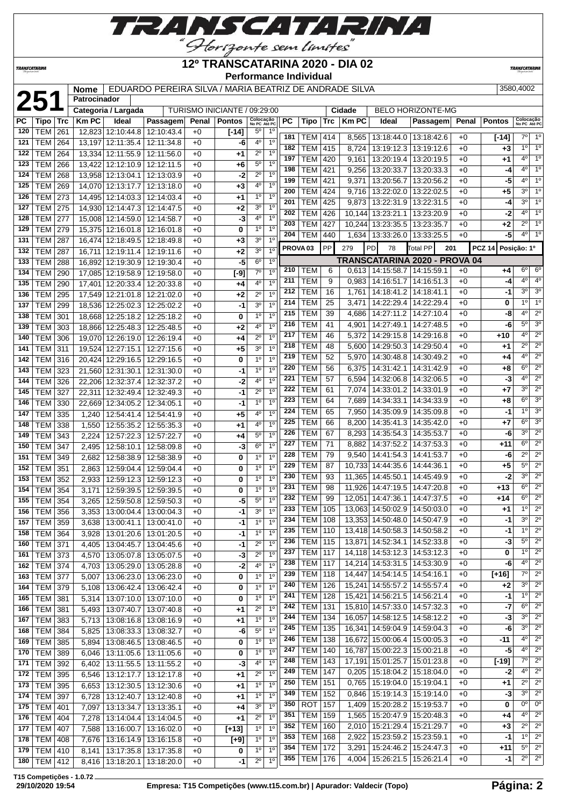

#### **TRANSCATARINA**

#### **12º TRANSCATARINA 2020 - DIA 02 Performance Individual**

**TRANSCATARIN** 

**21 Nome** EDUARDO PEREIRA SILVA / MARIA BEATRIZ DE ANDRADE SILVA 3580,4002

|  | 2580 1002 |
|--|-----------|

|     | 251            |            | Patrocinador        |                   |                                     |              |                              |                           |                |     |                     |            |                |                                   |                               |              |                              |                           |                            |
|-----|----------------|------------|---------------------|-------------------|-------------------------------------|--------------|------------------------------|---------------------------|----------------|-----|---------------------|------------|----------------|-----------------------------------|-------------------------------|--------------|------------------------------|---------------------------|----------------------------|
|     |                |            | Categoria / Largada |                   |                                     |              | TURISMO INICIANTE / 09:29:00 |                           |                |     |                     |            | Cidade         |                                   | BELO HORIZONTE-MG             |              |                              |                           |                            |
| PC  | Tipo           | <b>Trc</b> | <b>KmPC</b>         | Ideal             | Passagem                            |              | Penal   Pontos               | Colocação<br>No PC Até PC |                | PC  | Tipo                | Trc        | <b>Km PC</b>   | Ideal                             | Passagem                      | Penal        | Pontos                       | Colocação<br>No PC Até PC |                            |
| 120 | <b>TEM</b>     | 261        | 12,823 12:10:44.8   |                   | 12:10:43.4                          | $+0$         | $[-14]$                      | 5°                        | $1^{\circ}$    | 181 | TEM                 |            |                |                                   | 13:18:44.0   13:18:42.6       |              |                              | $7^{\circ}$               | $1^{\circ}$                |
| 121 | <b>TEM</b>     | 264        | 13,197 12:11:35.4   |                   | 12:11:34.8                          | $+0$         | -6                           | 40                        | 1 <sup>0</sup> | 182 | <b>TEM</b>          | 414<br>415 | 8,565<br>8,724 | 13:19:12.3                        | 13:19:12.6                    | $+0$<br>$+0$ | $[-14]$<br>+3                | $1^{\circ}$               | 1 <sup>°</sup>             |
| 122 | <b>TEM</b>     | 264        | 13.334 12:11:55.9   |                   | 12:11:56.0                          | $+0$         | $+1$                         | $2^{\circ}$               | $1^{\circ}$    | 197 | <b>TEM</b>          | 420        | 9,161          |                                   | 13:20:19.4   13:20:19.5       | $+0$         | +1                           | $4^{\circ}$               | 1 <sup>°</sup>             |
| 123 | <b>TEM</b>     | 266        | 13,422 12:12:10.9   |                   | 12:12:11.5                          | $+0$         | $+6$                         | $5^{\circ}$               | 1 <sup>0</sup> | 198 | TEM                 | 421        |                |                                   | 13:20:33.7   13:20:33.3       | $+0$         | -4                           | $4^{\circ}$               | 1 <sup>°</sup>             |
| 124 | TEM            | 268        | 13,958 12:13:04.1   |                   | 12:13:03.9                          | $+0$         | -2                           | $2^{\circ}$               | 1 <sup>0</sup> | 199 | <b>TEM</b>          |            | 9,256          |                                   |                               |              |                              | $4^{\circ}$               | 1 <sup>°</sup>             |
| 125 | <b>TEM</b>     | 269        | 14,070 12:13:17.7   |                   | 12:13:18.0                          | +0           | $+3$                         | 4º                        | 1 <sup>0</sup> | 200 | <b>TEM</b>          | 421<br>424 | 9,371          | 13:20:56.7                        | 13:20:56.2                    | $+0$         | -5                           | 3°                        | $1^{\circ}$                |
| 126 | <b>TEM</b>     | 273        | 14.495 12:14:03.3   |                   | 12:14:03.4                          | $+0$         | $+1$                         | $1^{\circ}$               | 1 <sup>0</sup> | 201 | <b>TEM</b>          | 425        | 9,716          | 13:22:02.0                        | 13:22:02.5                    | $+0$         | +5                           | $3^{\circ}$               | 1 <sup>°</sup>             |
| 127 | <b>TEM</b>     | 275        |                     |                   | 14,930 12:14:47.3 12:14:47.5        | $+0$         | $+2$                         | 3 <sup>o</sup>            | 1 <sup>0</sup> | 202 |                     |            | 9,873          |                                   | 13:22:31.9   13:22:31.5       | $+0$         | -4                           | $4^{\circ}$               | $1^{\circ}$                |
| 128 | <b>TEM</b>     | 277        |                     |                   | 15,008 12:14:59.0 12:14:58.7        | $+0$         | -3                           | 4°                        | 1 <sup>0</sup> |     | TEM                 | 426        | 10,144         |                                   | 13:23:21.1   13:23:20.9       | $+0$         | $-2$                         | $2^{\circ}$               | 1 <sup>°</sup>             |
| 129 | <b>TEM</b>     | 279        | 15,375 12:16:01.8   |                   | 12:16:01.8                          | $+0$         | 0                            | $1^{\circ}$               | 1 <sup>0</sup> | 203 | <b>TEM</b>          | 427        | 10,244         | 13:23:35.5   13:23:35.7           |                               | $+0$         | $+2$                         | $4^{\circ}$               | 1 <sup>°</sup>             |
| 131 | <b>TEM</b>     | 287        |                     | 16,474 12:18:49.5 | 12:18:49.8                          | $+0$         | $+3$                         | 3 <sup>o</sup>            | 1 <sup>0</sup> | 204 | TEM                 | 440        | 1,634          | 13:33:26.0   13:33:25.5           |                               | $+0$         | -5                           |                           |                            |
| 132 | <b>TEM</b>     | 287        | 16,711              | 12:19:11.4        | 12:19:11.6                          | $+0$         | $+2$                         | 3 <sup>o</sup>            | 1 <sup>0</sup> |     | PROVA <sub>03</sub> | PP         | 279            | PD<br>78                          | <b>Total PP</b><br>201        |              | <b>PCZ 14</b><br>Posição: 1º |                           |                            |
| 133 | <b>TEM</b>     | 288        |                     |                   | 16,892 12:19:30.9 12:19:30.4        | $+0$         | -5                           | 6 <sup>o</sup>            | $1^{\circ}$    |     |                     |            |                |                                   | TRANSCATARINA 2020 - PROVA 04 |              |                              |                           |                            |
| 134 | <b>TEM</b>     | 290        |                     |                   | 17,085 12:19:58.9 12:19:58.0        | $+0$         | $[-9]$                       | $7^\circ$                 | 1 <sup>0</sup> | 210 | TEM                 | 6          |                | $0,613$   14:15:58.7   14:15:59.1 |                               | $+0$         | +4                           | $6^{\circ}$               | $6^{\circ}$                |
| 135 | <b>TEM</b>     | 290        |                     |                   | 17,401   12:20:33.4   12:20:33.8    | $+0$         | +4                           | 4º                        | 1 <sup>0</sup> | 211 | TEM                 | 9          | 0,983          |                                   | 14:16:51.7 14:16:51.3         | $+0$         | -4                           | $4^{\circ}$               | 4 <sup>o</sup>             |
| 136 | <b>TEM</b>     | 295        |                     |                   | 17,549 12:21:01.8 12:21:02.0        | $+0$         | $+2$                         | $2^{\circ}$               | 1 <sup>0</sup> | 212 | <b>TEM</b>          | 16         | 1,761          | 14:18:41.2                        | 14:18:41.1                    | $+0$         | -1                           | $3^{\circ}$               | 3 <sup>o</sup>             |
| 137 | <b>TEM</b>     | 299        |                     |                   | 18,536 12:25:02.3 12:25:02.2        | $+0$         | $-1$                         | 30                        | 1 <sup>0</sup> | 214 | <b>TEM</b>          | 25         | 3,471          |                                   | 14:22:29.4   14:22:29.4       | $+0$         | 0                            | 10                        | 1 <sup>°</sup>             |
| 138 | <b>TEM</b>     | 301        |                     |                   | 18,668 12:25:18.2 12:25:18.2        | $+0$         | 0                            | 1 <sup>0</sup>            | 1 <sup>0</sup> | 215 | <b>TEM</b>          | 39         | 4,686          | 14:27:11.2                        | 14:27:10.4                    | $+0$         | -8                           | $4^{\circ}$               | $2^{\circ}$                |
| 139 | <b>TEM</b>     | 303        |                     |                   | 18,866 12:25:48.3 12:25:48.5        | $+0$         | $+2$                         | 40                        | 1 <sup>0</sup> | 216 | <b>TEM</b>          | 41         | 4,901          |                                   | 14:27:49.1   14:27:48.5       | $+0$         | -6                           | $5^\circ$                 | 3 <sup>o</sup>             |
| 140 | <b>TEM</b>     | 306        | 19,070 12:26:19.0   |                   | 12:26:19.4                          | $+0$         | +4                           | $2^{\circ}$               | 1 <sup>0</sup> | 217 | TEM                 | 46         | 5,372          | 14:29:15.8                        | 14:29:16.8                    | $+0$         | +10                          | $4^{\circ}$               | $2^{\circ}$                |
| 141 | <b>TEM</b>     | 311        | 19,524 12:27:15.1   |                   | 12:27:15.6                          | $+0$         | $+5$                         | 3 <sup>o</sup>            | 1 <sup>0</sup> | 218 | <b>TEM</b>          | 48         | 5,600          |                                   | 14:29:50.3   14:29:50.4       | $+0$         | +1                           | $2^{\circ}$               | $2^{\circ}$                |
| 142 | TEM            | 316        |                     |                   | 20,424 12:29:16.5 12:29:16.5        | $+0$         | 0                            | $1^{\circ}$               | 1 <sup>0</sup> | 219 | TEM                 | 52         | 5,970          | 14:30:48.8   14:30:49.2           |                               | $+0$         | +4                           | 4 <sup>o</sup>            | $2^{\circ}$                |
| 143 | <b>TEM</b>     | 323        | 21,560 12:31:30.1   |                   | 12:31:30.0                          | $+0$         | -1                           | $1^{\circ}$               | 1 <sup>0</sup> | 220 | TEM                 | 56         | 6,375          |                                   | 14:31:42.1   14:31:42.9       | $+0$         | +8                           | $6^{\circ}$               | $2^{\circ}$                |
| 144 | <b>TEM</b>     | 326        | 22,206 12:32:37.4   |                   | 12:32:37.2                          | $+0$         | -2                           | 40                        | 1 <sup>0</sup> | 221 | <b>TEM</b>          | 57         | 6,594          |                                   | 14:32:06.8   14:32:06.5       | $+0$         | -3                           | 4 <sup>o</sup>            | $2^{\circ}$                |
| 145 | <b>TEM</b>     | 327        | 22,311              | 12:32:49.4        | 12:32:49.3                          | $+0$         | -1                           | $2^{\circ}$               | 1 <sup>0</sup> | 222 | <b>TEM</b>          | 61         | 7,074          |                                   | 14:33:01.2   14:33:01.9       | $+0$         | +7                           | 30                        | $2^{\circ}$                |
| 146 | <b>TEM</b>     | 330        | 22,669 12:34:05.2   |                   | 12:34:05.1                          | $+0$         | $-1$                         | 1 <sup>0</sup>            | 1 <sup>0</sup> | 223 | <b>TEM</b>          | 64         | 7,689          | 14:34:33.1                        | 14:34:33.9                    | $+0$         | +8                           | $6^{\circ}$               | 3 <sup>o</sup>             |
| 147 | <b>TEM</b>     | 335        | 1,240               | 12:54:41.4        | 12:54:41.9                          | $+0$         | $+5$                         | 4°                        | 1 <sup>0</sup> | 224 | TEM                 | 65         | 7,950          |                                   | 14:35:09.9   14:35:09.8       | $+0$         | -1                           | 1 <sup>0</sup>            | 3 <sup>o</sup>             |
| 148 | <b>TEM</b>     | 338        | 1,550               | 12:55:35.2        | 12:55:35.3                          | $+0$         | $+1$                         | 4º                        | 1 <sup>0</sup> | 225 | <b>TEM</b>          | 66         | 8,200          |                                   | 14:35:41.3   14:35:42.0       | $+0$         | +7                           | $6^{\circ}$               | 3 <sup>o</sup>             |
| 149 | <b>TEM</b>     | 343        | 2,224               | 12:57:22.3        | 12:57:22.7                          | $+0$         | $+4$                         | $5^{\circ}$               | 1 <sup>0</sup> | 226 | <b>TEM</b>          | 67         | 8,293          | 14:35:54.3   14:35:53.7           |                               | $+0$         | -6                           | $3^{\circ}$               | $2^{\circ}$                |
| 150 | <b>TEM</b>     | 347        | 2,495               | 12:58:10.1        | 12:58:09.8                          | $+0$         | -3                           | $6^{\circ}$               | $1^{\circ}$    | 227 | <b>TEM</b>          | 71         | 8,882          |                                   | 14:37:52.2   14:37:53.3       | $+0$         | $+11$                        | $6^{\circ}$               | $2^{\circ}$                |
| 151 | <b>TEM</b>     | 349        | 2,682               | 12:58:38.9        | 12:58:38.9                          | $+0$         | 0                            | 1 <sup>0</sup>            | 1 <sup>0</sup> | 228 | TEM                 | 79         | 9,540          | 14:41:54.3 14:41:53.7             |                               | $+0$         | -6                           | $2^{\circ}$               | $2^{\circ}$                |
| 152 | <b>TEM</b>     | 351        | 2,863               |                   | 12:59:04.4   12:59:04.4             | $+0$         | 0                            | $1^{\circ}$               | $1^{\circ}$    | 229 | <b>TEM</b>          | 87         | 10,733         | 14:44:35.6   14:44:36.1           |                               | $+0$         | $+5$                         | $5^{\circ}$               | $2^{\circ}$                |
| 153 | <b>TEM</b>     | 352        | 2,933               | 12:59:12.3        | 12:59:12.3                          | $+0$         | 0                            | $1^{\circ}$               | 1 <sup>0</sup> | 230 | <b>TEM</b>          | 93         | 11.365         |                                   | 14:45:50.1   14:45:49.9       | $+0$         | -2                           | 3 <sup>o</sup>            | $2^{\circ}$                |
| 154 | <b>TEM</b>     | 354        | 3,171               | 12:59:39.5        | 12:59:39.5                          | +0           | 0                            | 1 <sup>0</sup>            | 1 <sup>0</sup> | 231 | <b>TEM</b>          | 98         | 11,926         | 14:47:19.5   14:47:20.8           |                               | $+0$         | +13                          | $6^{\circ}$               | $2^{\circ}$                |
| 155 | <b>TEM</b>     | 354        | 3,265               | 12:59:50.8        | 12:59:50.3                          | $+0$         | -5                           | $5^{\circ}$               | 1 <sup>0</sup> | 232 | <b>TEM</b>          | 99         | 12,051         | 14:47:36.1                        | 14:47:37.5                    | $+0$         | $+14$                        | $6^{\circ}$               | $2^{\circ}$                |
| 156 | TEM 356        |            | 3,353               |                   | 13:00:04.4 13:00:04.3               | $+0$         | $-1$                         | 30                        | 1 <sup>0</sup> | 233 | TEM                 | 105        |                | 13,063 14:50:02.9 14:50:03.0      |                               | $+0$         | +1                           | 1 <sup>0</sup>            | $2^{\circ}$                |
|     | 157 TEM 359    |            |                     |                   | 3,638 13:00:41.1 13:00:41.0         | $+0$         | $-1$                         | $1^{\circ}$               | 1 <sup>0</sup> |     | 234 TEM             | 108        |                | 13,353 14:50:48.0 14:50:47.9      |                               | $+0$         | $-1$                         | $3^{\circ}$               | $2^{\circ}$                |
| 158 | <b>TEM 364</b> |            | 3,928               |                   | 13:01:20.6   13:01:20.5             | $+0$         | -1                           | $1^{\circ}$               | 1 <sup>0</sup> | 235 | <b>TEM   110</b>    |            |                | 13,418 14:50:58.3 14:50:58.2      |                               | +0           | -1                           | $1^{\circ}$               | $2^{\circ}$                |
| 160 | TEM 371        |            | 4,405               |                   | 13:04:45.7   13:04:45.6             | $+0$         | -1                           | $2^{\circ}$               | 1 <sup>0</sup> | 236 | <b>TEM</b>          | 115        |                | 13,871 14:52:34.1 14:52:33.8      |                               | $+0$         | -3                           | $5^{\circ}$               | $2^{\circ}$                |
| 161 | TEM 373        |            | 4,570               |                   | 13:05:07.8   13:05:07.5             | $+0$         | -3                           | $2^{\circ}$               | 1 <sup>0</sup> | 237 | TEM                 | 117        |                | 14,118 14:53:12.3 14:53:12.3      |                               | $+0$         | 0                            | 1 <sup>°</sup>            | $2^{\circ}$                |
| 162 | <b>TEM 374</b> |            | 4,703               |                   | 13:05:29.0   13:05:28.8             | $+0$         | $-2$                         | $4^{\circ}$               | $1^{\circ}$    | 238 | <b>TEM</b>          | 117        |                | 14,214 14:53:31.5 14:53:30.9      |                               | $+0$         | -6                           | $4^{\circ}$               | $2^{\circ}$                |
| 163 | <b>TEM 377</b> |            | 5,007               |                   | 13:06:23.0   13:06:23.0             | $+0$         | 0                            | $1^{\circ}$               | $1^{\circ}$    | 239 | TEM                 | 118        |                | 14,447 14:54:14.5 14:54:16.1      |                               | $+0$         | $[+16]$                      | $7^\circ$                 | $2^{\circ}$                |
| 164 | TEM 379        |            | 5,108               |                   | 13:06:42.4   13:06:42.4             | $+0$         | 0                            | $1^{\circ}$               | 1 <sup>0</sup> | 240 | <b>TEM</b>          | 126        |                | 15,241 14:55:57.2 14:55:57.4      |                               | $+0$         | +2                           | $3^{\circ}$               | $2^{\circ}$                |
| 165 | <b>TEM 381</b> |            |                     |                   | 5,314   13:07:10.0   13:07:10.0     | $+0$         | 0                            | 1 <sup>o</sup>            | 1 <sup>0</sup> | 241 | <b>TEM</b>          | 128        |                | 15,421 14:56:21.5 14:56:21.4      |                               | $+0$         | -1                           | 10                        | $2^{\circ}$                |
| 166 | $TEM$ 381      |            | 5,493               |                   | 13:07:40.7   13:07:40.8             | $+0$         | $+1$                         | $2^{\circ}$               | 1 <sup>0</sup> | 242 | <b>TEM</b>          | 131        |                | 15,810 14:57:33.0 14:57:32.3      |                               | $+0$         | $-7$                         | $6^{\circ}$               | $2^{\circ}$                |
| 167 | TEM 383        |            |                     |                   | 5,713 13:08:16.8 13:08:16.9         | $+0$         | $+1$                         | $1^{\circ}$               | $1^{\circ}$    | 244 | TEM                 | 134        |                | 16,057 14:58:12.5 14:58:12.2      |                               | $+0$         | $-3$                         | $3^{\circ}$               | $2^{\circ}$                |
| 168 | <b>TEM 384</b> |            | 5,825               |                   | 13:08:33.3 13:08:32.7               | $+0$         | -6                           | $5^{\circ}$               | 1 <sup>0</sup> | 245 | <b>TEM</b>          | 135        |                | 16,341   14:59:04.9   14:59:04.3  |                               | +0           | -6                           | $3^{\circ}$               | $2^{\circ}$                |
| 169 | TEM 385        |            | 5,894               |                   | 13:08:46.5   13:08:46.5             | $+0$         | 0                            | $1^{\circ}$               | 1 <sup>0</sup> | 246 | <b>TEM</b>          | 138        |                | 16,672 15:00:06.4 15:00:05.3      |                               | $+0$         | $-11$                        | $4^{\circ}$               | $2^{\circ}$                |
| 170 | TEM 389        |            | 6,046               |                   | 13:11:05.6   13:11:05.6             | $+0$         | 0                            | 1 <sup>o</sup>            | 1 <sup>0</sup> | 247 | <b>TEM</b>          | 140        |                | 16,787 15:00:22.3 15:00:21.8      |                               | $+0$         | $-5$                         | $4^{\circ}$               | $2^{\circ}$                |
| 171 | <b>TEM 392</b> |            | 6,402               |                   | $13:11:55.5$ 13:11:55.2             | $+0$         | -3                           | 4º                        | 1 <sup>0</sup> | 248 | <b>TEM</b>          | 143        |                | 17,191 15:01:25.7 15:01:23.8      |                               | $+0$         | $[-19]$                      | $7^\circ$                 | $2^{\circ}$                |
| 172 | TEM 395        |            | 6,546               | 13:12:17.7        | 13:12:17.8                          | $+0$         | +1                           | $2^{\circ}$               | 1 <sup>0</sup> | 249 | <b>TEM</b>          | 147        | 0,205          |                                   | 15:18:04.2   15:18:04.0       | $+0$         | -2                           | $4^{\circ}$               | $2^{\circ}$                |
| 173 | <b>TEM</b>     | 395        | 6,653               |                   | 13:12:30.5   13:12:30.6             | $+0$         | +1                           | $1^{\circ}$               | 1 <sup>0</sup> | 250 | TEM                 | 151        | 0,765          | 15:19:04.0   15:19:04.1           |                               | $+0$         | +1                           | $2^{\circ}$               | $2^{\circ}$                |
| 174 | <b>TEM 397</b> |            | 6,728               | 13:12:40.7        | 13:12:40.8                          | $+0$         | +1                           | 1 <sup>0</sup>            | 1 <sup>0</sup> | 349 | <b>TEM</b>          | 152        | 0,846          |                                   | 15:19:14.3   15:19:14.0       | +0           | $-3$                         | $3^{\circ}$               | $2^{\circ}$                |
| 175 | <b>TEM 401</b> |            | 7,097               |                   | 13:13:34.7   13:13:35.1             | $+0$         | $+4$                         | 3 <sup>o</sup>            | 1 <sup>0</sup> | 350 | <b>ROT</b>          | 157        | 1,409          | 15:20:28.2   15:19:53.7           |                               | $+0$         | 0                            | 0 <sup>0</sup>            | 0 <sup>o</sup>             |
| 176 | TEM 404        |            | 7,278               |                   | 13:14:04.4   13:14:04.5             | $+0$         | $+1$                         | $2^{\circ}$               | 1 <sup>0</sup> | 351 | <b>TEM</b>          | 159        | 1,565          | 15:20:47.9   15:20:48.3           |                               | $+0$         | +4                           | $4^{\circ}$               | $2^{\circ}$                |
| 177 | TEM 407        |            |                     | 13:16:00.7        |                                     |              |                              | $1^{\circ}$               | $1^{\circ}$    | 352 | TEM                 | 160        | 2,010          | 15:21:29.4   15:21:29.7           |                               | +0           | +3                           | $2^{\circ}$               | $2^{\circ}$                |
| 178 | <b>TEM 408</b> |            | 7,588               |                   | 13:16:02.0<br>13:16:14.9 13:16:15.8 | $+0$         | $[+13]$                      | $1^{\circ}$               | 1 <sup>0</sup> | 353 | TEM                 | 168        | 2,922          | 15:23:59.2   15:23:59.1           |                               | +0           | -1                           | $1^{\circ}$               | $2^{\circ}$                |
| 179 | <b>TEM 410</b> |            | 7,676               |                   | 13:17:35.8   13:17:35.8             | $+0$         | $[+9]$                       | 1 <sup>0</sup>            | 1 <sup>0</sup> | 354 | TEM                 | 172        | 3,291          |                                   | 15:24:46.2   15:24:47.3       | $+0$         | +11                          | $5^{\circ}$               | $2^{\circ}$                |
| 180 | $TEM$ 412      |            | 8,141               |                   |                                     | $+0$<br>$+0$ | 0<br>$-1$                    | $2^{\circ}$               | $1^{\circ}$    | 355 | <b>TEM 176</b>      |            |                | 4,004   15:26:21.5   15:26:21.4   |                               | $+0$         | -1                           |                           | $2^{\circ}$ 2 <sup>°</sup> |
|     |                |            |                     |                   | 8,416   13:18:20.1   13:18:20.0     |              |                              |                           |                |     |                     |            |                |                                   |                               |              |                              |                           |                            |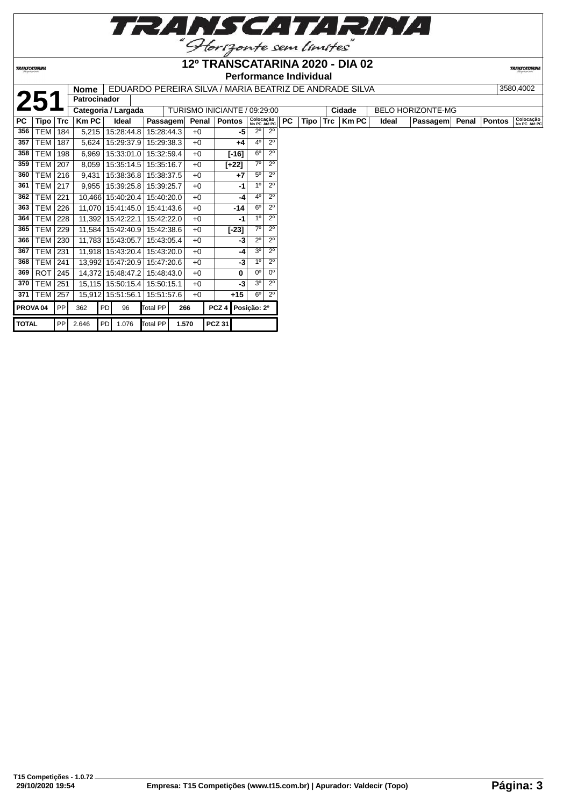

**TRANSCATARINA** 

#### **12º TRANSCATARINA 2020 - DIA 02 Performance Individual**

|  | I EDUARDO PEREIRA SILVA / MARIA BEATRIZ DE ANDRADE SILVA |
|--|----------------------------------------------------------|
|  |                                                          |

|                     |                  |                | <b>Nome</b>         |     |                     |            |            |       | EDUARDO PEREIRA SILVA / MARIA BEATRIZ DE ANDRADE SILVA |                      |                               |           |      |            |              |       |                          |               | 3580,4002                 |
|---------------------|------------------|----------------|---------------------|-----|---------------------|------------|------------|-------|--------------------------------------------------------|----------------------|-------------------------------|-----------|------|------------|--------------|-------|--------------------------|---------------|---------------------------|
|                     |                  |                | <b>Patrocinador</b> |     |                     |            |            |       |                                                        |                      |                               |           |      |            |              |       |                          |               |                           |
|                     |                  |                |                     |     | Categoria / Largada |            |            |       | TURISMO INICIANTE / 09:29:00                           |                      |                               |           |      |            | Cidade       |       | <b>BELO HORIZONTE-MG</b> |               |                           |
| <b>PC</b>           | Tipo             | $\mathsf{Trc}$ | <b>Km PC</b>        |     | Ideal               |            | Passagem   | Penal | <b>Pontos</b>                                          |                      | Colocação<br>No PC Até PC     | <b>PC</b> | Tipo | <b>Trc</b> | <b>Km PC</b> | Ideal | Passagem Penal           | <b>Pontos</b> | Colocação<br>No PC Até PC |
| 356                 | TEM              | 184            | 5,215               |     | 15:28:44.8          |            | 15:28:44.3 | $+0$  |                                                        | -5                   | $2^{\circ}$<br>$2^{\circ}$    |           |      |            |              |       |                          |               |                           |
| 357                 | TEM              | 187            | 5,624               |     | 15:29:37.9          |            | 15:29:38.3 | $+0$  |                                                        | $4^{\circ}$<br>$+4$  | $2^{\circ}$                   |           |      |            |              |       |                          |               |                           |
| 358                 | TEM              | 198            | 6,969               |     | 15:33:01.0          |            | 15:32:59.4 | $+0$  | $[-16]$                                                | $6^{\circ}$          | $2^{\circ}$                   |           |      |            |              |       |                          |               |                           |
| 359                 | <b>TEM</b>       | 207            | 8,059               |     | 15:35:14.5          |            | 15:35:16.7 | $+0$  | [+22]                                                  | $7^\circ$            | $2^{\circ}$                   |           |      |            |              |       |                          |               |                           |
| 360                 | TEM 216          |                | 9,431               |     | 15:38:36.8          |            | 15:38:37.5 | $+0$  |                                                        | $+7$                 | $2^{\circ}$<br>$5^{\circ}$    |           |      |            |              |       |                          |               |                           |
| 361                 | <b>TEM   217</b> |                | 9,955               |     | 15:39:25.8          |            | 15:39:25.7 | $+0$  |                                                        | -1                   | $2^{\circ}$<br>1 <sup>0</sup> |           |      |            |              |       |                          |               |                           |
| 362                 | <b>TEM</b>       | 221            |                     |     | 10,466 15:40:20.4   |            | 15:40:20.0 | $+0$  |                                                        | $4^{\circ}$<br>-4    | $2^{\circ}$                   |           |      |            |              |       |                          |               |                           |
| 363                 | <b>TEM</b>       | 226            |                     |     | 11,070 15:41:45.0   |            | 15:41:43.6 | $+0$  |                                                        | $6^{\circ}$<br>-14   | $2^{\circ}$                   |           |      |            |              |       |                          |               |                           |
| 364                 | <b>TEM 228</b>   |                |                     |     | 11,392 15:42:22.1   |            | 15:42:22.0 | $+0$  |                                                        | -1                   | $2^{\circ}$<br>1 <sup>0</sup> |           |      |            |              |       |                          |               |                           |
| 365                 | <b>TEM</b>       | 229            | 11,584              |     | 15:42:40.9          |            | 15:42:38.6 | $+0$  | $[-23]$                                                | $7^\circ$            | $2^{\circ}$                   |           |      |            |              |       |                          |               |                           |
| 366                 | <b>TEM</b>       | 230            |                     |     | 11,783 15:43:05.7   |            | 15:43:05.4 | $+0$  |                                                        | $2^{\circ}$<br>-3    | $2^{\circ}$                   |           |      |            |              |       |                          |               |                           |
| 367                 | <b>TEM 231</b>   |                |                     |     | 11,918 15:43:20.4   |            | 15:43:20.0 | $+0$  |                                                        | 3 <sup>o</sup><br>-4 | $2^{\circ}$                   |           |      |            |              |       |                          |               |                           |
| 368                 | <b>TEM   241</b> |                |                     |     | 13,992 15:47:20.9   | 15:47:20.6 |            | $+0$  |                                                        | 1 <sup>0</sup><br>-3 | $2^{\circ}$                   |           |      |            |              |       |                          |               |                           |
| 369                 | <b>ROT</b>       | 245            |                     |     | 14,372 15:48:47.2   |            | 15:48:43.0 | $+0$  |                                                        | $0^{\circ}$<br>0     | $0^{\circ}$                   |           |      |            |              |       |                          |               |                           |
| 370                 | <b>TEM</b>       | 251            |                     |     | 15,115 15:50:15.4   | 15:50:15.1 |            | $+0$  |                                                        | 3 <sup>o</sup><br>-3 | $2^{\circ}$                   |           |      |            |              |       |                          |               |                           |
| 371                 | <b>TEM 257</b>   |                |                     |     | 15,912 15:51:56.1   |            | 15:51:57.6 | $+0$  | $+15$                                                  | $6^{\circ}$          | $2^{\circ}$                   |           |      |            |              |       |                          |               |                           |
| PROVA <sub>04</sub> |                  | PP             | 362                 | PD  | 96                  | Total PP   |            | 266   | PCZ <sub>4</sub>                                       | Posição: 2º          |                               |           |      |            |              |       |                          |               |                           |
| <b>TOTAL</b>        |                  | <b>PP</b>      | 2.646               | PDI | 1.076               | Total PP   | 1.570      |       | <b>PCZ 31</b>                                          |                      |                               |           |      |            |              |       |                          |               |                           |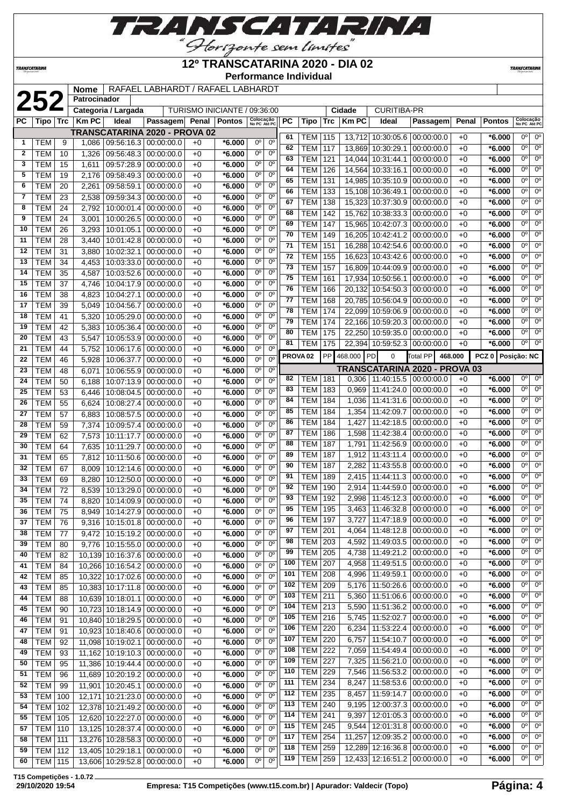

<u>"Horizonte sem limites"</u><br>12º TRANSCATARINA 2020 - DIA 02

**Performance Individual**

**TRANSCATARINA** 

|          |                          |          | <b>Nome</b>    |                              | RAFAEL LABHARDT / RAFAEL LABHARDT |              |                              |                               |                            |                     |                  |                 |              |                                 |                               |       |                   |                           |                |
|----------|--------------------------|----------|----------------|------------------------------|-----------------------------------|--------------|------------------------------|-------------------------------|----------------------------|---------------------|------------------|-----------------|--------------|---------------------------------|-------------------------------|-------|-------------------|---------------------------|----------------|
|          | 252                      |          | Patrocinador   |                              |                                   |              |                              |                               |                            |                     |                  |                 |              |                                 |                               |       |                   |                           |                |
|          |                          |          |                | Categoria / Largada          |                                   |              | TURISMO INICIANTE / 09:36:00 |                               |                            |                     |                  |                 | Cidade       | <b>CURITIBA-PR</b>              |                               |       |                   |                           |                |
| РC       | Tipo                     | Trc      | <b>KmPC</b>    | Ideal                        | Passagem                          |              | Penal   Pontos               | Colocação<br>No PC Até PC     |                            | PC                  | Tipo             | Trc             | <b>Km PC</b> | Ideal                           | Passagem                      | Penal | <b>Pontos</b>     | Colocação<br>No PC Até PC |                |
|          |                          |          |                |                              | TRANSCATARINA 2020 - PROVA 02     |              |                              |                               |                            | 61                  | <b>TEM 115</b>   |                 |              | 13,712 10:30:05.6               | 00:00:00.0                    | $+0$  | $*6.000$          | 0°                        | $0^{\circ}$    |
| 1        | <b>TEM</b>               | 9        | 1,086          | 09:56:16.3   00:00:00.0      |                                   | $+0$         | *6.000                       | $0^{\circ}$                   | $0^{\circ}$                | 62                  | <b>TEM</b>       | 117             | 13,869       | 10:30:29.1                      | 00:00:00.0                    | $+0$  | *6.000            | 0 <sup>o</sup>            | $0^{\circ}$    |
| 2        | <b>TEM</b>               | 10       | 1,326          | 09:56:48.3                   | 00:00:00.0                        | $+0$         | $*6.000$                     | $0^{\circ}$                   | $0^{\circ}$                | 63                  | <b>TEM</b>       | 121             | 14,044       | 10:31:44.1                      | 00:00:00.0                    | +0    | $*6.000$          | 0 <sup>o</sup>            | $0^{\circ}$    |
| 3        | <b>TEM</b>               | 15       | 1,611          | 09:57:28.9                   | 00:00:00.0                        | $+0$         | *6.000                       | 0°                            | 0°                         | 64                  | <b>TEM</b>       | 126             | 14,564       | 10:33:16.1                      | 00:00:00.0                    | $+0$  | $*6.000$          | 0°                        | $0^{\circ}$    |
| 5        | <b>TEM</b>               | 19       | 2,176          | 09:58:49.3                   | 00:00:00.0                        | $+0$         | $*6.000$                     | 0°                            | 0°                         | 65                  | <b>TEM</b>       | 131             | 14,985       | 10:35:10.9                      | 00:00:00.0                    | $+0$  | $*6.000$          | $0^{\circ}$               | $0^{\circ}$    |
| 6        | TEM                      | 20       | 2,261          | 09:58:59.1                   | 00:00:00.0                        | $+0$         | *6.000                       | $0^{\circ}$                   | $0^{\circ}$                | 66                  | <b>TEM</b>       | 133             | 15.108       | 10:36:49.1                      | 00:00:00.0                    | $+0$  | $*6.000$          | $0^{\circ}$               | $0^{\circ}$    |
| 7        | <b>TEM</b>               | 23       | 2,538          | 09:59:34.3                   | 00:00:00.0                        | $+0$         | *6.000                       | 0°                            | 0°                         | 67                  | <b>TEM</b>       | 138             | 15,323       | 10:37:30.9                      | 00:00:00.0                    | $+0$  | *6.000            | $0^{\circ}$               | $0^{\circ}$    |
| 8        | <b>TEM</b>               | 24       | 2,792          | 10:00:01.4                   | 00:00:00.0                        | $+0$         | *6.000                       | 0°                            | 0°                         | 68                  | <b>TEM</b>       | 142             | 15,762       | 10:38:33.3                      | 00:00:00.0                    | +0    | *6.000            | 0°                        | $0^{\circ}$    |
| 9        | <b>TEM</b>               | 24       | 3,001          | 10:00:26.5                   | 00:00:00.0                        | $+0$         | *6.000                       | $0^{\circ}$                   | $0^{\circ}$                | 69                  | <b>TEM</b>       | 147             | 15,965       | 10:42:07.3                      | 00:00:00.0                    | +0    | *6.000            | 0°                        | $0^{\circ}$    |
| 10       | <b>TEM</b>               | 26       | 3,293          | 10:01:05.1                   | 00:00:00.0                        | $+0$         | $*6.000$                     | $0^{\circ}$                   | $0^{\circ}$                | 70                  | <b>TEM</b>       | 149             | 16,205       | 10:42:41.2                      | 00:00:00.0                    | $+0$  | $*6.000$          | $0^{\circ}$               | $0^{\circ}$    |
| 11       | <b>TEM</b>               | 28       | 3,440          | 10:01:42.8                   | 00:00:00.0                        | $+0$         | *6.000                       | $0^{\circ}$                   | $0^{\circ}$                | 71                  | <b>TEM</b>       | 151             | 16,288       | 10:42:54.6                      | 00:00:00.0                    | $+0$  | $*6.000$          | 0°                        | $0^{\circ}$    |
| 12       | <b>TEM</b>               | 31       | 3,880          | 10:02:32.1                   | 00:00:00.0                        | $+0$         | *6.000                       | 0°                            | $0^{\circ}$                | 72                  | <b>TEM</b>       | 155             |              | 16,623 10:43:42.6               | 00:00:00.0                    | $+0$  | $*6.000$          | $0^{\circ}$               | $0^{\circ}$    |
| 13       | <b>TEM</b>               | 34       | 4,453          | 10:03:33.0                   | 00:00:00.0                        | $+0$         | *6.000                       | 0°                            | $0^{\circ}$                | 73                  | TEM              | 157             | 16,809       | 10:44:09.9                      | 00:00:00.0                    | $+0$  | *6.000            | 0°                        | $0^{\circ}$    |
| 14       | <b>TEM</b>               | 35       | 4,587          | 10:03:52.6                   | 00:00:00.0                        | $+0$         | *6.000                       | $0^{\circ}$<br>0 <sup>o</sup> | 0 <sup>o</sup>             | 75                  | <b>TEM</b>       | 161             | 17,934       | 10:50:56.1                      | 00:00:00.0                    | $+0$  | *6.000            | $0^{\circ}$               | $0^{\circ}$    |
| 15       | <b>TEM</b>               | 37       | 4,746          | 10:04:17.9                   | 00:00:00.0                        | $+0$         | $*6.000$                     |                               | $0^{\circ}$                | 76                  | <b>TEM</b>       | 166             | 20,132       | 10:54:50.3                      | 00:00:00.0                    | $+0$  | $*6.000$          | 0°                        | $0^{\circ}$    |
| 16       | <b>TEM</b>               | 38       | 4,823          | 10:04:27.1                   | 00:00:00.0                        | $+0$         | *6.000                       | 0°                            | 0°                         | 77                  | <b>TEM</b>       | 168             | 20.785       | 10:56:04.9                      | 00:00:00.0                    | $+0$  | *6.000            | $0^{\circ}$               | $0^{\circ}$    |
| 17       | <b>TEM</b>               | 39       | 5,049          | 10:04:56.7                   | 00:00:00.0                        | $+0$         | *6.000                       | 0°                            | $0^{\circ}$                | 78                  | <b>TEM</b>       | 174             | 22,099       | 10:59:06.9                      | 00:00:00.0                    | +0    | *6.000            | 0°                        | $0^{\circ}$    |
| 18       | <b>TEM</b>               | 41       | 5,320          | 10:05:29.0                   | 00:00:00.0                        | $+0$         | *6.000                       | $0^{\circ}$                   | 0°                         | 79                  | <b>TEM</b>       | 174             | 22,166       | 10:59:20.3                      | 00:00:00.0                    | +0    | *6.000            | 0°                        | $0^{\circ}$    |
| 19       | <b>TEM</b>               | 42       | 5,383          | 10:05:36.4                   | 00:00:00.0                        | $+0$         | *6.000                       | $0^{\circ}$                   | $0^{\circ}$                | 80                  | <b>TEM</b>       | 175             | 22,250       | 10:59:35.0                      | 00:00:00.0                    | $+0$  | $*6.000$          | $0^{\circ}$               | $0^{\circ}$    |
| 20       | <b>TEM</b>               | 43       | 5,547          | 10:05:53.9                   | 00:00:00.0                        | $+0$         | *6.000                       | $0^{\circ}$                   | $0^{\rm o}$<br>$0^{\circ}$ | 81                  | <b>TEM</b>       | 175             |              | 22,394 10:59:52.3               | 00:00:00.0                    | $+0$  | $*6.000$          | 0°                        | $0^{\circ}$    |
| 21       | <b>TEM</b>               | 44       | 5,752          | 10:06:17.6                   | 00:00:00.0                        | $+0$         | *6.000                       | 0°<br>$\overline{0^{\circ}}$  | 0 <sup>o</sup>             | PROVA <sub>02</sub> |                  | PP <sup>1</sup> | 468.000      | PD<br>0                         | Total PP<br>468.000           |       | PCZ 0 Posição: NC |                           |                |
| 22       | <b>TEM</b>               | 46       | 5,928          | 10:06:37.7                   | 00:00:00.0                        | $+0$         | *6.000                       | $0^{\rm o}$                   | 0°                         |                     |                  |                 |              |                                 | TRANSCATARINA 2020 - PROVA 03 |       |                   |                           |                |
| 23       | <b>TEM</b>               | 48       | 6,071          | 10:06:55.9                   | 00:00:00.0                        | $+0$         | $*6.000$                     | $0^{\circ}$                   | $0^{\circ}$                | 82                  | TEM              | 181             |              | $0,306$   11:40:15.5            | 00:00:00.0                    | +0    | $*6.000$          | $0^{\circ}$               | $0^{\circ}$    |
| 24<br>25 | <b>TEM</b><br><b>TEM</b> | 50<br>53 | 6,188          | 10:07:13.9                   | 00:00:00.0                        | $+0$         | $*6.000$                     | $0^{\circ}$                   | $0^{\circ}$                | 83                  | <b>TEM</b>       | 183             | 0,969        | 11:41:24.0                      | 00:00:00.0                    | $+0$  | $*6.000$          | $0^{\circ}$               | $0^{\circ}$    |
|          |                          |          | 6,446          | 10:08:04.5                   | 00:00:00.0                        | $+0$         | *6.000                       | $0^{\circ}$                   | 0°                         | 84                  | <b>TEM</b>       | 184             | 1,036        | 11:41:31.6                      | 00:00:00.0                    | $+0$  | *6.000            | $0^{\circ}$               | $0^{\circ}$    |
| 26       | <b>TEM</b>               | 55       | 6,624          | 10:08:27.4                   | 00:00:00.0                        | $+0$         | *6.000                       | $0^{\circ}$                   | 0°                         | 85                  | <b>TEM</b>       | 184             | 1,354        | 11:42:09.7                      | 00:00:00.0                    | $+0$  | $*6.000$          | $0^{\circ}$               | $0^{\circ}$    |
| 27<br>28 | <b>TEM</b><br><b>TEM</b> | 57<br>59 | 6,883          | 10:08:57.5                   | 00:00:00.0                        | $+0$<br>$+0$ | *6.000                       | $0^{\circ}$                   | 0 <sup>o</sup>             | 86                  | <b>TEM</b>       | 184             | 1,427        | 11:42:18.5                      | 00:00:00.0                    | +0    | $*6.000$          | 0°                        | $0^{\circ}$    |
| 29       | <b>TEM</b>               | 62       | 7,374<br>7,573 | 10:09:57.4<br>10:11:17.7     | 00:00:00.0                        | $+0$         | *6.000<br>*6.000             | $0^{\circ}$                   | $0^{\circ}$                | 87                  | <b>TEM</b>       | 186             | 1,598        | 11:42:38.4                      | 00:00:00.0                    | $+0$  | $*6.000$          | $0^{\circ}$               | $0^{\circ}$    |
| 30       | <b>TEM</b>               | 64       | 7,635          | 10:11:29.7                   | 00:00:00.0<br>00:00:00.0          | $+0$         | *6.000                       | 0°                            | 0 <sup>o</sup>             | 88                  | <b>TEM</b>       | 187             | 1,791        | 11:42:56.9                      | 00:00:00.0                    | $+0$  | *6.000            | 0°                        | $0^{\circ}$    |
| 31       | <b>TEM</b>               | 65       | 7,812          | 10:11:50.6                   | 00:00:00.0                        | $+0$         | *6.000                       | 0 <sup>o</sup>                | $0^{\circ}$                | 89                  | <b>TEM</b>       | 187             | 1,912        | 11:43:11.4                      | 00:00:00.0                    | +0    | $*6.000$          | 0°                        | $0^{\circ}$    |
| 32       | <b>TEM</b>               | 67       | 8,009          | 10:12:14.6                   | 00:00:00.0                        | $+0$         | *6.000                       | $0^{\circ}$                   | 0°                         | 90                  | <b>TEM</b>       | 187             | 2,282        | 11:43:55.8                      | 00:00:00.0                    | $+0$  | $*6.000$          | 0°                        | $0^{\circ}$    |
| 33       | <b>TEM</b>               | 69       | 8,280          | 10:12:50.0                   | 00:00:00.0                        | $+0$         | $*6.000$                     | 0°                            | $0^{\circ}$                | 91                  | <b>TEM</b>       | 189             | 2,415        | 11:44:11.3                      | 00:00:00.0                    | +0    | $*6.000$          | $0^{\circ}$               | $0^{\circ}$    |
| 34       | TEM                      | 72       | 8,539          | 10:13:29.0                   | 00:00:00.0                        | $+0$         | *6.000                       | $0^{\circ}$                   | 0 <sup>o</sup>             | 92                  | <b>TEM</b>       | 190             | 2,914        | 11:44:59.0                      | 00:00:00.0                    | $+0$  | $*6.000$          | 0°                        | $0^{\circ}$    |
| 35       | <b>TEM</b>               | 74       | 8,820          | 10:14:09.9                   | 00:00:00.0                        | $+0$         | *6.000                       | 0 <sup>o</sup>                | 0°                         | 93                  | <b>TEM</b>       | 192             | 2,998        | 11:45:12.3                      | 00:00:00.0                    | $+0$  | *6.000            | 0°                        | $0^{\circ}$    |
| 36       | <b>TEM</b>               | 75       | 8,949          | 10:14:27.9 00:00:00.0        |                                   | $+0$         | $*6.000$                     | 0 <sup>o</sup>                | 0°                         | 95                  | <b>TEM 195</b>   |                 |              | 3.463 11:46:32.8                | 00:00:00.0                    | $+0$  | $*6.000$          | 0 <sup>o</sup>            | 0 <sup>o</sup> |
| 37       | TEM                      | 76       | 9,316          | 10:15:01.8 00:00:00.0        |                                   | $+0$         | *6.000                       | $0^{\circ}$                   | $0^{\circ}$                | 96                  | <b>TEM   197</b> |                 |              | 3,727   11:47:18.9   00:00:00.0 |                               | +0    | $*6.000$          | 0°                        | $0^{\circ}$    |
| 38       | <b>TEM</b>               | 77       | 9,472          | 10:15:19.2 00:00:00.0        |                                   | $+0$         | *6.000                       | $0^{\circ}$                   | $0^{\circ}$                | 97                  | <b>TEM</b>       | 201             | 4,064        | 11:48:12.8                      | 00:00:00.0                    | $+0$  | $*6.000$          | $0^{\circ}$               | $0^{\circ}$    |
| 39       | <b>TEM</b>               | 80       | 9,776          | 10:15:55.0 00:00:00.0        |                                   | $+0$         | *6.000                       | 0 <sup>o</sup>                | $0^{\circ}$                | 98                  | <b>TEM 203</b>   |                 | 4,592        | 11:49:03.5                      | 00:00:00.0                    | $+0$  | $*6.000$          | $0^{\circ}$               | $0^{\circ}$    |
| 40       | <b>TEM</b>               | 82       |                | 10,139 10:16:37.6 00:00:00.0 |                                   | $+0$         | *6.000                       | $0^{\circ}$                   | 0°                         | 99                  | <b>TEM</b>       | 205             | 4,738        | 11:49:21.2                      | 00:00:00.0                    | $+0$  | $*6.000$          | $0^{\circ}$               | $0^{\circ}$    |
| 41       | <b>TEM</b>               | 84       |                | 10,266 10:16:54.2            | 00:00:00.0                        | $+0$         | *6.000                       | $0^{\circ}$                   | $0^{\circ}$                | 100                 | <b>TEM</b>       | 207             | 4,958        | 11:49:51.5                      | 00:00:00.0                    | $+0$  | $*6.000$          | $0^{\circ}$               | $0^{\circ}$    |
| 42       | <b>TEM</b>               | 85       | 10,322         | 10:17:02.6                   | 00:00:00.0                        | $+0$         | *6.000                       | $0^{\circ}$                   | $0^{\circ}$                | 101                 | <b>TEM 208</b>   |                 | 4,996        | 11:49:59.1                      | 00:00:00.0                    | $+0$  | $*6.000$          | $0^{\circ}$               | $0^{\circ}$    |
| 43       | <b>TEM</b>               | 85       |                | 10,383 10:17:11.8 00:00:00.0 |                                   | $+0$         | *6.000                       | $0^{\circ}$                   | $0^{\circ}$                | 102                 | <b>TEM 209</b>   |                 | 5,176        | 11:50:26.6                      | 00:00:00.0                    | $+0$  | $*6.000$          | $0^{\circ}$               | $0^{\circ}$    |
| 44       | <b>TEM</b>               | 88       |                | 10,639 10:18:01.1            | 00:00:00.0                        | $+0$         | *6.000                       | 0°                            | $0^{\circ}$                | 103                 | <b>TEM 211</b>   |                 | 5,360        | 11:51:06.6                      | 00:00:00.0                    | $+0$  | $*6.000$          | $0^{\circ}$               | $0^{\circ}$    |
| 45       | <b>TEM</b>               | 90       | 10,723         | 10:18:14.9                   | 00:00:00.0                        | $+0$         | *6.000                       | $0^{\circ}$                   | $0^{\circ}$                | 104                 | <b>TEM 213</b>   |                 |              | 5,590 11:51:36.2                | 00:00:00.0                    | $+0$  | $*6.000$          | $0^{\circ}$               | $0^{\circ}$    |
| 46       | <b>TEM</b>               | 91       |                | 10,840 10:18:29.5            | 00:00:00.0                        | $+0$         | *6.000                       | $0^{\circ}$                   | $0^{\circ}$                | 105                 | <b>TEM 216</b>   |                 | 5,745        | 11:52:02.7                      | 00:00:00.0                    | $+0$  | $*6.000$          | $0^{\circ}$               | $0^{\circ}$    |
| 47       | <b>TEM</b>               | 91       |                | 10,923 10:18:40.6 00:00:00.0 |                                   | $+0$         | *6.000                       | $0^{\circ}$                   | 0 <sup>o</sup>             | 106                 | <b>TEM 220</b>   |                 | 6,234        | 11:53:22.4                      | 00:00:00.0                    | $+0$  | $*6.000$          | $0^{\circ}$               | $0^{\circ}$    |
| 48       | <b>TEM</b>               | 92       |                | 11,098 10:19:02.1            | 00:00:00.0                        | $+0$         | *6.000                       | $0^{\circ}$                   | $0^{\circ}$                | 107                 | <b>TEM</b>       | 220             | 6,757        | 11:54:10.7                      | 00:00:00.0                    | $+0$  | $*6.000$          | 0°                        | $0^{\circ}$    |
| 49       | <b>TEM</b>               | 93       |                | 11,162 10:19:10.3 00:00:00.0 |                                   | $+0$         | *6.000                       | $0^{\circ}$                   | $0^{\rm o}$                | 108                 | <b>TEM</b>       | 222             | 7,059        | 11:54:49.4                      | 00:00:00.0                    | $+0$  | $*6.000$          | $0^{\circ}$               | $0^{\circ}$    |
| 50       | <b>TEM</b>               | 95       |                | 11,386   10:19:44.4          | 00:00:00.0                        | $+0$         | *6.000                       | $0^{\circ}$                   | $0^{\circ}$                | 109                 | <b>TEM</b>       | 227             | 7,325        | 11:56:21.0                      | 00:00:00.0                    | $+0$  | $*6.000$          | $0^{\circ}$               | $0^{\circ}$    |
| 51       | <b>TEM</b>               | 96       |                | 11,689 10:20:19.2            | 00:00:00.0                        | $+0$         | $*6.000$                     | $0^{\circ}$                   | $0^{\circ}$                | 110                 | <b>TEM 229</b>   |                 |              | 7,546   11:56:53.2              | 00:00:00.0                    | +0    | $*6.000$          | 0 <sup>o</sup>            | $0^{\circ}$    |
| 52       | <b>TEM</b>               | 99       |                | 11,901 10:20:45.1            | 00:00:00.0                        | $+0$         | *6.000                       | $0^{\circ}$                   | $0^{\circ}$                | 111                 | <b>TEM 234</b>   |                 | 8,247        | 11:58:53.6                      | 00:00:00.0                    | $+0$  | $*6.000$          | $0^{\circ}$               | $0^{\circ}$    |
| 53       | <b>TEM</b>               | 100      | 12,171         | 10:21:23.0                   | 00:00:00.0                        | $+0$         | *6.000                       | 0°                            | $0^{\circ}$                | 112                 | <b>TEM 235</b>   |                 | 8,457        | 11:59:14.7                      | 00:00:00.0                    | $+0$  | $*6.000$          | $0^{\circ}$               | $0^{\circ}$    |
| 54       | <b>TEM</b>               | 102      |                | 12,378 10:21:49.2            | 00:00:00.0                        | $+0$         | *6.000                       | $0^{\circ}$                   | $0^{\circ}$                | 113                 | <b>TEM 240</b>   |                 | 9,195        | 12:00:37.3                      | 00:00:00.0                    | $+0$  | $*6.000$          | $0^{\circ}$               | $0^{\circ}$    |
| 55       | <b>TEM</b>               | 105      |                | 12,620 10:22:27.0 00:00:00.0 |                                   | $+0$         | $*6.000$                     | 0 <sup>o</sup>                | $0^{\circ}$                | 114                 | <b>TEM 241</b>   |                 | 9,397        | 12:01:05.3                      | 00:00:00.0                    | $+0$  | $*6.000$          | 0°                        | $0^{\circ}$    |
| 57       | TEM                      | 110      |                | 13,125 10:28:37.4            | 00:00:00.0                        | $+0$         | $*6.000$                     | $0^{\circ}$                   | $0^{\circ}$                | 115                 | <b>TEM</b>       | 245             | 9,544        | 12:01:31.8                      | 00:00:00.0                    | $+0$  | $*6.000$          | $0^{\circ}$               | $0^{\circ}$    |
| 58       | TEM                      | 111      |                | 13,276 10:28:58.3 00:00:00.0 |                                   | $+0$         | *6.000                       | $0^{\circ}$                   | 0°                         | 117                 | <b>TEM</b>       | 254             | 11,257       | 12:09:35.2                      | 00:00:00.0                    | $+0$  | $*6.000$          | $0^{\circ}$               | $0^{\circ}$    |
| 59       | <b>TEM   112</b>         |          |                | 13,405 10:29:18.1            | 00:00:00.0                        | $+0$         | $*6.000$                     | $0^{\circ}$                   | 0 <sup>o</sup>             | 118                 | <b>TEM</b>       | 259             |              | 12,289 12:16:36.8 00:00:00.0    |                               | $+0$  | $*6.000$          | $0^{\circ}$               | $0^{\circ}$    |
| 60       | $TEM$ 115                |          |                | 13,606 10:29:52.8 00:00:00.0 |                                   | $+0$         | *6.000                       | $0^{\circ}$                   | 0 <sup>o</sup>             | 119                 | <b>TEM 259</b>   |                 |              | 12,433 12:16:51.2 00:00:00.0    |                               | $+0$  | $*6.000$          | 0°                        | $0^{\circ}$    |

**T15 Competições - 1.0.72**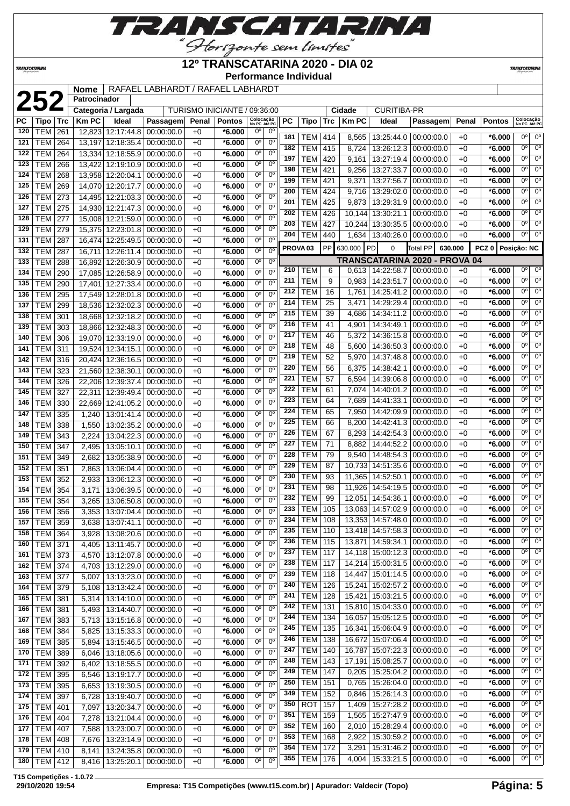

## **12º TRANSCATARINA 2020 - DIA 02**

**Performance Individual**

**TRANSCATARINI** 

|           |                |     | <b>Nome</b>  |                             | RAFAEL LABHARDT / RAFAEL LABHARDT |       |                              |                           |                        |                     |                  |     |              |                              |                               |       |                  |                           |                        |
|-----------|----------------|-----|--------------|-----------------------------|-----------------------------------|-------|------------------------------|---------------------------|------------------------|---------------------|------------------|-----|--------------|------------------------------|-------------------------------|-------|------------------|---------------------------|------------------------|
|           | 252            |     | Patrocinador |                             |                                   |       |                              |                           |                        |                     |                  |     |              |                              |                               |       |                  |                           |                        |
|           |                |     |              | Categoria / Largada         |                                   |       | TURISMO INICIANTE / 09:36:00 |                           |                        |                     |                  |     | Cidade       | CURITIBA-PR                  |                               |       |                  |                           |                        |
| <b>PC</b> | Tipo           | Trc | Km PC        | Ideal                       | Passagem                          | Penal | <b>Pontos</b>                | Colocação<br>No PC Até PC |                        | PC                  | Tipo             | Trc | <b>Km PC</b> | Ideal                        | Passagem                      | Penal | <b>Pontos</b>    | Colocação<br>No PC Até PC |                        |
| 120       | TEM            | 261 |              | 12,823 12:17:44.8           | 00:00:00.0                        | $+0$  | *6.000                       | 0°                        | $0^{\circ}$            | 181                 | TEM              | 414 | 8,565        | 13:25:44.0                   | 00:00:00.0                    | $+0$  | $*6.000$         | 0°                        | $0^{\circ}$            |
| 121       | <b>TEM</b>     | 264 |              | 13,197 12:18:35.4           | 00:00:00.0                        | $+0$  | *6.000                       | $\overline{0^{\circ}}$    | $0^{\circ}$            | 182                 | TEM              | 415 | 8,724        | 13:26:12.3                   | 00:00:00.0                    | $+0$  | $*6.000$         | 0 <sup>o</sup>            | $\overline{0^{\circ}}$ |
| 122       | TEM            | 264 |              | 13,334 12:18:55.9           | 00:00:00.0                        | $+0$  | *6.000                       | $0^{\circ}$               | $0^{\circ}$            | 197                 | TEM              | 420 | 9,161        | 13:27:19.4                   | 00:00:00.0                    | $+0$  | $*6.000$         | 0°                        | $0^{\circ}$            |
| 123       | <b>TEM</b>     | 266 |              | 13,422 12:19:10.9           | 00:00:00.0                        | $+0$  | $*6.000$                     | $0^{\circ}$               | $0^{\circ}$            | 198                 | <b>TEM</b>       | 421 | 9,256        | 13:27:33.7                   | 00:00:00.0                    | $+0$  | *6.000           | 0°                        | $0^{\circ}$            |
| 124       | <b>TEM</b>     | 268 |              | 13,958 12:20:04.1           | 00:00:00.0                        | $+0$  | *6.000                       | $0^{\circ}$               | $0^{\circ}$            | 199                 | <b>TEM</b>       | 421 | 9,371        | 13:27:56.7                   | 00:00:00.0                    | $+0$  | $*6.000$         | 0°                        | $0^{\circ}$            |
| 125       | <b>TEM</b>     | 269 |              | 14,070 12:20:17.7           | 00:00:00.0                        | $+0$  | $*6.000$                     | $0^{\circ}$               | $0^{\circ}$            | 200                 | <b>TEM</b>       | 424 | 9,716        | 13:29:02.0                   | 00:00:00.0                    | $+0$  | $*6.000$         | 0 <sup>o</sup>            | $\overline{0^{\circ}}$ |
| 126       | <b>TEM</b>     | 273 |              | 14,495 12:21:03.3           | 00:00:00.0                        | $+0$  | $*6.000$                     | $0^{\circ}$               | $0^{\circ}$            | 201                 | <b>TEM</b>       | 425 | 9,873        | 13:29:31.9                   | 00:00:00.0                    | $+0$  | $*6.000$         | 0°                        | $0^{\circ}$            |
| 127       | TEM            | 275 |              | 14,930 12:21:47.3           | 00:00:00.0                        | $+0$  | *6.000                       | $0^{\circ}$               | $0^{\circ}$            | 202                 | <b>TEM</b>       | 426 | 10,144       | 13:30:21.1                   | 00:00:00.0                    | $+0$  | *6.000           | 0°                        | 0 <sup>o</sup>         |
| 128       | TEM            | 277 |              | 15,008 12:21:59.0           | 00:00:00.0                        | $+0$  | *6.000                       | $0^{\circ}$               | $0^{\circ}$            | 203                 | <b>TEM</b>       | 427 | 10,244       | 13:30:35.5                   | 00:00:00.0                    | $+0$  | *6.000           | 0 <sup>o</sup>            | $0^{\circ}$            |
| 129       | TEM            | 279 |              | 15,375 12:23:01.8           | 00:00:00.0                        | $+0$  | $*6.000$                     | $0^{\circ}$               | $0^{\circ}$            | 204                 | <b>TEM</b>       | 440 | 1,634        | 13:40:26.0                   | 00:00:00.0                    | $+0$  | $*6.000$         | 0 <sup>o</sup>            | $0^{\circ}$            |
| 131       | <b>TEM</b>     | 287 |              | 16,474 12:25:49.5           | 00:00:00.0                        | $+0$  | *6.000                       | $\overline{0^{\circ}}$    | $\overline{0^{\circ}}$ |                     |                  |     |              |                              |                               |       |                  |                           |                        |
| 132       | TEM            | 287 |              | 16,711 12:26:11.4           | 00:00:00.0                        | $+0$  | $*6.000$                     | $0^{\circ}$               | 0 <sup>o</sup>         | PROVA <sub>03</sub> |                  | PP  | 630.000      | PD<br>$\mathbf 0$            | 630.000<br><b>Total PP</b>    |       | PCZ <sub>0</sub> | Posição: NC               |                        |
| 133       | <b>TEM</b>     | 288 |              | 16,892 12:26:30.9           | 00:00:00.0                        | $+0$  | *6.000                       | $0^{\circ}$               | $0^{\circ}$            |                     |                  |     |              |                              | TRANSCATARINA 2020 - PROVA 04 |       |                  |                           |                        |
| 134       | <b>TEM</b>     | 290 |              | 17,085 12:26:58.9           | 00:00:00.0                        | $+0$  | *6.000                       | $\overline{0^{\circ}}$    | 0 <sup>o</sup>         | 210                 | TEM              | 6   | 0,613        | 14:22:58.7                   | 00:00:00.0                    | $+0$  | *6.000           | $0^{\circ}$               | $0^{\circ}$            |
| 135       | <b>TEM</b>     | 290 |              | 17,401 12:27:33.4           | 00:00:00.0                        | $+0$  | *6.000                       | $0^{\circ}$               | $0^{\circ}$            | 211                 | <b>TEM</b>       | 9   | 0,983        | 14:23:51.7                   | 00:00:00.0                    | $+0$  | $*6.000$         | 0 <sup>o</sup>            | $0^{\circ}$            |
| 136       | <b>TEM</b>     | 295 |              | 17,549 12:28:01.8           | 00:00:00.0                        | $+0$  | *6.000                       | $0^{\circ}$               | $0^{\circ}$            | 212                 | <b>TEM</b>       | 16  | 1,761        | 14:25:41.2                   | 00:00:00.0                    | $+0$  | $*6.000$         | $0^{\circ}$               | 0 <sup>o</sup>         |
| 137       | TEM            | 299 |              | 18,536 12:32:02.3           | 00:00:00.0                        | $+0$  | *6.000                       | $0^{\circ}$               | $0^{\circ}$            | 214                 | TEM              | 25  | 3,471        | 14:29:29.4                   | 00:00:00.0                    | $+0$  | $*6.000$         | $\overline{0^{\circ}}$    | $0^{\circ}$            |
| 138       | <b>TEM</b>     | 301 |              | 18,668 12:32:18.2           | 00:00:00.0                        | $+0$  | *6.000                       | $0^{\circ}$               | $0^{\circ}$            | 215                 | <b>TEM</b>       | 39  | 4,686        | 14:34:11.2                   | 00:00:00.0                    | $+0$  | $*6.000$         | 0°                        | $0^{\circ}$            |
| 139       | <b>TEM</b>     | 303 |              | 18,866 12:32:48.3           | 00:00:00.0                        | $+0$  | *6.000                       | $0^{\circ}$               | $0^{\circ}$            | 216                 | <b>TEM</b>       | 41  | 4,901        | 14:34:49.1                   | 00:00:00.0                    | $+0$  | $*6.000$         | 0 <sup>o</sup>            | $0^{\circ}$            |
| 140       | <b>TEM</b>     | 306 |              | 19,070 12:33:19.0           | 00:00:00.0                        | $+0$  | *6.000                       | 0 <sup>o</sup>            | $0^{\circ}$            | 217                 | <b>TEM</b>       | 46  | 5,372        | 14:36:15.8                   | 00:00:00.0                    | $+0$  | $*6.000$         | 0°                        | $0^{\circ}$            |
| 141       | <b>TEM 311</b> |     |              | 19,524 12:34:15.1           | 00:00:00.0                        | $+0$  | $*6.000$                     | $0^{\circ}$               | $0^{\circ}$            | 218                 | <b>TEM</b>       | 48  | 5,600        | 14:36:50.3                   | 00:00:00.0                    | $+0$  | $*6.000$         | $0^{\circ}$               | $0^{\circ}$            |
| 142       | <b>TEM 316</b> |     |              | 20,424 12:36:16.5           | 00:00:00.0                        | $+0$  | *6.000                       | $0^{\circ}$               | $0^{\circ}$            | 219                 | <b>TEM</b>       | 52  | 5,970        | 14:37:48.8                   | 00:00:00.0                    | $+0$  | $*6.000$         | 0°                        | $0^{\circ}$            |
| 143       | <b>TEM</b>     | 323 |              | 21,560 12:38:30.1           | 00:00:00.0                        | $+0$  | *6.000                       | $0^{\circ}$               | $0^{\circ}$            | 220                 | <b>TEM</b>       | 56  | 6,375        | 14:38:42.1                   | 00:00:00.0                    | $+0$  | $*6.000$         | 0°                        | $0^{\circ}$            |
| 144       | <b>TEM</b>     | 326 |              | 22,206 12:39:37.4           | 00:00:00.0                        | $+0$  | *6.000                       | $0^{\circ}$               | $0^{\circ}$            | 221                 | <b>TEM</b>       | 57  | 6,594        | 14:39:06.8                   | 00:00:00.0                    | $+0$  | $*6.000$         | 0°                        | $0^{\circ}$            |
| 145       | <b>TEM</b>     | 327 | 22,311       | 12:39:49.4                  | 00:00:00.0                        | $+0$  | $*6.000$                     | $0^{\circ}$               | $0^{\circ}$            | 222                 | <b>TEM</b>       | 61  | 7,074        | 14:40:01.2                   | 00:00:00.0                    | $+0$  | $*6.000$         | $0^{\circ}$               | 0 <sup>o</sup>         |
| 146       | <b>TEM</b>     | 330 |              | 22,669 12:41:05.2           | 00:00:00.0                        | $+0$  | *6.000                       | 0 <sup>o</sup>            | $0^{\circ}$            | 223                 | <b>TEM</b>       | 64  | 7,689        | 14:41:33.1                   | 00:00:00.0                    | $+0$  | $*6.000$         | $\overline{0^{\circ}}$    | $0^{\circ}$            |
| 147       | <b>TEM</b>     | 335 | 1,240        | 13:01:41.4                  | 00:00:00.0                        | $+0$  | *6.000                       | 0°                        | $0^{\circ}$            | 224                 | <b>TEM</b>       | 65  | 7,950        | 14:42:09.9                   | 00:00:00.0                    | $+0$  | $*6.000$         | 0 <sup>o</sup>            | $0^{\circ}$            |
| 148       | <b>TEM</b>     | 338 | 1,550        | 13:02:35.2                  | 00:00:00.0                        | $+0$  | *6.000                       | $0^{\circ}$               | $0^{\circ}$            | 225                 | <b>TEM</b>       | 66  | 8,200        | 14:42:41.3                   | 00:00:00.0                    | $+0$  | $*6.000$         | 0 <sup>o</sup>            | $0^{\circ}$            |
| 149       | <b>TEM</b>     | 343 | 2,224        | 13:04:22.3                  | 00:00:00.0                        | $+0$  | *6.000                       | 0 <sup>o</sup>            | $0^{\circ}$            | 226                 | <b>TEM</b>       | 67  | 8,293        | 14:42:54.3                   | 00:00:00.0                    | $+0$  | $*6.000$         | 0°                        | $0^{\circ}$            |
| 150       | TEM            | 347 | 2,495        | 13:05:10.1                  | 00:00:00.0                        | $+0$  | *6.000                       | $0^{\circ}$               | $0^{\circ}$            | 227                 | <b>TEM</b>       | 71  | 8,882        | 14:44:52.2                   | 00:00:00.0                    | $+0$  | $*6.000$         | $\overline{0^{\circ}}$    | $\overline{0^{\circ}}$ |
| 151       | <b>TEM</b>     | 349 | 2,682        | 13:05:38.9                  | 00:00:00.0                        | $+0$  | *6.000                       | $0^{\circ}$               | $0^{\circ}$            | 228                 | <b>TEM</b>       | 79  | 9,540        | 14:48:54.3                   | 00:00:00.0                    | $+0$  | $*6.000$         | 0°                        | $0^{\circ}$            |
| 152       | <b>TEM</b>     | 351 | 2,863        | 13:06:04.4                  | 00:00:00.0                        | $+0$  | *6.000                       | $0^{\circ}$               | $0^{\circ}$            | 229                 | <b>TEM</b>       | 87  | 10,733       | 14:51:35.6                   | 00:00:00.0                    | $+0$  | $*6.000$         | 0°                        | $0^{\circ}$            |
| 153       | <b>TEM</b>     | 352 | 2,933        | 13:06:12.3                  | 00:00:00.0                        | $+0$  | *6.000                       | $0^{\circ}$               | $0^{\circ}$            | 230                 | <b>TEM</b>       | 93  | 11,365       | 14:52:50.1                   | 00:00:00.0                    | $+0$  | $*6.000$         | 0°                        | $0^{\circ}$            |
| 154       | <b>TEM</b>     | 354 | 3,171        | 13:06:39.5                  | 00:00:00.0                        | $+0$  | $*6.000$                     | $0^{\circ}$               | $0^{\circ}$            | 231                 | <b>TEM</b>       | 98  | 11,926       | 14:54:19.5                   | 00:00:00.0                    | $+0$  | $*6.000$         | $0^{\circ}$               | $\overline{0^{\circ}}$ |
| 155       | TEM            | 354 | 3,265        | 13:06:50.8                  | 00:00:00.0                        | $+0$  | *6.000                       | $0^{\circ}$               | $0^{\circ}$            | 232                 | TEM              | 99  | 12,051       | 14:54:36.1                   | 00:00:00.0                    | $+0$  | $*6.000$         | 0 <sup>o</sup>            | $0^{\circ}$            |
| 156       | TEM            | 356 |              | 3,353 13:07:04.4 00:00:00.0 |                                   | $+0$  | $*6.000$                     | 0 <sup>o</sup>            | 0 <sup>o</sup>         | 233                 | <b>TEM</b>       | 105 |              | 13,063 14:57:02.9            | 00:00:00.0                    | $+0$  | $*6.000$         | $0^{\circ}$               | $0^{\circ}$            |
| 157       | <b>TEM 359</b> |     | 3,638        | 13:07:41.1                  | 00:00:00.0                        | +0    | *6.000                       | 0°                        | $0^{\rm o}$            | 234                 | <b>TEM   108</b> |     |              | 13,353 14:57:48.0 00:00:00.0 |                               | $+0$  | $*6.000$         | 0°                        | $0^{\circ}$            |
| 158       | <b>TEM 364</b> |     | 3,928        | 13:08:20.6                  | 00:00:00.0                        | $+0$  | *6.000                       | 0 <sup>o</sup>            | 0 <sup>o</sup>         | 235                 | <b>TEM</b>       | 110 |              | 13,418 14:57:58.3            | 00:00:00.0                    | $+0$  | $*6.000$         | 0°                        | $0^{\circ}$            |
| 160       | <b>TEM 371</b> |     | 4,405        | 13:11:45.7                  | 00:00:00.0                        | $+0$  | $*6.000$                     | 0 <sup>o</sup>            | $0^{\circ}$            | 236                 | TEM              | 115 | 13,871       | 14:59:34.1                   | 00:00:00.0                    | $+0$  | $*6.000$         | $0^{\circ}$               | $0^{\circ}$            |
| 161       | <b>TEM 373</b> |     | 4,570        | 13:12:07.8 00:00:00.0       |                                   | $+0$  | $*6.000$                     | 0°                        | $0^{\rm o}$            | 237                 | <b>TEM</b>       | 117 |              | 14,118 15:00:12.3 00:00:00.0 |                               | $+0$  | $*6.000$         | 0°                        | $0^{\circ}$            |
| 162       | <b>TEM 374</b> |     | 4,703        | 13:12:29.0 00:00:00.0       |                                   | $+0$  | $*6.000$                     | 0°                        | $0^{\circ}$            | 238                 | <b>TEM</b>       | 117 |              | 14,214 15:00:31.5 00:00:00.0 |                               | $+0$  | $*6.000$         | 0°                        | $0^{\rm o}$            |
| 163       | <b>TEM 377</b> |     | 5,007        | 13:13:23.0                  | 00:00:00.0                        | $+0$  | $*6.000$                     | $0^{\circ}$               | $0^{\circ}$            | 239                 | <b>TEM</b>       | 118 | 14,447       | 15:01:14.5                   | 00:00:00.0                    | $+0$  | $*6.000$         | 0°                        | $0^{\circ}$            |
| 164       | <b>TEM 379</b> |     | 5,108        | 13:13:42.4                  | 00:00:00.0                        | +0    | $*6.000$                     | 0 <sup>o</sup>            | 0 <sup>o</sup>         | 240                 | <b>TEM</b>       | 126 | 15,241       | 15:02:57.2 00:00:00.0        |                               | $+0$  | $*6.000$         | 0 <sup>o</sup>            | $0^{\circ}$            |
| 165       | <b>TEM 381</b> |     | 5,314        | 13:14:10.0 00:00:00.0       |                                   | $+0$  | $*6.000$                     | 0°                        | 0 <sup>o</sup>         | 241                 | TEM              | 128 | 15,421       | 15:03:21.5   00:00:00.0      |                               | $+0$  | $*6.000$         | $0^{\circ}$               | $0^{\circ}$            |
| 166       | <b>TEM 381</b> |     | 5,493        | 13:14:40.7                  | 00:00:00.0                        | $+0$  | $*6.000$                     | 0°                        | $0^{\circ}$            | 242                 | <b>TEM</b>       | 131 |              | 15,810 15:04:33.0 00:00:00.0 |                               | $+0$  | $*6.000$         | 0 <sup>o</sup>            | $0^{\circ}$            |
| 167       | <b>TEM 383</b> |     | 5,713        | 13:15:16.8                  | 00:00:00.0                        | +0    | $*6.000$                     | 0 <sup>o</sup>            | 0 <sup>o</sup>         | 244                 | TEM              | 134 |              | 16,057 15:05:12.5 00:00:00.0 |                               | $+0$  | $*6.000$         | $0^{\circ}$               | $0^{\circ}$            |
| 168       | <b>TEM 384</b> |     | 5,825        |                             | 13:15:33.3 00:00:00.0             | $+0$  | $*6.000$                     | 0 <sup>o</sup>            | 0 <sup>o</sup>         | 245                 | <b>TEM</b>       | 135 | 16,341       | 15:06:04.9                   | 00:00:00.0                    | $+0$  | $*6.000$         | 0°                        | $0^{\circ}$            |
| 169       | <b>TEM 385</b> |     | 5,894        | 13:15:46.5                  | 00:00:00.0                        | $+0$  | $*6.000$                     | $0^{\circ}$               | $0^{\circ}$            | 246                 | <b>TEM</b>       | 138 | 16,672       | 15:07:06.4                   | 00:00:00.0                    | $+0$  | $*6.000$         | $0^{\circ}$               | $0^{\circ}$            |
| 170       | <b>TEM 389</b> |     | 6,046        | 13:18:05.6 00:00:00.0       |                                   | $+0$  | $*6.000$                     | 0°                        | $0^{\rm o}$            | 247                 | TEM              | 140 | 16,787       | 15:07:22.3                   | 00:00:00.0                    | $+0$  | $*6.000$         | 0 <sup>o</sup>            | $0^{\circ}$            |
| 171       | <b>TEM 392</b> |     | 6,402        | 13:18:55.5 00:00:00.0       |                                   | +0    | $*6.000$                     | 0°                        | $0^{\circ}$            | 248                 | <b>TEM</b>       | 143 | 17,191       | 15:08:25.7                   | 00:00:00.0                    | $+0$  | $*6.000$         | 0°                        | $0^{\circ}$            |
| 172       | <b>TEM 395</b> |     | 6,546        | 13:19:17.7                  | 00:00:00.0                        | +0    | *6.000                       | $0^{\circ}$               | $0^{\circ}$            | 249                 | <b>TEM</b>       | 147 | 0,205        | 15:25:04.2                   | 00:00:00.0                    | $+0$  | $*6.000$         | 0°                        | $0^{\circ}$            |
| 173       | TEM 395        |     | 6,653        | 13:19:30.5                  | 00:00:00.0                        | $+0$  | $*6.000$                     | 0 <sup>o</sup>            | 0 <sup>o</sup>         | 250                 | <b>TEM</b>       | 151 | 0,765        | 15:26:04.0                   | 00:00:00.0                    | $+0$  | $*6.000$         | 0 <sup>o</sup>            | $0^{\circ}$            |
| 174       | <b>TEM 397</b> |     | 6,728        | 13:19:40.7                  | 00:00:00.0                        | +0    | $*6.000$                     | 0°                        | 0 <sup>o</sup>         | 349                 | TEM              | 152 | 0,846        | 15:26:14.3 00:00:00.0        |                               | $+0$  | $*6.000$         | 0 <sup>o</sup>            | $0^{\circ}$            |
| 175       | <b>TEM 401</b> |     | 7,097        | 13:20:34.7                  | 00:00:00.0                        | $+0$  | *6.000                       | 0 <sup>o</sup>            | $0^{\circ}$            | 350                 | ROT              | 157 | 1,409        | 15:27:28.2                   | 00:00:00.0                    | $+0$  | $*6.000$         | 0 <sup>o</sup>            | $0^{\circ}$            |
| 176       | <b>TEM 404</b> |     | 7,278        | 13:21:04.4                  | 00:00:00.0                        | +0    | $*6.000$                     | 0 <sup>o</sup>            | $0^{\circ}$            | 351                 | <b>TEM</b>       | 159 | 1,565        | 15:27:47.9                   | 00:00:00.0                    | $+0$  | $*6.000$         | 0 <sup>o</sup>            | $0^{\circ}$            |
| 177       | <b>TEM 407</b> |     | 7,588        | 13:23:00.7                  | 00:00:00.0                        | +0    | $*6.000$                     | 0°                        | $0^{\rm o}$            | 352                 | TEM              | 160 | 2,010        | 15:28:29.4                   | 00:00:00.0                    | $+0$  | $*6.000$         | 0°                        | $0^{\circ}$            |
| 178       | TEM   408      |     | 7,676        |                             | 13:23:14.9 00:00:00.0             | $+0$  | $*6.000$                     | 0 <sup>o</sup>            | $0^{\rm o}$            | 353                 | <b>TEM</b>       | 168 | 2,922        | 15:30:59.2                   | 00:00:00.0                    | $+0$  | $*6.000$         | $0^{\circ}$               | $0^{\circ}$            |
| 179       | <b>TEM 410</b> |     | 8,141        | 13:24:35.8 00:00:00.0       |                                   | $+0$  | $*6.000$                     | $0^{\circ}$               | $0^{\circ}$            | 354                 | <b>TEM</b>       | 172 | 3,291        | 15:31:46.2                   | 00:00:00.0                    | $+0$  | $*6.000$         | 0°                        | $0^{\circ}$            |
| 180       |                |     |              | 13:25:20.1                  |                                   | +0    | $*6.000$                     | $0^{\circ}$               | 0°                     | 355                 | <b>TEM</b>       | 176 | 4,004        | 15:33:21.5 00:00:00.0        |                               | $+0$  | $*6.000$         | 0°                        | 0 <sup>o</sup>         |
|           | $TEM$ 412      |     | 8,416        |                             | 00:00:00.0                        |       |                              |                           |                        |                     |                  |     |              |                              |                               |       |                  |                           |                        |

**T15 Competições - 1.0.72**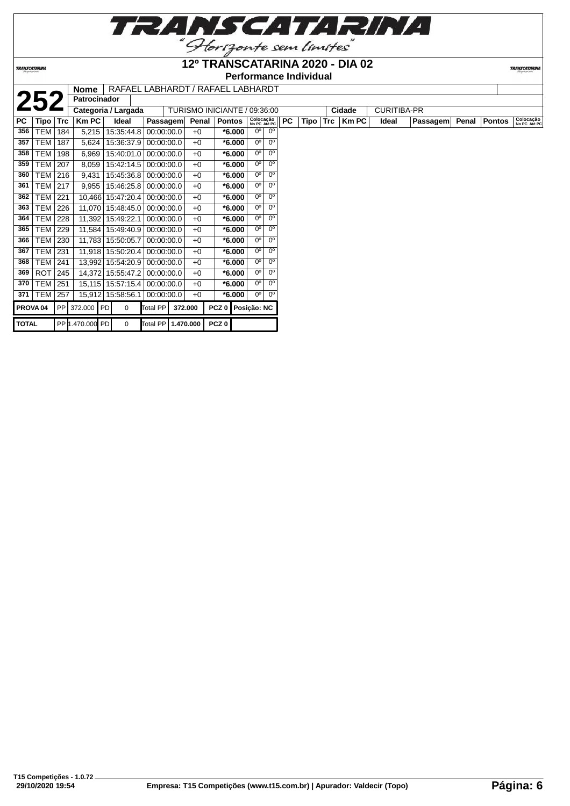

#### **12º TRANSCATARINA 2020 - DIA 02**

**Performance Individual**

**TRANSCATARIN** 

|              |                     |     | <b>Nome</b>         |                   |                    |         |       | RAFAEL LABHARDT / RAFAEL LABHARDT |                           |             |     |      |     |        |                    |          |       |               |                           |
|--------------|---------------------|-----|---------------------|-------------------|--------------------|---------|-------|-----------------------------------|---------------------------|-------------|-----|------|-----|--------|--------------------|----------|-------|---------------|---------------------------|
|              | 252                 |     | <b>Patrocinador</b> |                   |                    |         |       |                                   |                           |             |     |      |     |        |                    |          |       |               |                           |
|              |                     |     | Categoria / Largada |                   |                    |         |       | TURISMO INICIANTE / 09:36:00      |                           |             |     |      |     | Cidade | <b>CURITIBA-PR</b> |          |       |               |                           |
| PC           | Tipo                | Trc | <b>Km PC</b>        | Ideal             | <b>Passagem</b>    |         | Penal | <b>Pontos</b>                     | Colocação<br>No PC Até PC |             | PC. | Tipo | Trc | Km PC  | Ideal              | Passagem | Penal | <b>Pontos</b> | Colocação<br>No PC Até PC |
| 356          | <b>TEM   184</b>    |     | 5,215               | 15:35:44.8        | 00:00:00.0         |         | $+0$  | $*6.000$                          | $0^{\circ}$               | $0^{\circ}$ |     |      |     |        |                    |          |       |               |                           |
| 357          | TEM                 | 187 | 5,624               | 15:36:37.9        | 00:00:00.0         |         | $+0$  | $*6.000$                          | $0^{\circ}$               | $0^{\circ}$ |     |      |     |        |                    |          |       |               |                           |
| 358          | TEM                 | 198 | 6,969               | 15:40:01.0        | 00:00:00.0         |         | $+0$  | $*6.000$                          | $0^{\circ}$               | $0^{\circ}$ |     |      |     |        |                    |          |       |               |                           |
| 359          | <b>TEM   207</b>    |     | 8,059               | 15:42:14.5        | 0.00:00:00.0       |         | $+0$  | $*6.000$                          | 0°                        | $0^{\circ}$ |     |      |     |        |                    |          |       |               |                           |
| 360          | TEM 216             |     | 9,431               | 15:45:36.8        | 00:00:00.0         |         | $+0$  | $*6.000$                          | $0^{\circ}$               | $0^{\circ}$ |     |      |     |        |                    |          |       |               |                           |
| 361          | <b>TEM 217</b>      |     | 9,955               | 15:46:25.8        | 00:00:00.0         |         | $+0$  | $*6.000$                          | $0^{\circ}$               | $0^{\circ}$ |     |      |     |        |                    |          |       |               |                           |
| 362          | <b>TEM   221</b>    |     |                     | 10,466 15:47:20.4 | 0.00:00:00.0       |         | $+0$  | $*6.000$                          | 0°                        | $0^{\circ}$ |     |      |     |        |                    |          |       |               |                           |
| 363          | <b>TEM 226</b>      |     |                     | 11,070 15:48:45.0 | 0.00:00:00.0       |         | $+0$  | $*6.000$                          | $0^{\circ}$               | $0^{\circ}$ |     |      |     |        |                    |          |       |               |                           |
| 364          | <b>TEM</b>          | 228 |                     | 11,392 15:49:22.1 | 00:00:00.0         |         | $+0$  | $*6.000$                          | $0^{\circ}$               | $0^{\circ}$ |     |      |     |        |                    |          |       |               |                           |
| 365          | TEM 229             |     |                     | 11,584 15:49:40.9 | 00:00:00.0         |         | $+0$  | $*6.000$                          | 0°                        | $0^{\circ}$ |     |      |     |        |                    |          |       |               |                           |
| 366          | TEM 230             |     |                     | 11,783 15:50:05.7 | 00:00:00.0         |         | $+0$  | $*6.000$                          | $0^{\circ}$               | $0^{\circ}$ |     |      |     |        |                    |          |       |               |                           |
| 367          | TEM   231           |     |                     | 11,918 15:50:20.4 | 00:00:00.0         |         | $+0$  | $*6.000$                          | $0^{\circ}$               | $0^{\circ}$ |     |      |     |        |                    |          |       |               |                           |
| 368          | <b>TEM   241</b>    |     |                     | 13,992 15:54:20.9 | 00:00:00.0         |         | $+0$  | $*6.000$                          | 0°                        | $0^{\circ}$ |     |      |     |        |                    |          |       |               |                           |
| 369          | ROT                 | 245 |                     | 14,372 15:55:47.2 | 00:00:00.0         |         | $+0$  | $*6.000$                          | 0°                        | $0^{\circ}$ |     |      |     |        |                    |          |       |               |                           |
| 370          | TEM                 | 251 |                     | 15,115 15:57:15.4 | 00:00:00.0         |         | $+0$  | $*6.000$                          | 0°                        | $0^{\circ}$ |     |      |     |        |                    |          |       |               |                           |
| 371          | TEM   257           |     |                     | 15,912 15:58:56.1 | 00:00:00.0         |         | $+0$  | $*6.000$                          | 0°                        | 0°          |     |      |     |        |                    |          |       |               |                           |
|              | PROVA <sub>04</sub> |     | PP 372.000 PD       | $\Omega$          | Total PP           | 372.000 |       | PCZ 0   Posição: NC               |                           |             |     |      |     |        |                    |          |       |               |                           |
| <b>TOTAL</b> |                     |     | PP 1.470.000 PD     | $\Omega$          | Total PP 1.470.000 |         |       | PCZ0                              |                           |             |     |      |     |        |                    |          |       |               |                           |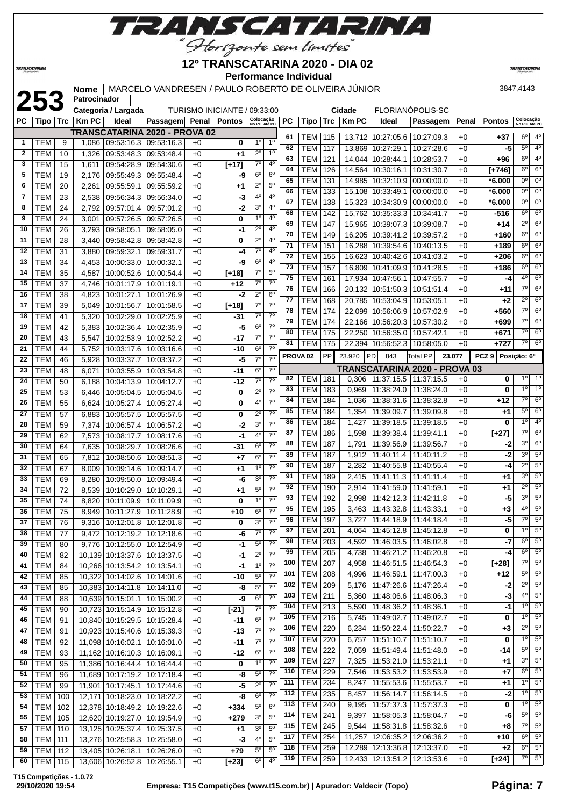

**TRANSCATARINA** 

#### **12º TRANSCATARINA 2020 - DIA 02 Performance Individual**

**TRANSCATARIN** 

|              |                          |          | Nome           |                              | MARCELO VANDRESEN / PAULO ROBERTO DE OLIVEIRA JUNIOR   |              |                              |                             |                                  |     |                     |            |              |                                   |                               |              |                   | 3847,4143              |                           |
|--------------|--------------------------|----------|----------------|------------------------------|--------------------------------------------------------|--------------|------------------------------|-----------------------------|----------------------------------|-----|---------------------|------------|--------------|-----------------------------------|-------------------------------|--------------|-------------------|------------------------|---------------------------|
|              | 253                      |          | Patrocinador   |                              |                                                        |              |                              |                             |                                  |     |                     |            |              |                                   |                               |              |                   |                        |                           |
|              |                          |          |                | Categoria / Largada          |                                                        |              | TURISMO INICIANTE / 09:33:00 |                             |                                  |     |                     |            | Cidade       |                                   | FLORIANÓPOLIS-SC              |              |                   |                        |                           |
| PC.          | Tipo                     | Trc      | <b>Km PC</b>   | Ideal                        | Passagem Penal Pontos                                  |              |                              | Colocação<br>No PC Até PC   |                                  | PC  | Tipo                | <b>Trc</b> | <b>Km PC</b> | Ideal                             | Passagem                      | Penal        | <b>Pontos</b>     |                        | Colocação<br>No PC Até PC |
| $\mathbf{1}$ | <b>TEM</b>               | 9        |                |                              | TRANSCATARINA 2020 - PROVA 02<br>09:53:16.3 09:53:16.3 |              |                              | $1^{\circ}$                 | 1 <sup>0</sup>                   | 61  | TEM                 | 115        |              | 13,712 10:27:05.6 10:27:09.3      |                               | $+0$         | $+37$             | $6^{\circ}$            | $4^{\circ}$               |
| $\mathbf{2}$ | <b>TEM</b>               |          | 1,086          |                              |                                                        | $+0$         | 0                            | $2^{\circ}$                 | 1 <sup>0</sup>                   | 62  | <b>TEM</b>          | 117        |              | 13,869 10:27:29.1 10:27:28.6      |                               | $+0$         | -5                | $5^\circ$              | $4^{\circ}$               |
| 3            | <b>TEM</b>               | 10       | 1,326          | 09:53:48.3 09:53:48.4        |                                                        | $+0$         | $+1$                         | 70                          | $4^{\circ}$                      | 63  | <b>TEM</b>          | 121        | 14,044       | 10:28:44.1   10:28:53.7           |                               | $+0$         | +96               | $6^{\circ}$            | 4 <sup>o</sup>            |
| 5            | <b>TEM</b>               | 15       | 1,611          | 09:54:28.9                   | 09:54:30.6                                             | $+0$         | $[+17]$                      | $6^{\circ}$                 | 6 <sup>o</sup>                   | 64  | <b>TEM</b>          | 126        |              | 14,564 10:30:16.1                 | 10:31:30.7                    | $+0$         | $[+746]$          | $6^{\circ}$            | $6^{\circ}$               |
| 6            | <b>TEM</b>               | 19<br>20 | 2,176          | 09:55:49.3<br>09:55:59.1     | 09:55:48.4<br>09:55:59.2                               | $+0$         | -9                           | $2^{\circ}$                 | $5^{\circ}$                      | 65  | <b>TEM</b>          | 131        | 14,985       | 10:32:10.9                        | 00:00:00.0                    | $+0$         | $*6.000$          | $0^{\circ}$            | $0^{\circ}$               |
| 7            |                          |          | 2,261          |                              |                                                        | $+0$         | $+1$                         | 4°                          | 4 <sup>0</sup>                   | 66  | <b>TEM</b>          | 133        |              | 15,108 10:33:49.1 00:00:00.0      |                               | $+0$         | $*6.000$          | 0 <sup>0</sup>         | $0^{\circ}$               |
| 8            | <b>TEM</b><br><b>TEM</b> | 23<br>24 | 2,538          | 09:56:34.3<br>09:57:01.4     | 09:56:34.0                                             | $+0$<br>$+0$ | -3<br>-2                     | 3 <sup>o</sup>              | 4 <sup>0</sup>                   | 67  | <b>TEM</b>          | 138        |              | 15,323 10:34:30.9 00:00:00.0      |                               | $+0$         | $*6.000$          | 0 <sup>0</sup>         | $0^{\circ}$               |
| 9            | <b>TEM</b>               |          | 2,792          | 09:57:26.5                   | 09:57:01.2                                             |              | 0                            | 1 <sup>0</sup>              | 4 <sup>0</sup>                   | 68  | <b>TEM</b>          | 142        | 15.762       | 10:35:33.3                        | 10:34:41.7                    | $+0$         | -516              | $6^{\circ}$            | $6^{\circ}$               |
| 10           |                          | 24       | 3,001          |                              | 09:57:26.5                                             | +0           | -1                           | $2^{\circ}$                 | 4 <sup>0</sup>                   | 69  | <b>TEM</b>          | 147        | 15,965       | 10:39:07.3                        | 10:39:08.7                    | $+0$         | $+14$             | $\overline{2^{\circ}}$ | $6^{\circ}$               |
|              | <b>TEM</b>               | 26       | 3,293          | 09:58:05.1                   | 09:58:05.0                                             | $+0$         | 0                            | $2^{\circ}$                 | 4 <sup>0</sup>                   | 70  | <b>TEM</b>          | 149        |              | 16,205 10:39:41.2 10:39:57.2      |                               | $+0$         | $+160$            | $6^{\circ}$            | $6^{\circ}$               |
| 11<br>12     | <b>TEM</b><br><b>TEM</b> | 28       | 3,440          | 09:58:42.8<br>09:59:32.1     | 09:58:42.8                                             | $+0$         |                              | $7^\circ$                   | $4^{\circ}$                      | 71  | <b>TEM</b>          | 151        |              | 16,288 10:39:54.6 10:40:13.5      |                               | $+0$         | $+189$            | $6^{\circ}$            | $6^{\circ}$               |
| 13           | <b>TEM</b>               | 31<br>34 | 3,880          |                              | 09:59:31.7                                             | $+0$         | -4<br>-9                     | $6^{\circ}$                 | 4 <sup>0</sup>                   | 72  | <b>TEM</b>          | 155        |              | 16,623 10:40:42.6 10:41:03.2      |                               | $+0$         | $+206$            | $6^{\circ}$            | $6^{\circ}$               |
| 14           | <b>TEM</b>               | 35       | 4,453<br>4,587 | 10:00:33.0<br>10:00:52.6     | 10:00:32.1                                             | $+0$         |                              | 70                          | 5 <sup>o</sup>                   | 73  | <b>TEM</b>          | 157        |              | 16,809 10:41:09.9 10:41:28.5      |                               | $+0$         | +186              | $6^{\circ}$            | $6^{\circ}$               |
| 15           |                          |          |                |                              | 10:00:54.4                                             | $+0$         | $[+18]$                      | $7^\circ$                   | $\overline{7^0}$                 | 75  | <b>TEM</b>          | 161        |              | 17,934 10:47:56.1                 | 10:47:55.7                    | $+0$         | $-4$              | 4 <sup>°</sup>         | $6^{\circ}$               |
|              | <b>TEM</b>               | 37       | 4,746          | 10:01:17.9                   | 10:01:19.1                                             | $+0$         | $+12$                        | $2^{\circ}$                 | 6 <sup>o</sup>                   | 76  | <b>TEM</b>          | 166        |              | 20,132 10:51:50.3 10:51:51.4      |                               | $+0$         | $+11$             | $7^\circ$              | $6^{\circ}$               |
| 16           | <b>TEM</b>               | 38       | 4,823          | 10:01:27.1                   | 10:01:26.9                                             | $+0$         | -2                           |                             | 7 <sup>0</sup>                   | 77  | <b>TEM</b>          | 168        |              | 20,785 10:53:04.9 10:53:05.1      |                               | $+0$         | $+2$              | $2^{\circ}$            | $6^{\circ}$               |
| 17           | <b>TEM</b>               | 39       | 5,049          | 10:01:56.7                   | 10:01:58.5                                             | $+0$         | $[+18]$                      | $7^\circ$                   | 7 <sup>0</sup>                   | 78  | <b>TEM</b>          | 174        | 22,099       | 10:56:06.9                        | 10:57:02.9                    | $+0$         | $+560$            | $7^\circ$              | $6^{\circ}$               |
| 18           | <b>TEM</b>               | 41       | 5,320          | 10:02:29.0                   | 10:02:25.9                                             | +0           | -31                          | $7^\circ$<br>6 <sup>o</sup> | 7 <sup>0</sup>                   | 79  | <b>TEM</b>          | 174        |              | 22,166 10:56:20.3 10:57:30.2      |                               | $+0$         | +699              | $7^\circ$              | $6^{\circ}$               |
| 19           | <b>TEM</b>               | 42       | 5,383          | 10:02:36.4                   | 10:02:35.9                                             | +0           | -5                           |                             | $7^\circ$                        | 80  | <b>TEM</b>          | 175        |              | 22,250 10:56:35.0 10:57:42.1      |                               | $+0$         | $+671$            | $7^{\circ}$            | $6^{\circ}$               |
| 20           | <b>TEM</b>               | 43       | 5,547          | 10:02:53.9                   | 10:02:52.2                                             | $+0$         | $-17$                        | $7^{\circ}$                 |                                  | 81  | <b>TEM</b>          | 175        |              | 22,394 10:56:52.3 10:58:05.0      |                               | $+0$         | $+727$            | 7°                     | $6^{\circ}$               |
| 21           | <b>TEM</b>               | 44       | 5,752          | 10:03:17.6                   | 10:03:16.6                                             | $+0$         | $-10$                        | $6^{\circ}$<br>$7^\circ$    | 7 <sup>0</sup><br>7 <sup>o</sup> |     | PROVA <sub>02</sub> | PP         | 23.920 PD    | 843                               | <b>Total PP</b>               | 23.077       | PCZ 9 Posicão: 6º |                        |                           |
| 22           | <b>TEM</b>               | 46       | 5,928          | 10:03:37.7                   | 10:03:37.2                                             | $+0$         | -5                           |                             |                                  |     |                     |            |              |                                   | TRANSCATARINA 2020 - PROVA 03 |              |                   |                        |                           |
| 23           | <b>TEM</b>               | 48       | 6,071          | 10:03:55.9                   | 10:03:54.8                                             | $+0$         | $-11$                        | $6^{\circ}$                 | $7^{\circ}$<br>7 <sup>0</sup>    | 82  | <b>TEM</b>          | 181        |              | $0,306$   11:37:15.5   11:37:15.5 |                               | $+0$         | 0                 | $1^{\circ}$            | $1^{\circ}$               |
| 24           | <b>TEM</b>               | 50       | 6,188          | 10:04:13.9                   | 10:04:12.7                                             | $+0$         | $-12$                        | $7^{\circ}$                 |                                  | 83  | TEM                 | 183        | 0,969        | 11:38:24.0                        | 11:38:24.0                    | $+0$         | $\bf{0}$          | 10                     | 1 <sup>o</sup>            |
| 25           | <b>TEM</b>               | 53       | 6,446          | 10:05:04.5                   | 10:05:04.5                                             | $+0$         | 0                            | $2^{\circ}$                 | 7 <sup>0</sup>                   | 84  | <b>TEM</b>          | 184        | 1,036        | 11:38:31.6   11:38:32.8           |                               | $+0$         | +12               | $7^\circ$              | $6^{\circ}$               |
| 26           | <b>TEM</b>               | 55       | 6,624          | 10:05:27.4                   | 10:05:27.4                                             | $+0$         | 0                            | 4°                          | $7^\circ$                        | 85  | <b>TEM</b>          | 184        | 1,354        | 11:39:09.7                        | 11:39:09.8                    | $+0$         | +1                | $5^{\circ}$            | 6 <sup>o</sup>            |
| 27           | <b>TEM</b>               | 57       | 6,883          | 10:05:57.5                   | 10:05:57.5                                             | $+0$         | 0                            | $2^{\circ}$                 | 7 <sup>0</sup><br>7 <sup>0</sup> | 86  | <b>TEM</b>          | 184        | 1,427        | 11:39:18.5                        | 11:39:18.5                    | $+0$         | $\bf{0}$          | 1 <sup>°</sup>         | 4 <sup>o</sup>            |
| 28           | <b>TEM</b>               | 59       | 7,374          | 10:06:57.4                   | 10:06:57.2                                             | $+0$         | -2                           | 3 <sup>0</sup>              | 7 <sup>0</sup>                   | 87  | <b>TEM</b>          | 186        | 1,598        | 11:39:38.4                        | 11:39:41.1                    | $+0$         | $[+27]$           | $7^\circ$              | $6^{\circ}$               |
| 29           | <b>TEM</b>               | 62       | 7,573          | 10:08:17.7                   | 10:08:17.6                                             | $+0$         | $-1$                         | 4 <sup>0</sup>              |                                  | 88  | <b>TEM</b>          | 187        | 1,791        | 11:39:56.9                        | 11:39:56.7                    | $+0$         | -2                | $3^{\circ}$            | $6^{\circ}$               |
| 30           | <b>TEM</b>               | 64       | 7,635          | 10:08:29.7                   | 10:08:26.6                                             | $+0$         | $-31$                        | $6^{\circ}$                 | $7^{\circ}$                      | 89  | TEM                 | 187        | 1,912        | 11:40:11.4                        | 11:40:11.2                    | $+0$         | -2                | 3 <sup>o</sup>         | 5 <sup>o</sup>            |
| 31           | <b>TEM</b>               | 65       | 7,812          | 10:08:50.6                   | 10:08:51.3                                             | $+0$         | $+7$                         | $6^{\circ}$                 | 7 <sup>0</sup>                   | 90  | <b>TEM</b>          | 187        | 2,282        | 11:40:55.8                        | 11:40:55.4                    | $+0$         | -4                | $2^{\circ}$            | $5^{\circ}$               |
| 32           | <b>TEM</b>               | 67       | 8,009          | 10:09:14.6                   | 10:09:14.7                                             | $+0$         | $+1$                         | 1 <sup>0</sup>              | 7 <sup>0</sup>                   | 91  | <b>TEM</b>          | 189        | 2,415        | 11:41:11.3                        | 11:41:11.4                    | $+0$         | +1                | $3^{\circ}$            | $5^{\circ}$               |
| 33           | <b>TEM</b>               | 69       | 8,280          | 10:09:50.0                   | 10:09:49.4                                             | $+0$         | -6                           | 3 <sup>0</sup>              | 7 <sup>0</sup>                   | 92  | TEM                 | 190        |              | 2,914   11:41:59.0                | 11:41:59.1                    | $+0$         | +1                | $2^{\circ}$            | $5^\circ$                 |
| 34           | <b>TEM</b>               | 72       | 8,539          | 10:10:29.0                   | 10:10:29.1                                             | $+0$         | $+1$                         | $5^{\circ}$                 | 7 <sup>0</sup><br>$7^\circ$      | 93  | TEM                 | 192        | 2,998        | 11:42:12.3   11:42:11.8           |                               | $+0$         | -5                | 3 <sup>0</sup>         | $5^{\circ}$               |
| 35           | <b>TEM</b>               | 74       | 8,820          | 10:11:09.9                   | 10:11:09.9                                             | $+0$         | 0                            | $1^{\circ}$                 | 7 <sup>0</sup>                   | 95  | <b>TEM</b>          | 195        |              | 3,463   11:43:32.8   11:43:33.1   |                               | $+0$         | $+3$              | 4 <sup>0</sup>         | $5^\circ$                 |
| 36           | <b>TEM</b>               | 75       | 8.949          | 10:11:27.9   10:11:28.9      |                                                        | $+0$         | $+10$                        | $6^{\circ}$                 |                                  | 96  | <b>TEM 197</b>      |            |              | 3,727   11:44:18.9   11:44:18.4   |                               | $+0$         | $-5$              | $7^\circ$              | $5^{\circ}$               |
| 37           | <b>TEM</b>               | 76       | 9,316          | 10:12:01.8   10:12:01.8      |                                                        | $+0$         | 0                            | 3 <sup>o</sup>              | 7 <sup>0</sup>                   | 97  | <b>TEM</b>          | 201        | 4,064        | 11:45:12.8   11:45:12.8           |                               | $+0$         | 0                 | $1^{\circ}$            | $5^\circ$                 |
| 38           | <b>TEM</b>               | 77       | 9,472          |                              | 10:12:19.2 10:12:18.6                                  | $+0$         | -6                           | $7^{\circ}$                 | 7 <sup>0</sup>                   | 98  | <b>TEM</b>          | 203        |              | 4,592   11:46:03.5   11:46:02.8   |                               | $+0$         | $-7$              | $6^{\circ}$            | $5^{\circ}$               |
| 39           | <b>TEM</b>               | 80       | 9,776          | 10:12:55.0   10:12:54.9      |                                                        | $+0$         | $-1$                         | $5^{\circ}$                 | $7^\circ$                        | 99  | <b>TEM</b>          | 205        | 4,738        | 11:46:21.2   11:46:20.8           |                               | $+0$         | $-4$              | $6^{\circ}$            | $5^\circ$                 |
| 40           | <b>TEM</b>               | 82       |                | 10,139 10:13:37.6 10:13:37.5 |                                                        | $+0$         | $-1$                         | $2^{\circ}$                 | $7^{\circ}$                      | 100 | <b>TEM</b>          | 207        | 4,958        | 11:46:51.5   11:46:54.3           |                               | $+0$         | $[+28]$           | 7°                     | $5^\circ$                 |
| 41           | <b>TEM</b>               | 84       |                | 10,266 10:13:54.2 10:13:54.1 |                                                        | $+0$         | $-1$                         | $1^{\circ}$                 | $7^{\circ}$                      | 101 | <b>TEM</b>          | 208        | 4,996        | 11:46:59.1   11:47:00.3           |                               | $+0$         | $+12$             | $5^{\circ}$            | $5^\circ$                 |
| 42           | <b>TEM</b>               | 85       |                | 10,322 10:14:02.6 10:14:01.6 |                                                        | $+0$         | $-10$                        | $5^{\circ}$                 | 7 <sup>o</sup>                   | 102 | <b>TEM</b>          | 209        |              | 5,176   11:47:26.6   11:47:26.4   |                               | $+0$         | $-2$              | $2^{\circ}$            | $5^{\circ}$               |
| 43           | <b>TEM</b>               | 85       |                | 10,383 10:14:11.8 10:14:11.0 |                                                        | $+0$         | -8                           | $5^{\circ}$                 | $7^\circ$                        | 103 | <b>TEM 211</b>      |            | 5,360        | 11:48:06.6   11:48:06.3           |                               | $+0$         | $-3$              | $4^{\circ}$            | $5^{\circ}$               |
| 44           | <b>TEM</b>               | 88       |                | 10,639 10:15:01.1            | 10:15:00.2                                             | $+0$         | -9                           | $6^{\circ}$                 | 7 <sup>o</sup>                   | 104 | <b>TEM</b>          | 213        | 5,590        | 11:48:36.2 11:48:36.1             |                               | $+0$         | $-1$              | $1^{\circ}$            | $5^\circ$                 |
| 45           | <b>TEM</b>               | 90       | 10,723         | 10:15:14.9 10:15:12.8        |                                                        | $+0$         | $[-21]$                      | $7^\circ$                   | 7 <sup>0</sup>                   | 105 | TEM                 | 216        | 5,745        | 11:49:02.7   11:49:02.7           |                               | $+0$         | 0                 | $1^{\circ}$            | $5^{\circ}$               |
| 46           | <b>TEM</b>               | 91       | 10,840         | 10:15:29.5   10:15:28.4      |                                                        | $+0$         | -11                          | $6^{\circ}$                 | 7 <sup>0</sup>                   | 106 | <b>TEM</b>          | 220        | 6,234        | 11:50:22.4 11:50:22.7             |                               | $+0$         | $+3$              | $2^{\circ}$            | $5^\circ$                 |
| 47           | <b>TEM</b>               | 91       |                | 10,923 10:15:40.6 10:15:39.3 |                                                        | $+0$         | $-13$                        | $7^\circ$                   | 7 <sup>0</sup>                   | 107 | TEM                 | 220        | 6,757        | 11:51:10.7                        | 11:51:10.7                    | $+0$         | 0                 | 1 <sup>°</sup>         | $5^\circ$                 |
| 48           | <b>TEM</b>               | 92       | 11,098         | 10:16:02.1                   | 10:16:01.0                                             | $+0$         | $-11$                        | $7^\circ$                   | $7^\circ$                        | 108 | <b>TEM</b>          | 222        |              | 7,059   11:51:49.4   11:51:48.0   |                               | $+0$         | -14               | $5^{\circ}$            | $5^\circ$                 |
| 49           | <b>TEM</b>               | 93       |                | 11,162 10:16:10.3 10:16:09.1 |                                                        | $+0$         | $-12$                        | $6^{\circ}$                 | $7^{\circ}$                      | 109 | <b>TEM</b>          | 227        | 7,325        | 11:53:21.0   11:53:21.1           |                               | $+0$         | +1                | $3^{\circ}$            | $5^\circ$                 |
| 50           | <b>TEM</b>               | 95       |                | 11,386 10:16:44.4 10:16:44.4 |                                                        | $+0$         | 0                            | $1^{\circ}$                 | 7 <sup>0</sup>                   | 110 | <b>TEM</b>          | 229        |              | 7,546   11:53:53.2   11:53:53.9   |                               | $+0$         | +7                | $6^{\circ}$            | $5^\circ$                 |
| 51           | <b>TEM</b>               | 96       |                | 11,689 10:17:19.2 10:17:18.4 |                                                        | $+0$         | -8                           | $5^{\circ}$                 | $7^\circ$                        | 111 | <b>TEM 234</b>      |            | 8,247        | 11:55:53.6 11:55:53.7             |                               | $+0$         | +1                |                        | $10^{6}$ 5 <sup>0</sup>   |
| 52           | <b>TEM</b>               | 99       |                | 11,901 10:17:45.1            | 10:17:44.6                                             | $+0$         | -5                           | $2^{\circ}$                 | 7 <sup>o</sup>                   | 112 | <b>TEM 235</b>      |            | 8,457        | 11:56:14.7   11:56:14.5           |                               | $+0$         | $-2$              | $1^{\circ}$            | $5^{\circ}$               |
| 53           | <b>TEM</b>               | 100      | 12,171         | 10:18:23.0 10:18:22.2        |                                                        | $+0$         | -8                           | $6^{\circ}$                 | $7^{\circ}$                      | 113 | <b>TEM</b>          | 240        | 9,195        | 11:57:37.3   11:57:37.3           |                               | $+0$         | 0                 | $1^{\circ}$            | $5^\circ$                 |
| 54           | <b>TEM</b>               | 102      |                | 12,378 10:18:49.2 10:19:22.6 |                                                        | $+0$         | +334                         | $5^{\circ}$                 | 6 <sup>o</sup>                   | 114 | <b>TEM</b>          | 241        |              | 9,397   11:58:05.3   11:58:04.7   |                               | $+0$         | -6                | $5^{\circ}$            | $5^{\circ}$               |
| 55           | <b>TEM</b>               | 105      |                | 12,620 10:19:27.0 10:19:54.9 |                                                        | +0           | $+279$                       | 3 <sup>o</sup>              | $5^{\circ}$                      | 115 | <b>TEM</b>          | 245        | 9,544        | 11:58:31.8                        | 11:58:32.6                    | $+0$         | $+8$              | $7^\circ$              | 5 <sup>o</sup>            |
| 57           | <b>TEM</b>               | 110      |                | 13,125 10:25:37.4            | 10:25:37.5                                             | $+0$         | $+1$                         | 3 <sup>o</sup>              | $5^{\circ}$                      | 117 | TEM                 | 254        |              |                                   |                               |              |                   | $6^{\circ}$            | $5^\circ$                 |
| 58           | <b>TEM 111</b>           |          |                | 13,276 10:25:58.3 10:25:58.0 |                                                        | $+0$         | -3                           | 4 <sup>0</sup>              | $5^{\circ}$                      | 118 | TEM                 | 259        | 11,257       | 12,289 12:13:36.8 12:13:37.0      | 12:06:35.2 12:06:36.2         | $+0$<br>$+0$ | +10<br>$+2$       | $6^{\circ}$            | $5^\circ$                 |
| 59           | <b>TEM 112</b>           |          |                | 13,405 10:26:18.1            | 10:26:26.0                                             | $+0$         | $+79$                        | $5^{\circ}$                 | 5 <sup>0</sup>                   | 119 | <b>TEM</b>          | 259        |              | 12,433 12:13:51.2 12:13:53.6      |                               | $+0$         | [+24]             | $7^\circ$              | $5^{\circ}$               |
| 60           | $TEM$ 115                |          |                | 13,606 10:26:52.8 10:26:55.1 |                                                        | +0           | $\boxed{+23}$                | $6^{\circ}$                 | $4^{\circ}$                      |     |                     |            |              |                                   |                               |              |                   |                        |                           |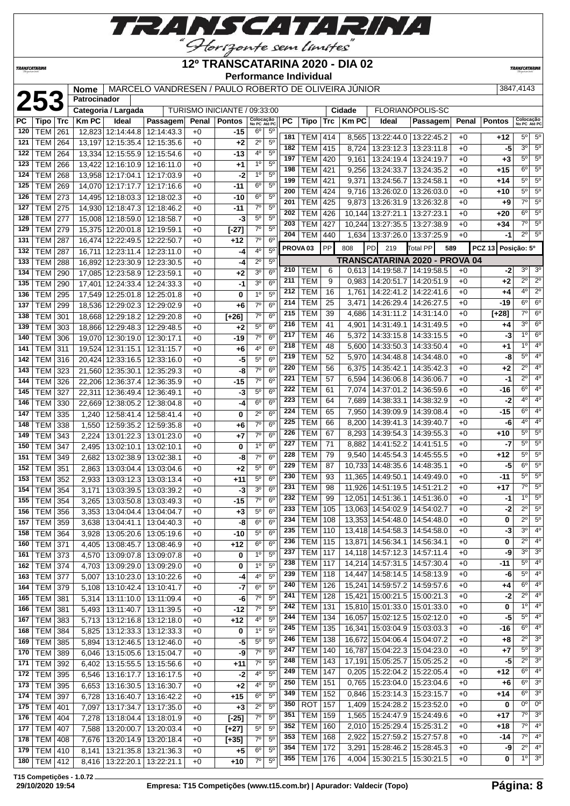

**TRANSCATARINA** 

#### **12º TRANSCATARINA 2020 - DIA 02 Performance Individual**

**TRANSCATARIN** 

#### **23347,4143 Nome** MARCELO VANDRESEN / PAULO ROBERTO DE OLIVEIRA JÚNIOR 3847,4143 Patrocinador

|          | 14: /384 |
|----------|----------|
|          |          |
| אר ופיצר |          |

|     | LJJ            |            |             | Categoria / Largada             |                             |       | TURISMO INICIANTE / 09:33:00 |                           |                |     |                     |     | Cidade       |                                   | FLORIANÓPOLIS-SC              |       |                              |                           |                |
|-----|----------------|------------|-------------|---------------------------------|-----------------------------|-------|------------------------------|---------------------------|----------------|-----|---------------------|-----|--------------|-----------------------------------|-------------------------------|-------|------------------------------|---------------------------|----------------|
| РC  | Tipo           | <b>Trc</b> | <b>KmPC</b> | Ideal                           | Passagem                    | Penal | <b>Pontos</b>                | Colocação<br>No PC Até PC |                | PC  | Tipo                | Trc | <b>Km PC</b> | Ideal                             | Passagem                      | Penal | <b>Pontos</b>                | Colocação<br>No PC Até PC |                |
| 120 | <b>TEM</b>     | 261        |             | 12,823 12:14:44.8               | 12:14:43.3                  | $+0$  | $-15$                        | $6^{\circ}$               | $5^{\circ}$    |     |                     |     |              |                                   |                               |       |                              | $5^{\circ}$               | 5 <sup>o</sup> |
| 121 | <b>TEM</b>     | 264        |             | 13,197 12:15:35.4               | 12:15:35.6                  | $+0$  | $+2$                         | $2^{\circ}$               | $5^{\circ}$    | 181 | TEM                 | 414 | 8,565        | 13:22:44.0   13:22:45.2           |                               | $+0$  | +12                          | 3 <sup>0</sup>            |                |
| 122 | <b>TEM</b>     | 264        |             | 13,334 12:15:55.9               | 12:15:54.6                  | $+0$  | -13                          | 4°                        | $5^{\circ}$    | 182 | <b>TEM</b>          | 415 | 8,724        | 13:23:12.3   13:23:11.8           |                               | $+0$  | -5                           |                           | $5^{\circ}$    |
| 123 | <b>TEM</b>     | 266        |             | 13,422 12:16:10.9               | 12:16:11.0                  | $+0$  | $^{+1}$                      | 1 <sup>0</sup>            | $5^{\circ}$    | 197 | <b>TEM</b>          | 420 | 9,161        | 13:24:19.4   13:24:19.7           |                               | $+0$  | +3                           | 5 <sup>0</sup>            | $5^\circ$      |
| 124 | <b>TEM</b>     | 268        |             | 13,958 12:17:04.1               | 12:17:03.9                  | $+0$  | -2                           | 1 <sup>0</sup>            | $5^{\circ}$    | 198 | TEM                 | 421 | 9,256        | 13:24:33.7                        | 13:24:35.2                    | $+0$  | $+15$                        | $6^{\circ}$               | $5^{\circ}$    |
| 125 | TEM            | 269        | 14,070      | 12:17:17.7                      | 12:17:16.6                  | $+0$  | -11                          | $6^{\circ}$               | 5 <sup>0</sup> | 199 | <b>TEM</b>          | 421 | 9,371        | 13:24:56.7                        | 13:24:58.1                    | $+0$  | +14                          | $5^{\circ}$               | $5^\circ$      |
| 126 | TEM            | 273        | 14,495      | 12:18:03.3                      | 12:18:02.3                  | $+0$  | -10                          | 6 <sup>o</sup>            | $5^{\circ}$    | 200 | <b>TEM</b>          | 424 | 9,716        | 13:26:02.0   13:26:03.0           |                               | $+0$  | +10                          | $5^{\circ}$               | $5^\circ$      |
| 127 | TEM            | 275        |             | 14.930 12:18:47.3               | 12:18:46.2                  | $+0$  | -11                          | $7^\circ$                 | 5 <sup>0</sup> | 201 | <b>TEM</b>          | 425 | 9,873        | 13:26:31.9   13:26:32.8           |                               | $+0$  | +9                           | $7^\circ$                 | $5^\circ$      |
| 128 | TEM            | 277        |             | 15,008 12:18:59.0               | 12:18:58.7                  | $+0$  | -3                           | $5^{\circ}$               | 5 <sup>o</sup> | 202 | <b>TEM</b>          | 426 |              | 10,144 13:27:21.1                 | 13:27:23.1                    | $+0$  | +20                          | $6^{\circ}$               | $5^\circ$      |
| 129 |                |            |             | 15,375 12:20:01.8 12:19:59.1    |                             |       |                              | $7^\circ$                 | $5^{\circ}$    | 203 | <b>TEM</b>          | 427 |              | 10,244 13:27:35.5 13:27:38.9      |                               | $+0$  | $+34$                        | $7^\circ$                 | $5^{\circ}$    |
|     | TEM            | 279        |             |                                 |                             | $+0$  | $[-27]$                      | $7^\circ$                 | 6 <sup>o</sup> | 204 | <b>TEM</b>          | 440 | 1,634        | 13:37:26.0   13:37:25.9           |                               | $+0$  | -1                           | $2^{\circ}$               | $5^\circ$      |
| 131 | <b>TEM</b>     | 287        |             | 16,474 12:22:49.5               | 12:22:50.7                  | $+0$  | $+12$                        |                           |                |     | PROVA <sub>03</sub> | PP  | 808          | PD<br>219                         | Total PP                      | 589   | Posição: 5º<br><b>PCZ 13</b> |                           |                |
| 132 | <b>TEM</b>     | 287        | 16,711      | 12:23:11.4                      | 12:23:11.0                  | $+0$  | -4                           | $4^{\circ}$               | $5^{\circ}$    |     |                     |     |              |                                   | TRANSCATARINA 2020 - PROVA 04 |       |                              |                           |                |
| 133 | TEM            | 288        |             | 16,892 12:23:30.9               | 12:23:30.5                  | $+0$  | -4                           | $2^{\circ}$               | $5^{\circ}$    | 210 | TEM                 | 6   |              | $0,613$   14:19:58.7   14:19:58.5 |                               | $+0$  | -2                           | $3^{\circ}$               | 3 <sup>o</sup> |
| 134 | <b>TEM</b>     | 290        |             | 17,085 12:23:58.9               | 12:23:59.1                  | $+0$  | $+2$                         | 3 <sup>o</sup>            | $6^{\circ}$    | 211 | TEM                 | 9   |              | 14:20:51.7   14:20:51.9           |                               | $+0$  |                              | $2^{\circ}$               | $2^{\circ}$    |
| 135 | <b>TEM</b>     | 290        | 17,401      | 12:24:33.4                      | 12:24:33.3                  | $+0$  | $-1$                         | 3 <sup>o</sup>            | 6 <sup>o</sup> | 212 |                     |     | 0,983        |                                   |                               |       | +2                           | $4^{\circ}$               | $2^{\circ}$    |
| 136 | <b>TEM</b>     | 295        |             | 17,549 12:25:01.8               | 12:25:01.8                  | $+0$  | 0                            | 1 <sup>0</sup>            | 5 <sup>0</sup> |     | <b>TEM</b>          | 16  |              | 1,761   14:22:41.2   14:22:41.6   |                               | $+0$  | +4                           | $6^{\circ}$               | $6^{\circ}$    |
| 137 | <b>TEM</b>     | 299        |             | 18,536 12:29:02.3               | 12:29:02.9                  | $+0$  | $+6$                         | 7 <sup>o</sup>            | 6 <sup>o</sup> | 214 | <b>TEM</b>          | 25  | 3,471        | 14:26:29.4   14:26:27.5           |                               | $+0$  | -19                          |                           |                |
| 138 | TEM            | 301        |             | 18,668 12:29:18.2 12:29:20.8    |                             | $+0$  | $[+26]$                      | $7^\circ$                 | 6 <sup>o</sup> | 215 | TEM                 | 39  | 4,686        | 14:31:11.2   14:31:14.0           |                               | $+0$  | $[+28]$                      | $7^\circ$                 | $6^{\circ}$    |
| 139 | TEM            | 303        |             | 18,866 12:29:48.3 12:29:48.5    |                             | $+0$  | $+2$                         | $5^{\circ}$               | 6 <sup>o</sup> | 216 | <b>TEM</b>          | 41  | 4,901        | 14:31:49.1   14:31:49.5           |                               | $+0$  | +4                           | $3^{\circ}$               | $6^{\circ}$    |
| 140 | <b>TEM</b>     | 306        |             | 19,070 12:30:19.0               | 12:30:17.1                  | $+0$  | -19                          | $7^\circ$                 | 6 <sup>o</sup> | 217 | <b>TEM</b>          | 46  | 5,372        | 14:33:15.8   14:33:15.5           |                               | $+0$  | -3                           | 10                        | $6^{\circ}$    |
| 141 | <b>TEM</b>     | 311        |             | 19,524 12:31:15.1               | 12:31:15.7                  | $+0$  | $+6$                         | 4°                        | 6 <sup>o</sup> | 218 | <b>TEM</b>          | 48  | 5,600        | 14:33:50.3   14:33:50.4           |                               | $+0$  | +1                           | $1^{\circ}$               | $4^{\circ}$    |
| 142 | TEM            | 316        |             | 20,424 12:33:16.5               | 12:33:16.0                  | $+0$  | -5                           | 5 <sup>0</sup>            | 6 <sup>o</sup> | 219 | <b>TEM</b>          | 52  | 5,970        | 14:34:48.8   14:34:48.0           |                               | $+0$  | -8                           | 5 <sup>0</sup>            | $4^{\circ}$    |
| 143 | <b>TEM</b>     | 323        |             | 21,560 12:35:30.1               | 12:35:29.3                  | $+0$  | -8                           | $7^\circ$                 | 6 <sup>o</sup> | 220 | TEM                 | 56  | 6,375        | 14:35:42.1                        | 14:35:42.3                    | $+0$  | +2                           | $2^{\circ}$               | $4^{\circ}$    |
| 144 | TEM            | 326        |             | 22,206 12:36:37.4               | 12:36:35.9                  | $+0$  | -15                          | $7^\circ$                 | 6 <sup>o</sup> | 221 | <b>TEM</b>          | 57  | 6,594        | 14:36:06.8   14:36:06.7           |                               | $+0$  | $-1$                         | $2^{\circ}$               | $4^{\circ}$    |
| 145 | TEM            | 327        | 22,311      | 12:36:49.4                      | 12:36:49.1                  | $+0$  | -3                           | $5^{\circ}$               | 6 <sup>o</sup> | 222 | <b>TEM</b>          | 61  | 7,074        | 14:37:01.2   14:36:59.6           |                               | $+0$  | -16                          | $6^{\circ}$               | $4^{\circ}$    |
| 146 | <b>TEM</b>     | 330        | 22,669      | 12:38:05.2                      | 12:38:04.8                  | $+0$  | -4                           | $6^{\circ}$               | 6 <sup>o</sup> | 223 | <b>TEM</b>          | 64  | 7,689        | 14:38:33.1                        | 14:38:32.9                    | $+0$  | $-2$                         | $4^{\circ}$               | $4^{\circ}$    |
| 147 | TEM            | 335        | 1,240       | 12:58:41.4                      | 12:58:41.4                  | $+0$  | 0                            | $2^{\circ}$               | 6 <sup>o</sup> | 224 | TEM                 | 65  | 7,950        | 14:39:09.9   14:39:08.4           |                               | $+0$  | $-15$                        | 6 <sup>o</sup>            | $4^{\circ}$    |
| 148 | TEM            | 338        | 1,550       | 12:59:35.2                      | 12:59:35.8                  | $+0$  | $+6$                         | $7^\circ$                 | 6 <sup>o</sup> | 225 | <b>TEM</b>          | 66  | 8,200        | 14:39:41.3 14:39:40.7             |                               | $+0$  | -6                           | $4^{\circ}$               | $4^{\circ}$    |
| 149 | <b>TEM</b>     | 343        | 2,224       | 13:01:22.3                      | 13:01:23.0                  | $+0$  | $+7$                         | $7^\circ$                 | 6 <sup>o</sup> | 226 | <b>TEM</b>          | 67  | 8,293        | 14:39:54.3   14:39:55.3           |                               | $+0$  | +10                          | $5^\circ$                 | $5^\circ$      |
| 150 | <b>TEM</b>     | 347        | 2,495       | 13:02:10.1                      | 13:02:10.1                  | $+0$  | 0                            | 1 <sup>0</sup>            | 6 <sup>o</sup> | 227 | <b>TEM</b>          | 71  | 8,882        | 14:41:52.2                        | 14:41:51.5                    | +0    | -7                           | $5^{\circ}$               | $5^{\circ}$    |
| 151 | <b>TEM</b>     | 349        | 2,682       | 13:02:38.9                      | 13:02:38.1                  | $+0$  | -8                           | $7^{\circ}$               | 6 <sup>o</sup> | 228 | <b>TEM</b>          | 79  | 9,540        | 14:45:54.3 14:45:55.5             |                               | $+0$  | $+12$                        | $5^{\circ}$               | 5 <sup>0</sup> |
| 152 | <b>TEM</b>     | 351        |             | 13:03:04.4                      | 13:03:04.6                  | $+0$  | $+2$                         | $5^{\circ}$               | 6 <sup>o</sup> | 229 | TEM                 | 87  |              | 10,733 14:48:35.6 14:48:35.1      |                               | $+0$  | -5                           | $6^{\circ}$               | $5^\circ$      |
| 153 |                |            | 2,863       |                                 |                             | $+0$  |                              | $5^{\circ}$               | 6 <sup>o</sup> | 230 | <b>TEM</b>          | 93  |              | 11,365   14:49:50.1   14:49:49.0  |                               | $+0$  | -11                          | $5^{\circ}$               | $5^\circ$      |
| 154 | TEM            | 352        | 2,933       | 13:03:12.3                      | 13:03:13.4                  |       | +11                          | 3 <sup>o</sup>            | 6 <sup>o</sup> | 231 | <b>TEM</b>          | 98  |              | 11,926 14:51:19.5 14:51:21.2      |                               | $+0$  | +17                          | $7^\circ$                 | $5^\circ$      |
|     | <b>TEM</b>     | 354        | 3,171       | 13:03:39.5                      | 13:03:39.2                  | $+0$  | -3                           | $7^\circ$                 | 6 <sup>o</sup> | 232 | <b>TEM</b>          | 99  | 12,051       | 14:51:36.1                        | 14:51:36.0                    | $+0$  | -1                           | 1 <sup>0</sup>            | 5 <sup>o</sup> |
| 155 | <b>TEM</b>     | 354        | 3,265       | 13:03:50.8                      | 13:03:49.3                  | $+0$  | $-15$                        |                           |                | 233 | <b>TEM</b>          | 105 |              | 13,063 14:54:02.9 14:54:02.7      |                               | $+0$  | -2                           | $2^{\circ}$               | 5 <sup>o</sup> |
| 156 | <b>TEM</b>     | 356        | 3,353       | 13:04:04.4                      | 13:04:04.7                  | $+0$  | $+3$                         | $5^{\circ}$               | 6 <sup>o</sup> | 234 | <b>TEM</b>          | 108 |              | 13,353 14:54:48.0 14:54:48.0      |                               | $+0$  | 0                            | $2^{\circ}$               | $5^\circ$      |
| 157 | TEM            | 359        | 3,638       | 13:04:41.1   13:04:40.3         |                             | $+0$  | -8                           | 6 <sup>o</sup>            | 6 <sup>o</sup> | 235 | <b>TEM</b>          | 110 |              | 13,418 14:54:58.3 14:54:58.0      |                               | $+0$  | -3                           | $3^{\circ}$               | $4^{\circ}$    |
|     | 158 TEM 364    |            |             |                                 | 3,928 13:05:20.6 13:05:19.6 | $+0$  | $-10$                        | $5^{\circ}$               | 6 <sup>o</sup> | 236 | TEM   115           |     |              | 13,871   14:56:34.1   14:56:34.1  |                               | $+0$  | 0                            | $2^{\circ}$               | 4 <sup>0</sup> |
| 160 | TEM 371        |            | 4,405       | 13:08:45.7   13:08:46.9         |                             | $+0$  | $+12$                        | $6^{\circ}$               | 6 <sup>o</sup> | 237 | <b>TEM</b>          | 117 |              | 14,118 14:57:12.3 14:57:11.4      |                               | $+0$  | -9                           | $3^{\circ}$               | 3 <sup>o</sup> |
| 161 | <b>TEM 373</b> |            | 4,570       |                                 | 13:09:07.8   13:09:07.8     | $+0$  | 0                            | 1 <sup>0</sup>            | $5^{\circ}$    |     |                     |     |              |                                   |                               |       |                              | $5^{\circ}$               | $4^{\circ}$    |
| 162 | <b>TEM 374</b> |            |             | 4,703   13:09:29.0              | 13:09:29.0                  | $+0$  | 0                            | $1^{\circ}$               | $5^{\circ}$    | 238 | <b>TEM</b>          | 117 |              | 14,214 14:57:31.5 14:57:30.4      |                               | $+0$  | -11                          | $5^{\circ}$               | $4^{\circ}$    |
| 163 | <b>TEM 377</b> |            | 5,007       |                                 | 13:10:23.0 13:10:22.6       | $+0$  | -4                           | 4°                        | $5^{\circ}$    | 239 | <b>TEM 118</b>      |     |              | 14,447 14:58:14.5 14:58:13.9      |                               | $+0$  | -6                           |                           |                |
| 164 | TEM 379        |            | 5,108       |                                 | 13:10:42.4   13:10:41.7     | $+0$  | $-7$                         | 6 <sup>o</sup>            | $5^{\circ}$    | 240 | TEM                 | 126 |              | 15,241 14:59:57.2 14:59:57.6      |                               | $+0$  | +4                           | $6^{\circ}$               | $4^{\circ}$    |
| 165 | <b>TEM 381</b> |            | 5,314       | 13:11:10.0   13:11:09.4         |                             | $+0$  | -6                           | 7 <sup>o</sup>            | $5^{\circ}$    | 241 | <b>TEM</b>          | 128 |              | 15,421 15:00:21.5 15:00:21.3      |                               | $+0$  | $-2$                         | $2^{\circ}$               | $4^{\circ}$    |
| 166 | <b>TEM 381</b> |            | 5,493       | 13:11:40.7                      | 13:11:39.5                  | $+0$  | $-12$                        | $7^{\circ}$               | 5 <sup>0</sup> | 242 | <b>TEM</b>          | 131 |              | 15,810 15:01:33.0 15:01:33.0      |                               | $+0$  | 0                            | 10                        | 4 <sup>o</sup> |
| 167 | TEM 383        |            |             | 5,713   13:12:16.8   13:12:18.0 |                             | $+0$  | $+12$                        | $4^{\circ}$               | $5^{\circ}$    | 244 | <b>TEM</b>          | 134 |              | 16,057 15:02:12.5 15:02:12.0      |                               | $+0$  | -5                           | $5^{\circ}$               | $4^{\circ}$    |
| 168 | <b>TEM 384</b> |            | 5,825       | 13:12:33.3 13:12:33.3           |                             | $+0$  | 0                            | $1^{\circ}$               | $5^{\circ}$    | 245 | <b>TEM</b>          | 135 |              | 16,341 15:03:04.9 15:03:03.3      |                               | $+0$  | -16                          | $6^{\circ}$               | $4^{\circ}$    |
| 169 | <b>TEM 385</b> |            | 5,894       | 13:12:46.5   13:12:46.0         |                             | $+0$  | -5                           | 5 <sup>o</sup>            | $5^{\circ}$    | 246 | <b>TEM</b>          | 138 |              | 16,672 15:04:06.4   15:04:07.2    |                               | $+0$  | +8                           | $2^{\circ}$               | $3^{\circ}$    |
| 170 | TEM 389        |            | 6,046       | 13:15:05.6   13:15:04.7         |                             | $+0$  | -9                           | 7 <sup>o</sup>            | $5^{\circ}$    | 247 | <b>TEM</b>          | 140 |              | 16,787 15:04:22.3 15:04:23.0      |                               | $+0$  | +7                           | $5^{\circ}$               | 3 <sup>o</sup> |
| 171 | <b>TEM 392</b> |            | 6,402       |                                 | 13:15:55.5   13:15:56.6     | $+0$  | $+11$                        | $7^\circ$                 | 5 <sup>o</sup> | 248 | <b>TEM</b>          | 143 |              | 17,191 15:05:25.7   15:05:25.2    |                               | $+0$  | -5                           | $2^{\circ}$               | $3^{\circ}$    |
| 172 | <b>TEM</b>     | 395        | 6,546       | 13:16:17.7                      | 13:16:17.5                  | $+0$  | $-2$                         | 4°                        | $5^{\circ}$    | 249 | <b>TEM 147</b>      |     |              | 0,205   15:22:04.2   15:22:05.4   |                               | $+0$  | $+12$                        | $6^{\circ}$               | $4^{\circ}$    |
| 173 | <b>TEM</b>     | 395        | 6,653       | 13:16:30.5                      | 13:16:30.7                  | $+0$  | $+2$                         | 4°                        | 5 <sup>o</sup> | 250 | <b>TEM</b>          | 151 | 0,765        | 15:23:04.0   15:23:04.6           |                               | $+0$  | +6                           | $6^{\circ}$               | 3 <sup>0</sup> |
| 174 | <b>TEM</b>     | 397        | 6,728       | 13:16:40.7                      | 13:16:42.2                  | $+0$  | $+15$                        | 6 <sup>o</sup>            | $5^{\circ}$    | 349 | <b>TEM</b>          | 152 | 0,846        | 15:23:14.3   15:23:15.7           |                               | $+0$  | $+14$                        | $6^{\circ}$               | $3^{\circ}$    |
| 175 | TEM   401      |            | 7,097       | 13:17:34.7                      | 13:17:35.0                  | $+0$  | $+3$                         | $2^{\circ}$               | 5 <sup>0</sup> | 350 | <b>ROT</b>          | 157 | 1,409        | 15:24:28.2   15:23:52.0           |                               | $+0$  | 0                            | 0 <sup>0</sup>            | 0 <sup>o</sup> |
| 176 | <b>TEM 404</b> |            | 7,278       | 13:18:04.4   13:18:01.9         |                             | $+0$  | $[-25]$                      | $7^{\circ}$               | $5^{\circ}$    | 351 | <b>TEM</b>          | 159 | 1,565        | 15:24:47.9   15:24:49.6           |                               | $+0$  | +17                          | 7º                        | 3 <sup>o</sup> |
| 177 | <b>TEM 407</b> |            | 7,588       | 13:20:00.7                      | 13:20:03.4                  | $+0$  | $[+27]$                      | $5^{\circ}$               | $5^{\circ}$    | 352 | <b>TEM</b>          | 160 | 2,010        | 15:25:29.4   15:25:31.2           |                               | $+0$  | +18                          | $7^\circ$                 | $4^{\circ}$    |
| 178 | <b>TEM 408</b> |            | 7,676       | 13:20:14.9                      | 13:20:18.4                  | $+0$  | $[+35]$                      | $7^{\circ}$               | $5^{\circ}$    | 353 | <b>TEM</b>          | 168 | 2,922        | 15:27:59.2                        | 15:27:57.8                    | +0    | -14                          | 7°                        | $4^{\circ}$    |
| 179 | <b>TEM 410</b> |            | 8,141       |                                 | 13:21:35.8   13:21:36.3     | $+0$  | $+5$                         | 6 <sup>o</sup>            | $5^{\circ}$    | 354 | <b>TEM</b>          | 172 | 3,291        | 15:28:46.2   15:28:45.3           |                               | $+0$  | -9                           | $\overline{2^{\circ}}$    | 4 <sup>°</sup> |
| 180 | <b>TEM 412</b> |            | 8,416       | 13:22:20.1                      | 13:22:21.1                  | $+0$  | $+10$                        | $7^\circ$                 | $5^{\circ}$    | 355 | TEM                 | 176 |              | 4,004   15:30:21.5   15:30:21.5   |                               | $+0$  | 0                            |                           | $10 \mid 30$   |
|     |                |            |             |                                 |                             |       |                              |                           |                |     |                     |     |              |                                   |                               |       |                              |                           |                |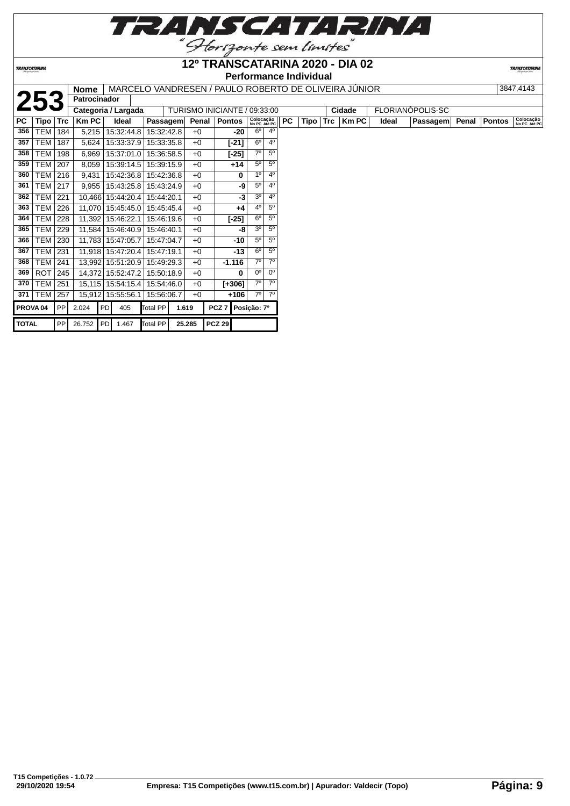

**12º TRANSCATARINA 2020 - DIA 02**

**TRANSCATARINA** 

#### **Performance Individual**

|              |                     |            | <b>Nome</b>         |                     |          |            |        | MARCELO VANDRESEN / PAULO ROBERTO DE OLIVEIRA JUNIOR |                           |                |           |      |            |        |       |                  |       |        | 3847,4143                 |
|--------------|---------------------|------------|---------------------|---------------------|----------|------------|--------|------------------------------------------------------|---------------------------|----------------|-----------|------|------------|--------|-------|------------------|-------|--------|---------------------------|
|              | 253                 |            | <b>Patrocinador</b> |                     |          |            |        |                                                      |                           |                |           |      |            |        |       |                  |       |        |                           |
|              |                     |            |                     | Categoria / Largada |          |            |        | TURISMO INICIANTE / 09:33:00                         |                           |                |           |      |            | Cidade |       | FLORIANÓPOLIS-SC |       |        |                           |
| PC           | Tipo                | <b>Trc</b> | <b>Km PC</b>        | Ideal               |          | Passagem   | Penal  | <b>Pontos</b>                                        | Colocação<br>No PC Até PC |                | <b>PC</b> | Tipo | <b>Trc</b> | Km PC  | Ideal | Passagem         | Penal | Pontos | Colocação<br>No PC Até PC |
| 356          | TEM                 | 184        | 5,215               | 15:32:44.8          |          | 15:32:42.8 | $+0$   | -20                                                  | $6^\circ$                 | $4^{\circ}$    |           |      |            |        |       |                  |       |        |                           |
| 357          | <b>TEM</b>          | 187        | 5,624               | 15:33:37.9          |          | 15:33:35.8 | $+0$   | [-21]                                                | 6 <sup>o</sup>            | $4^{\circ}$    |           |      |            |        |       |                  |       |        |                           |
| 358          | TEM                 | 198        | 6,969               | 15:37:01.0          |          | 15:36:58.5 | $+0$   | $[-25]$                                              | 70                        | $5^{\circ}$    |           |      |            |        |       |                  |       |        |                           |
| 359          | <b>TEM</b>          | 207        | 8,059               | 15:39:14.5          |          | 15:39:15.9 | $+0$   | $+14$                                                | $5^{\circ}$               | $5^{\circ}$    |           |      |            |        |       |                  |       |        |                           |
| 360          | <b>TEM</b>          | 216        | 9,431               | 15:42:36.8          |          | 15:42:36.8 | $+0$   | 0                                                    | 1 <sup>0</sup>            | 4 <sup>0</sup> |           |      |            |        |       |                  |       |        |                           |
| 361          | TEM                 | 217        | 9,955               | 15:43:25.8          |          | 15:43:24.9 | $+0$   | -9                                                   | $5^{\circ}$               | 4 <sup>0</sup> |           |      |            |        |       |                  |       |        |                           |
| 362          | <b>TEM</b>          | 221        | 10,466              | 15:44:20.4          |          | 15:44:20.1 | $+0$   | -3                                                   | 3 <sup>o</sup>            | 4 <sup>0</sup> |           |      |            |        |       |                  |       |        |                           |
| 363          | <b>TEM</b>          | 226        | 11,070              | 15:45:45.0          |          | 15:45:45.4 | $+0$   | $+4$                                                 | $4^{\circ}$               | $5^{\circ}$    |           |      |            |        |       |                  |       |        |                           |
| 364          | TEM                 | 228        | 11,392              | 15:46:22.1          |          | 15:46:19.6 | $+0$   | $[-25]$                                              | 6 <sup>o</sup>            | $5^{\circ}$    |           |      |            |        |       |                  |       |        |                           |
| 365          | <b>TEM</b>          | 229        | 11,584              | 15:46:40.9          |          | 15:46:40.1 | $+0$   | -8                                                   | 3 <sup>o</sup>            | $5^{\circ}$    |           |      |            |        |       |                  |       |        |                           |
| 366          | <b>TEM</b>          | 230        |                     | 11,783 15:47:05.7   |          | 15:47:04.7 | $+0$   | -10                                                  | $5^{\circ}$               | $5^{\circ}$    |           |      |            |        |       |                  |       |        |                           |
| 367          | TEM                 | 231        |                     | 11,918 15:47:20.4   |          | 15:47:19.1 | $+0$   | $-13$                                                | $6^{\circ}$               | $5^{\circ}$    |           |      |            |        |       |                  |       |        |                           |
| 368          | TEM                 | 241        |                     | 13,992 15:51:20.9   |          | 15:49:29.3 | $+0$   | $-1.116$                                             | $7^\circ$                 | $7^\circ$      |           |      |            |        |       |                  |       |        |                           |
| 369          | <b>ROT</b>          | 245        | 14,372              | 15:52:47.2          |          | 15:50:18.9 | $+0$   | 0                                                    | 0 <sup>o</sup>            | $0^{\circ}$    |           |      |            |        |       |                  |       |        |                           |
| 370          | <b>TEM</b>          | 251        |                     | 15,115 15:54:15.4   |          | 15:54:46.0 | $+0$   | [+306]                                               | $7^\circ$                 | $7^\circ$      |           |      |            |        |       |                  |       |        |                           |
| 371          | <b>TEM</b>          | 257        | 15,912              | 15:55:56.1          |          | 15:56:06.7 | $+0$   | +106                                                 | $7^\circ$                 | $7^\circ$      |           |      |            |        |       |                  |       |        |                           |
|              | PROVA <sub>04</sub> | PP         | 2.024               | PD<br>405           | Total PP |            | 1.619  | PCZ <sub>7</sub>                                     | Posição: 7º               |                |           |      |            |        |       |                  |       |        |                           |
| <b>TOTAL</b> |                     | PP         |                     | 26.752 PD 1.467     | Total PP |            | 25.285 | <b>PCZ 29</b>                                        |                           |                |           |      |            |        |       |                  |       |        |                           |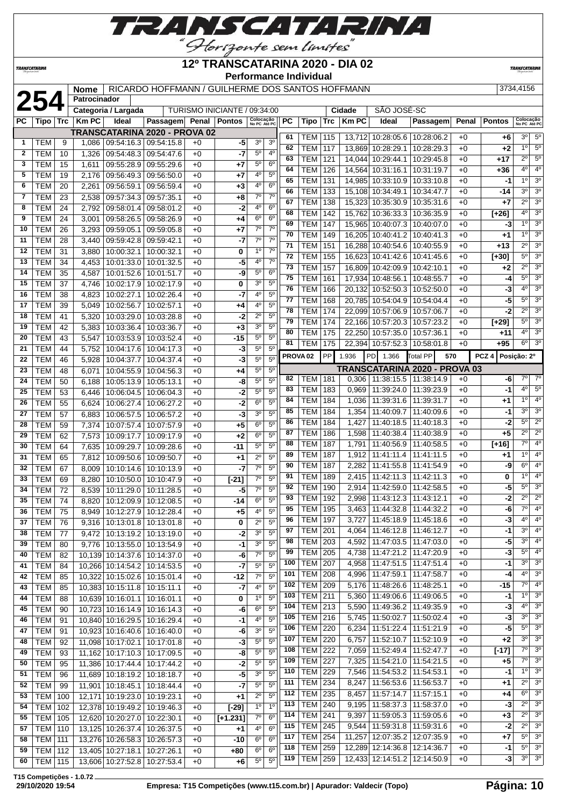

#### **TRANSCATARINA**

#### **12º TRANSCATARINA 2020 - DIA 02 Performance Individual**

**TRANSCATARIN** 

#### **25444156 125444156 RICARDO HOFFMANN / GUILHERME DOS SANTOS HOFFMANN 42544456**

| Æ. | с<br>۰ |
|----|--------|

|              | 254              |    | <br>Patrocinador |                                   |                               |      |                              |                           |                |                     |                  |     |             |                                   |                               |              |               |                           |                  |
|--------------|------------------|----|------------------|-----------------------------------|-------------------------------|------|------------------------------|---------------------------|----------------|---------------------|------------------|-----|-------------|-----------------------------------|-------------------------------|--------------|---------------|---------------------------|------------------|
|              |                  |    |                  | Categoria / Largada               |                               |      | TURISMO INICIANTE / 09:34:00 |                           |                |                     |                  |     | Cidade      | SÃO JOSÉ-SC                       |                               |              |               |                           |                  |
| PC           | Tipo ∣ Trc       |    | <b>KmPC</b>      | Ideal                             | Passagem Penal Pontos         |      |                              | Colocação<br>No PC Até PC |                | <b>PC</b>           | Tipo             | Trc | <b>KmPC</b> | Ideal                             | Passagem                      | Penal        | <b>Pontos</b> | Colocação<br>No PC Até PC |                  |
|              |                  |    |                  |                                   | TRANSCATARINA 2020 - PROVA 02 |      |                              |                           |                |                     |                  |     |             |                                   |                               |              |               |                           |                  |
| $\mathbf{1}$ | TEM              | 9  | 1,086            | 09:54:16.3 09:54:15.8             |                               | $+0$ | -5                           | 3 <sup>o</sup>            | 3 <sup>o</sup> | 61                  | TEM              | 115 |             | 13,712 10:28:05.6 10:28:06.2      |                               | $+0$         | $+6$          | $3^{\circ}$               | $5^{\circ}$      |
|              |                  |    |                  |                                   |                               |      |                              |                           | $4^{\circ}$    | 62                  | <b>TEM</b>       | 117 |             | 13,869 10:28:29.1 10:28:29.3      |                               | $+0$         | $+2$          | $1^{\circ}$               | $5^{\circ}$      |
| 2            | <b>TEM</b>       | 10 | 1,326            | 09:54:48.3 09:54:47.6             |                               | $+0$ | -7                           | $5^{\circ}$               |                | 63                  | <b>TEM</b>       | 121 |             | 14.044 10:29:44.1 10:29:45.8      |                               | $+0$         | +17           | $2^{\circ}$               | $5^\circ$        |
| 3            | <b>TEM</b>       | 15 | 1,611            | 09:55:28.9 09:55:29.6             |                               | $+0$ | $+7$                         | $5^{\circ}$               | 6 <sup>o</sup> | 64                  | <b>TEM</b>       | 126 |             | 14,564 10:31:16.1 10:31:19.7      |                               | $+0$         | +36           | $4^{\circ}$               | 4 <sup>0</sup>   |
| 5            | <b>TEM</b>       | 19 | 2,176            | 09:56:49.3 09:56:50.0             |                               | $+0$ | $+7$                         | 4°                        | $5^{\circ}$    | 65                  | <b>TEM</b>       | 131 |             | 14,985 10:33:10.9 10:33:10.8      |                               | $+0$         | $-1$          | 10                        | 3 <sup>o</sup>   |
| 6            | <b>TEM</b>       | 20 | 2,261            | 09:56:59.1                        | 09:56:59.4                    | $+0$ | $+3$                         | 4°                        | 6 <sup>o</sup> | 66                  | TEM              | 133 |             | 15,108 10:34:49.1 10:34:47.7      |                               | $+0$         | -14           | $3^{\circ}$               | 3 <sup>o</sup>   |
| 7            | <b>TEM</b>       | 23 | 2,538            | 09:57:34.3                        | 09:57:35.1                    | $+0$ | $+8$                         | $7^\circ$                 | $7^{\circ}$    | 67                  | <b>TEM</b>       | 138 |             | 15,323 10:35:30.9 10:35:31.6      |                               | $+0$         | $+7$          | $2^{\circ}$               | 3 <sup>o</sup>   |
| 8            | <b>TEM</b>       | 24 | 2,792            | 09:58:01.4                        | 09:58:01.2                    | $+0$ | -2                           | 4°                        | 6 <sup>o</sup> | 68                  | <b>TEM</b>       | 142 |             | 15,762 10:36:33.3 10:36:35.9      |                               | $+0$         | $[+26]$       | $4^{\circ}$               | 3 <sup>o</sup>   |
| 9            | <b>TEM</b>       | 24 | 3,001            | 09:58:26.5                        | 09:58:26.9                    | +0   | +4                           | $6^{\circ}$               | 6 <sup>o</sup> | 69                  | <b>TEM</b>       | 147 |             | 15,965 10:40:07.3 10:40:07.0      |                               |              |               | $1^{\circ}$               | 3 <sup>o</sup>   |
| 10           | <b>TEM</b>       | 26 | 3,293            | 09:59:05.1                        | 09:59:05.8                    | +0   | $+7$                         | $7^\circ$                 | 7 <sup>0</sup> | 70                  |                  |     |             |                                   |                               | $+0$         | -3            | $1^{\circ}$               | $\overline{3^0}$ |
| 11           | <b>TEM</b>       | 28 | 3,440            | 09:59:42.8 09:59:42.1             |                               | $+0$ | $-7$                         | $7^\circ$                 | $7^\circ$      |                     | <b>TEM</b>       | 149 |             | 16,205 10:40:41.2 10:40:41.3      |                               | $+0$         | +1            |                           | 3 <sup>o</sup>   |
| 12           | <b>TEM</b>       | 31 | 3,880            | 10:00:32.1   10:00:32.1           |                               | $+0$ | 0                            | $1^{\circ}$               | $7^\circ$      | 71                  | <b>TEM</b>       | 151 |             | 16,288 10:40:54.6 10:40:55.9      |                               | $+0$         | $+13$         | $2^{\circ}$               |                  |
| 13           | <b>TEM</b>       | 34 | 4,453            | 10:01:33.0   10:01:32.5           |                               | $+0$ | -5                           | 40                        | $7^\circ$      | 72                  | <b>TEM</b>       | 155 |             | 16,623 10:41:42.6 10:41:45.6      |                               | $+0$         | [+30]         | $5^{\circ}$               | 3 <sup>o</sup>   |
| 14           | <b>TEM</b>       | 35 | 4,587            | 10:01:52.6 10:01:51.7             |                               | $+0$ | -9                           | $5^{\circ}$               | 6 <sup>o</sup> | 73                  | <b>TEM</b>       | 157 |             | 16,809 10:42:09.9 10:42:10.1      |                               | $+0$         | +2            | $2^{\circ}$               | 3 <sup>o</sup>   |
| 15           | <b>TEM</b>       | 37 | 4,746            | 10:02:17.9   10:02:17.9           |                               | $+0$ | 0                            | 3 <sup>o</sup>            | 5 <sup>o</sup> | $\overline{75}$     | <b>TEM</b>       | 161 |             | 17,934 10:48:56.1 10:48:55.7      |                               | $+0$         | -4            | $5^{\circ}$               | 3 <sup>o</sup>   |
| 16           | <b>TEM</b>       | 38 | 4,823            | 10:02:27.1   10:02:26.4           |                               | $+0$ | -7                           | 4°                        | 5 <sup>0</sup> | 76                  | <b>TEM</b>       | 166 |             | 20,132 10:52:50.3 10:52:50.0      |                               | $+0$         | -3            | $4^{\circ}$               | 3 <sup>o</sup>   |
| 17           | <b>TEM</b>       | 39 | 5,049            | 10:02:56.7                        | 10:02:57.1                    | $+0$ | +4                           | 4º                        | 5 <sup>0</sup> | 77                  | <b>TEM</b>       | 168 |             | 20,785 10:54:04.9 10:54:04.4      |                               | $+0$         | -5            | $5^{\circ}$               | 3 <sup>o</sup>   |
| 18           | <b>TEM</b>       | 41 | 5,320            | 10:03:29.0   10:03:28.8           |                               |      | -2                           | $2^{\circ}$               | 5 <sup>0</sup> | 78                  | <b>TEM</b>       | 174 |             | 22,099 10:57:06.9 10:57:06.7      |                               | $+0$         | -2            | $2^{\circ}$               | 3 <sup>o</sup>   |
| 19           |                  |    |                  |                                   |                               | +0   |                              | 3 <sup>o</sup>            | 5 <sup>o</sup> | 79                  | <b>TEM</b>       | 174 |             | 22,166 10:57:20.3 10:57:23.2      |                               | +0           | $[+29]$       | $5^{\circ}$               | 3 <sup>o</sup>   |
|              | <b>TEM</b>       | 42 | 5,383            | 10:03:36.4   10:03:36.7           |                               | +0   | $+3$                         |                           |                | 80                  | <b>TEM</b>       | 175 |             | 22.250 10:57:35.0 10:57:36.1      |                               | $+0$         | +11           | $4^{\circ}$               | 3 <sup>o</sup>   |
| 20           | <b>TEM</b>       | 43 | 5,547            | 10:03:53.9   10:03:52.4           |                               | $+0$ | $-15$                        | $5^{\circ}$               | 5 <sup>0</sup> | 81                  | <b>TEM</b>       | 175 |             | 22,394 10:57:52.3 10:58:01.8      |                               | $+0$         | $+95$         | $6^{\circ}$               | 3 <sup>o</sup>   |
| 21           | <b>TEM</b>       | 44 | 5,752            | 10:04:17.6   10:04:17.3           |                               | $+0$ | -3                           | $5^{\circ}$               | 5 <sup>0</sup> | PROVA <sub>02</sub> |                  | PP  | 1.936       | PD<br>1.366                       | <b>Total PP</b><br>570        |              | $PCZ$ 4       | Posição: 2º               |                  |
| 22           | <b>TEM</b>       | 46 | 5,928            | 10:04:37.7                        | 10:04:37.4                    | $+0$ | -3                           | 5 <sup>o</sup>            | 5 <sup>o</sup> |                     |                  |     |             |                                   |                               |              |               |                           |                  |
| 23           | <b>TEM</b>       | 48 | 6,071            | 10:04:55.9 10:04:56.3             |                               | $+0$ | +4                           | $5^{\circ}$               | $5^{\circ}$    |                     |                  |     |             |                                   | TRANSCATARINA 2020 - PROVA 03 |              |               | 7°                        | $7^\circ$        |
| 24           | <b>TEM</b>       | 50 | 6,188            | 10:05:13.9   10:05:13.1           |                               | $+0$ | -8                           | $5^{\circ}$               | 5 <sup>0</sup> | 82                  | TEM              | 181 | 0,306       | 11:38:15.5   11:38:14.9           |                               | $+0$         | -6            |                           |                  |
| 25           | <b>TEM</b>       | 53 | 6,446            | 10:06:04.5   10:06:04.3           |                               | $+0$ | -2                           | $5^{\circ}$               | 5 <sup>0</sup> | 83                  | TEM              | 183 | 0,969       | 11:39:24.0   11:39:23.9           |                               | $+0$         | -1            | $4^{\circ}$               | $5^\circ$        |
| 26           | <b>TEM</b>       | 55 | 6,624            | 10:06:27.4                        | 10:06:27.2                    | $+0$ | -2                           | $6^{\circ}$               | 5 <sup>o</sup> | 84                  | <b>TEM</b>       | 184 | 1,036       | 11:39:31.6   11:39:31.7           |                               | $+0$         | +1            | 1 <sup>0</sup>            | 4 <sup>o</sup>   |
| 27           | <b>TEM</b>       | 57 | 6,883            | 10:06:57.5   10:06:57.2           |                               | $+0$ | -3                           | 3 <sup>o</sup>            | 5 <sup>0</sup> | 85                  | <b>TEM</b>       | 184 | 1,354       | 11:40:09.7   11:40:09.6           |                               | $+0$         | -1            | $3^{\circ}$               | 3 <sup>o</sup>   |
| 28           | <b>TEM</b>       | 59 | 7,374            | 10:07:57.4 10:07:57.9             |                               | $+0$ | $+5$                         | 6 <sup>o</sup>            | $5^{\circ}$    | 86                  | <b>TEM</b>       | 184 | 1,427       | 11:40:18.5   11:40:18.3           |                               | $+0$         | -2            | $5^{\circ}$               | $\overline{2^0}$ |
| 29           | <b>TEM</b>       | 62 | 7,573            | 10:09:17.7   10:09:17.9           |                               | $+0$ | $+2$                         | 6 <sup>o</sup>            | $5^{\circ}$    | 87                  | <b>TEM</b>       | 186 | 1,598       | 11:40:38.4   11:40:38.9           |                               | $+0$         | $+5$          | $2^{\circ}$               | $2^{\circ}$      |
| 30           | <b>TEM</b>       | 64 | 7,635            | 10:09:29.7   10:09:28.6           |                               | $+0$ | $-11$                        | $5^{\circ}$               | 5 <sup>0</sup> | 88                  | <b>TEM</b>       | 187 | 1,791       | 11:40:56.9   11:40:58.5           |                               | $+0$         | $[+16]$       | 7°                        | $4^{\circ}$      |
| 31           | <b>TEM</b>       | 65 | 7,812            | 10:09:50.6   10:09:50.7           |                               | $+0$ | $+1$                         | 2º                        | 5 <sup>0</sup> | 89                  | TEM              | 187 | 1,912       | 11:41:11.4   11:41:11.5           |                               | $+0$         | +1            | $1^{\circ}$               | 4 <sup>0</sup>   |
| 32           | <b>TEM</b>       | 67 | 8,009            | 10:10:14.6 10:10:13.9             |                               | $+0$ | -7                           | $7^\circ$                 | 5 <sup>0</sup> | 90                  | TEM              | 187 | 2,282       | 11:41:55.8   11:41:54.9           |                               | $+0$         | -9            | $6^{\circ}$               | 4 <sup>o</sup>   |
| 33           | <b>TEM</b>       | 69 | 8,280            | 10:10:50.0   10:10:47.9           |                               | $+0$ | $[-21]$                      | $7^{\circ}$               | $5^{\circ}$    | 91                  | <b>TEM</b>       | 189 | 2,415       | 11:42:11.3   11:42:11.3           |                               | $+0$         | 0             | 1 <sup>0</sup>            | 4 <sup>o</sup>   |
| 34           | <b>TEM</b>       | 72 | 8,539            | 10:11:29.0 10:11:28.5             |                               | $+0$ | -5                           | $7^\circ$                 | $5^{\circ}$    | 92                  | TEM              | 190 | 2,914       | 11:42:59.0   11:42:58.5           |                               | $+0$         | -5            | $5^{\circ}$               | 3 <sup>o</sup>   |
| 35           | <b>TEM</b>       | 74 | 8,820            | 10:12:09.9   10:12:08.5           |                               | $+0$ | $-14$                        | 6°                        | $5^{\circ}$    | 93                  | <b>TEM</b>       | 192 | 2,998       | 11:43:12.3 11:43:12.1             |                               | $+0$         | -2            | $2^{\circ}$               | $2^{\circ}$      |
| 36           | <b>TEM</b>       | 75 | 8.949            |                                   | 10:12:27.9   10:12:28.4       | $+0$ | $+5$                         | 4°                        | $5^{\circ}$    | 95                  | <b>TEM</b>       | 195 | 3,463       | 11:44:32.8   11:44:32.2           |                               | $+0$         | -6            | $7^\circ$                 | 4 <sup>o</sup>   |
| 37           | $ $ TEM          | 76 |                  | 9,316 10:13:01.8 10:13:01.8       |                               |      |                              | $2^{\circ}$ 5°            |                | 96                  | $TEM$ 197        |     |             | 3,727 11:45:18.9 11:45:18.6       |                               | $+0$         | $-3$          | $4^{\circ}$               | 4 <sup>0</sup>   |
|              |                  |    |                  |                                   |                               | $+0$ | 0                            | 3 <sup>0</sup>            | 5 <sup>0</sup> | 97                  | <b>TEM 201</b>   |     |             | 4,064   11:46:12.8   11:46:12.7   |                               | $+0$         | -1            | $3^{\circ}$               | 4 <sup>o</sup>   |
| 38           | TEM              | 77 |                  | $9,472$   10:13:19.2   10:13:19.0 |                               | $+0$ | -2                           |                           |                | 98                  | <b>TEM 203</b>   |     |             | 4,592   11:47:03.5   11:47:03.0   |                               | $+0$         | -5            | $3^{\circ}$               | $4^{\circ}$      |
| 39           | TEM              | 80 |                  | 9,776   10:13:55.0   10:13:54.9   |                               | $+0$ | $-1$                         | 3 <sup>o</sup>            | $5^{\circ}$    | 99                  | <b>TEM   205</b> |     |             | 4,738   11:47:21.2   11:47:20.9   |                               |              |               | $5^{\circ}$               | 4 <sup>0</sup>   |
| 40           | TEM              | 82 |                  | 10.139 10:14:37.6 10:14:37.0      |                               | $+0$ | -6                           | $7^\circ$                 | $5^{\rm o}$    | 100                 | <b>TEM</b>       | 207 | 4,958       | 11:47:51.5   11:47:51.4           |                               | $+0$<br>$+0$ | -3<br>-1      | 3º                        | 3 <sup>o</sup>   |
| 41           | TEM              | 84 |                  | 10,266 10:14:54.2 10:14:53.5      |                               | $+0$ | $-7$                         | $5^{\circ}$               | $5^{\circ}$    |                     |                  |     |             |                                   |                               |              |               | $4^{\circ}$               | 3 <sup>o</sup>   |
| 42           | <b>TEM</b>       | 85 |                  | 10,322 10:15:02.6 10:15:01.4      |                               | $+0$ | $-12$                        | $7^\circ$                 | 5 <sup>o</sup> | 101                 | <b>TEM 208</b>   |     | 4,996       | 11:47:59.1   11:47:58.7           |                               | $+0$         | -4            |                           |                  |
| 43           | TEM              | 85 |                  | 10,383 10:15:11.8 10:15:11.1      |                               | $+0$ | $-7$                         | 4 <sup>0</sup>            | $5^{\circ}$    | 102                 | <b>TEM 209</b>   |     |             | 5,176   11:48:26.6   11:48:25.1   |                               | $+0$         | -15           |                           | $7^\circ$ 4°     |
| 44           | TEM              | 88 |                  | 10,639 10:16:01.1 10:16:01.1      |                               | $+0$ | 0                            | $1^{\circ}$               | 5 <sup>0</sup> | 103                 | <b>TEM 211</b>   |     |             | 5,360   11:49:06.6   11:49:06.5   |                               | $+0$         | -1            | $1^{\circ}$               | 3 <sup>o</sup>   |
| 45           | TEM              | 90 |                  | 10,723 10:16:14.9 10:16:14.3      |                               | $+0$ | -6                           | $6^{\circ}$               | $5^{\circ}$    | 104                 | $TEM$ 213        |     | 5,590       | 11:49:36.2   11:49:35.9           |                               | $+0$         | -3            | $4^{\circ}$               | 3 <sup>o</sup>   |
| 46           | <b>TEM</b>       | 91 |                  | 10,840 10:16:29.5 10:16:29.4      |                               | $+0$ | -1                           | $4^{\circ}$               | $5^{\circ}$    | 105                 | <b>TEM 216</b>   |     |             | 5,745   11:50:02.7   11:50:02.4   |                               | $+0$         | -3            | $3^{\circ}$               | 3 <sup>o</sup>   |
| 47           | TEM              | 91 |                  | 10,923 10:16:40.6 10:16:40.0      |                               | $+0$ | -6                           | 3 <sup>o</sup>            | $5^{\circ}$    | 106                 | <b>TEM</b> 220   |     |             | 6,234   11:51:22.4   11:51:21.9   |                               | $+0$         | -5            | $5^{\circ}$               | $3^\circ$        |
| 48           | TEM              | 92 |                  | 11,098 10:17:02.1 10:17:01.8      |                               | $+0$ | -3                           | $5^{\circ}$               | 5 <sup>0</sup> | 107                 | <b>TEM</b>       | 220 | 6,757       | 11:52:10.7   11:52:10.9           |                               | $+0$         | $+2$          | $3^{\circ}$               | 3 <sup>o</sup>   |
| 49           | TEM              | 93 |                  | 11,162 10:17:10.3 10:17:09.5      |                               | $+0$ | -8                           | $5^{\circ}$               | $5^{\circ}$    | 108                 | <b>TEM 222</b>   |     |             | 7,059   11:52:49.4   11:52:47.7   |                               | $+0$         | $[-17]$       | 7º                        | 3 <sup>o</sup>   |
| 50           | TEM              | 95 |                  | 11,386 10:17:44.4 10:17:44.2      |                               | $+0$ | $-2$                         | $5^{\circ}$               | 5 <sup>0</sup> | 109                 | <b>TEM</b>       | 227 | 7,325       | 11:54:21.0   11:54:21.5           |                               | $+0$         | +5            | 7º                        | 3 <sup>o</sup>   |
| 51           | TEM              | 96 |                  | 11,689 10:18:19.2 10:18:18.7      |                               | $+0$ | $-5$                         | 3 <sup>o</sup>            | $5^{\circ}$    | 110                 | <b>TEM 229</b>   |     | 7,546       | 11:54:53.2   11:54:53.1           |                               | $+0$         | -1            |                           | $10^{130}$       |
| 52           | TEM              | 99 |                  | 11,901   10:18:45.1   10:18:44.4  |                               | $+0$ | $-7$                         | $5^{\circ}$               | 5 <sup>0</sup> | 111                 | <b>TEM 234</b>   |     | 8,247       | 11:56:53.6   11:56:53.7           |                               | $+0$         | +1            |                           | $2^0$ $3^0$      |
| 53           | <b>TEM 100</b>   |    |                  | 12,171 10:19:23.0 10:19:23.1      |                               | $+0$ | $+1$                         | $2^{\circ}$               | $5^{\circ}$    | 112                 | <b>TEM 235</b>   |     |             | 8,457   11:57:14.7   11:57:15.1   |                               | $+0$         | +4            | $6^{\circ}$               | 3 <sup>o</sup>   |
| 54           | <b>TEM   102</b> |    |                  | 12,378 10:19:49.2 10:19:46.3      |                               | $+0$ | $[-29]$                      | 1 <sup>0</sup>            | 1 <sup>0</sup> | 113                 | <b>TEM 240</b>   |     |             | $9,195$   11:58:37.3   11:58:37.0 |                               | $+0$         | -3            | $2^{\circ}$               | $3^\circ$        |
| 55           | <b>TEM</b> 105   |    |                  |                                   |                               |      | $[+1.231]$                   | $7^\circ$                 | 6 <sup>o</sup> | 114                 | <b>TEM 241</b>   |     |             | 9,397 11:59:05.3 11:59:05.6       |                               | +0           | $+3$          | $2^{\circ}$               | 3 <sup>o</sup>   |
|              |                  |    |                  | 12,620 10:20:27.0 10:22:30.1      |                               | $+0$ |                              | 4°                        | $6^{\circ}$    | 115                 | <b>TEM 245</b>   |     | 9,544       | 11:59:31.8   11:59:31.6           |                               | $+0$         | -2            | $2^{\circ}$               | 3 <sup>o</sup>   |
| 57           | <b>TEM   110</b> |    |                  | 13,125 10:26:37.4 10:26:37.5      |                               | $+0$ | $+1$                         |                           |                | 117                 | TEM              | 254 |             | 11,257 12:07:35.2 12:07:35.9      |                               | $+0$         | +7            | $5^{\circ}$               | 3 <sup>o</sup>   |
| 58           | <b>TEM 111</b>   |    |                  | 13,276 10:26:58.3 10:26:57.3      |                               | $+0$ | $-10$                        | $6^{\circ}$               | 6 <sup>o</sup> | 118                 | <b>TEM 259</b>   |     |             | 12,289 12:14:36.8 12:14:36.7      |                               | $+0$         | -1            | $5^{\circ}$               | $3^\circ$        |
| 59           | <b>TEM 112</b>   |    |                  | 13,405 10:27:18.1 10:27:26.1      |                               | $+0$ | $+80$                        | $6^{\circ}$               | 6 <sup>o</sup> |                     | <b>TEM 259</b>   |     |             | 12,433 12:14:51.2 12:14:50.9      |                               |              |               |                           | $3^0$ $3^0$      |
| 60           | <b>TEM 115</b>   |    |                  | 13,606 10:27:52.8 10:27:53.4      |                               | $+0$ | $+6$                         | $5^{\circ}$               | $5^{\circ}$    | 119                 |                  |     |             |                                   |                               | $+0$         | $-3$          |                           |                  |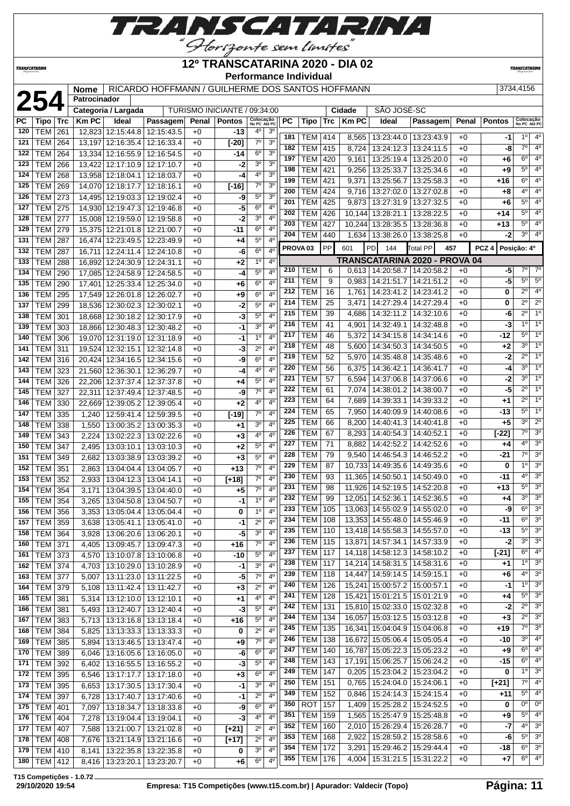

# **12º TRANSCATARINA 2020 - DIA 02**

**TRANSCATARIN** 

**TRANSCATARINA** 

#### **Performance Individual**

| RICARDO HOFFMANN / GUILHERME DOS SANTOS HOFFMANN |  |
|--------------------------------------------------|--|

|     |                  |     | Nome         |                              | RICARDO HOFFMANN / GUILHERME DOS SANTOS HOFFMANN |              |                              |                           |                |                     |                |     |              |                                   |                 |       |                  | 3734,4156                 |                  |
|-----|------------------|-----|--------------|------------------------------|--------------------------------------------------|--------------|------------------------------|---------------------------|----------------|---------------------|----------------|-----|--------------|-----------------------------------|-----------------|-------|------------------|---------------------------|------------------|
|     | 254              |     | Patrocinador |                              |                                                  |              |                              |                           |                |                     |                |     |              |                                   |                 |       |                  |                           |                  |
|     |                  |     |              | Categoria / Largada          |                                                  |              | TURISMO INICIANTE / 09:34:00 |                           |                |                     |                |     | Cidade       | SÃO JOSÉ-SC                       |                 |       |                  |                           |                  |
| PC  | Tipo             | Trc | <b>KmPC</b>  | Ideal                        | Passagem                                         | Penal        | <b>Pontos</b>                | Colocação<br>No PC Até PC |                | PC                  | Tipo           | Trc | <b>Km PC</b> | Ideal                             | Passagem        | Penal | <b>Pontos</b>    | Colocação<br>No PC Até PC |                  |
| 120 | <b>TEM</b>       | 261 | 12,823       | 12:15:44.8                   | 12:15:43.5                                       | $+0$         | $-13$                        | 4°                        | 3 <sup>0</sup> | 181                 | TEM            | 414 | 8,565        | 13:23:44.0   13:23:43.9           |                 | $+0$  | -1               | $1^{\circ}$               | $4^\circ$        |
| 121 | <b>TEM 264</b>   |     | 13,197       | 12:16:35.4 12:16:33.4        |                                                  | $+0$         | $[-20]$                      | $7^\circ$                 | 3 <sup>o</sup> | 182                 | TEM            | 415 | 8,724        | 13:24:12.3                        | 13:24:11.5      | $+0$  | -8               | $7^\circ$                 | 4 <sup>0</sup>   |
| 122 | <b>TEM 264</b>   |     |              | 13,334 12:16:55.9 12:16:54.5 |                                                  | $+0$         | -14                          | $6^{\circ}$               | 3 <sup>o</sup> | 197                 | <b>TEM</b>     | 420 | 9,161        | 13:25:19.4                        | 13:25:20.0      | $+0$  | +6               | $6^{\circ}$               | 4 <sup>0</sup>   |
| 123 | <b>TEM</b>       | 266 | 13,422       | 12:17:10.9                   | 12:17:10.7                                       | $+0$         | -2                           | 3 <sup>0</sup>            | 3 <sup>0</sup> | 198                 | <b>TEM</b>     | 421 | 9,256        | 13:25:33.7                        | 13:25:34.6      | $+0$  | $+9$             | $5^{\circ}$               | 4 <sup>0</sup>   |
| 124 | <b>TEM</b>       | 268 |              | 13,958 12:18:04.1            | 12:18:03.7                                       | $+0$         | -4                           | 4°                        | 3 <sup>o</sup> | 199                 | <b>TEM</b>     | 421 | 9,371        | 13:25:56.7                        | 13:25:58.3      | $+0$  | $+16$            | 6 <sup>o</sup>            | $\overline{4^0}$ |
| 125 | TEM              | 269 |              | 14,070 12:18:17.7            | 12:18:16.1                                       | $+0$         | $[-16]$                      | $7^\circ$                 | 3 <sup>o</sup> | 200                 | <b>TEM</b>     | 424 | 9,716        | 13:27:02.0                        | 13:27:02.8      | $+0$  | +8               | $4^{\circ}$               | 4 <sup>0</sup>   |
| 126 | <b>TEM</b>       | 273 | 14,495       | 12:19:03.3                   | 12:19:02.4                                       | $+0$         | -9                           | $5^{\circ}$               | 3 <sup>o</sup> | 201                 | <b>TEM</b>     | 425 | 9,873        | 13:27:31.9                        | 13:27:32.5      | $+0$  | +6               | $5^{\circ}$               | 4 <sup>0</sup>   |
| 127 | TEM   275        |     |              | 14,930 12:19:47.3            | 12:19:46.8                                       | $+0$         | -5                           | 6 <sup>o</sup>            | 4 <sup>0</sup> | 202                 | <b>TEM</b>     | 426 |              | 10,144 13:28:21.1                 | 13:28:22.5      | $+0$  | +14              | $5^{\circ}$               | 4 <sup>0</sup>   |
| 128 | <b>TEM</b>       | 277 |              | 15,008 12:19:59.0            | 12:19:58.8                                       | $+0$         | -2                           | 3 <sup>0</sup>            | $4^{\circ}$    | 203                 | <b>TEM</b>     | 427 |              | 10,244 13:28:35.5                 | 13:28:36.8      | $+0$  | $+13$            | $5^{\circ}$               | 4 <sup>0</sup>   |
| 129 | <b>TEM   279</b> |     |              | 15,375 12:21:01.8            | 12:21:00.7                                       | $+0$         | -11                          | 6 <sup>o</sup>            | 4 <sup>0</sup> | 204                 | <b>TEM</b>     | 440 |              | 1,634   13:38:26.0   13:38:25.8   |                 | $+0$  | $-2$             | 3 <sup>o</sup>            | $\overline{4^0}$ |
| 131 | TEM              | 287 |              | 16,474 12:23:49.5 12:23:49.9 |                                                  | $+0$         | +4                           | $5^{\circ}$               | $4^{\circ}$    |                     |                |     |              |                                   |                 |       |                  |                           |                  |
| 132 | <b>TEM</b>       | 287 | 16,711       | 12:24:11.4 12:24:10.8        |                                                  | $+0$         | -6                           | $6^{\circ}$               | 4 <sup>0</sup> | PROVA <sub>03</sub> |                | PP  | 601          | PD<br>144                         | <b>Total PP</b> | 457   | PCZ <sub>4</sub> | Posição: 4º               |                  |
| 133 | <b>TEM</b>       | 288 |              | 16,892 12:24:30.9            | 12:24:31.1                                       | $+0$         | +2                           | 1 <sup>0</sup>            | $4^{\rm o}$    |                     |                |     |              | TRANSCATARINA 2020 - PROVA 04     |                 |       |                  |                           |                  |
| 134 | <b>TEM</b>       | 290 |              | 17,085 12:24:58.9            | 12:24:58.5                                       | $+0$         | -4                           | $5^{\circ}$               | 4 <sup>0</sup> | 210                 | TEM            | 6   | 0,613        | 14:20:58.7                        | 14:20:58.2      | $+0$  | -51              | $7^\circ$                 | $7^\circ$        |
| 135 | <b>TEM</b>       | 290 | 17,401       | 12:25:33.4                   | 12:25:34.0                                       | $+0$         | +6                           | 6 <sup>o</sup>            | 4 <sup>o</sup> | 211                 | TEM            | 9   | 0,983        | 14:21:51.7                        | 14:21:51.2      | $+0$  | $-5$             | 5 <sup>0</sup>            | $5^{\circ}$      |
| 136 | <b>TEM</b>       | 295 | 17,549       | 12:26:01.8                   | 12:26:02.7                                       | $+0$         | +9                           | $6^{\circ}$               | $4^{\circ}$    | 212                 | TEM            | 16  | 1,761        | 14:23:41.2                        | 14:23:41.2      | $+0$  | 0                | $2^{\circ}$               | 4 <sup>0</sup>   |
| 137 | <b>TEM</b>       | 299 | 18,536       | 12:30:02.3                   | 12:30:02.1                                       | $+0$         | -2                           | $5^{\circ}$               | 4 <sup>0</sup> | 214                 | <b>TEM</b>     | 25  | 3,471        | 14:27:29.4                        | 14:27:29.4      | $+0$  | 0                | $2^{\circ}$               | $\overline{2^0}$ |
| 138 | <b>TEM</b>       | 301 | 18,668       | 12:30:18.2                   | 12:30:17.9                                       | $+0$         | -3                           | $5^{\circ}$               | 4 <sup>0</sup> | 215                 | <b>TEM</b>     | 39  | 4,686        | 14:32:11.2                        | 14:32:10.6      | $+0$  | -6               | $2^{\circ}$               | 1 <sup>0</sup>   |
| 139 | <b>TEM</b>       | 303 |              | 18,866 12:30:48.3            | 12:30:48.2                                       | $+0$         | $-1$                         | 3 <sup>o</sup>            | 4 <sup>0</sup> | 216                 | <b>TEM</b>     | 41  | 4,901        | 14:32:49.1                        | 14:32:48.8      | $+0$  | $-3$             | 1 <sup>0</sup>            | 1 <sup>0</sup>   |
| 140 | <b>TEM</b>       | 306 |              | 19,070 12:31:19.0            | 12:31:18.9                                       | $+0$         | $-1$                         | 1 <sup>0</sup>            | 4 <sup>0</sup> | 217                 | <b>TEM</b>     | 46  | 5,372        | 14:34:15.8                        | 14:34:14.6      | $+0$  | -12              | $5^{\circ}$               | 1 <sup>0</sup>   |
| 141 | <b>TEM</b>       | 311 |              | 19,524 12:32:15.1            | 12:32:14.8                                       | $+0$         | -3                           | $2^{\circ}$               | $4^{\circ}$    | 218                 | <b>TEM</b>     | 48  | 5,600        | 14:34:50.3                        | 14:34:50.5      | $+0$  | $+2$             | $3^{\circ}$               | 1 <sup>0</sup>   |
| 142 | <b>TEM</b>       | 316 | 20,424       | 12:34:16.5                   | 12:34:15.6                                       | $+0$         | -9                           | 6 <sup>o</sup>            | 4 <sup>0</sup> | 219                 | <b>TEM</b>     | 52  | 5,970        | 14:35:48.8                        | 14:35:48.6      | $+0$  | -2               | $2^{\circ}$               | 1 <sup>0</sup>   |
| 143 | <b>TEM</b>       | 323 | 21,560       | 12:36:30.1                   | 12:36:29.7                                       | $+0$         | -4                           | $4^{\circ}$               | $4^{\circ}$    | 220                 | <b>TEM</b>     | 56  | 6,375        | 14:36:42.1                        | 14:36:41.7      | $+0$  | -4               | 3 <sup>o</sup>            | 1 <sup>0</sup>   |
| 144 | <b>TEM</b>       | 326 |              | 22,206 12:37:37.4            | 12:37:37.8                                       | $+0$         | +4                           | $5^{\circ}$               | 4 <sup>0</sup> | 221                 | <b>TEM</b>     | 57  | 6,594        | 14:37:06.8                        | 14:37:06.6      | $+0$  | $-2$             | 3 <sup>o</sup>            | $\overline{1^0}$ |
| 145 | TEM              | 327 | 22,311       | 12:37:49.4                   | 12:37:48.5                                       | $+0$         | -9                           | $7^\circ$                 | $4^{\circ}$    | 222                 | <b>TEM</b>     | 61  | 7,074        | 14:38:01.2                        | 14:38:00.7      | $+0$  | $-5$             | $2^{\circ}$               | 1 <sup>0</sup>   |
| 146 | <b>TEM</b>       | 330 | 22,669       | 12:39:05.2                   | 12:39:05.4                                       | $+0$         | +2                           | 4°                        | 4 <sup>0</sup> | 223                 | <b>TEM</b>     | 64  | 7,689        | 14:39:33.1                        | 14:39:33.2      | $+0$  | +1               | $2^{\circ}$               | 1 <sup>0</sup>   |
| 147 | <b>TEM</b>       | 335 | 1,240        | 12:59:41.4                   | 12:59:39.5                                       | $+0$         | $[-19]$                      | $7^{\circ}$               | 4 <sup>0</sup> | 224                 | <b>TEM</b>     | 65  | 7,950        | 14:40:09.9                        | 14:40:08.6      | $+0$  | $-13$            | $5^{\circ}$               | 1 <sup>0</sup>   |
| 148 | <b>TEM</b>       | 338 | 1,550        | 13:00:35.2                   | 13:00:35.3                                       | $+0$         | +1                           | 3 <sup>0</sup>            | $4^{\circ}$    | 225                 | <b>TEM</b>     | 66  | 8,200        | 14:40:41.3                        | 14:40:41.8      | $+0$  | $+5$             | 30                        | $2^{\circ}$      |
| 149 | <b>TEM</b>       | 343 | 2,224        | 13:02:22.3                   | 13:02:22.6                                       | $+0$         | $+3$                         | 40                        | 4 <sup>0</sup> | 226                 | <b>TEM</b>     | 67  | 8,293        | 14:40:54.3                        | 14:40:52.1      | $+0$  | $[-22]$          | $7^\circ$                 | 3 <sup>o</sup>   |
| 150 | <b>TEM</b>       | 347 | 2,495        |                              | 13:03:10.1   13:03:10.3                          | $+0$         | +2                           | $5^{\circ}$               | $4^{\circ}$    | 227                 | <b>TEM</b>     | 71  | 8,882        | 14:42:52.2                        | 14:42:52.6      | $+0$  | +4               | $4^{\circ}$               | 3 <sup>0</sup>   |
| 151 | <b>TEM</b>       | 349 | 2,682        | 13:03:38.9                   | 13:03:39.2                                       | $+0$         | $+3$                         | $5^{\circ}$               | 4 <sup>0</sup> | 228                 | TEM            | 79  | 9,540        | 14:46:54.3                        | 14:46:52.2      | $+0$  | $-21$            | $7^\circ$                 | 3 <sup>o</sup>   |
| 152 | <b>TEM</b>       | 351 | 2,863        | 13:04:04.4                   | 13:04:05.7                                       | $+0$         | $+13$                        | $7^{\circ}$               | $4^{\circ}$    | 229                 | TEM            | 87  |              | 10,733 14:49:35.6                 | 14:49:35.6      | $+0$  | 0                | 1 <sup>0</sup>            | 3 <sup>0</sup>   |
| 153 | <b>TEM</b>       | 352 | 2,933        | 13:04:12.3                   | 13:04:14.1                                       | $+0$         | $[+18]$                      | 7 <sup>0</sup>            | 4 <sup>0</sup> | 230                 | <b>TEM</b>     | 93  |              | 11,365 14:50:50.1                 | 14:50:49.0      | $+0$  | -11              | 4 <sup>o</sup>            | $\overline{3^0}$ |
| 154 | <b>TEM</b>       | 354 | 3,171        | 13:04:39.5                   | 13:04:40.0                                       | $+0$         | +5                           | $7^\circ$                 | $4^{\circ}$    | 231                 | TEM            | 98  |              | 11,926 14:52:19.5                 | 14:52:20.8      | $+0$  | $+13$            | $5^{\circ}$               | 3 <sup>o</sup>   |
| 155 | <b>TEM</b>       | 354 | 3,265        | 13:04:50.8                   | 13:04:50.7                                       | $+0$         | $-1$                         | $1^{\circ}$               | $4^{\circ}$    | 232                 | <b>TEM</b>     | 99  |              | 12,051 14:52:36.1                 | 14:52:36.5      | $+0$  | +4               | 30                        | 3 <sup>o</sup>   |
| 156 | TEM              | 356 | 3,353        | 13:05:04.4 13:05:04.4        |                                                  | $+0$         | $\mathbf{0}$                 | 1 <sup>0</sup>            | 4 <sup>0</sup> | 233                 | <b>TEM</b>     | 105 |              | 13,063 14:55:02.9 14:55:02.0      |                 | $+0$  | -9               | 6 <sup>o</sup>            | 3 <sup>o</sup>   |
| 157 | TEM 359          |     | 3,638        |                              | 13:05:41.1   13:05:41.0                          | $+0$         | -1                           | $2^{\circ}$               | 4 <sup>0</sup> | 234                 | TEM   108      |     |              | 13,353 14:55:48.0 14:55:46.9      |                 | $+0$  | -11              | 6 <sup>o</sup>            | 3 <sup>o</sup>   |
| 158 | <b>TEM 364</b>   |     | 3,928        | 13:06:20.6   13:06:20.1      |                                                  | $+0$         | $-5$                         | 3 <sup>0</sup>            | 4 <sup>0</sup> | 235                 | <b>TEM 110</b> |     |              | 13,418 14:55:58.3                 | 14:55:57.0      | $+0$  | $-13$            | $5^\circ$                 | 3 <sup>o</sup>   |
| 160 | <b>TEM 371</b>   |     | 4,405        |                              | 13:09:45.7   13:09:47.3                          | $+0$         | $+16$                        | $7^\circ$                 | 4 <sup>0</sup> | 236                 | <b>TEM</b> 115 |     |              | 13,871 14:57:34.1                 | 14:57:33.9      | $+0$  | $-2$             | 3 <sup>0</sup>            | 3 <sup>o</sup>   |
| 161 | <b>TEM 373</b>   |     | 4,570        |                              | 13:10:07.8   13:10:06.8                          | $+0$         | $-10$                        | $5^{\circ}$               | $4^{\circ}$    | 237                 | <b>TEM 117</b> |     |              | 14,118 14:58:12.3 14:58:10.2      |                 | $+0$  | $[-21]$          | $6^{\circ}$               | 4 <sup>0</sup>   |
| 162 | <b>TEM 374</b>   |     | 4,703        |                              | 13:10:29.0 13:10:28.9                            | $+0$         | -1                           | 3 <sup>o</sup>            | $4^{\circ}$    | 238                 | <b>TEM</b>     | 117 |              | 14,214 14:58:31.5                 | 14:58:31.6      | $+0$  | +1               | $1^{\circ}$               | 3 <sup>o</sup>   |
| 163 | <b>TEM 377</b>   |     | 5,007        | 13:11:23.0                   | 13:11:22.5                                       | $+0$         | -5                           | $7^\circ$                 | 4 <sup>o</sup> | 239                 | TEM            | 118 |              | 14,447 14:59:14.5 14:59:15.1      |                 | $+0$  | +6               | $4^{\circ}$               | 3 <sup>o</sup>   |
| 164 | <b>TEM 379</b>   |     | 5,108        | 13:11:42.4                   | 13:11:42.7                                       | $+0$         | +3                           | $2^{\circ}$               | $4^{\circ}$    | 240                 | <b>TEM 126</b> |     |              | 15,241 15:00:57.2 15:00:57.1      |                 | $+0$  | -1               | 1 <sup>0</sup>            | 3 <sup>o</sup>   |
| 165 | <b>TEM 381</b>   |     | 5,314        | 13:12:10.0   13:12:10.1      |                                                  | $+0$         | +1                           | 4º                        | $4^{\circ}$    | 241                 | <b>TEM 128</b> |     |              | 15,421 15:01:21.5 15:01:21.9      |                 | $+0$  | +4               | $5^{\circ}$               | 3 <sup>o</sup>   |
| 166 | TEM              | 381 | 5,493        | 13:12:40.7                   | 13:12:40.4                                       | $+0$         | -3                           | $5^{\circ}$               | $4^{\circ}$    | 242                 | <b>TEM 131</b> |     |              | 15,810 15:02:33.0 15:02:32.8      |                 | $+0$  | $-2$             | $2^{\circ}$               | 3 <sup>o</sup>   |
| 167 | <b>TEM 383</b>   |     | 5,713        | 13:13:16.8                   | 13:13:18.4                                       | $+0$         | $+16$                        | $5^{\circ}$               | 4 <sup>0</sup> | 244                 | $TEM$ 134      |     |              | 16,057 15:03:12.5                 | 15:03:12.8      | $+0$  | $+3$             | $2^{\circ}$               | 3 <sup>o</sup>   |
| 168 | <b>TEM 384</b>   |     | 5,825        |                              | 13:13:33.3 13:13:33.3                            | $+0$         | 0                            | $2^{\circ}$               | 4 <sup>0</sup> | 245                 | <b>TEM 135</b> |     |              | 16,341 15:04:04.9                 | 15:04:06.8      | $+0$  | $+19$            | $7^\circ$                 | 3 <sup>o</sup>   |
| 169 | <b>TEM 385</b>   |     | 5,894        |                              | 13:13:46.5   13:13:47.4                          | $+0$         | +9                           | $7^\circ$                 | 4 <sup>0</sup> | 246                 | <b>TEM 138</b> |     |              | 16,672 15:05:06.4                 | 15:05:05.4      | $+0$  | $-10$            | $3^{\circ}$               | 4 <sup>0</sup>   |
| 170 | TEM 389          |     | 6,046        | 13:16:05.6                   | 13:16:05.0                                       | $+0$         | -6                           | $6^{\circ}$               | 4 <sup>0</sup> | 247                 | TEM            | 140 |              | 16,787 15:05:22.3 15:05:23.2      |                 | $+0$  | $+9$             | $6^{\circ}$               | $4^{\circ}$      |
| 171 | <b>TEM 392</b>   |     | 6,402        |                              | 13:16:55.5   13:16:55.2                          | $+0$         | $-3$                         | $5^{\circ}$               | $4^{\circ}$    | 248                 | <b>TEM</b>     | 143 |              | 17,191 15:06:25.7                 | 15:06:24.2      | $+0$  | -15              | $6^{\circ}$               | $4^{\circ}$      |
| 172 | <b>TEM 395</b>   |     | 6,546        | 13:17:17.7                   | 13:17:18.0                                       | $+0$         | $+3$                         | 6 <sup>o</sup>            | 4 <sup>o</sup> | 249                 | <b>TEM 147</b> |     |              | $0,205$   15:23:04.2   15:23:04.2 |                 | $+0$  | 0                | 10                        | 3 <sup>o</sup>   |
| 173 | <b>TEM 395</b>   |     | 6,653        |                              | 13:17:30.5   13:17:30.4                          | $+0$         | -1                           | 3 <sup>o</sup>            | $4^{\circ}$    | 250                 | <b>TEM 151</b> |     | 0,765        | 15:24:04.0   15:24:06.1           |                 | $+0$  | $[+21]$          | $7^\circ$                 | 4 <sup>0</sup>   |
| 174 | <b>TEM 397</b>   |     | 6,728        | 13:17:40.7                   | 13:17:40.6                                       | $+0$         | -1                           | $2^{\circ}$               | $4^{\circ}$    | 349                 | <b>TEM 152</b> |     |              | 0,846 15:24:14.3 15:24:15.4       |                 | $+0$  | +11              | $5^{\circ}$               | $4^{\circ}$      |
| 175 | TEM              | 401 | 7,097        | 13:18:34.7                   | 13:18:33.8                                       | $+0$         | -9                           | 6 <sup>o</sup>            | 4 <sup>0</sup> | 350                 | ROT 157        |     |              | 1,409   15:25:28.2   15:24:52.5   |                 | $+0$  | 0                | $0^{\circ}$               | $0^{\circ}$      |
| 176 | <b>TEM 404</b>   |     | 7,278        | 13:19:04.4   13:19:04.1      |                                                  | $+0$         | $-3$                         | $4^{\circ}$               | 4 <sup>0</sup> | 351                 | <b>TEM 159</b> |     | 1,565        | 15:25:47.9 15:25:48.8             |                 | $+0$  | +9               | $5^{\circ}$               | 4 <sup>0</sup>   |
| 177 | <b>TEM 407</b>   |     | 7,588        | 13:21:00.7                   | 13:21:02.8                                       |              | $[t+21]$                     | $2^{\circ}$               | 4 <sup>0</sup> | 352                 | <b>TEM 160</b> |     | 2,010        | 15:26:29.4                        | 15:26:28.7      | $+0$  | $-7$             | 4 <sup>o</sup>            | 3 <sup>o</sup>   |
| 178 | <b>TEM 408</b>   |     | 7,676        |                              | 13:21:14.9   13:21:16.6                          | $+0$         | $[+17]$                      | $2^{\circ}$               | 4 <sup>0</sup> | 353                 | <b>TEM 168</b> |     | 2,922        | 15:28:59.2   15:28:58.6           |                 | $+0$  | $-6$             | $5^{\circ}$               | 3 <sup>0</sup>   |
| 179 | <b>TEM 410</b>   |     |              | 13:22:35.8                   | 13:22:35.8                                       | $+0$<br>$+0$ | 0                            | 3 <sup>o</sup>            | 4 <sup>0</sup> | 354                 | <b>TEM 172</b> |     | 3,291        | 15:29:46.2   15:29:44.4           |                 | $+0$  | $-18$            | $6^{\circ}$               | 3 <sup>o</sup>   |
| 180 | $TEM$ 412        |     | 8,141        |                              |                                                  |              |                              | $6^{\circ}$               | $4^{\circ}$    | 355                 | <b>TEM 176</b> |     |              | 4,004   15:31:21.5   15:31:22.2   |                 | +0    | +7               | $6^{\circ}$               | 4 <sup>0</sup>   |
|     |                  |     | 8,416        | 13:23:20.1                   | 13:23:20.7                                       | $+0$         | +6                           |                           |                |                     |                |     |              |                                   |                 |       |                  |                           |                  |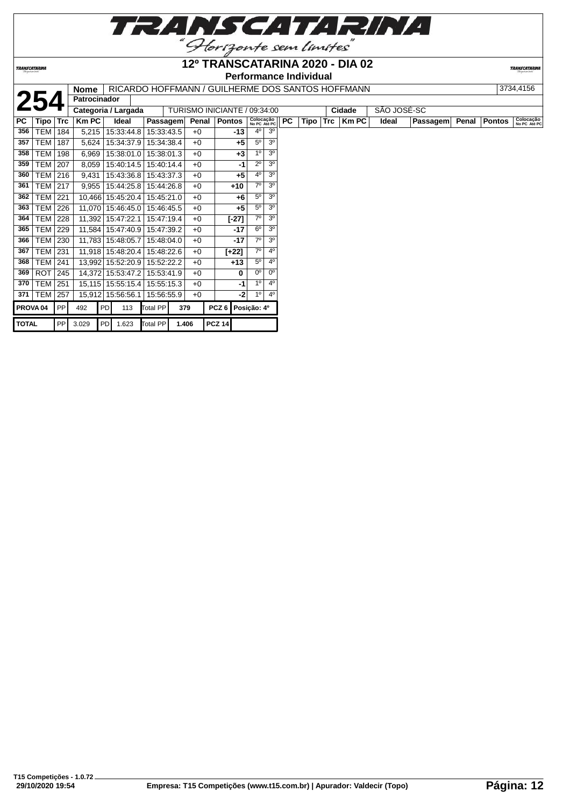

**TRANSCATARINA** 

#### **12º TRANSCATARINA 2020 - DIA 02 Performance Individual**

|  | $\blacksquare$ Nome $\mid$ RICARDO HOFFMANN / GUILHERME DOS SANTOS HOFFMANN |  |
|--|-----------------------------------------------------------------------------|--|

|              |                     |            | <b>Nome</b>  |    |                         |            |       |       | RICARDO HOFFMANN / GUILHERME DOS SANTOS HOFFMANN |                           |                |    |      |            |        |             |          |       |               | 3734,4156                 |
|--------------|---------------------|------------|--------------|----|-------------------------|------------|-------|-------|--------------------------------------------------|---------------------------|----------------|----|------|------------|--------|-------------|----------|-------|---------------|---------------------------|
|              | 254                 |            | Patrocinador |    |                         |            |       |       |                                                  |                           |                |    |      |            |        |             |          |       |               |                           |
|              |                     |            |              |    | Categoria / Largada     |            |       |       | TURISMO INICIANTE / 09:34:00                     |                           |                |    |      |            | Cidade | SÃO JOSÉ-SC |          |       |               |                           |
| PC           | Tipo                | <b>Trc</b> | Km PC        |    | Ideal                   | Passagem   |       | Penal | <b>Pontos</b>                                    | Colocação<br>No PC Até PC |                | PC | Tipo | <b>Trc</b> | Km PC  | Ideal       | Passagem | Penal | <b>Pontos</b> | Colocação<br>No PC Até PC |
| 356          | TEM                 | 184        | 5,215        |    | 15:33:44.8              | 15:33:43.5 |       | $+0$  | -13                                              | $4^{\circ}$               | 3 <sup>0</sup> |    |      |            |        |             |          |       |               |                           |
| 357          | TEM                 | 187        | 5,624        |    | 15:34:37.9              | 15:34:38.4 |       | $+0$  | $+5$                                             | $5^{\circ}$               | 3 <sup>0</sup> |    |      |            |        |             |          |       |               |                           |
| 358          | <b>TEM</b>          | 198        | 6,969        |    | 15:38:01.0   15:38:01.3 |            |       | $+0$  | $+3$                                             | 1 <sup>0</sup>            | 3 <sup>o</sup> |    |      |            |        |             |          |       |               |                           |
| 359          | TEM                 | 207        | 8,059        |    | 15:40:14.5              | 15:40:14.4 |       | $+0$  | -1                                               | $2^{\circ}$               | 3 <sup>0</sup> |    |      |            |        |             |          |       |               |                           |
| 360          | <b>TEM</b>          | 216        | 9,431        |    | 15:43:36.8              | 15:43:37.3 |       | $+0$  | $+5$                                             | 40                        | 3 <sup>0</sup> |    |      |            |        |             |          |       |               |                           |
| 361          | TEM                 | 217        | 9,955        |    | 15:44:25.8              | 15:44:26.8 |       | $+0$  | $+10$                                            | 7 <sup>0</sup>            | 3 <sup>o</sup> |    |      |            |        |             |          |       |               |                           |
| 362          | <b>TEM</b>          | 221        | 10,466       |    | 15:45:20.4              | 15:45:21.0 |       | $+0$  | $+6$                                             | $5^{\circ}$               | 3 <sup>o</sup> |    |      |            |        |             |          |       |               |                           |
| 363          | TEM                 | 226        |              |    | 11,070 15:46:45.0       | 15:46:45.5 |       | $+0$  | $+5$                                             | 5 <sup>0</sup>            | 3 <sup>0</sup> |    |      |            |        |             |          |       |               |                           |
| 364          | TEM                 | 228        |              |    | 11,392 15:47:22.1       | 15:47:19.4 |       | $+0$  | $[-27]$                                          | $7^\circ$                 | 3 <sup>o</sup> |    |      |            |        |             |          |       |               |                           |
| 365          | <b>TEM</b>          | 229        |              |    | 11,584 15:47:40.9       | 15:47:39.2 |       | $+0$  | -17                                              | 6 <sup>0</sup>            | 3 <sup>o</sup> |    |      |            |        |             |          |       |               |                           |
| 366          | TEM                 | 230        |              |    | 11,783 15:48:05.7       | 15:48:04.0 |       | $+0$  | -17                                              | 70                        | 3 <sup>0</sup> |    |      |            |        |             |          |       |               |                           |
| 367          | <b>TEM</b>          | 231        | 11,918       |    | 15:48:20.4              | 15:48:22.6 |       | $+0$  | $[+22]$                                          | 70                        | 4 <sup>0</sup> |    |      |            |        |             |          |       |               |                           |
| 368          | TEM                 | 241        |              |    | 13,992 15:52:20.9       | 15:52:22.2 |       | $+0$  | $+13$                                            | $5^{\circ}$               | 4 <sup>0</sup> |    |      |            |        |             |          |       |               |                           |
| 369          | ROT                 | 245        | 14,372       |    | 15:53:47.2              | 15:53:41.9 |       | $+0$  | 0                                                | 0°                        | n°             |    |      |            |        |             |          |       |               |                           |
| 370          | <b>TEM</b>          | 251        | 15,115       |    | 15:55:15.4              | 15:55:15.3 |       | $+0$  | -1                                               | 1 <sup>°</sup>            | 4 <sup>0</sup> |    |      |            |        |             |          |       |               |                           |
| 371          | TEM                 | 257        | 15,912       |    | 15:56:56.1              | 15:56:55.9 |       | $+0$  | -2                                               | 1 <sup>0</sup>            | 4 <sup>0</sup> |    |      |            |        |             |          |       |               |                           |
|              | PROVA <sub>04</sub> | PP         | 492          | PD | 113                     | Total PP   | 379   |       | PCZ <sub>6</sub>                                 | Posição: 4º               |                |    |      |            |        |             |          |       |               |                           |
| <b>TOTAL</b> |                     | PP         | 3.029        | PD | 1.623                   | Total PP   | 1.406 |       | <b>PCZ 14</b>                                    |                           |                |    |      |            |        |             |          |       |               |                           |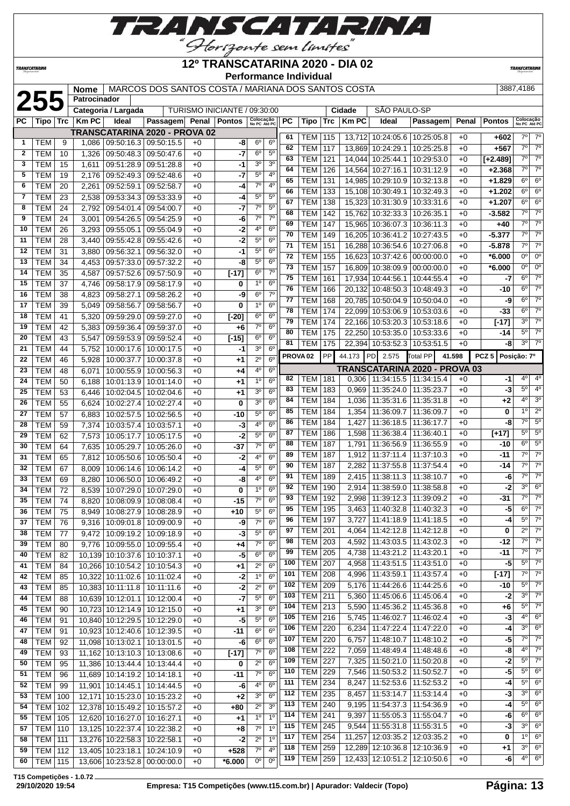

#### **TRANSCATARINA**

#### **12º TRANSCATARINA 2020 - DIA 02 Performance Individual**

**TRANSCATARIN** 

#### **2557,4186 Patrocinador 2555 2555 / 2555 / 2555 / 2555 / 2555 / 2555 / 2555 / 2555 / 2555 / 2555 / 2555 / 2555 / 2555 / 2555 / 2555 / 2555 / 2555 / 2555 / 2555 / 2555 / 2555 / 2555 / 2555 / 2555 / 2555 / 2555 / 2555 Patrocinador** TURISMO INICIANTE / 09:30:00 **PC Tipo Trc Km PC Ideal Passagem Penal Pontos Colocação**

| РC             | Tipo ∣           | Trc | $ $ Km PC | Ideal                            | Passagem Penal Pontos   |      |          | Colocação<br>No PC Até PC |                | РC  | Tipo                | Trc | <b>Km PC</b> | Ideal                             | Passagem                      |        | Penal   Pontos | Colocação<br>No PC Até PC |                        |
|----------------|------------------|-----|-----------|----------------------------------|-------------------------|------|----------|---------------------------|----------------|-----|---------------------|-----|--------------|-----------------------------------|-------------------------------|--------|----------------|---------------------------|------------------------|
|                |                  |     |           | TRANSCATARINA 2020 - PROVA 02    |                         |      |          |                           |                | 61  | TEM                 | 115 |              | 13,712 10:24:05.6 10:25:05.8      |                               | $+0$   | $+602$         | 7º                        | $7^\circ$              |
| $\mathbf{1}$   | <b>TEM</b>       | 9   | 1,086     | 09:50:16.3 09:50:15.5            |                         | $+0$ | -8       | $6^{\circ}$               | 6 <sup>o</sup> | 62  | <b>TEM</b>          |     |              |                                   |                               |        | $+567$         | $\overline{7^0}$          | $7^\circ$              |
| 2              | <b>TEM</b>       | 10  | 1,326     | 09:50:48.3 09:50:47.6            |                         | $+0$ | -7       | $6^{\circ}$               | $5^{\circ}$    |     |                     | 117 |              | 13,869 10:24:29.1 10:25:25.8      |                               | $+0$   |                | $7^\circ$                 | $7^\circ$              |
| 3              | <b>TEM</b>       | 15  | 1,611     | 09:51:28.9 09:51:28.8            |                         | $+0$ | -1       | 3 <sup>o</sup>            | 3 <sup>o</sup> | 63  | <b>TEM</b>          | 121 | 14,044       | 10:25:44.1                        | 10:29:53.0                    | $+0$   | $[-2.489]$     |                           |                        |
| 5              | TEM              | 19  | 2,176     | 09:52:49.3 09:52:48.6            |                         | $+0$ | $-7$     | $5^{\circ}$               | 4 <sup>0</sup> | 64  | <b>TEM</b>          | 126 |              | 14,564 10:27:16.1 10:31:12.9      |                               | $+0$   | $+2.368$       | $7^{\circ}$               | $7^\circ$              |
| 6              | <b>TEM</b>       | 20  | 2,261     | 09:52:59.1 09:52:58.7            |                         | $+0$ | -4       | $7^\circ$                 | $4^{\circ}$    | 65  | <b>TEM</b>          | 131 |              | 14,985 10:29:10.9 10:32:13.8      |                               | $+0$   | $+1.829$       | $6^{\circ}$               | $6^{\circ}$            |
| $\overline{7}$ | <b>TEM</b>       | 23  | 2,538     | 09:53:34.3 09:53:33.9            |                         | $+0$ | -4       | $5^{\circ}$               | $5^{\circ}$    | 66  | <b>TEM</b>          | 133 |              | 15,108 10:30:49.1 10:32:49.3      |                               | $+0$   | $+1.202$       | $6^{\circ}$               | $6^{\circ}$            |
| 8              | <b>TEM</b>       | 24  | 2,792     | 09:54:01.4 09:54:00.7            |                         | $+0$ | $-7$     | $7^\circ$                 | $5^{\circ}$    | 67  | <b>TEM</b>          | 138 | 15,323       | 10:31:30.9   10:33:31.6           |                               | $+0$   | $+1.207$       | $6^{\circ}$               | $6^{\circ}$            |
| 9              | <b>TEM</b>       | 24  | 3,001     | 09:54:26.5 09:54:25.9            |                         | $+0$ | -6       | $7^{\circ}$               | 7 <sup>o</sup> | 68  | <b>TEM</b>          | 142 | 15,762       | 10:32:33.3                        | 10:26:35.1                    | $+0$   | $-3.582$       | $7^\circ$                 | $\overline{7^{\circ}}$ |
| 10             | <b>TEM</b>       | 26  |           | 09:55:05.1                       | 09:55:04.9              | $+0$ | $-2$     | 4 <sup>0</sup>            | 6 <sup>o</sup> | 69  | <b>TEM</b>          | 147 | 15.965       | 10:36:07.3   10:36:11.3           |                               | $+0$   | $+40$          | $7^\circ$                 | $\overline{7^0}$       |
|                |                  |     | 3,293     |                                  |                         |      |          |                           |                | 70  | <b>TEM</b>          | 149 | 16,205       |                                   | 10:36:41.2   10:27:43.5       | $+0$   | $-5.377$       | $7^\circ$                 | $7^\circ$              |
| 11             | <b>TEM</b>       | 28  | 3,440     | 09:55:42.8 09:55:42.6            |                         | $+0$ | $-2$     | $5^{\circ}$               | 6 <sup>o</sup> | 71  | <b>TEM</b>          | 151 | 16,288       |                                   | 10:36:54.6   10:27:06.8       | $+0$   | $-5.878$       | $\overline{7^0}$          | $7^\circ$              |
| 12             | <b>TEM</b>       | 31  | 3,880     | 09:56:32.1                       | 09:56:32.0              | $+0$ | -1       | $5^{\circ}$               | 6 <sup>o</sup> | 72  | <b>TEM</b>          | 155 | 16,623       | 10:37:42.6 00:00:00.0             |                               | $+0$   | $*6.000$       | 0°                        | $0^{\circ}$            |
| 13             | <b>TEM</b>       | 34  | 4,453     | 09:57:33.0 09:57:32.2            |                         | $+0$ | -8       | $5^{\circ}$               | 6 <sup>o</sup> | 73  | <b>TEM</b>          | 157 | 16,809       | 10:38:09.9 00:00:00.0             |                               | $+0$   | $*6.000$       | $0^{\circ}$               | $0^{\circ}$            |
| 14             | <b>TEM</b>       | 35  | 4,587     | 09:57:52.6 09:57:50.9            |                         | $+0$ | $[-17]$  | 6 <sup>o</sup>            | 7 <sup>o</sup> | 75  | <b>TEM</b>          | 161 |              | 17,934 10:44:56.1 10:44:55.4      |                               | $+0$   | -7             | $6^{\circ}$               | $7^\circ$              |
| 15             | <b>TEM</b>       | 37  | 4,746     | 09:58:17.9 09:58:17.9            |                         | $+0$ | 0        | 1 <sup>0</sup>            | $6^{\circ}$    | 76  | <b>TEM</b>          | 166 |              | 20,132 10:48:50.3 10:48:49.3      |                               | $+0$   | -10            | $6^{\circ}$               | $7^\circ$              |
| 16             | <b>TEM</b>       | 38  | 4,823     | 09:58:27.1                       | 09:58:26.2              | $+0$ | -9       | $6^{\circ}$               | $7^{\circ}$    | 77  | <b>TEM</b>          | 168 |              | 20,785 10:50:04.9 10:50:04.0      |                               | $+0$   | -9             | $6^{\circ}$               | $7^\circ$              |
| 17             | <b>TEM</b>       | 39  | 5,049     | 09:58:56.7                       | 09:58:56.7              | $+0$ | $\bf{0}$ | 1 <sup>0</sup>            | 6 <sup>o</sup> | 78  |                     |     |              |                                   |                               |        |                | $6^{\circ}$               | $7^\circ$              |
| 18             | <b>TEM</b>       | 41  | 5,320     | 09:59:29.0 09:59:27.0            |                         | $+0$ | $[-20]$  | 6 <sup>o</sup>            | 6 <sup>o</sup> |     | <b>TEM</b>          | 174 |              | 22,099 10:53:06.9                 | 10:53:03.6                    | $+0$   | $-33$          |                           | $\overline{7^0}$       |
| 19             | <b>TEM</b>       | 42  | 5,383     | 09:59:36.4                       | 09:59:37.0              | $+0$ | $+6$     | $7^\circ$                 | 6 <sup>o</sup> | 79  | <b>TEM</b>          | 174 |              | 22,166 10:53:20.3 10:53:18.6      |                               | $+0$   | $[-17]$        | 3 <sup>0</sup>            |                        |
| 20             | <b>TEM</b>       | 43  | 5,547     | 09:59:53.9 09:59:52.4            |                         | $+0$ | $[ -15]$ | 6 <sup>o</sup>            | 6 <sup>o</sup> | 80  | <b>TEM</b>          | 175 |              | 22,250 10:53:35.0 10:53:33.6      |                               | $+0$   | $-14$          | $5^{\circ}$               | $7^\circ$              |
| 21             | <b>TEM</b>       | 44  | 5,752     | 10:00:17.6   10:00:17.5          |                         | $+0$ | -1       | 3 <sup>o</sup>            | 6 <sup>o</sup> | 81  | <b>TEM</b>          | 175 |              | 22,394 10:53:52.3 10:53:51.5      |                               | $+0$   | -8             | 3 <sup>o</sup>            | $7^\circ$              |
| 22             | <b>TEM</b>       | 46  | 5,928     | 10:00:37.7   10:00:37.8          |                         | $+0$ | +1       | $2^{\circ}$               | $6^{\circ}$    |     | PROVA <sub>02</sub> | PP  |              | 44.173 PD 2.575                   | Total PP                      | 41.598 | $PCZ$ 5        | Posição: 7º               |                        |
| 23             | <b>TEM</b>       | 48  | 6,071     | 10:00:55.9 10:00:56.3            |                         | $+0$ | +4       | 4 <sup>0</sup>            | 6 <sup>o</sup> |     |                     |     |              |                                   | TRANSCATARINA 2020 - PROVA 03 |        |                |                           |                        |
| 24             | <b>TEM</b>       | 50  | 6,188     | 10:01:13.9 10:01:14.0            |                         | $+0$ | +1       | 1 <sup>0</sup>            | 6 <sup>o</sup> | 82  | TEM                 | 181 |              | $0,306$   11:34:15.5   11:34:15.4 |                               | $+0$   | -1             | 40                        | $4^{\circ}$            |
| 25             | <b>TEM</b>       | 53  |           | 10:02:04.5   10:02:04.6          |                         | $+0$ | +1       | 3 <sup>0</sup>            | $6^{\circ}$    | 83  | <b>TEM</b>          | 183 | 0,969        | 11:35:24.0   11:35:23.7           |                               | $+0$   | -3             | $5^{\circ}$               | 4 <sup>o</sup>         |
| 26             | <b>TEM</b>       | 55  | 6,446     |                                  |                         |      |          | 3 <sup>o</sup>            | $6^{\circ}$    | 84  | <b>TEM</b>          | 184 | 1,036        | 11:35:31.6                        | 11:35:31.8                    | $+0$   | $+2$           | 40                        | 3 <sup>0</sup>         |
|                |                  |     | 6,624     | 10:02:27.4   10:02:27.4          |                         | $+0$ | 0        |                           |                | 85  | <b>TEM</b>          | 184 | 1,354        | 11:36:09.7                        | 11:36:09.7                    | $+0$   | 0              | 1 <sup>0</sup>            | $2^{\circ}$            |
| 27             | <b>TEM</b>       | 57  | 6,883     | 10:02:57.5   10:02:56.5          |                         | $+0$ | $-10$    | $5^{\circ}$               | 6 <sup>o</sup> | 86  | <b>TEM</b>          | 184 | 1,427        | 11:36:18.5                        | 11:36:17.7                    | $+0$   | -8             | $7^\circ$                 | 5 <sup>0</sup>         |
| 28             | <b>TEM</b>       | 59  | 7,374     | 10:03:57.4   10:03:57.1          |                         | $+0$ | -3       | 4 <sup>0</sup>            | 6 <sup>o</sup> | 87  | <b>TEM</b>          | 186 |              |                                   |                               |        |                | $5^{\circ}$               | $5^{\circ}$            |
| 29             | <b>TEM</b>       | 62  | 7,573     | 10:05:17.7                       | 10:05:17.5              | $+0$ | $-2$     | $5^{\circ}$               | $6^{\circ}$    | 88  |                     |     | 1,598        | 11:36:38.4   11:36:40.1           |                               | $+0$   | $[+17]$        | $6^{\circ}$               | $5^\circ$              |
| 30             | <b>TEM</b>       | 64  | 7,635     | 10:05:29.7   10:05:26.0          |                         | $+0$ | -37      | $7^\circ$                 | 6 <sup>o</sup> |     | <b>TEM</b>          | 187 | 1,791        | 11:36:56.9                        | 11:36:55.9                    | $+0$   | -10            |                           |                        |
| 31             | <b>TEM</b>       | 65  | 7,812     | 10:05:50.6   10:05:50.4          |                         | $+0$ | -2       | $4^{\circ}$               | 6 <sup>o</sup> | 89  | <b>TEM</b>          | 187 | 1,912        | 11:37:11.4                        | 11:37:10.3                    | $+0$   | -11            | $7^\circ$                 | $7^\circ$              |
| 32             | <b>TEM</b>       | 67  | 8,009     |                                  | 10:06:14.6   10:06:14.2 | $+0$ | $-4$     | 5 <sup>0</sup>            | 6 <sup>o</sup> | 90  | <b>TEM</b>          | 187 | 2,282        | 11:37:55.8                        | 11:37:54.4                    | $+0$   | -14            | 7°                        | $\overline{7^0}$       |
| 33             | <b>TEM</b>       | 69  | 8,280     | 10:06:50.0   10:06:49.2          |                         | $+0$ | -8       | 4 <sup>0</sup>            | 6 <sup>o</sup> | 91  | TEM                 | 189 | 2,415        | 11:38:11.3                        | 11:38:10.7                    | $+0$   | -6             | $7^\circ$                 | $7^\circ$              |
| 34             | <b>TEM</b>       | 72  | 8,539     | 10:07:29.0   10:07:29.0          |                         | $+0$ | 0        | 1 <sup>0</sup>            | $6^{\circ}$    | 92  | <b>TEM</b>          | 190 | 2,914        | 11:38:59.0   11:38:58.8           |                               | $+0$   | -2             | 3 <sup>o</sup>            | $6^{\circ}$            |
| 35             | <b>TEM</b>       | 74  | 8,820     | 10:08:09.9 10:08:08.4            |                         | $+0$ | $-15$    | $7^\circ$                 | $6^{\circ}$    | 93  | <b>TEM</b>          | 192 | 2,998        | 11:39:12.3                        | 11:39:09.2                    | $+0$   | -31            | $7^\circ$                 | $7^\circ$              |
| 36             | <b>TEM</b>       | 75  | 8,949     | 10:08:27.9 10:08:28.9            |                         | $+0$ | $+10$    | $5^{\circ}$               | 6 <sup>o</sup> | 95  | <b>TEM</b>          | 195 | 3,463        | 11:40:32.8                        | 11:40:32.3                    | $+0$   | -5             | $6^{\circ}$               | $\overline{7^0}$       |
| 37             | <b>TEM</b>       | 76  | 9,316     | 10:09:01.8   10:09:00.9          |                         | $+0$ | -9       | $7^\circ$                 | 6 <sup>o</sup> | 96  | <b>TEM</b>          | 197 | 3,727        | 11:41:18.9   11:41:18.5           |                               | $+0$   | $-4$           | $5^{\circ}$               | $7^\circ$              |
| 38             | <b>TEM</b>       | 77  | 9,472     | 10:09:19.2 10:09:18.9            |                         | $+0$ | $-3$     | 5 <sup>o</sup>            | 6 <sup>o</sup> | 97  | <b>TEM</b>          | 201 | 4,064        | 11:42:12.8   11:42:12.8           |                               | $+0$   | 0              | $\overline{2^0}$          | $7^\circ$              |
| 39             | <b>TEM</b>       | 80  |           | 9,776   10:09:55.0   10:09:55.4  |                         | $+0$ | $+4$     | 70                        | 60             | 98  | TEM   203           |     |              | 4,592   11:43:03.5   11:43:02.3   |                               | $+0$   | -12            | 7°                        | $7^\circ$              |
| 40             |                  |     |           | 10,139 10:10:37.6 10:10:37.1     |                         |      | -5       | $6^{\circ}$               | $6^{\circ}$    | 99  | TEM   205           |     |              | 4,738   11:43:21.2   11:43:20.1   |                               | $+0$   | -11            | 70                        | $7^\circ$              |
|                | TEM              | 82  |           |                                  |                         | $+0$ |          |                           |                | 100 | <b>TEM</b>          | 207 | 4,958        | 11:43:51.5                        | 11:43:51.0                    | $+0$   | $-5$           | $5^{\circ}$               | $7^\circ$              |
| 41             | <b>TEM</b>       | 84  |           | 10,266 10:10:54.2 10:10:54.3     |                         | $+0$ | $+1$     | $2^{\circ}$               | 6 <sup>o</sup> | 101 | TEM                 | 208 | 4,996        | 11:43:59.1   11:43:57.4           |                               | $+0$   | $[-17]$        | $7^{\circ}$               | $7^\circ$              |
| 42             | TEM              | 85  |           | 10,322 10:11:02.6 10:11:02.4     |                         | $+0$ | $-2$     | 1 <sup>0</sup>            | 6 <sup>o</sup> | 102 | <b>TEM 209</b>      |     | 5,176        | 11:44:26.6   11:44:25.6           |                               | $+0$   | -10            | $5^{\circ}$               | $7^\circ$              |
| 43             | TEM              | 85  |           | 10,383 10:11:11.8 10:11:11.6     |                         | $+0$ | -2       | $2^{\circ}$               | 6 <sup>o</sup> | 103 | <b>TEM 211</b>      |     |              | 11:45:06.6   11:45:06.4           |                               |        |                | 3 <sup>o</sup>            | $7^\circ$              |
| 44             | <b>TEM</b>       | 88  |           | 10,639 10:12:01.1 10:12:00.4     |                         | $+0$ | $-7$     | $5^{\circ}$               | 6 <sup>o</sup> |     |                     |     | 5,360        |                                   |                               | $+0$   | -2             |                           | $7^\circ$              |
| 45             | <b>TEM</b>       | 90  |           | 10,723 10:12:14.9 10:12:15.0     |                         | $+0$ | $+1$     | 3 <sup>o</sup>            | 6 <sup>o</sup> | 104 | <b>TEM 213</b>      |     | 5,590        | 11:45:36.2   11:45:36.8           |                               | $+0$   | +6             | $5^{\circ}$               |                        |
| 46             | <b>TEM</b>       | 91  |           | 10,840 10:12:29.5 10:12:29.0     |                         | $+0$ | -5       | $5^{\circ}$               | 6 <sup>o</sup> | 105 | <b>TEM 216</b>      |     | 5,745        | 11:46:02.7 11:46:02.4             |                               | $+0$   | $-3$           | 4°                        | $6^{\circ}$            |
| 47             | <b>TEM</b>       | 91  |           | 10,923 10:12:40.6 10:12:39.5     |                         | $+0$ | $-11$    | 6 <sup>o</sup>            | 6 <sup>o</sup> | 106 | <b>TEM 220</b>      |     | 6,234        | 11:47:22.4   11:47:22.0           |                               | $+0$   | -4             | 3 <sup>o</sup>            | $6^{\circ}$            |
| 48             | <b>TEM</b>       | 92  |           | 11,098 10:13:02.1 10:13:01.5     |                         | $+0$ | -6       | $6^{\circ}$               | 6 <sup>o</sup> | 107 | <b>TEM 220</b>      |     | 6,757        | 11:48:10.7   11:48:10.2           |                               | $+0$   | $-5$           | $7^{\circ}$               | $7^\circ$              |
| 49             | <b>TEM</b>       | 93  |           | 11,162 10:13:10.3 10:13:08.6     |                         | $+0$ | $[-17]$  | $7^\circ$                 | 6 <sup>o</sup> | 108 | <b>TEM</b>          | 222 | 7,059        | 11:48:49.4   11:48:48.6           |                               | $+0$   | -8             | 4°                        | $7^\circ$              |
| 50             | <b>TEM</b>       | 95  |           | 11,386 10:13:44.4 10:13:44.4     |                         | $+0$ | 0        | $2^{\circ}$               | 6 <sup>o</sup> | 109 | TEM                 | 227 | 7,325        | 11:50:21.0   11:50:20.8           |                               | $+0$   | $-2$           | $5^{\circ}$               | $7^\circ$              |
| 51             | TEM              | 96  |           | 11,689   10:14:19.2   10:14:18.1 |                         | $+0$ | $-11$    | $7^\circ$                 | 6 <sup>o</sup> | 110 | <b>TEM</b>          | 229 | 7,546        | 11:50:53.2                        | 11:50:52.7                    | $+0$   | $-5$           | $5^{\circ}$               | $6^{\circ}$            |
| 52             | TEM              | 99  |           | 11,901   10:14:45.1   10:14:44.5 |                         | $+0$ | -6       | $4^{\circ}$               | 6 <sup>o</sup> | 111 | <b>TEM 234</b>      |     | 8,247        | 11:52:53.6   11:52:53.2           |                               | $+0$   | $-4$           | $5^{\circ}$               | $6^{\circ}$            |
| 53             | TEM              | 100 |           | 12,171 10:15:23.0 10:15:23.2     |                         | $+0$ | +2       | 3 <sup>o</sup>            | 6 <sup>o</sup> | 112 | <b>TEM 235</b>      |     | 8,457        | 11:53:14.7   11:53:14.4           |                               | $+0$   | $-3$           | 3 <sup>o</sup>            | $6^{\circ}$            |
| 54             | TEM              | 102 |           | 12,378 10:15:49.2 10:15:57.2     |                         | $+0$ | +80      | $2^{\circ}$               | 3 <sup>o</sup> | 113 | <b>TEM 240</b>      |     | 9,195        | 11:54:37.3                        | 11:54:36.9                    | $+0$   | -4             | $5^{\circ}$               | $6^{\circ}$            |
|                |                  |     |           |                                  |                         |      |          | 1 <sup>0</sup>            | 1 <sup>o</sup> | 114 | <b>TEM 241</b>      |     | 9,397        | 11:55:05.3   11:55:04.7           |                               | $+0$   | -6             | $6^{\circ}$               | 6 <sup>o</sup>         |
| 55             | <b>TEM   105</b> |     |           | 12,620 10:16:27.0 10:16:27.1     |                         | $+0$ | $+1$     |                           |                | 115 | <b>TEM 245</b>      |     | 9,544        | 11:55:31.8   11:55:31.5           |                               | $+0$   | $-3$           | 3 <sup>o</sup>            | $6^{\circ}$            |
| 57             | <b>TEM   110</b> |     |           | 13,125 10:22:37.4 10:22:38.2     |                         | $+0$ | +8       | $7^\circ$                 | 1 <sup>0</sup> | 117 | <b>TEM 254</b>      |     |              | 11,257   12:03:35.2   12:03:35.2  |                               | $+0$   | 0              | $1^{\circ}$               | $6^{\circ}$            |
| 58             | <b>TEM 111</b>   |     |           | 13,276 10:22:58.3 10:22:58.1     |                         | $+0$ | $-2$     | $2^{\circ}$               | 1 <sup>0</sup> | 118 | <b>TEM</b>          | 259 |              | 12,289 12:10:36.8 12:10:36.9      |                               | $+0$   | +1             | 3 <sup>o</sup>            | $6^{\circ}$            |
| 59             | <b>TEM 112</b>   |     |           | 13,405 10:23:18.1 10:24:10.9     |                         | $+0$ | $+528$   | $7^\circ$                 | $4^{\circ}$    |     |                     |     |              |                                   |                               |        |                | $4^{\circ}$               | 6 <sup>o</sup>         |
| 60             | TEM   115        |     |           | 13,606 10:23:52.8 00:00:00.0     |                         | $+0$ | $*6.000$ | $0^{\circ}$               | $0^{\circ}$    | 119 | <b>TEM 259</b>      |     |              | 12,433 12:10:51.2 12:10:50.6      |                               | $+0$   | -6             |                           |                        |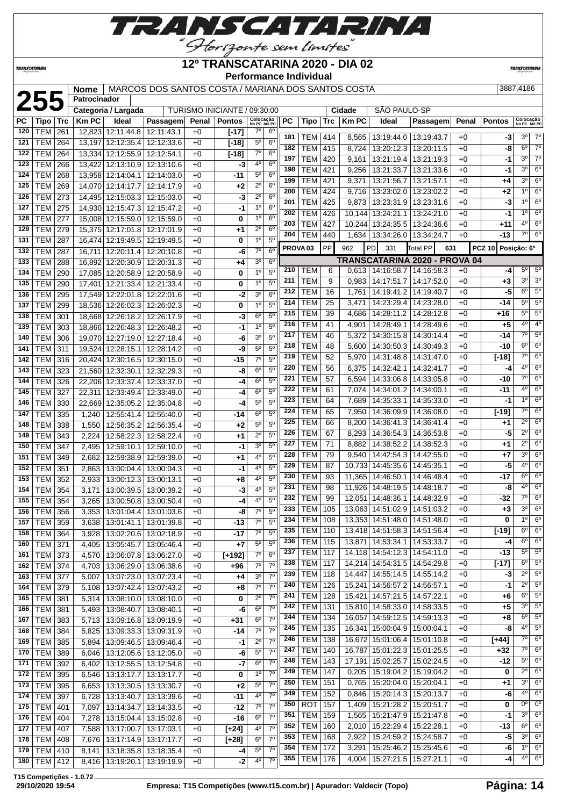

## **12º TRANSCATARINA 2020 - DIA 02**

**TRANSCATARIN** 

**TRANSCATARINA** 

#### **Performance Individual**

| 255<br><b>Patrocinador</b><br>SÃO PAULO-SP<br>TURISMO INICIANTE / 09:30:00<br>Categoria / Largada<br>Cidade<br>Colocação<br>No PC Até PC<br>Colocação<br>No PC Até PC<br>Ideal<br>PС<br><b>Tipo</b><br><b>Trc</b><br><b>Km PC</b><br><b>Pontos</b><br>РC<br><b>Km PC</b><br>Penal<br><b>Pontos</b><br>Passagem<br>Penal<br>Tipo<br>Trc<br>Ideal<br>Passagem<br><b>TEM</b><br>12,823 12:11:44.8<br>$7^\circ$<br>$6^{\circ}$<br>120<br>261<br>12:11:43.1<br>$+0$<br>$[-17]$<br>$3^0$ 7 <sup>0</sup><br>181<br>13:19:44.0   13:19:43.7<br>-3<br>TEM<br>414<br>8,565<br>$+0$<br><b>TEM</b><br>$5^{\circ}$<br>$6^{\circ}$<br>121<br>264<br>13,197 12:12:35.4<br>12:12:33.6<br>$+0$<br>$[-18]$<br>$6^{\circ}$<br>182<br><b>TEM</b><br>415<br>8,724<br>13:20:12.3   13:20:11.5<br>$+0$<br>-8<br><b>TEM</b><br>$7^\circ$<br>6 <sup>o</sup><br>122<br>264<br>13,334 12:12:55.9 12:12:54.1<br>$+0$<br>$[-18]$<br>$3^{\circ}$<br>197<br><b>TEM</b><br>420<br>13:21:19.4   13:21:19.3<br>$+0$<br>9,161<br>-1<br>40<br>6 <sup>o</sup><br><b>TEM</b><br>123<br>266<br>13,422 12:13:10.9 12:13:10.6<br>$+0$<br>-3<br>$3^{\circ}$<br>198<br><b>TEM</b><br>421<br>9,256<br>13:21:33.7   13:21:33.6<br>$+0$<br>-1<br>6 <sup>o</sup><br>$5^{\circ}$<br>$-11$<br>124<br><b>TEM</b><br>268<br>13,958 12:14:04.1 12:14:03.0<br>$+0$<br>$3^{\circ}$<br>199<br><b>TEM</b><br>421<br>9,371<br>13:21:56.7<br>13:21:57.1<br>$+0$<br>+4<br>$2^{\circ}$<br>6 <sup>o</sup><br>125<br><b>TEM</b><br>269<br>14,070 12:14:17.7 12:14:17.9<br>$+2$<br>$+0$<br>$1^{\circ}$<br>200<br><b>TEM</b><br>424<br>9,716   13:23:02.0   13:23:02.2<br>$+0$<br>$+2$<br><b>TEM</b><br>$2^{\circ}$<br>6 <sup>o</sup><br>126<br>273<br>14,495 12:15:03.3 12:15:03.0<br>$+0$<br>-3<br>$1^{\circ}$<br>201<br><b>TEM</b><br>425<br>9,873<br>13:23:31.9 13:23:31.6<br>$+0$<br>-3<br>6 <sup>o</sup><br><b>TEM</b><br>1 <sup>0</sup><br>127<br>275<br>14,930 12:15:47.3 12:15:47.2<br>$+0$<br>-1<br>202<br>$1^{\circ}$<br><b>TEM</b><br>426<br>10,144 13:24:21.1 13:24:21.0<br>$+0$<br>-1<br><b>TEM</b><br>1 <sup>0</sup><br>6 <sup>o</sup><br>128<br>277<br>15,008 12:15:59.0 12:15:59.0<br>$+0$<br>0<br>$4^{\circ}$<br>203<br><b>TEM</b><br>427<br>10,244 13:24:35.5 13:24:36.6<br>$+0$<br>+11<br>$2^{\circ}$<br>6 <sup>o</sup><br>129<br><b>TEM</b><br>279<br>15,375 12:17:01.8 12:17:01.9<br>$+1$<br>$+0$<br>$7^\circ$<br>204<br>TEM<br>440<br>1,634   13:34:26.0   13:34:24.7<br>$+0$<br>-13<br>1 <sup>0</sup><br>5 <sup>0</sup><br><b>TEM</b><br>131<br>287<br>16,474 12:19:49.5 12:19:49.5<br>0<br>$+0$<br><b>PP</b><br>PROVA <sub>03</sub><br>962<br>PCZ 10 Posição: 6º<br><b>PD</b><br>331<br>Total PP<br>631<br>$6^{\circ}$<br>$7^\circ$<br><b>TEM</b><br>132<br>287<br>16,711   12:20:11.4  <br>12:20:10.8<br>-6<br>$+0$<br>TRANSCATARINA 2020 - PROVA 04<br>3 <sup>o</sup><br><b>TEM</b><br>$6^{\circ}$<br>288<br>16,892 12:20:30.9 12:20:31.3<br>133<br>+0<br>+4<br>$5^{\circ}$<br>$5^{\circ}$<br>TEM<br>6<br>0,613<br>  14:16:58.7   14:16:58.3<br>210<br>$+0$<br>-4<br>$5^{\circ}$<br>1 <sup>0</sup><br>134<br><b>TEM</b><br>290<br>17,085 12:20:58.9 12:20:58.9<br>0<br>$+0$<br>$3^{\circ}$<br>211<br>TEM<br>9<br>14:17:51.7   14:17:52.0<br>0.983<br>$+0$<br>+3<br>5 <sup>0</sup><br>1 <sup>0</sup><br>135<br><b>TEM</b><br>290<br>17,401   12:21:33.4   12:21:33.4<br>0<br>$+0$<br>$6^{\circ}$<br>212<br><b>TEM</b><br>16<br>14:19:41.2 14:19:40.7<br>-5<br>1,761<br>$+0$<br>6 <sup>o</sup><br><b>TEM</b><br>17.549 12:22:01.8 12:22:01.6<br>-2<br>3 <sup>o</sup><br>136<br>295<br>$+0$<br>$5^\circ$<br>214<br><b>TEM</b><br>25<br>14:23:29.4   14:23:28.0<br>3,471<br>$+0$<br>-14<br>5 <sup>0</sup><br><b>TEM</b><br>1 <sup>0</sup><br>137<br>299<br>18.536 12:26:02.3 12:26:02.3<br>$+0$<br>0<br>$5^{\circ}$<br>215<br><b>TEM</b><br>39<br>14:28:11.2<br>14:28:12.8<br>4,686<br>$+0$<br>+16<br><b>TEM</b><br>18,668 12:26:18.2 12:26:17.9<br>$6^{\circ}$<br>$5^{\circ}$<br>138<br>301<br>$+0$<br>-3<br>$4^{\circ}$<br>216<br><b>TEM</b><br>41<br>14:28:49.1   14:28:49.6<br>$+5$<br>4,901<br>$+0$<br>1 <sup>0</sup><br>5 <sup>o</sup><br><b>TEM</b><br>139<br>303<br>18,866 12:26:48.3<br>12:26:48.2<br>-1<br>$+0$<br>$7^\circ$<br>$5^{\circ}$<br>217<br>TEM<br>46<br>-14<br>5,372<br>14:30:15.8   14:30:14.4<br>$+0$<br><b>TEM</b><br>19,070 12:27:19.0 12:27:18.4<br>3 <sup>o</sup><br>$5^{\circ}$<br>140<br>306<br>-6<br>$+0$<br>$6^{\circ}$<br>218<br><b>TEM</b><br>$-10$<br>48<br>14:30:50.3   14:30:49.3<br>$+0$<br>5,600<br>$5^{\circ}$<br><b>TEM</b><br>$5^{\circ}$<br>141<br>311<br>19.524 12:28:15.1<br>12:28:14.2<br>$+0$<br>-9<br>$7^\circ$<br>219<br><b>TEM</b><br>52<br>14:31:48.8   14:31:47.0<br>$[-18]$<br>5,970<br>$+0$<br>$7^\circ$<br>5 <sup>0</sup><br><b>TEM</b><br>142<br>316<br>20,424 12:30:16.5 12:30:15.0<br>-15<br>+0<br><b>TEM</b><br>$4^{\circ}$<br>220<br>56<br>6,375<br>14:32:42.1<br>14:32:41.7<br>+0<br>-4<br>$5^{\circ}$<br>6 <sup>o</sup><br><b>TEM</b><br>143<br>323<br>21,560 12:32:30.1<br>12:32:29.3<br>$+0$<br>-8<br>$7^\circ$<br>$6^{\circ}$<br>221<br><b>TEM</b><br>57<br>14:33:06.8   14:33:05.8<br>6,594<br>$+0$<br>-10<br>$5^{\circ}$<br>6 <sup>o</sup><br>-4<br>144<br><b>TEM</b><br>326<br>22,206 12:33:37.4<br>12:33:37.0<br>$+0$<br>222<br>$4^{\circ}$<br>6 <sup>o</sup><br><b>TEM</b><br>14:34:01.2 14:34:00.1<br>61<br>7,074<br>$+0$<br>-11<br>5 <sup>0</sup><br><b>TEM</b><br>$6^{\circ}$<br>145<br>327<br>22,311   12:33:49.4   12:33:49.0<br>$+0$<br>-4<br>1 <sup>0</sup><br>$6^{\circ}$<br>223<br><b>TEM</b><br>14:35:33.1   14:35:33.0<br>64<br>7,689<br>$+0$<br>-1<br>5 <sup>o</sup><br>$5^{\circ}$<br>146<br><b>TEM</b><br>330<br>22,669 12:35:05.2 12:35:04.8<br>$+0$<br>-4<br>$7^\circ$<br><b>TEM</b><br>6 <sup>o</sup><br>224<br>65<br>14:36:09.9   14:36:08.0<br>7,950<br>$+0$<br>[-19]<br>5 <sup>0</sup><br>147<br><b>TEM</b><br>12:55:41.4 12:55:40.0<br>$-14$<br>6 <sup>o</sup><br>335<br>1,240<br>$+0$<br>$2^{\circ}$<br>$6^{\circ}$<br>225<br><b>TEM</b><br>66<br>8,200<br>14:36:41.3   14:36:41.4<br>$+0$<br>+1<br>$5^{\rm o}$<br>5 <sup>0</sup><br><b>TEM</b><br>148<br>338<br>12:56:35.2<br>12:56:35.4<br>$+2$<br>1,550<br>$+0$<br>$2^{\circ}$<br>6 <sup>o</sup><br>226<br>67<br>TEM<br>14:36:54.3 14:36:53.8<br>-5<br>8,293<br>$+0$<br>$2^{\circ}$<br>5 <sup>0</sup><br><b>TEM</b><br>149<br>343<br>12:58:22.3   12:58:22.4<br>$+1$<br>2,224<br>$+0$<br>$2^{\circ}$<br>$6^{\circ}$<br>227<br><b>TEM</b><br>71<br>8,882<br>14:38:52.2 14:38:52.3<br>$+0$<br>+1<br>5 <sup>o</sup><br>30<br>150<br><b>TEM</b><br>347<br>12:59:10.1   12:59:10.0<br>$-1$<br>2,495<br>$+0$<br>$3^{\circ}$<br>6 <sup>o</sup><br><b>TEM</b><br>228<br>79<br>14:42:54.3   14:42:55.0<br>+7<br>9.540<br>$+0$<br>5 <sup>0</sup><br><b>TEM</b><br>4°<br>349<br>12:59:38.9<br>12:59:39.0<br>151<br>2,682<br>$+0$<br>+1<br>6 <sup>o</sup><br>229<br>$4^{\circ}$<br><b>TEM</b><br>87<br>10,733 14:45:35.6 14:45:35.1<br>-5<br>$+0$<br>$5^{\circ}$<br>4°<br><b>TEM</b><br>152<br>351<br>2,863<br>13:00:04.4   13:00:04.3<br>$+0$<br>$-1$<br>$6^{\circ}$<br>6 <sup>o</sup><br>230<br><b>TEM</b><br>93<br>11,365   14:46:50.1   14:46:48.4<br>-17<br>$+0$<br>$5^{\circ}$<br>4 <sup>0</sup><br>153<br><b>TEM</b><br>352<br>2,933<br>13:00:12.3 13:00:13.1<br>$+0$<br>+8<br>$4^{\circ}$<br>6 <sup>o</sup><br>231<br><b>TEM</b><br>98<br>11,926 14:48:19.5 14:48:18.7<br>$+0$<br>-8<br>5 <sup>0</sup><br><b>TEM</b><br>354<br>13:00:39.5 13:00:39.2<br>-3<br>$4^{\circ}$<br>154<br>3,171<br>$+0$<br>7°<br>6 <sup>o</sup><br><b>TEM</b><br>232<br>99<br>12,051 14:48:36.1 14:48:32.9<br>$+0$<br>-32<br>5 <sup>o</sup><br>4°<br>155<br><b>TEM</b><br>354<br>3,265   13:00:50.8   13:00:50.4<br>$+0$<br>-4<br>$3^{\circ}$<br>$6^{\circ}$<br>233<br><b>TEM 105</b><br>13,063 14:51:02.9 14:51:03.2<br>$+0$<br>$+3$<br>7°<br>5 <sup>o</sup><br>156 TEM 356<br>3,353 13:01:04.4 13:01:03.6<br>$+0$<br>-8<br>$6^{\circ}$<br>$1^{\circ}$<br>234<br><b>TEM</b><br>108<br>13,353 14:51:48.0 14:51:48.0<br>0<br>$+0$<br>5 <sup>0</sup><br>$7^\circ$<br>TEM 359<br>3,638   13:01:41.1   13:01:39.8<br>-13<br>157<br>$+0$<br>$6^{\circ}$<br>$6^{\circ}$<br>235<br><b>TEM</b><br>110<br>13,418 14:51:58.3 14:51:56.4<br>$+0$<br>[-19]<br>$7^{\circ}$<br>5 <sup>o</sup><br>$-17$<br><b>TEM 364</b><br>158<br>3,928   13:02:20.6   13:02:18.9<br>$+0$<br>$6^{\circ}$<br>$6^{\circ}$<br>236<br><b>TEM 115</b><br>13,871 14:53:34.1 14:53:33.7<br>$+0$<br>-4<br>$5^{\circ}$<br>$5^{\circ}$<br>TEM 371<br>4,405   13:05:45.7   13:05:46.4<br>$+7$<br>160<br>$+0$<br>$5^{\circ}$<br>$5^\circ$<br>237<br><b>TEM</b><br>117<br>14,118 14:54:12.3 14:54:11.0<br>-13<br>$+0$<br>$7^\circ$<br>6 <sup>o</sup><br><b>TEM</b><br>373<br>13:06:07.8   13:06:27.0<br>$[+192]$<br>161<br>4,570<br>$+0$<br>$6^{\circ}$<br>238<br><b>TEM</b><br> 117<br>14,214 14:54:31.5 14:54:29.8<br>$[-17]$<br>$+0$<br>7 <sup>0</sup><br>$7^\circ$<br><b>TEM</b><br>374<br>4,703   13:06:29.0   13:06:38.6<br>+96<br>162<br>$+0$<br>$2^{\circ}$<br>239<br><b>TEM</b><br>118<br>14,447 14:55:14.5 14:55:14.2<br>-3<br>$+0$<br>7 <sup>0</sup><br>3 <sup>o</sup><br><b>TEM 377</b><br>5,007 13:07:23.0 13:07:23.4<br>163<br>$+0$<br>$+4$<br>$2^{\circ}$<br><b>TEM</b><br>240<br>126<br>15,241   14:56:57.2   14:56:57.1<br>-1<br>$+0$<br>$7^\circ$<br>$7^\circ$<br>164<br>TEM 379<br>5,108   13:07:42.4   13:07:43.2<br>$+8$<br>$+0$<br>$6^{\circ}$<br>241<br>TEM<br>128<br>15,421 14:57:21.5 14:57:22.1<br>$+0$<br>+6<br>$7^\circ$<br>0<br>$2^{\circ}$<br><b>TEM</b><br>381<br>5,314   13:08:10.0   13:08:10.0<br>$+0$<br>165<br>$3^{\circ}$<br>242<br><b>TEM</b><br>131<br>15,810 14:58:33.0 14:58:33.5<br>$+0$<br>$+5$<br>$7^\circ$<br><b>TEM</b><br>$6^{\circ}$<br>5,493   13:08:40.7   13:08:40.1<br>-6<br>166<br> 381<br>$+0$<br>$6^{\circ}$<br>244<br><b>TEM</b><br>134<br>16,057 14:59:12.5 14:59:13.3<br>$+0$<br>+8<br>$7^\circ$<br>$6^{\circ}$<br>167<br>TEM 383<br>5,713   13:09:16.8   13:09:19.9<br>$+31$<br>$+0$<br>$4^{\circ}$<br>245<br><b>TEM</b><br>135<br>-8<br>16,341   15:00:04.9   15:00:04.1<br>$+0$<br>$7^\circ$<br>$7^\circ$<br><b>TEM</b><br>13:09:33.3 13:09:31.9<br>$-14$<br>168<br>  384<br>5,825<br>$+0$<br>$7^{\circ}$<br>246<br>138<br><b>TEM</b><br>16,672 15:01:06.4 15:01:10.8<br>$+0$<br>[+44]<br>$7^{\circ}$<br><b>TEM</b><br>$2^{\circ}$<br>385<br>13:09:46.5   13:09:46.4<br>$+0$<br>$-1$<br>169<br>5,894<br>$7^\circ$<br>247<br><b>TEM</b><br>140<br>16,787 15:01:22.3 15:01:25.5<br>$+32$<br>$+0$<br>$7^{\circ}$<br>$5^{\circ}$<br><b>TEM</b><br>13:12:05.6   13:12:05.0<br>$+0$<br>170<br>389<br>6,046<br>-6<br>$5^{\circ}$<br>248<br><b>TEM</b><br>-12<br>143<br>17,191 15:02:25.7   15:02:24.5<br>$+0$<br>7 <sup>0</sup><br>6 <sup>o</sup><br>$-7$<br><b>TEM</b><br>392<br>13:12:55.5   13:12:54.8<br>$+0$<br>171<br>6,402<br>$2^{\circ}$<br>249<br><b>TEM</b><br>  15:19:04.2   15:19:04.2<br>0<br>147<br>0,205<br>$+0$<br>$\overline{7^0}$<br>1 <sup>o</sup><br><b>TEM</b><br>13:13:17.7 13:13:17.7<br>0<br>172<br>395<br>6,546<br>$+0$<br>$3^{\circ}$<br>250<br><b>TEM</b><br>15:20:04.0   15:20:04.1<br>151<br>0,765<br>$+0$<br>+1<br>$5^{\circ}$<br>$7^\circ$<br>TEM 395<br>13:13:30.5   13:13:30.7<br>$+2$<br>173<br>6,653<br>$+0$<br>$4^{\circ}$<br>349<br><b>TEM</b><br>152<br>15:20:14.3   15:20:13.7<br>-6<br>0,846<br>$+0$<br>$7^\circ$<br>$-11$<br>4°<br>174<br><b>TEM</b><br> 397<br>13:13:40.7   13:13:39.6<br>6,728<br>$+0$<br>0°  <br>350<br><b>ROT</b><br>157<br>  15:21:28.2   15:20:51.7<br>$+0$<br>0<br>1,409<br>$7^\circ$<br>$7^{\circ}$<br>$-12$<br>175<br><b>TEM</b><br>401<br>7,097<br>13:14:34.7   13:14:33.5<br>$+0$<br>159<br>$3^{\circ}$<br><b>TEM</b><br>15:21:47.9 15:21:47.8<br>$+0$<br>351<br>1,565<br>-1<br>$7^\circ$<br><b>TEM</b><br>$-16$<br>$6^{\circ}$<br>176<br>404<br>7,278   13:15:04.4   13:15:02.8<br>$+0$<br>$6^{\circ}$<br>160<br>352<br>TEM<br>2,010   15:22:29.4   15:22:28.1<br>$+0$<br>-13<br>40<br>$7^{\circ}$<br>177<br><b>TEM</b><br>$[+24]$<br>407<br>7,588   13:17:00.7   13:17:03.1<br>$+0$<br>$3^{\circ}$<br>353<br>$-5$<br>TEM<br>168<br>  15:24:59.2   15:24:58.7<br>2,922<br>$+0$<br>$6^{\circ}$<br>$7^\circ$<br><b>TEM</b><br>408<br>7,676   13:17:14.9   13:17:17.7<br>$[+28]$<br>178<br>$+0$<br>10<br>354<br>TEM  <br>172<br>15:25:46.2   15:25:45.6<br>-6<br>3,291<br>$+0$<br>$5^{\circ}$<br>$7^\circ$<br><b>TEM</b><br>410<br>13:18:35.8   13:18:35.4<br>179<br>8,141<br>$+0$<br>-4<br>$4^{\circ}$<br><b>TEM 176</b><br>15:27:21.5   15:27:21.1<br>355<br>4,004<br>$+0$<br>-4<br>7 <sup>0</sup><br>$TEM$ 412<br>4°<br>8,416   13:19:20.1   13:19:19.9<br>$-2$<br>180<br>$+0$ |  |  | Nome   MARCOS DOS SANTOS COSTA / MARIANA DOS SANTOS COSTA |  |  |  |  |  |  | 3887,4186 |                |
|--------------------------------------------------------------------------------------------------------------------------------------------------------------------------------------------------------------------------------------------------------------------------------------------------------------------------------------------------------------------------------------------------------------------------------------------------------------------------------------------------------------------------------------------------------------------------------------------------------------------------------------------------------------------------------------------------------------------------------------------------------------------------------------------------------------------------------------------------------------------------------------------------------------------------------------------------------------------------------------------------------------------------------------------------------------------------------------------------------------------------------------------------------------------------------------------------------------------------------------------------------------------------------------------------------------------------------------------------------------------------------------------------------------------------------------------------------------------------------------------------------------------------------------------------------------------------------------------------------------------------------------------------------------------------------------------------------------------------------------------------------------------------------------------------------------------------------------------------------------------------------------------------------------------------------------------------------------------------------------------------------------------------------------------------------------------------------------------------------------------------------------------------------------------------------------------------------------------------------------------------------------------------------------------------------------------------------------------------------------------------------------------------------------------------------------------------------------------------------------------------------------------------------------------------------------------------------------------------------------------------------------------------------------------------------------------------------------------------------------------------------------------------------------------------------------------------------------------------------------------------------------------------------------------------------------------------------------------------------------------------------------------------------------------------------------------------------------------------------------------------------------------------------------------------------------------------------------------------------------------------------------------------------------------------------------------------------------------------------------------------------------------------------------------------------------------------------------------------------------------------------------------------------------------------------------------------------------------------------------------------------------------------------------------------------------------------------------------------------------------------------------------------------------------------------------------------------------------------------------------------------------------------------------------------------------------------------------------------------------------------------------------------------------------------------------------------------------------------------------------------------------------------------------------------------------------------------------------------------------------------------------------------------------------------------------------------------------------------------------------------------------------------------------------------------------------------------------------------------------------------------------------------------------------------------------------------------------------------------------------------------------------------------------------------------------------------------------------------------------------------------------------------------------------------------------------------------------------------------------------------------------------------------------------------------------------------------------------------------------------------------------------------------------------------------------------------------------------------------------------------------------------------------------------------------------------------------------------------------------------------------------------------------------------------------------------------------------------------------------------------------------------------------------------------------------------------------------------------------------------------------------------------------------------------------------------------------------------------------------------------------------------------------------------------------------------------------------------------------------------------------------------------------------------------------------------------------------------------------------------------------------------------------------------------------------------------------------------------------------------------------------------------------------------------------------------------------------------------------------------------------------------------------------------------------------------------------------------------------------------------------------------------------------------------------------------------------------------------------------------------------------------------------------------------------------------------------------------------------------------------------------------------------------------------------------------------------------------------------------------------------------------------------------------------------------------------------------------------------------------------------------------------------------------------------------------------------------------------------------------------------------------------------------------------------------------------------------------------------------------------------------------------------------------------------------------------------------------------------------------------------------------------------------------------------------------------------------------------------------------------------------------------------------------------------------------------------------------------------------------------------------------------------------------------------------------------------------------------------------------------------------------------------------------------------------------------------------------------------------------------------------------------------------------------------------------------------------------------------------------------------------------------------------------------------------------------------------------------------------------------------------------------------------------------------------------------------------------------------------------------------------------------------------------------------------------------------------------------------------------------------------------------------------------------------------------------------------------------------------------------------------------------------------------------------------------------------------------------------------------------------------------------------------------------------------------------------------------------------------------------------------------------------------------------------------------------------------------------------------------------------------------------------------------------------------------------------------------------------------------------------------------------------------------------------------------------------------------------------------------------------------------------------------------------------------------------------------------------------------------------------------------------------------------------------------------------------------------------------------------------------------------------------------------------------------------------------------------------------------------------------------------------------------------------------------------------------------------------------------------------------------------------------------------------------------------------------------------------------------------------------------------------------------------------------------------------------------------------------------------------------------------------------------------------------------------------------------------------------------------------------------------------------------------------------------------------------------------------------------------------------------------------------------------------------------------------------------------------------------------------------------------------------------------------------------------------------------------------------------------------------------------------------------------------------------------------------------------------------------------------------------------------------------------------------------------------------------------------------------------------------------------------------------------------------------------------------------------------------------------------------------------------------------------------------------------------------------------------------------------------------------------------------------------------------------------------------------------------------------------------------------------------------------------------------------------------------------------------------------------------------------------------------------------------------------------------------------------------------------------------------------------------------------------------------------------------------------------------------------------------------------------------------------------------------------------------------------------------------------------------------------------------------------------------------------------------------------------------------------------------------------------------------------------------------------------------------------------------------------------------------------------------------------------------------------------------------------------------------------------------------------------------------------------------------------------------------------------------------------------------------------------------------------------------------------------------------------------------------------------------------------------------------------------------------------------------------------------------------------------------------------------------------------------------------------------------------------------------------------------------------------------------------------------------------------------------------------------------------------------------------------------------------------------------------------------------------------------------------------------------------------------------------------------------------------------------------------------------------------------------------------------------------------------------------------------------------------------------------------------------------------------|--|--|-----------------------------------------------------------|--|--|--|--|--|--|-----------|----------------|
|                                                                                                                                                                                                                                                                                                                                                                                                                                                                                                                                                                                                                                                                                                                                                                                                                                                                                                                                                                                                                                                                                                                                                                                                                                                                                                                                                                                                                                                                                                                                                                                                                                                                                                                                                                                                                                                                                                                                                                                                                                                                                                                                                                                                                                                                                                                                                                                                                                                                                                                                                                                                                                                                                                                                                                                                                                                                                                                                                                                                                                                                                                                                                                                                                                                                                                                                                                                                                                                                                                                                                                                                                                                                                                                                                                                                                                                                                                                                                                                                                                                                                                                                                                                                                                                                                                                                                                                                                                                                                                                                                                                                                                                                                                                                                                                                                                                                                                                                                                                                                                                                                                                                                                                                                                                                                                                                                                                                                                                                                                                                                                                                                                                                                                                                                                                                                                                                                                                                                                                                                                                                                                                                                                                                                                                                                                                                                                                                                                                                                                                                                                                                                                                                                                                                                                                                                                                                                                                                                                                                                                                                                                                                                                                                                                                                                                                                                                                                                                                                                                                                                                                                                                                                                                                                                                                                                                                                                                                                                                                                                                                                                                                                                                                                                                                                                                                                                                                                                                                                                                                                                                                                                                                                                                                                                                                                                                                                                                                                                                                                                                                                                                                                                                                                                                                                                                                                                                                                                                                                                                                                                                                                                                                                                                                                                                                                                                                                                                                                                                                                                                                                                                                                                                                                                                                                                                                                                                                                                                                                                                                                                                                                                                                                                                                                                                                                                                                                                                                                                                                                                                                                                                                                                                                                                                                                                                                                                                                                                                                                                                                                                                                                                                                                                                                                                                                                                                                                                                                                                                                                                                                                                                                                                                                                                                                                                                                                                                                                                                                                                                                                                                                                                                            |  |  |                                                           |  |  |  |  |  |  |           |                |
|                                                                                                                                                                                                                                                                                                                                                                                                                                                                                                                                                                                                                                                                                                                                                                                                                                                                                                                                                                                                                                                                                                                                                                                                                                                                                                                                                                                                                                                                                                                                                                                                                                                                                                                                                                                                                                                                                                                                                                                                                                                                                                                                                                                                                                                                                                                                                                                                                                                                                                                                                                                                                                                                                                                                                                                                                                                                                                                                                                                                                                                                                                                                                                                                                                                                                                                                                                                                                                                                                                                                                                                                                                                                                                                                                                                                                                                                                                                                                                                                                                                                                                                                                                                                                                                                                                                                                                                                                                                                                                                                                                                                                                                                                                                                                                                                                                                                                                                                                                                                                                                                                                                                                                                                                                                                                                                                                                                                                                                                                                                                                                                                                                                                                                                                                                                                                                                                                                                                                                                                                                                                                                                                                                                                                                                                                                                                                                                                                                                                                                                                                                                                                                                                                                                                                                                                                                                                                                                                                                                                                                                                                                                                                                                                                                                                                                                                                                                                                                                                                                                                                                                                                                                                                                                                                                                                                                                                                                                                                                                                                                                                                                                                                                                                                                                                                                                                                                                                                                                                                                                                                                                                                                                                                                                                                                                                                                                                                                                                                                                                                                                                                                                                                                                                                                                                                                                                                                                                                                                                                                                                                                                                                                                                                                                                                                                                                                                                                                                                                                                                                                                                                                                                                                                                                                                                                                                                                                                                                                                                                                                                                                                                                                                                                                                                                                                                                                                                                                                                                                                                                                                                                                                                                                                                                                                                                                                                                                                                                                                                                                                                                                                                                                                                                                                                                                                                                                                                                                                                                                                                                                                                                                                                                                                                                                                                                                                                                                                                                                                                                                                                                                                                                                            |  |  |                                                           |  |  |  |  |  |  |           |                |
|                                                                                                                                                                                                                                                                                                                                                                                                                                                                                                                                                                                                                                                                                                                                                                                                                                                                                                                                                                                                                                                                                                                                                                                                                                                                                                                                                                                                                                                                                                                                                                                                                                                                                                                                                                                                                                                                                                                                                                                                                                                                                                                                                                                                                                                                                                                                                                                                                                                                                                                                                                                                                                                                                                                                                                                                                                                                                                                                                                                                                                                                                                                                                                                                                                                                                                                                                                                                                                                                                                                                                                                                                                                                                                                                                                                                                                                                                                                                                                                                                                                                                                                                                                                                                                                                                                                                                                                                                                                                                                                                                                                                                                                                                                                                                                                                                                                                                                                                                                                                                                                                                                                                                                                                                                                                                                                                                                                                                                                                                                                                                                                                                                                                                                                                                                                                                                                                                                                                                                                                                                                                                                                                                                                                                                                                                                                                                                                                                                                                                                                                                                                                                                                                                                                                                                                                                                                                                                                                                                                                                                                                                                                                                                                                                                                                                                                                                                                                                                                                                                                                                                                                                                                                                                                                                                                                                                                                                                                                                                                                                                                                                                                                                                                                                                                                                                                                                                                                                                                                                                                                                                                                                                                                                                                                                                                                                                                                                                                                                                                                                                                                                                                                                                                                                                                                                                                                                                                                                                                                                                                                                                                                                                                                                                                                                                                                                                                                                                                                                                                                                                                                                                                                                                                                                                                                                                                                                                                                                                                                                                                                                                                                                                                                                                                                                                                                                                                                                                                                                                                                                                                                                                                                                                                                                                                                                                                                                                                                                                                                                                                                                                                                                                                                                                                                                                                                                                                                                                                                                                                                                                                                                                                                                                                                                                                                                                                                                                                                                                                                                                                                                                                                                                            |  |  |                                                           |  |  |  |  |  |  |           |                |
|                                                                                                                                                                                                                                                                                                                                                                                                                                                                                                                                                                                                                                                                                                                                                                                                                                                                                                                                                                                                                                                                                                                                                                                                                                                                                                                                                                                                                                                                                                                                                                                                                                                                                                                                                                                                                                                                                                                                                                                                                                                                                                                                                                                                                                                                                                                                                                                                                                                                                                                                                                                                                                                                                                                                                                                                                                                                                                                                                                                                                                                                                                                                                                                                                                                                                                                                                                                                                                                                                                                                                                                                                                                                                                                                                                                                                                                                                                                                                                                                                                                                                                                                                                                                                                                                                                                                                                                                                                                                                                                                                                                                                                                                                                                                                                                                                                                                                                                                                                                                                                                                                                                                                                                                                                                                                                                                                                                                                                                                                                                                                                                                                                                                                                                                                                                                                                                                                                                                                                                                                                                                                                                                                                                                                                                                                                                                                                                                                                                                                                                                                                                                                                                                                                                                                                                                                                                                                                                                                                                                                                                                                                                                                                                                                                                                                                                                                                                                                                                                                                                                                                                                                                                                                                                                                                                                                                                                                                                                                                                                                                                                                                                                                                                                                                                                                                                                                                                                                                                                                                                                                                                                                                                                                                                                                                                                                                                                                                                                                                                                                                                                                                                                                                                                                                                                                                                                                                                                                                                                                                                                                                                                                                                                                                                                                                                                                                                                                                                                                                                                                                                                                                                                                                                                                                                                                                                                                                                                                                                                                                                                                                                                                                                                                                                                                                                                                                                                                                                                                                                                                                                                                                                                                                                                                                                                                                                                                                                                                                                                                                                                                                                                                                                                                                                                                                                                                                                                                                                                                                                                                                                                                                                                                                                                                                                                                                                                                                                                                                                                                                                                                                                                                                            |  |  |                                                           |  |  |  |  |  |  |           |                |
|                                                                                                                                                                                                                                                                                                                                                                                                                                                                                                                                                                                                                                                                                                                                                                                                                                                                                                                                                                                                                                                                                                                                                                                                                                                                                                                                                                                                                                                                                                                                                                                                                                                                                                                                                                                                                                                                                                                                                                                                                                                                                                                                                                                                                                                                                                                                                                                                                                                                                                                                                                                                                                                                                                                                                                                                                                                                                                                                                                                                                                                                                                                                                                                                                                                                                                                                                                                                                                                                                                                                                                                                                                                                                                                                                                                                                                                                                                                                                                                                                                                                                                                                                                                                                                                                                                                                                                                                                                                                                                                                                                                                                                                                                                                                                                                                                                                                                                                                                                                                                                                                                                                                                                                                                                                                                                                                                                                                                                                                                                                                                                                                                                                                                                                                                                                                                                                                                                                                                                                                                                                                                                                                                                                                                                                                                                                                                                                                                                                                                                                                                                                                                                                                                                                                                                                                                                                                                                                                                                                                                                                                                                                                                                                                                                                                                                                                                                                                                                                                                                                                                                                                                                                                                                                                                                                                                                                                                                                                                                                                                                                                                                                                                                                                                                                                                                                                                                                                                                                                                                                                                                                                                                                                                                                                                                                                                                                                                                                                                                                                                                                                                                                                                                                                                                                                                                                                                                                                                                                                                                                                                                                                                                                                                                                                                                                                                                                                                                                                                                                                                                                                                                                                                                                                                                                                                                                                                                                                                                                                                                                                                                                                                                                                                                                                                                                                                                                                                                                                                                                                                                                                                                                                                                                                                                                                                                                                                                                                                                                                                                                                                                                                                                                                                                                                                                                                                                                                                                                                                                                                                                                                                                                                                                                                                                                                                                                                                                                                                                                                                                                                                                                                                                            |  |  |                                                           |  |  |  |  |  |  |           | $7^\circ$      |
|                                                                                                                                                                                                                                                                                                                                                                                                                                                                                                                                                                                                                                                                                                                                                                                                                                                                                                                                                                                                                                                                                                                                                                                                                                                                                                                                                                                                                                                                                                                                                                                                                                                                                                                                                                                                                                                                                                                                                                                                                                                                                                                                                                                                                                                                                                                                                                                                                                                                                                                                                                                                                                                                                                                                                                                                                                                                                                                                                                                                                                                                                                                                                                                                                                                                                                                                                                                                                                                                                                                                                                                                                                                                                                                                                                                                                                                                                                                                                                                                                                                                                                                                                                                                                                                                                                                                                                                                                                                                                                                                                                                                                                                                                                                                                                                                                                                                                                                                                                                                                                                                                                                                                                                                                                                                                                                                                                                                                                                                                                                                                                                                                                                                                                                                                                                                                                                                                                                                                                                                                                                                                                                                                                                                                                                                                                                                                                                                                                                                                                                                                                                                                                                                                                                                                                                                                                                                                                                                                                                                                                                                                                                                                                                                                                                                                                                                                                                                                                                                                                                                                                                                                                                                                                                                                                                                                                                                                                                                                                                                                                                                                                                                                                                                                                                                                                                                                                                                                                                                                                                                                                                                                                                                                                                                                                                                                                                                                                                                                                                                                                                                                                                                                                                                                                                                                                                                                                                                                                                                                                                                                                                                                                                                                                                                                                                                                                                                                                                                                                                                                                                                                                                                                                                                                                                                                                                                                                                                                                                                                                                                                                                                                                                                                                                                                                                                                                                                                                                                                                                                                                                                                                                                                                                                                                                                                                                                                                                                                                                                                                                                                                                                                                                                                                                                                                                                                                                                                                                                                                                                                                                                                                                                                                                                                                                                                                                                                                                                                                                                                                                                                                                                                                            |  |  |                                                           |  |  |  |  |  |  |           | $7^\circ$      |
|                                                                                                                                                                                                                                                                                                                                                                                                                                                                                                                                                                                                                                                                                                                                                                                                                                                                                                                                                                                                                                                                                                                                                                                                                                                                                                                                                                                                                                                                                                                                                                                                                                                                                                                                                                                                                                                                                                                                                                                                                                                                                                                                                                                                                                                                                                                                                                                                                                                                                                                                                                                                                                                                                                                                                                                                                                                                                                                                                                                                                                                                                                                                                                                                                                                                                                                                                                                                                                                                                                                                                                                                                                                                                                                                                                                                                                                                                                                                                                                                                                                                                                                                                                                                                                                                                                                                                                                                                                                                                                                                                                                                                                                                                                                                                                                                                                                                                                                                                                                                                                                                                                                                                                                                                                                                                                                                                                                                                                                                                                                                                                                                                                                                                                                                                                                                                                                                                                                                                                                                                                                                                                                                                                                                                                                                                                                                                                                                                                                                                                                                                                                                                                                                                                                                                                                                                                                                                                                                                                                                                                                                                                                                                                                                                                                                                                                                                                                                                                                                                                                                                                                                                                                                                                                                                                                                                                                                                                                                                                                                                                                                                                                                                                                                                                                                                                                                                                                                                                                                                                                                                                                                                                                                                                                                                                                                                                                                                                                                                                                                                                                                                                                                                                                                                                                                                                                                                                                                                                                                                                                                                                                                                                                                                                                                                                                                                                                                                                                                                                                                                                                                                                                                                                                                                                                                                                                                                                                                                                                                                                                                                                                                                                                                                                                                                                                                                                                                                                                                                                                                                                                                                                                                                                                                                                                                                                                                                                                                                                                                                                                                                                                                                                                                                                                                                                                                                                                                                                                                                                                                                                                                                                                                                                                                                                                                                                                                                                                                                                                                                                                                                                                                                                            |  |  |                                                           |  |  |  |  |  |  |           | $6^{\circ}$    |
|                                                                                                                                                                                                                                                                                                                                                                                                                                                                                                                                                                                                                                                                                                                                                                                                                                                                                                                                                                                                                                                                                                                                                                                                                                                                                                                                                                                                                                                                                                                                                                                                                                                                                                                                                                                                                                                                                                                                                                                                                                                                                                                                                                                                                                                                                                                                                                                                                                                                                                                                                                                                                                                                                                                                                                                                                                                                                                                                                                                                                                                                                                                                                                                                                                                                                                                                                                                                                                                                                                                                                                                                                                                                                                                                                                                                                                                                                                                                                                                                                                                                                                                                                                                                                                                                                                                                                                                                                                                                                                                                                                                                                                                                                                                                                                                                                                                                                                                                                                                                                                                                                                                                                                                                                                                                                                                                                                                                                                                                                                                                                                                                                                                                                                                                                                                                                                                                                                                                                                                                                                                                                                                                                                                                                                                                                                                                                                                                                                                                                                                                                                                                                                                                                                                                                                                                                                                                                                                                                                                                                                                                                                                                                                                                                                                                                                                                                                                                                                                                                                                                                                                                                                                                                                                                                                                                                                                                                                                                                                                                                                                                                                                                                                                                                                                                                                                                                                                                                                                                                                                                                                                                                                                                                                                                                                                                                                                                                                                                                                                                                                                                                                                                                                                                                                                                                                                                                                                                                                                                                                                                                                                                                                                                                                                                                                                                                                                                                                                                                                                                                                                                                                                                                                                                                                                                                                                                                                                                                                                                                                                                                                                                                                                                                                                                                                                                                                                                                                                                                                                                                                                                                                                                                                                                                                                                                                                                                                                                                                                                                                                                                                                                                                                                                                                                                                                                                                                                                                                                                                                                                                                                                                                                                                                                                                                                                                                                                                                                                                                                                                                                                                                                                                            |  |  |                                                           |  |  |  |  |  |  |           | 6 <sup>o</sup> |
|                                                                                                                                                                                                                                                                                                                                                                                                                                                                                                                                                                                                                                                                                                                                                                                                                                                                                                                                                                                                                                                                                                                                                                                                                                                                                                                                                                                                                                                                                                                                                                                                                                                                                                                                                                                                                                                                                                                                                                                                                                                                                                                                                                                                                                                                                                                                                                                                                                                                                                                                                                                                                                                                                                                                                                                                                                                                                                                                                                                                                                                                                                                                                                                                                                                                                                                                                                                                                                                                                                                                                                                                                                                                                                                                                                                                                                                                                                                                                                                                                                                                                                                                                                                                                                                                                                                                                                                                                                                                                                                                                                                                                                                                                                                                                                                                                                                                                                                                                                                                                                                                                                                                                                                                                                                                                                                                                                                                                                                                                                                                                                                                                                                                                                                                                                                                                                                                                                                                                                                                                                                                                                                                                                                                                                                                                                                                                                                                                                                                                                                                                                                                                                                                                                                                                                                                                                                                                                                                                                                                                                                                                                                                                                                                                                                                                                                                                                                                                                                                                                                                                                                                                                                                                                                                                                                                                                                                                                                                                                                                                                                                                                                                                                                                                                                                                                                                                                                                                                                                                                                                                                                                                                                                                                                                                                                                                                                                                                                                                                                                                                                                                                                                                                                                                                                                                                                                                                                                                                                                                                                                                                                                                                                                                                                                                                                                                                                                                                                                                                                                                                                                                                                                                                                                                                                                                                                                                                                                                                                                                                                                                                                                                                                                                                                                                                                                                                                                                                                                                                                                                                                                                                                                                                                                                                                                                                                                                                                                                                                                                                                                                                                                                                                                                                                                                                                                                                                                                                                                                                                                                                                                                                                                                                                                                                                                                                                                                                                                                                                                                                                                                                                                                                            |  |  |                                                           |  |  |  |  |  |  |           | 6 <sup>o</sup> |
|                                                                                                                                                                                                                                                                                                                                                                                                                                                                                                                                                                                                                                                                                                                                                                                                                                                                                                                                                                                                                                                                                                                                                                                                                                                                                                                                                                                                                                                                                                                                                                                                                                                                                                                                                                                                                                                                                                                                                                                                                                                                                                                                                                                                                                                                                                                                                                                                                                                                                                                                                                                                                                                                                                                                                                                                                                                                                                                                                                                                                                                                                                                                                                                                                                                                                                                                                                                                                                                                                                                                                                                                                                                                                                                                                                                                                                                                                                                                                                                                                                                                                                                                                                                                                                                                                                                                                                                                                                                                                                                                                                                                                                                                                                                                                                                                                                                                                                                                                                                                                                                                                                                                                                                                                                                                                                                                                                                                                                                                                                                                                                                                                                                                                                                                                                                                                                                                                                                                                                                                                                                                                                                                                                                                                                                                                                                                                                                                                                                                                                                                                                                                                                                                                                                                                                                                                                                                                                                                                                                                                                                                                                                                                                                                                                                                                                                                                                                                                                                                                                                                                                                                                                                                                                                                                                                                                                                                                                                                                                                                                                                                                                                                                                                                                                                                                                                                                                                                                                                                                                                                                                                                                                                                                                                                                                                                                                                                                                                                                                                                                                                                                                                                                                                                                                                                                                                                                                                                                                                                                                                                                                                                                                                                                                                                                                                                                                                                                                                                                                                                                                                                                                                                                                                                                                                                                                                                                                                                                                                                                                                                                                                                                                                                                                                                                                                                                                                                                                                                                                                                                                                                                                                                                                                                                                                                                                                                                                                                                                                                                                                                                                                                                                                                                                                                                                                                                                                                                                                                                                                                                                                                                                                                                                                                                                                                                                                                                                                                                                                                                                                                                                                                                                            |  |  |                                                           |  |  |  |  |  |  |           | $6^{\circ}$    |
|                                                                                                                                                                                                                                                                                                                                                                                                                                                                                                                                                                                                                                                                                                                                                                                                                                                                                                                                                                                                                                                                                                                                                                                                                                                                                                                                                                                                                                                                                                                                                                                                                                                                                                                                                                                                                                                                                                                                                                                                                                                                                                                                                                                                                                                                                                                                                                                                                                                                                                                                                                                                                                                                                                                                                                                                                                                                                                                                                                                                                                                                                                                                                                                                                                                                                                                                                                                                                                                                                                                                                                                                                                                                                                                                                                                                                                                                                                                                                                                                                                                                                                                                                                                                                                                                                                                                                                                                                                                                                                                                                                                                                                                                                                                                                                                                                                                                                                                                                                                                                                                                                                                                                                                                                                                                                                                                                                                                                                                                                                                                                                                                                                                                                                                                                                                                                                                                                                                                                                                                                                                                                                                                                                                                                                                                                                                                                                                                                                                                                                                                                                                                                                                                                                                                                                                                                                                                                                                                                                                                                                                                                                                                                                                                                                                                                                                                                                                                                                                                                                                                                                                                                                                                                                                                                                                                                                                                                                                                                                                                                                                                                                                                                                                                                                                                                                                                                                                                                                                                                                                                                                                                                                                                                                                                                                                                                                                                                                                                                                                                                                                                                                                                                                                                                                                                                                                                                                                                                                                                                                                                                                                                                                                                                                                                                                                                                                                                                                                                                                                                                                                                                                                                                                                                                                                                                                                                                                                                                                                                                                                                                                                                                                                                                                                                                                                                                                                                                                                                                                                                                                                                                                                                                                                                                                                                                                                                                                                                                                                                                                                                                                                                                                                                                                                                                                                                                                                                                                                                                                                                                                                                                                                                                                                                                                                                                                                                                                                                                                                                                                                                                                                                                                            |  |  |                                                           |  |  |  |  |  |  |           | 6 <sup>o</sup> |
|                                                                                                                                                                                                                                                                                                                                                                                                                                                                                                                                                                                                                                                                                                                                                                                                                                                                                                                                                                                                                                                                                                                                                                                                                                                                                                                                                                                                                                                                                                                                                                                                                                                                                                                                                                                                                                                                                                                                                                                                                                                                                                                                                                                                                                                                                                                                                                                                                                                                                                                                                                                                                                                                                                                                                                                                                                                                                                                                                                                                                                                                                                                                                                                                                                                                                                                                                                                                                                                                                                                                                                                                                                                                                                                                                                                                                                                                                                                                                                                                                                                                                                                                                                                                                                                                                                                                                                                                                                                                                                                                                                                                                                                                                                                                                                                                                                                                                                                                                                                                                                                                                                                                                                                                                                                                                                                                                                                                                                                                                                                                                                                                                                                                                                                                                                                                                                                                                                                                                                                                                                                                                                                                                                                                                                                                                                                                                                                                                                                                                                                                                                                                                                                                                                                                                                                                                                                                                                                                                                                                                                                                                                                                                                                                                                                                                                                                                                                                                                                                                                                                                                                                                                                                                                                                                                                                                                                                                                                                                                                                                                                                                                                                                                                                                                                                                                                                                                                                                                                                                                                                                                                                                                                                                                                                                                                                                                                                                                                                                                                                                                                                                                                                                                                                                                                                                                                                                                                                                                                                                                                                                                                                                                                                                                                                                                                                                                                                                                                                                                                                                                                                                                                                                                                                                                                                                                                                                                                                                                                                                                                                                                                                                                                                                                                                                                                                                                                                                                                                                                                                                                                                                                                                                                                                                                                                                                                                                                                                                                                                                                                                                                                                                                                                                                                                                                                                                                                                                                                                                                                                                                                                                                                                                                                                                                                                                                                                                                                                                                                                                                                                                                                                                                            |  |  |                                                           |  |  |  |  |  |  |           | $6^{\circ}$    |
|                                                                                                                                                                                                                                                                                                                                                                                                                                                                                                                                                                                                                                                                                                                                                                                                                                                                                                                                                                                                                                                                                                                                                                                                                                                                                                                                                                                                                                                                                                                                                                                                                                                                                                                                                                                                                                                                                                                                                                                                                                                                                                                                                                                                                                                                                                                                                                                                                                                                                                                                                                                                                                                                                                                                                                                                                                                                                                                                                                                                                                                                                                                                                                                                                                                                                                                                                                                                                                                                                                                                                                                                                                                                                                                                                                                                                                                                                                                                                                                                                                                                                                                                                                                                                                                                                                                                                                                                                                                                                                                                                                                                                                                                                                                                                                                                                                                                                                                                                                                                                                                                                                                                                                                                                                                                                                                                                                                                                                                                                                                                                                                                                                                                                                                                                                                                                                                                                                                                                                                                                                                                                                                                                                                                                                                                                                                                                                                                                                                                                                                                                                                                                                                                                                                                                                                                                                                                                                                                                                                                                                                                                                                                                                                                                                                                                                                                                                                                                                                                                                                                                                                                                                                                                                                                                                                                                                                                                                                                                                                                                                                                                                                                                                                                                                                                                                                                                                                                                                                                                                                                                                                                                                                                                                                                                                                                                                                                                                                                                                                                                                                                                                                                                                                                                                                                                                                                                                                                                                                                                                                                                                                                                                                                                                                                                                                                                                                                                                                                                                                                                                                                                                                                                                                                                                                                                                                                                                                                                                                                                                                                                                                                                                                                                                                                                                                                                                                                                                                                                                                                                                                                                                                                                                                                                                                                                                                                                                                                                                                                                                                                                                                                                                                                                                                                                                                                                                                                                                                                                                                                                                                                                                                                                                                                                                                                                                                                                                                                                                                                                                                                                                                                                                            |  |  |                                                           |  |  |  |  |  |  |           | $6^{\circ}$    |
|                                                                                                                                                                                                                                                                                                                                                                                                                                                                                                                                                                                                                                                                                                                                                                                                                                                                                                                                                                                                                                                                                                                                                                                                                                                                                                                                                                                                                                                                                                                                                                                                                                                                                                                                                                                                                                                                                                                                                                                                                                                                                                                                                                                                                                                                                                                                                                                                                                                                                                                                                                                                                                                                                                                                                                                                                                                                                                                                                                                                                                                                                                                                                                                                                                                                                                                                                                                                                                                                                                                                                                                                                                                                                                                                                                                                                                                                                                                                                                                                                                                                                                                                                                                                                                                                                                                                                                                                                                                                                                                                                                                                                                                                                                                                                                                                                                                                                                                                                                                                                                                                                                                                                                                                                                                                                                                                                                                                                                                                                                                                                                                                                                                                                                                                                                                                                                                                                                                                                                                                                                                                                                                                                                                                                                                                                                                                                                                                                                                                                                                                                                                                                                                                                                                                                                                                                                                                                                                                                                                                                                                                                                                                                                                                                                                                                                                                                                                                                                                                                                                                                                                                                                                                                                                                                                                                                                                                                                                                                                                                                                                                                                                                                                                                                                                                                                                                                                                                                                                                                                                                                                                                                                                                                                                                                                                                                                                                                                                                                                                                                                                                                                                                                                                                                                                                                                                                                                                                                                                                                                                                                                                                                                                                                                                                                                                                                                                                                                                                                                                                                                                                                                                                                                                                                                                                                                                                                                                                                                                                                                                                                                                                                                                                                                                                                                                                                                                                                                                                                                                                                                                                                                                                                                                                                                                                                                                                                                                                                                                                                                                                                                                                                                                                                                                                                                                                                                                                                                                                                                                                                                                                                                                                                                                                                                                                                                                                                                                                                                                                                                                                                                                                                                            |  |  |                                                           |  |  |  |  |  |  |           |                |
|                                                                                                                                                                                                                                                                                                                                                                                                                                                                                                                                                                                                                                                                                                                                                                                                                                                                                                                                                                                                                                                                                                                                                                                                                                                                                                                                                                                                                                                                                                                                                                                                                                                                                                                                                                                                                                                                                                                                                                                                                                                                                                                                                                                                                                                                                                                                                                                                                                                                                                                                                                                                                                                                                                                                                                                                                                                                                                                                                                                                                                                                                                                                                                                                                                                                                                                                                                                                                                                                                                                                                                                                                                                                                                                                                                                                                                                                                                                                                                                                                                                                                                                                                                                                                                                                                                                                                                                                                                                                                                                                                                                                                                                                                                                                                                                                                                                                                                                                                                                                                                                                                                                                                                                                                                                                                                                                                                                                                                                                                                                                                                                                                                                                                                                                                                                                                                                                                                                                                                                                                                                                                                                                                                                                                                                                                                                                                                                                                                                                                                                                                                                                                                                                                                                                                                                                                                                                                                                                                                                                                                                                                                                                                                                                                                                                                                                                                                                                                                                                                                                                                                                                                                                                                                                                                                                                                                                                                                                                                                                                                                                                                                                                                                                                                                                                                                                                                                                                                                                                                                                                                                                                                                                                                                                                                                                                                                                                                                                                                                                                                                                                                                                                                                                                                                                                                                                                                                                                                                                                                                                                                                                                                                                                                                                                                                                                                                                                                                                                                                                                                                                                                                                                                                                                                                                                                                                                                                                                                                                                                                                                                                                                                                                                                                                                                                                                                                                                                                                                                                                                                                                                                                                                                                                                                                                                                                                                                                                                                                                                                                                                                                                                                                                                                                                                                                                                                                                                                                                                                                                                                                                                                                                                                                                                                                                                                                                                                                                                                                                                                                                                                                                                                                            |  |  |                                                           |  |  |  |  |  |  |           |                |
|                                                                                                                                                                                                                                                                                                                                                                                                                                                                                                                                                                                                                                                                                                                                                                                                                                                                                                                                                                                                                                                                                                                                                                                                                                                                                                                                                                                                                                                                                                                                                                                                                                                                                                                                                                                                                                                                                                                                                                                                                                                                                                                                                                                                                                                                                                                                                                                                                                                                                                                                                                                                                                                                                                                                                                                                                                                                                                                                                                                                                                                                                                                                                                                                                                                                                                                                                                                                                                                                                                                                                                                                                                                                                                                                                                                                                                                                                                                                                                                                                                                                                                                                                                                                                                                                                                                                                                                                                                                                                                                                                                                                                                                                                                                                                                                                                                                                                                                                                                                                                                                                                                                                                                                                                                                                                                                                                                                                                                                                                                                                                                                                                                                                                                                                                                                                                                                                                                                                                                                                                                                                                                                                                                                                                                                                                                                                                                                                                                                                                                                                                                                                                                                                                                                                                                                                                                                                                                                                                                                                                                                                                                                                                                                                                                                                                                                                                                                                                                                                                                                                                                                                                                                                                                                                                                                                                                                                                                                                                                                                                                                                                                                                                                                                                                                                                                                                                                                                                                                                                                                                                                                                                                                                                                                                                                                                                                                                                                                                                                                                                                                                                                                                                                                                                                                                                                                                                                                                                                                                                                                                                                                                                                                                                                                                                                                                                                                                                                                                                                                                                                                                                                                                                                                                                                                                                                                                                                                                                                                                                                                                                                                                                                                                                                                                                                                                                                                                                                                                                                                                                                                                                                                                                                                                                                                                                                                                                                                                                                                                                                                                                                                                                                                                                                                                                                                                                                                                                                                                                                                                                                                                                                                                                                                                                                                                                                                                                                                                                                                                                                                                                                                                                                            |  |  |                                                           |  |  |  |  |  |  |           |                |
|                                                                                                                                                                                                                                                                                                                                                                                                                                                                                                                                                                                                                                                                                                                                                                                                                                                                                                                                                                                                                                                                                                                                                                                                                                                                                                                                                                                                                                                                                                                                                                                                                                                                                                                                                                                                                                                                                                                                                                                                                                                                                                                                                                                                                                                                                                                                                                                                                                                                                                                                                                                                                                                                                                                                                                                                                                                                                                                                                                                                                                                                                                                                                                                                                                                                                                                                                                                                                                                                                                                                                                                                                                                                                                                                                                                                                                                                                                                                                                                                                                                                                                                                                                                                                                                                                                                                                                                                                                                                                                                                                                                                                                                                                                                                                                                                                                                                                                                                                                                                                                                                                                                                                                                                                                                                                                                                                                                                                                                                                                                                                                                                                                                                                                                                                                                                                                                                                                                                                                                                                                                                                                                                                                                                                                                                                                                                                                                                                                                                                                                                                                                                                                                                                                                                                                                                                                                                                                                                                                                                                                                                                                                                                                                                                                                                                                                                                                                                                                                                                                                                                                                                                                                                                                                                                                                                                                                                                                                                                                                                                                                                                                                                                                                                                                                                                                                                                                                                                                                                                                                                                                                                                                                                                                                                                                                                                                                                                                                                                                                                                                                                                                                                                                                                                                                                                                                                                                                                                                                                                                                                                                                                                                                                                                                                                                                                                                                                                                                                                                                                                                                                                                                                                                                                                                                                                                                                                                                                                                                                                                                                                                                                                                                                                                                                                                                                                                                                                                                                                                                                                                                                                                                                                                                                                                                                                                                                                                                                                                                                                                                                                                                                                                                                                                                                                                                                                                                                                                                                                                                                                                                                                                                                                                                                                                                                                                                                                                                                                                                                                                                                                                                                                                            |  |  |                                                           |  |  |  |  |  |  |           | 3 <sup>0</sup> |
|                                                                                                                                                                                                                                                                                                                                                                                                                                                                                                                                                                                                                                                                                                                                                                                                                                                                                                                                                                                                                                                                                                                                                                                                                                                                                                                                                                                                                                                                                                                                                                                                                                                                                                                                                                                                                                                                                                                                                                                                                                                                                                                                                                                                                                                                                                                                                                                                                                                                                                                                                                                                                                                                                                                                                                                                                                                                                                                                                                                                                                                                                                                                                                                                                                                                                                                                                                                                                                                                                                                                                                                                                                                                                                                                                                                                                                                                                                                                                                                                                                                                                                                                                                                                                                                                                                                                                                                                                                                                                                                                                                                                                                                                                                                                                                                                                                                                                                                                                                                                                                                                                                                                                                                                                                                                                                                                                                                                                                                                                                                                                                                                                                                                                                                                                                                                                                                                                                                                                                                                                                                                                                                                                                                                                                                                                                                                                                                                                                                                                                                                                                                                                                                                                                                                                                                                                                                                                                                                                                                                                                                                                                                                                                                                                                                                                                                                                                                                                                                                                                                                                                                                                                                                                                                                                                                                                                                                                                                                                                                                                                                                                                                                                                                                                                                                                                                                                                                                                                                                                                                                                                                                                                                                                                                                                                                                                                                                                                                                                                                                                                                                                                                                                                                                                                                                                                                                                                                                                                                                                                                                                                                                                                                                                                                                                                                                                                                                                                                                                                                                                                                                                                                                                                                                                                                                                                                                                                                                                                                                                                                                                                                                                                                                                                                                                                                                                                                                                                                                                                                                                                                                                                                                                                                                                                                                                                                                                                                                                                                                                                                                                                                                                                                                                                                                                                                                                                                                                                                                                                                                                                                                                                                                                                                                                                                                                                                                                                                                                                                                                                                                                                                                                                            |  |  |                                                           |  |  |  |  |  |  |           | $5^{\circ}$    |
|                                                                                                                                                                                                                                                                                                                                                                                                                                                                                                                                                                                                                                                                                                                                                                                                                                                                                                                                                                                                                                                                                                                                                                                                                                                                                                                                                                                                                                                                                                                                                                                                                                                                                                                                                                                                                                                                                                                                                                                                                                                                                                                                                                                                                                                                                                                                                                                                                                                                                                                                                                                                                                                                                                                                                                                                                                                                                                                                                                                                                                                                                                                                                                                                                                                                                                                                                                                                                                                                                                                                                                                                                                                                                                                                                                                                                                                                                                                                                                                                                                                                                                                                                                                                                                                                                                                                                                                                                                                                                                                                                                                                                                                                                                                                                                                                                                                                                                                                                                                                                                                                                                                                                                                                                                                                                                                                                                                                                                                                                                                                                                                                                                                                                                                                                                                                                                                                                                                                                                                                                                                                                                                                                                                                                                                                                                                                                                                                                                                                                                                                                                                                                                                                                                                                                                                                                                                                                                                                                                                                                                                                                                                                                                                                                                                                                                                                                                                                                                                                                                                                                                                                                                                                                                                                                                                                                                                                                                                                                                                                                                                                                                                                                                                                                                                                                                                                                                                                                                                                                                                                                                                                                                                                                                                                                                                                                                                                                                                                                                                                                                                                                                                                                                                                                                                                                                                                                                                                                                                                                                                                                                                                                                                                                                                                                                                                                                                                                                                                                                                                                                                                                                                                                                                                                                                                                                                                                                                                                                                                                                                                                                                                                                                                                                                                                                                                                                                                                                                                                                                                                                                                                                                                                                                                                                                                                                                                                                                                                                                                                                                                                                                                                                                                                                                                                                                                                                                                                                                                                                                                                                                                                                                                                                                                                                                                                                                                                                                                                                                                                                                                                                                                                                            |  |  |                                                           |  |  |  |  |  |  |           | $5^{\circ}$    |
|                                                                                                                                                                                                                                                                                                                                                                                                                                                                                                                                                                                                                                                                                                                                                                                                                                                                                                                                                                                                                                                                                                                                                                                                                                                                                                                                                                                                                                                                                                                                                                                                                                                                                                                                                                                                                                                                                                                                                                                                                                                                                                                                                                                                                                                                                                                                                                                                                                                                                                                                                                                                                                                                                                                                                                                                                                                                                                                                                                                                                                                                                                                                                                                                                                                                                                                                                                                                                                                                                                                                                                                                                                                                                                                                                                                                                                                                                                                                                                                                                                                                                                                                                                                                                                                                                                                                                                                                                                                                                                                                                                                                                                                                                                                                                                                                                                                                                                                                                                                                                                                                                                                                                                                                                                                                                                                                                                                                                                                                                                                                                                                                                                                                                                                                                                                                                                                                                                                                                                                                                                                                                                                                                                                                                                                                                                                                                                                                                                                                                                                                                                                                                                                                                                                                                                                                                                                                                                                                                                                                                                                                                                                                                                                                                                                                                                                                                                                                                                                                                                                                                                                                                                                                                                                                                                                                                                                                                                                                                                                                                                                                                                                                                                                                                                                                                                                                                                                                                                                                                                                                                                                                                                                                                                                                                                                                                                                                                                                                                                                                                                                                                                                                                                                                                                                                                                                                                                                                                                                                                                                                                                                                                                                                                                                                                                                                                                                                                                                                                                                                                                                                                                                                                                                                                                                                                                                                                                                                                                                                                                                                                                                                                                                                                                                                                                                                                                                                                                                                                                                                                                                                                                                                                                                                                                                                                                                                                                                                                                                                                                                                                                                                                                                                                                                                                                                                                                                                                                                                                                                                                                                                                                                                                                                                                                                                                                                                                                                                                                                                                                                                                                                                                                            |  |  |                                                           |  |  |  |  |  |  |           | $5^{\circ}$    |
|                                                                                                                                                                                                                                                                                                                                                                                                                                                                                                                                                                                                                                                                                                                                                                                                                                                                                                                                                                                                                                                                                                                                                                                                                                                                                                                                                                                                                                                                                                                                                                                                                                                                                                                                                                                                                                                                                                                                                                                                                                                                                                                                                                                                                                                                                                                                                                                                                                                                                                                                                                                                                                                                                                                                                                                                                                                                                                                                                                                                                                                                                                                                                                                                                                                                                                                                                                                                                                                                                                                                                                                                                                                                                                                                                                                                                                                                                                                                                                                                                                                                                                                                                                                                                                                                                                                                                                                                                                                                                                                                                                                                                                                                                                                                                                                                                                                                                                                                                                                                                                                                                                                                                                                                                                                                                                                                                                                                                                                                                                                                                                                                                                                                                                                                                                                                                                                                                                                                                                                                                                                                                                                                                                                                                                                                                                                                                                                                                                                                                                                                                                                                                                                                                                                                                                                                                                                                                                                                                                                                                                                                                                                                                                                                                                                                                                                                                                                                                                                                                                                                                                                                                                                                                                                                                                                                                                                                                                                                                                                                                                                                                                                                                                                                                                                                                                                                                                                                                                                                                                                                                                                                                                                                                                                                                                                                                                                                                                                                                                                                                                                                                                                                                                                                                                                                                                                                                                                                                                                                                                                                                                                                                                                                                                                                                                                                                                                                                                                                                                                                                                                                                                                                                                                                                                                                                                                                                                                                                                                                                                                                                                                                                                                                                                                                                                                                                                                                                                                                                                                                                                                                                                                                                                                                                                                                                                                                                                                                                                                                                                                                                                                                                                                                                                                                                                                                                                                                                                                                                                                                                                                                                                                                                                                                                                                                                                                                                                                                                                                                                                                                                                                                                                            |  |  |                                                           |  |  |  |  |  |  |           | 4 <sup>0</sup> |
|                                                                                                                                                                                                                                                                                                                                                                                                                                                                                                                                                                                                                                                                                                                                                                                                                                                                                                                                                                                                                                                                                                                                                                                                                                                                                                                                                                                                                                                                                                                                                                                                                                                                                                                                                                                                                                                                                                                                                                                                                                                                                                                                                                                                                                                                                                                                                                                                                                                                                                                                                                                                                                                                                                                                                                                                                                                                                                                                                                                                                                                                                                                                                                                                                                                                                                                                                                                                                                                                                                                                                                                                                                                                                                                                                                                                                                                                                                                                                                                                                                                                                                                                                                                                                                                                                                                                                                                                                                                                                                                                                                                                                                                                                                                                                                                                                                                                                                                                                                                                                                                                                                                                                                                                                                                                                                                                                                                                                                                                                                                                                                                                                                                                                                                                                                                                                                                                                                                                                                                                                                                                                                                                                                                                                                                                                                                                                                                                                                                                                                                                                                                                                                                                                                                                                                                                                                                                                                                                                                                                                                                                                                                                                                                                                                                                                                                                                                                                                                                                                                                                                                                                                                                                                                                                                                                                                                                                                                                                                                                                                                                                                                                                                                                                                                                                                                                                                                                                                                                                                                                                                                                                                                                                                                                                                                                                                                                                                                                                                                                                                                                                                                                                                                                                                                                                                                                                                                                                                                                                                                                                                                                                                                                                                                                                                                                                                                                                                                                                                                                                                                                                                                                                                                                                                                                                                                                                                                                                                                                                                                                                                                                                                                                                                                                                                                                                                                                                                                                                                                                                                                                                                                                                                                                                                                                                                                                                                                                                                                                                                                                                                                                                                                                                                                                                                                                                                                                                                                                                                                                                                                                                                                                                                                                                                                                                                                                                                                                                                                                                                                                                                                                                                                            |  |  |                                                           |  |  |  |  |  |  |           |                |
|                                                                                                                                                                                                                                                                                                                                                                                                                                                                                                                                                                                                                                                                                                                                                                                                                                                                                                                                                                                                                                                                                                                                                                                                                                                                                                                                                                                                                                                                                                                                                                                                                                                                                                                                                                                                                                                                                                                                                                                                                                                                                                                                                                                                                                                                                                                                                                                                                                                                                                                                                                                                                                                                                                                                                                                                                                                                                                                                                                                                                                                                                                                                                                                                                                                                                                                                                                                                                                                                                                                                                                                                                                                                                                                                                                                                                                                                                                                                                                                                                                                                                                                                                                                                                                                                                                                                                                                                                                                                                                                                                                                                                                                                                                                                                                                                                                                                                                                                                                                                                                                                                                                                                                                                                                                                                                                                                                                                                                                                                                                                                                                                                                                                                                                                                                                                                                                                                                                                                                                                                                                                                                                                                                                                                                                                                                                                                                                                                                                                                                                                                                                                                                                                                                                                                                                                                                                                                                                                                                                                                                                                                                                                                                                                                                                                                                                                                                                                                                                                                                                                                                                                                                                                                                                                                                                                                                                                                                                                                                                                                                                                                                                                                                                                                                                                                                                                                                                                                                                                                                                                                                                                                                                                                                                                                                                                                                                                                                                                                                                                                                                                                                                                                                                                                                                                                                                                                                                                                                                                                                                                                                                                                                                                                                                                                                                                                                                                                                                                                                                                                                                                                                                                                                                                                                                                                                                                                                                                                                                                                                                                                                                                                                                                                                                                                                                                                                                                                                                                                                                                                                                                                                                                                                                                                                                                                                                                                                                                                                                                                                                                                                                                                                                                                                                                                                                                                                                                                                                                                                                                                                                                                                                                                                                                                                                                                                                                                                                                                                                                                                                                                                                                                                            |  |  |                                                           |  |  |  |  |  |  |           | 6 <sup>o</sup> |
|                                                                                                                                                                                                                                                                                                                                                                                                                                                                                                                                                                                                                                                                                                                                                                                                                                                                                                                                                                                                                                                                                                                                                                                                                                                                                                                                                                                                                                                                                                                                                                                                                                                                                                                                                                                                                                                                                                                                                                                                                                                                                                                                                                                                                                                                                                                                                                                                                                                                                                                                                                                                                                                                                                                                                                                                                                                                                                                                                                                                                                                                                                                                                                                                                                                                                                                                                                                                                                                                                                                                                                                                                                                                                                                                                                                                                                                                                                                                                                                                                                                                                                                                                                                                                                                                                                                                                                                                                                                                                                                                                                                                                                                                                                                                                                                                                                                                                                                                                                                                                                                                                                                                                                                                                                                                                                                                                                                                                                                                                                                                                                                                                                                                                                                                                                                                                                                                                                                                                                                                                                                                                                                                                                                                                                                                                                                                                                                                                                                                                                                                                                                                                                                                                                                                                                                                                                                                                                                                                                                                                                                                                                                                                                                                                                                                                                                                                                                                                                                                                                                                                                                                                                                                                                                                                                                                                                                                                                                                                                                                                                                                                                                                                                                                                                                                                                                                                                                                                                                                                                                                                                                                                                                                                                                                                                                                                                                                                                                                                                                                                                                                                                                                                                                                                                                                                                                                                                                                                                                                                                                                                                                                                                                                                                                                                                                                                                                                                                                                                                                                                                                                                                                                                                                                                                                                                                                                                                                                                                                                                                                                                                                                                                                                                                                                                                                                                                                                                                                                                                                                                                                                                                                                                                                                                                                                                                                                                                                                                                                                                                                                                                                                                                                                                                                                                                                                                                                                                                                                                                                                                                                                                                                                                                                                                                                                                                                                                                                                                                                                                                                                                                                                                                            |  |  |                                                           |  |  |  |  |  |  |           | 6 <sup>o</sup> |
|                                                                                                                                                                                                                                                                                                                                                                                                                                                                                                                                                                                                                                                                                                                                                                                                                                                                                                                                                                                                                                                                                                                                                                                                                                                                                                                                                                                                                                                                                                                                                                                                                                                                                                                                                                                                                                                                                                                                                                                                                                                                                                                                                                                                                                                                                                                                                                                                                                                                                                                                                                                                                                                                                                                                                                                                                                                                                                                                                                                                                                                                                                                                                                                                                                                                                                                                                                                                                                                                                                                                                                                                                                                                                                                                                                                                                                                                                                                                                                                                                                                                                                                                                                                                                                                                                                                                                                                                                                                                                                                                                                                                                                                                                                                                                                                                                                                                                                                                                                                                                                                                                                                                                                                                                                                                                                                                                                                                                                                                                                                                                                                                                                                                                                                                                                                                                                                                                                                                                                                                                                                                                                                                                                                                                                                                                                                                                                                                                                                                                                                                                                                                                                                                                                                                                                                                                                                                                                                                                                                                                                                                                                                                                                                                                                                                                                                                                                                                                                                                                                                                                                                                                                                                                                                                                                                                                                                                                                                                                                                                                                                                                                                                                                                                                                                                                                                                                                                                                                                                                                                                                                                                                                                                                                                                                                                                                                                                                                                                                                                                                                                                                                                                                                                                                                                                                                                                                                                                                                                                                                                                                                                                                                                                                                                                                                                                                                                                                                                                                                                                                                                                                                                                                                                                                                                                                                                                                                                                                                                                                                                                                                                                                                                                                                                                                                                                                                                                                                                                                                                                                                                                                                                                                                                                                                                                                                                                                                                                                                                                                                                                                                                                                                                                                                                                                                                                                                                                                                                                                                                                                                                                                                                                                                                                                                                                                                                                                                                                                                                                                                                                                                                                                                            |  |  |                                                           |  |  |  |  |  |  |           | 6 <sup>o</sup> |
|                                                                                                                                                                                                                                                                                                                                                                                                                                                                                                                                                                                                                                                                                                                                                                                                                                                                                                                                                                                                                                                                                                                                                                                                                                                                                                                                                                                                                                                                                                                                                                                                                                                                                                                                                                                                                                                                                                                                                                                                                                                                                                                                                                                                                                                                                                                                                                                                                                                                                                                                                                                                                                                                                                                                                                                                                                                                                                                                                                                                                                                                                                                                                                                                                                                                                                                                                                                                                                                                                                                                                                                                                                                                                                                                                                                                                                                                                                                                                                                                                                                                                                                                                                                                                                                                                                                                                                                                                                                                                                                                                                                                                                                                                                                                                                                                                                                                                                                                                                                                                                                                                                                                                                                                                                                                                                                                                                                                                                                                                                                                                                                                                                                                                                                                                                                                                                                                                                                                                                                                                                                                                                                                                                                                                                                                                                                                                                                                                                                                                                                                                                                                                                                                                                                                                                                                                                                                                                                                                                                                                                                                                                                                                                                                                                                                                                                                                                                                                                                                                                                                                                                                                                                                                                                                                                                                                                                                                                                                                                                                                                                                                                                                                                                                                                                                                                                                                                                                                                                                                                                                                                                                                                                                                                                                                                                                                                                                                                                                                                                                                                                                                                                                                                                                                                                                                                                                                                                                                                                                                                                                                                                                                                                                                                                                                                                                                                                                                                                                                                                                                                                                                                                                                                                                                                                                                                                                                                                                                                                                                                                                                                                                                                                                                                                                                                                                                                                                                                                                                                                                                                                                                                                                                                                                                                                                                                                                                                                                                                                                                                                                                                                                                                                                                                                                                                                                                                                                                                                                                                                                                                                                                                                                                                                                                                                                                                                                                                                                                                                                                                                                                                                                                                            |  |  |                                                           |  |  |  |  |  |  |           |                |
|                                                                                                                                                                                                                                                                                                                                                                                                                                                                                                                                                                                                                                                                                                                                                                                                                                                                                                                                                                                                                                                                                                                                                                                                                                                                                                                                                                                                                                                                                                                                                                                                                                                                                                                                                                                                                                                                                                                                                                                                                                                                                                                                                                                                                                                                                                                                                                                                                                                                                                                                                                                                                                                                                                                                                                                                                                                                                                                                                                                                                                                                                                                                                                                                                                                                                                                                                                                                                                                                                                                                                                                                                                                                                                                                                                                                                                                                                                                                                                                                                                                                                                                                                                                                                                                                                                                                                                                                                                                                                                                                                                                                                                                                                                                                                                                                                                                                                                                                                                                                                                                                                                                                                                                                                                                                                                                                                                                                                                                                                                                                                                                                                                                                                                                                                                                                                                                                                                                                                                                                                                                                                                                                                                                                                                                                                                                                                                                                                                                                                                                                                                                                                                                                                                                                                                                                                                                                                                                                                                                                                                                                                                                                                                                                                                                                                                                                                                                                                                                                                                                                                                                                                                                                                                                                                                                                                                                                                                                                                                                                                                                                                                                                                                                                                                                                                                                                                                                                                                                                                                                                                                                                                                                                                                                                                                                                                                                                                                                                                                                                                                                                                                                                                                                                                                                                                                                                                                                                                                                                                                                                                                                                                                                                                                                                                                                                                                                                                                                                                                                                                                                                                                                                                                                                                                                                                                                                                                                                                                                                                                                                                                                                                                                                                                                                                                                                                                                                                                                                                                                                                                                                                                                                                                                                                                                                                                                                                                                                                                                                                                                                                                                                                                                                                                                                                                                                                                                                                                                                                                                                                                                                                                                                                                                                                                                                                                                                                                                                                                                                                                                                                                                                                                            |  |  |                                                           |  |  |  |  |  |  |           |                |
|                                                                                                                                                                                                                                                                                                                                                                                                                                                                                                                                                                                                                                                                                                                                                                                                                                                                                                                                                                                                                                                                                                                                                                                                                                                                                                                                                                                                                                                                                                                                                                                                                                                                                                                                                                                                                                                                                                                                                                                                                                                                                                                                                                                                                                                                                                                                                                                                                                                                                                                                                                                                                                                                                                                                                                                                                                                                                                                                                                                                                                                                                                                                                                                                                                                                                                                                                                                                                                                                                                                                                                                                                                                                                                                                                                                                                                                                                                                                                                                                                                                                                                                                                                                                                                                                                                                                                                                                                                                                                                                                                                                                                                                                                                                                                                                                                                                                                                                                                                                                                                                                                                                                                                                                                                                                                                                                                                                                                                                                                                                                                                                                                                                                                                                                                                                                                                                                                                                                                                                                                                                                                                                                                                                                                                                                                                                                                                                                                                                                                                                                                                                                                                                                                                                                                                                                                                                                                                                                                                                                                                                                                                                                                                                                                                                                                                                                                                                                                                                                                                                                                                                                                                                                                                                                                                                                                                                                                                                                                                                                                                                                                                                                                                                                                                                                                                                                                                                                                                                                                                                                                                                                                                                                                                                                                                                                                                                                                                                                                                                                                                                                                                                                                                                                                                                                                                                                                                                                                                                                                                                                                                                                                                                                                                                                                                                                                                                                                                                                                                                                                                                                                                                                                                                                                                                                                                                                                                                                                                                                                                                                                                                                                                                                                                                                                                                                                                                                                                                                                                                                                                                                                                                                                                                                                                                                                                                                                                                                                                                                                                                                                                                                                                                                                                                                                                                                                                                                                                                                                                                                                                                                                                                                                                                                                                                                                                                                                                                                                                                                                                                                                                                                                                            |  |  |                                                           |  |  |  |  |  |  |           |                |
|                                                                                                                                                                                                                                                                                                                                                                                                                                                                                                                                                                                                                                                                                                                                                                                                                                                                                                                                                                                                                                                                                                                                                                                                                                                                                                                                                                                                                                                                                                                                                                                                                                                                                                                                                                                                                                                                                                                                                                                                                                                                                                                                                                                                                                                                                                                                                                                                                                                                                                                                                                                                                                                                                                                                                                                                                                                                                                                                                                                                                                                                                                                                                                                                                                                                                                                                                                                                                                                                                                                                                                                                                                                                                                                                                                                                                                                                                                                                                                                                                                                                                                                                                                                                                                                                                                                                                                                                                                                                                                                                                                                                                                                                                                                                                                                                                                                                                                                                                                                                                                                                                                                                                                                                                                                                                                                                                                                                                                                                                                                                                                                                                                                                                                                                                                                                                                                                                                                                                                                                                                                                                                                                                                                                                                                                                                                                                                                                                                                                                                                                                                                                                                                                                                                                                                                                                                                                                                                                                                                                                                                                                                                                                                                                                                                                                                                                                                                                                                                                                                                                                                                                                                                                                                                                                                                                                                                                                                                                                                                                                                                                                                                                                                                                                                                                                                                                                                                                                                                                                                                                                                                                                                                                                                                                                                                                                                                                                                                                                                                                                                                                                                                                                                                                                                                                                                                                                                                                                                                                                                                                                                                                                                                                                                                                                                                                                                                                                                                                                                                                                                                                                                                                                                                                                                                                                                                                                                                                                                                                                                                                                                                                                                                                                                                                                                                                                                                                                                                                                                                                                                                                                                                                                                                                                                                                                                                                                                                                                                                                                                                                                                                                                                                                                                                                                                                                                                                                                                                                                                                                                                                                                                                                                                                                                                                                                                                                                                                                                                                                                                                                                                                                                                            |  |  |                                                           |  |  |  |  |  |  |           |                |
|                                                                                                                                                                                                                                                                                                                                                                                                                                                                                                                                                                                                                                                                                                                                                                                                                                                                                                                                                                                                                                                                                                                                                                                                                                                                                                                                                                                                                                                                                                                                                                                                                                                                                                                                                                                                                                                                                                                                                                                                                                                                                                                                                                                                                                                                                                                                                                                                                                                                                                                                                                                                                                                                                                                                                                                                                                                                                                                                                                                                                                                                                                                                                                                                                                                                                                                                                                                                                                                                                                                                                                                                                                                                                                                                                                                                                                                                                                                                                                                                                                                                                                                                                                                                                                                                                                                                                                                                                                                                                                                                                                                                                                                                                                                                                                                                                                                                                                                                                                                                                                                                                                                                                                                                                                                                                                                                                                                                                                                                                                                                                                                                                                                                                                                                                                                                                                                                                                                                                                                                                                                                                                                                                                                                                                                                                                                                                                                                                                                                                                                                                                                                                                                                                                                                                                                                                                                                                                                                                                                                                                                                                                                                                                                                                                                                                                                                                                                                                                                                                                                                                                                                                                                                                                                                                                                                                                                                                                                                                                                                                                                                                                                                                                                                                                                                                                                                                                                                                                                                                                                                                                                                                                                                                                                                                                                                                                                                                                                                                                                                                                                                                                                                                                                                                                                                                                                                                                                                                                                                                                                                                                                                                                                                                                                                                                                                                                                                                                                                                                                                                                                                                                                                                                                                                                                                                                                                                                                                                                                                                                                                                                                                                                                                                                                                                                                                                                                                                                                                                                                                                                                                                                                                                                                                                                                                                                                                                                                                                                                                                                                                                                                                                                                                                                                                                                                                                                                                                                                                                                                                                                                                                                                                                                                                                                                                                                                                                                                                                                                                                                                                                                                                                                            |  |  |                                                           |  |  |  |  |  |  |           |                |
|                                                                                                                                                                                                                                                                                                                                                                                                                                                                                                                                                                                                                                                                                                                                                                                                                                                                                                                                                                                                                                                                                                                                                                                                                                                                                                                                                                                                                                                                                                                                                                                                                                                                                                                                                                                                                                                                                                                                                                                                                                                                                                                                                                                                                                                                                                                                                                                                                                                                                                                                                                                                                                                                                                                                                                                                                                                                                                                                                                                                                                                                                                                                                                                                                                                                                                                                                                                                                                                                                                                                                                                                                                                                                                                                                                                                                                                                                                                                                                                                                                                                                                                                                                                                                                                                                                                                                                                                                                                                                                                                                                                                                                                                                                                                                                                                                                                                                                                                                                                                                                                                                                                                                                                                                                                                                                                                                                                                                                                                                                                                                                                                                                                                                                                                                                                                                                                                                                                                                                                                                                                                                                                                                                                                                                                                                                                                                                                                                                                                                                                                                                                                                                                                                                                                                                                                                                                                                                                                                                                                                                                                                                                                                                                                                                                                                                                                                                                                                                                                                                                                                                                                                                                                                                                                                                                                                                                                                                                                                                                                                                                                                                                                                                                                                                                                                                                                                                                                                                                                                                                                                                                                                                                                                                                                                                                                                                                                                                                                                                                                                                                                                                                                                                                                                                                                                                                                                                                                                                                                                                                                                                                                                                                                                                                                                                                                                                                                                                                                                                                                                                                                                                                                                                                                                                                                                                                                                                                                                                                                                                                                                                                                                                                                                                                                                                                                                                                                                                                                                                                                                                                                                                                                                                                                                                                                                                                                                                                                                                                                                                                                                                                                                                                                                                                                                                                                                                                                                                                                                                                                                                                                                                                                                                                                                                                                                                                                                                                                                                                                                                                                                                                                                                            |  |  |                                                           |  |  |  |  |  |  |           |                |
|                                                                                                                                                                                                                                                                                                                                                                                                                                                                                                                                                                                                                                                                                                                                                                                                                                                                                                                                                                                                                                                                                                                                                                                                                                                                                                                                                                                                                                                                                                                                                                                                                                                                                                                                                                                                                                                                                                                                                                                                                                                                                                                                                                                                                                                                                                                                                                                                                                                                                                                                                                                                                                                                                                                                                                                                                                                                                                                                                                                                                                                                                                                                                                                                                                                                                                                                                                                                                                                                                                                                                                                                                                                                                                                                                                                                                                                                                                                                                                                                                                                                                                                                                                                                                                                                                                                                                                                                                                                                                                                                                                                                                                                                                                                                                                                                                                                                                                                                                                                                                                                                                                                                                                                                                                                                                                                                                                                                                                                                                                                                                                                                                                                                                                                                                                                                                                                                                                                                                                                                                                                                                                                                                                                                                                                                                                                                                                                                                                                                                                                                                                                                                                                                                                                                                                                                                                                                                                                                                                                                                                                                                                                                                                                                                                                                                                                                                                                                                                                                                                                                                                                                                                                                                                                                                                                                                                                                                                                                                                                                                                                                                                                                                                                                                                                                                                                                                                                                                                                                                                                                                                                                                                                                                                                                                                                                                                                                                                                                                                                                                                                                                                                                                                                                                                                                                                                                                                                                                                                                                                                                                                                                                                                                                                                                                                                                                                                                                                                                                                                                                                                                                                                                                                                                                                                                                                                                                                                                                                                                                                                                                                                                                                                                                                                                                                                                                                                                                                                                                                                                                                                                                                                                                                                                                                                                                                                                                                                                                                                                                                                                                                                                                                                                                                                                                                                                                                                                                                                                                                                                                                                                                                                                                                                                                                                                                                                                                                                                                                                                                                                                                                                                                                            |  |  |                                                           |  |  |  |  |  |  |           |                |
|                                                                                                                                                                                                                                                                                                                                                                                                                                                                                                                                                                                                                                                                                                                                                                                                                                                                                                                                                                                                                                                                                                                                                                                                                                                                                                                                                                                                                                                                                                                                                                                                                                                                                                                                                                                                                                                                                                                                                                                                                                                                                                                                                                                                                                                                                                                                                                                                                                                                                                                                                                                                                                                                                                                                                                                                                                                                                                                                                                                                                                                                                                                                                                                                                                                                                                                                                                                                                                                                                                                                                                                                                                                                                                                                                                                                                                                                                                                                                                                                                                                                                                                                                                                                                                                                                                                                                                                                                                                                                                                                                                                                                                                                                                                                                                                                                                                                                                                                                                                                                                                                                                                                                                                                                                                                                                                                                                                                                                                                                                                                                                                                                                                                                                                                                                                                                                                                                                                                                                                                                                                                                                                                                                                                                                                                                                                                                                                                                                                                                                                                                                                                                                                                                                                                                                                                                                                                                                                                                                                                                                                                                                                                                                                                                                                                                                                                                                                                                                                                                                                                                                                                                                                                                                                                                                                                                                                                                                                                                                                                                                                                                                                                                                                                                                                                                                                                                                                                                                                                                                                                                                                                                                                                                                                                                                                                                                                                                                                                                                                                                                                                                                                                                                                                                                                                                                                                                                                                                                                                                                                                                                                                                                                                                                                                                                                                                                                                                                                                                                                                                                                                                                                                                                                                                                                                                                                                                                                                                                                                                                                                                                                                                                                                                                                                                                                                                                                                                                                                                                                                                                                                                                                                                                                                                                                                                                                                                                                                                                                                                                                                                                                                                                                                                                                                                                                                                                                                                                                                                                                                                                                                                                                                                                                                                                                                                                                                                                                                                                                                                                                                                                                                                                            |  |  |                                                           |  |  |  |  |  |  |           |                |
|                                                                                                                                                                                                                                                                                                                                                                                                                                                                                                                                                                                                                                                                                                                                                                                                                                                                                                                                                                                                                                                                                                                                                                                                                                                                                                                                                                                                                                                                                                                                                                                                                                                                                                                                                                                                                                                                                                                                                                                                                                                                                                                                                                                                                                                                                                                                                                                                                                                                                                                                                                                                                                                                                                                                                                                                                                                                                                                                                                                                                                                                                                                                                                                                                                                                                                                                                                                                                                                                                                                                                                                                                                                                                                                                                                                                                                                                                                                                                                                                                                                                                                                                                                                                                                                                                                                                                                                                                                                                                                                                                                                                                                                                                                                                                                                                                                                                                                                                                                                                                                                                                                                                                                                                                                                                                                                                                                                                                                                                                                                                                                                                                                                                                                                                                                                                                                                                                                                                                                                                                                                                                                                                                                                                                                                                                                                                                                                                                                                                                                                                                                                                                                                                                                                                                                                                                                                                                                                                                                                                                                                                                                                                                                                                                                                                                                                                                                                                                                                                                                                                                                                                                                                                                                                                                                                                                                                                                                                                                                                                                                                                                                                                                                                                                                                                                                                                                                                                                                                                                                                                                                                                                                                                                                                                                                                                                                                                                                                                                                                                                                                                                                                                                                                                                                                                                                                                                                                                                                                                                                                                                                                                                                                                                                                                                                                                                                                                                                                                                                                                                                                                                                                                                                                                                                                                                                                                                                                                                                                                                                                                                                                                                                                                                                                                                                                                                                                                                                                                                                                                                                                                                                                                                                                                                                                                                                                                                                                                                                                                                                                                                                                                                                                                                                                                                                                                                                                                                                                                                                                                                                                                                                                                                                                                                                                                                                                                                                                                                                                                                                                                                                                                                                            |  |  |                                                           |  |  |  |  |  |  |           |                |
|                                                                                                                                                                                                                                                                                                                                                                                                                                                                                                                                                                                                                                                                                                                                                                                                                                                                                                                                                                                                                                                                                                                                                                                                                                                                                                                                                                                                                                                                                                                                                                                                                                                                                                                                                                                                                                                                                                                                                                                                                                                                                                                                                                                                                                                                                                                                                                                                                                                                                                                                                                                                                                                                                                                                                                                                                                                                                                                                                                                                                                                                                                                                                                                                                                                                                                                                                                                                                                                                                                                                                                                                                                                                                                                                                                                                                                                                                                                                                                                                                                                                                                                                                                                                                                                                                                                                                                                                                                                                                                                                                                                                                                                                                                                                                                                                                                                                                                                                                                                                                                                                                                                                                                                                                                                                                                                                                                                                                                                                                                                                                                                                                                                                                                                                                                                                                                                                                                                                                                                                                                                                                                                                                                                                                                                                                                                                                                                                                                                                                                                                                                                                                                                                                                                                                                                                                                                                                                                                                                                                                                                                                                                                                                                                                                                                                                                                                                                                                                                                                                                                                                                                                                                                                                                                                                                                                                                                                                                                                                                                                                                                                                                                                                                                                                                                                                                                                                                                                                                                                                                                                                                                                                                                                                                                                                                                                                                                                                                                                                                                                                                                                                                                                                                                                                                                                                                                                                                                                                                                                                                                                                                                                                                                                                                                                                                                                                                                                                                                                                                                                                                                                                                                                                                                                                                                                                                                                                                                                                                                                                                                                                                                                                                                                                                                                                                                                                                                                                                                                                                                                                                                                                                                                                                                                                                                                                                                                                                                                                                                                                                                                                                                                                                                                                                                                                                                                                                                                                                                                                                                                                                                                                                                                                                                                                                                                                                                                                                                                                                                                                                                                                                                                                            |  |  |                                                           |  |  |  |  |  |  |           |                |
|                                                                                                                                                                                                                                                                                                                                                                                                                                                                                                                                                                                                                                                                                                                                                                                                                                                                                                                                                                                                                                                                                                                                                                                                                                                                                                                                                                                                                                                                                                                                                                                                                                                                                                                                                                                                                                                                                                                                                                                                                                                                                                                                                                                                                                                                                                                                                                                                                                                                                                                                                                                                                                                                                                                                                                                                                                                                                                                                                                                                                                                                                                                                                                                                                                                                                                                                                                                                                                                                                                                                                                                                                                                                                                                                                                                                                                                                                                                                                                                                                                                                                                                                                                                                                                                                                                                                                                                                                                                                                                                                                                                                                                                                                                                                                                                                                                                                                                                                                                                                                                                                                                                                                                                                                                                                                                                                                                                                                                                                                                                                                                                                                                                                                                                                                                                                                                                                                                                                                                                                                                                                                                                                                                                                                                                                                                                                                                                                                                                                                                                                                                                                                                                                                                                                                                                                                                                                                                                                                                                                                                                                                                                                                                                                                                                                                                                                                                                                                                                                                                                                                                                                                                                                                                                                                                                                                                                                                                                                                                                                                                                                                                                                                                                                                                                                                                                                                                                                                                                                                                                                                                                                                                                                                                                                                                                                                                                                                                                                                                                                                                                                                                                                                                                                                                                                                                                                                                                                                                                                                                                                                                                                                                                                                                                                                                                                                                                                                                                                                                                                                                                                                                                                                                                                                                                                                                                                                                                                                                                                                                                                                                                                                                                                                                                                                                                                                                                                                                                                                                                                                                                                                                                                                                                                                                                                                                                                                                                                                                                                                                                                                                                                                                                                                                                                                                                                                                                                                                                                                                                                                                                                                                                                                                                                                                                                                                                                                                                                                                                                                                                                                                                                                                            |  |  |                                                           |  |  |  |  |  |  |           |                |
|                                                                                                                                                                                                                                                                                                                                                                                                                                                                                                                                                                                                                                                                                                                                                                                                                                                                                                                                                                                                                                                                                                                                                                                                                                                                                                                                                                                                                                                                                                                                                                                                                                                                                                                                                                                                                                                                                                                                                                                                                                                                                                                                                                                                                                                                                                                                                                                                                                                                                                                                                                                                                                                                                                                                                                                                                                                                                                                                                                                                                                                                                                                                                                                                                                                                                                                                                                                                                                                                                                                                                                                                                                                                                                                                                                                                                                                                                                                                                                                                                                                                                                                                                                                                                                                                                                                                                                                                                                                                                                                                                                                                                                                                                                                                                                                                                                                                                                                                                                                                                                                                                                                                                                                                                                                                                                                                                                                                                                                                                                                                                                                                                                                                                                                                                                                                                                                                                                                                                                                                                                                                                                                                                                                                                                                                                                                                                                                                                                                                                                                                                                                                                                                                                                                                                                                                                                                                                                                                                                                                                                                                                                                                                                                                                                                                                                                                                                                                                                                                                                                                                                                                                                                                                                                                                                                                                                                                                                                                                                                                                                                                                                                                                                                                                                                                                                                                                                                                                                                                                                                                                                                                                                                                                                                                                                                                                                                                                                                                                                                                                                                                                                                                                                                                                                                                                                                                                                                                                                                                                                                                                                                                                                                                                                                                                                                                                                                                                                                                                                                                                                                                                                                                                                                                                                                                                                                                                                                                                                                                                                                                                                                                                                                                                                                                                                                                                                                                                                                                                                                                                                                                                                                                                                                                                                                                                                                                                                                                                                                                                                                                                                                                                                                                                                                                                                                                                                                                                                                                                                                                                                                                                                                                                                                                                                                                                                                                                                                                                                                                                                                                                                                                                                            |  |  |                                                           |  |  |  |  |  |  |           |                |
|                                                                                                                                                                                                                                                                                                                                                                                                                                                                                                                                                                                                                                                                                                                                                                                                                                                                                                                                                                                                                                                                                                                                                                                                                                                                                                                                                                                                                                                                                                                                                                                                                                                                                                                                                                                                                                                                                                                                                                                                                                                                                                                                                                                                                                                                                                                                                                                                                                                                                                                                                                                                                                                                                                                                                                                                                                                                                                                                                                                                                                                                                                                                                                                                                                                                                                                                                                                                                                                                                                                                                                                                                                                                                                                                                                                                                                                                                                                                                                                                                                                                                                                                                                                                                                                                                                                                                                                                                                                                                                                                                                                                                                                                                                                                                                                                                                                                                                                                                                                                                                                                                                                                                                                                                                                                                                                                                                                                                                                                                                                                                                                                                                                                                                                                                                                                                                                                                                                                                                                                                                                                                                                                                                                                                                                                                                                                                                                                                                                                                                                                                                                                                                                                                                                                                                                                                                                                                                                                                                                                                                                                                                                                                                                                                                                                                                                                                                                                                                                                                                                                                                                                                                                                                                                                                                                                                                                                                                                                                                                                                                                                                                                                                                                                                                                                                                                                                                                                                                                                                                                                                                                                                                                                                                                                                                                                                                                                                                                                                                                                                                                                                                                                                                                                                                                                                                                                                                                                                                                                                                                                                                                                                                                                                                                                                                                                                                                                                                                                                                                                                                                                                                                                                                                                                                                                                                                                                                                                                                                                                                                                                                                                                                                                                                                                                                                                                                                                                                                                                                                                                                                                                                                                                                                                                                                                                                                                                                                                                                                                                                                                                                                                                                                                                                                                                                                                                                                                                                                                                                                                                                                                                                                                                                                                                                                                                                                                                                                                                                                                                                                                                                                                                                            |  |  |                                                           |  |  |  |  |  |  |           |                |
|                                                                                                                                                                                                                                                                                                                                                                                                                                                                                                                                                                                                                                                                                                                                                                                                                                                                                                                                                                                                                                                                                                                                                                                                                                                                                                                                                                                                                                                                                                                                                                                                                                                                                                                                                                                                                                                                                                                                                                                                                                                                                                                                                                                                                                                                                                                                                                                                                                                                                                                                                                                                                                                                                                                                                                                                                                                                                                                                                                                                                                                                                                                                                                                                                                                                                                                                                                                                                                                                                                                                                                                                                                                                                                                                                                                                                                                                                                                                                                                                                                                                                                                                                                                                                                                                                                                                                                                                                                                                                                                                                                                                                                                                                                                                                                                                                                                                                                                                                                                                                                                                                                                                                                                                                                                                                                                                                                                                                                                                                                                                                                                                                                                                                                                                                                                                                                                                                                                                                                                                                                                                                                                                                                                                                                                                                                                                                                                                                                                                                                                                                                                                                                                                                                                                                                                                                                                                                                                                                                                                                                                                                                                                                                                                                                                                                                                                                                                                                                                                                                                                                                                                                                                                                                                                                                                                                                                                                                                                                                                                                                                                                                                                                                                                                                                                                                                                                                                                                                                                                                                                                                                                                                                                                                                                                                                                                                                                                                                                                                                                                                                                                                                                                                                                                                                                                                                                                                                                                                                                                                                                                                                                                                                                                                                                                                                                                                                                                                                                                                                                                                                                                                                                                                                                                                                                                                                                                                                                                                                                                                                                                                                                                                                                                                                                                                                                                                                                                                                                                                                                                                                                                                                                                                                                                                                                                                                                                                                                                                                                                                                                                                                                                                                                                                                                                                                                                                                                                                                                                                                                                                                                                                                                                                                                                                                                                                                                                                                                                                                                                                                                                                                                                                            |  |  |                                                           |  |  |  |  |  |  |           |                |
|                                                                                                                                                                                                                                                                                                                                                                                                                                                                                                                                                                                                                                                                                                                                                                                                                                                                                                                                                                                                                                                                                                                                                                                                                                                                                                                                                                                                                                                                                                                                                                                                                                                                                                                                                                                                                                                                                                                                                                                                                                                                                                                                                                                                                                                                                                                                                                                                                                                                                                                                                                                                                                                                                                                                                                                                                                                                                                                                                                                                                                                                                                                                                                                                                                                                                                                                                                                                                                                                                                                                                                                                                                                                                                                                                                                                                                                                                                                                                                                                                                                                                                                                                                                                                                                                                                                                                                                                                                                                                                                                                                                                                                                                                                                                                                                                                                                                                                                                                                                                                                                                                                                                                                                                                                                                                                                                                                                                                                                                                                                                                                                                                                                                                                                                                                                                                                                                                                                                                                                                                                                                                                                                                                                                                                                                                                                                                                                                                                                                                                                                                                                                                                                                                                                                                                                                                                                                                                                                                                                                                                                                                                                                                                                                                                                                                                                                                                                                                                                                                                                                                                                                                                                                                                                                                                                                                                                                                                                                                                                                                                                                                                                                                                                                                                                                                                                                                                                                                                                                                                                                                                                                                                                                                                                                                                                                                                                                                                                                                                                                                                                                                                                                                                                                                                                                                                                                                                                                                                                                                                                                                                                                                                                                                                                                                                                                                                                                                                                                                                                                                                                                                                                                                                                                                                                                                                                                                                                                                                                                                                                                                                                                                                                                                                                                                                                                                                                                                                                                                                                                                                                                                                                                                                                                                                                                                                                                                                                                                                                                                                                                                                                                                                                                                                                                                                                                                                                                                                                                                                                                                                                                                                                                                                                                                                                                                                                                                                                                                                                                                                                                                                                                                                            |  |  |                                                           |  |  |  |  |  |  |           |                |
|                                                                                                                                                                                                                                                                                                                                                                                                                                                                                                                                                                                                                                                                                                                                                                                                                                                                                                                                                                                                                                                                                                                                                                                                                                                                                                                                                                                                                                                                                                                                                                                                                                                                                                                                                                                                                                                                                                                                                                                                                                                                                                                                                                                                                                                                                                                                                                                                                                                                                                                                                                                                                                                                                                                                                                                                                                                                                                                                                                                                                                                                                                                                                                                                                                                                                                                                                                                                                                                                                                                                                                                                                                                                                                                                                                                                                                                                                                                                                                                                                                                                                                                                                                                                                                                                                                                                                                                                                                                                                                                                                                                                                                                                                                                                                                                                                                                                                                                                                                                                                                                                                                                                                                                                                                                                                                                                                                                                                                                                                                                                                                                                                                                                                                                                                                                                                                                                                                                                                                                                                                                                                                                                                                                                                                                                                                                                                                                                                                                                                                                                                                                                                                                                                                                                                                                                                                                                                                                                                                                                                                                                                                                                                                                                                                                                                                                                                                                                                                                                                                                                                                                                                                                                                                                                                                                                                                                                                                                                                                                                                                                                                                                                                                                                                                                                                                                                                                                                                                                                                                                                                                                                                                                                                                                                                                                                                                                                                                                                                                                                                                                                                                                                                                                                                                                                                                                                                                                                                                                                                                                                                                                                                                                                                                                                                                                                                                                                                                                                                                                                                                                                                                                                                                                                                                                                                                                                                                                                                                                                                                                                                                                                                                                                                                                                                                                                                                                                                                                                                                                                                                                                                                                                                                                                                                                                                                                                                                                                                                                                                                                                                                                                                                                                                                                                                                                                                                                                                                                                                                                                                                                                                                                                                                                                                                                                                                                                                                                                                                                                                                                                                                                                                                            |  |  |                                                           |  |  |  |  |  |  |           |                |
|                                                                                                                                                                                                                                                                                                                                                                                                                                                                                                                                                                                                                                                                                                                                                                                                                                                                                                                                                                                                                                                                                                                                                                                                                                                                                                                                                                                                                                                                                                                                                                                                                                                                                                                                                                                                                                                                                                                                                                                                                                                                                                                                                                                                                                                                                                                                                                                                                                                                                                                                                                                                                                                                                                                                                                                                                                                                                                                                                                                                                                                                                                                                                                                                                                                                                                                                                                                                                                                                                                                                                                                                                                                                                                                                                                                                                                                                                                                                                                                                                                                                                                                                                                                                                                                                                                                                                                                                                                                                                                                                                                                                                                                                                                                                                                                                                                                                                                                                                                                                                                                                                                                                                                                                                                                                                                                                                                                                                                                                                                                                                                                                                                                                                                                                                                                                                                                                                                                                                                                                                                                                                                                                                                                                                                                                                                                                                                                                                                                                                                                                                                                                                                                                                                                                                                                                                                                                                                                                                                                                                                                                                                                                                                                                                                                                                                                                                                                                                                                                                                                                                                                                                                                                                                                                                                                                                                                                                                                                                                                                                                                                                                                                                                                                                                                                                                                                                                                                                                                                                                                                                                                                                                                                                                                                                                                                                                                                                                                                                                                                                                                                                                                                                                                                                                                                                                                                                                                                                                                                                                                                                                                                                                                                                                                                                                                                                                                                                                                                                                                                                                                                                                                                                                                                                                                                                                                                                                                                                                                                                                                                                                                                                                                                                                                                                                                                                                                                                                                                                                                                                                                                                                                                                                                                                                                                                                                                                                                                                                                                                                                                                                                                                                                                                                                                                                                                                                                                                                                                                                                                                                                                                                                                                                                                                                                                                                                                                                                                                                                                                                                                                                                                                                            |  |  |                                                           |  |  |  |  |  |  |           | $5^{\circ}$    |
|                                                                                                                                                                                                                                                                                                                                                                                                                                                                                                                                                                                                                                                                                                                                                                                                                                                                                                                                                                                                                                                                                                                                                                                                                                                                                                                                                                                                                                                                                                                                                                                                                                                                                                                                                                                                                                                                                                                                                                                                                                                                                                                                                                                                                                                                                                                                                                                                                                                                                                                                                                                                                                                                                                                                                                                                                                                                                                                                                                                                                                                                                                                                                                                                                                                                                                                                                                                                                                                                                                                                                                                                                                                                                                                                                                                                                                                                                                                                                                                                                                                                                                                                                                                                                                                                                                                                                                                                                                                                                                                                                                                                                                                                                                                                                                                                                                                                                                                                                                                                                                                                                                                                                                                                                                                                                                                                                                                                                                                                                                                                                                                                                                                                                                                                                                                                                                                                                                                                                                                                                                                                                                                                                                                                                                                                                                                                                                                                                                                                                                                                                                                                                                                                                                                                                                                                                                                                                                                                                                                                                                                                                                                                                                                                                                                                                                                                                                                                                                                                                                                                                                                                                                                                                                                                                                                                                                                                                                                                                                                                                                                                                                                                                                                                                                                                                                                                                                                                                                                                                                                                                                                                                                                                                                                                                                                                                                                                                                                                                                                                                                                                                                                                                                                                                                                                                                                                                                                                                                                                                                                                                                                                                                                                                                                                                                                                                                                                                                                                                                                                                                                                                                                                                                                                                                                                                                                                                                                                                                                                                                                                                                                                                                                                                                                                                                                                                                                                                                                                                                                                                                                                                                                                                                                                                                                                                                                                                                                                                                                                                                                                                                                                                                                                                                                                                                                                                                                                                                                                                                                                                                                                                                                                                                                                                                                                                                                                                                                                                                                                                                                                                                                                                                            |  |  |                                                           |  |  |  |  |  |  |           | $5^\circ$      |
|                                                                                                                                                                                                                                                                                                                                                                                                                                                                                                                                                                                                                                                                                                                                                                                                                                                                                                                                                                                                                                                                                                                                                                                                                                                                                                                                                                                                                                                                                                                                                                                                                                                                                                                                                                                                                                                                                                                                                                                                                                                                                                                                                                                                                                                                                                                                                                                                                                                                                                                                                                                                                                                                                                                                                                                                                                                                                                                                                                                                                                                                                                                                                                                                                                                                                                                                                                                                                                                                                                                                                                                                                                                                                                                                                                                                                                                                                                                                                                                                                                                                                                                                                                                                                                                                                                                                                                                                                                                                                                                                                                                                                                                                                                                                                                                                                                                                                                                                                                                                                                                                                                                                                                                                                                                                                                                                                                                                                                                                                                                                                                                                                                                                                                                                                                                                                                                                                                                                                                                                                                                                                                                                                                                                                                                                                                                                                                                                                                                                                                                                                                                                                                                                                                                                                                                                                                                                                                                                                                                                                                                                                                                                                                                                                                                                                                                                                                                                                                                                                                                                                                                                                                                                                                                                                                                                                                                                                                                                                                                                                                                                                                                                                                                                                                                                                                                                                                                                                                                                                                                                                                                                                                                                                                                                                                                                                                                                                                                                                                                                                                                                                                                                                                                                                                                                                                                                                                                                                                                                                                                                                                                                                                                                                                                                                                                                                                                                                                                                                                                                                                                                                                                                                                                                                                                                                                                                                                                                                                                                                                                                                                                                                                                                                                                                                                                                                                                                                                                                                                                                                                                                                                                                                                                                                                                                                                                                                                                                                                                                                                                                                                                                                                                                                                                                                                                                                                                                                                                                                                                                                                                                                                                                                                                                                                                                                                                                                                                                                                                                                                                                                                                                                                            |  |  |                                                           |  |  |  |  |  |  |           | $5^{\circ}$    |
|                                                                                                                                                                                                                                                                                                                                                                                                                                                                                                                                                                                                                                                                                                                                                                                                                                                                                                                                                                                                                                                                                                                                                                                                                                                                                                                                                                                                                                                                                                                                                                                                                                                                                                                                                                                                                                                                                                                                                                                                                                                                                                                                                                                                                                                                                                                                                                                                                                                                                                                                                                                                                                                                                                                                                                                                                                                                                                                                                                                                                                                                                                                                                                                                                                                                                                                                                                                                                                                                                                                                                                                                                                                                                                                                                                                                                                                                                                                                                                                                                                                                                                                                                                                                                                                                                                                                                                                                                                                                                                                                                                                                                                                                                                                                                                                                                                                                                                                                                                                                                                                                                                                                                                                                                                                                                                                                                                                                                                                                                                                                                                                                                                                                                                                                                                                                                                                                                                                                                                                                                                                                                                                                                                                                                                                                                                                                                                                                                                                                                                                                                                                                                                                                                                                                                                                                                                                                                                                                                                                                                                                                                                                                                                                                                                                                                                                                                                                                                                                                                                                                                                                                                                                                                                                                                                                                                                                                                                                                                                                                                                                                                                                                                                                                                                                                                                                                                                                                                                                                                                                                                                                                                                                                                                                                                                                                                                                                                                                                                                                                                                                                                                                                                                                                                                                                                                                                                                                                                                                                                                                                                                                                                                                                                                                                                                                                                                                                                                                                                                                                                                                                                                                                                                                                                                                                                                                                                                                                                                                                                                                                                                                                                                                                                                                                                                                                                                                                                                                                                                                                                                                                                                                                                                                                                                                                                                                                                                                                                                                                                                                                                                                                                                                                                                                                                                                                                                                                                                                                                                                                                                                                                                                                                                                                                                                                                                                                                                                                                                                                                                                                                                                                                                            |  |  |                                                           |  |  |  |  |  |  |           | $5^\circ$      |
|                                                                                                                                                                                                                                                                                                                                                                                                                                                                                                                                                                                                                                                                                                                                                                                                                                                                                                                                                                                                                                                                                                                                                                                                                                                                                                                                                                                                                                                                                                                                                                                                                                                                                                                                                                                                                                                                                                                                                                                                                                                                                                                                                                                                                                                                                                                                                                                                                                                                                                                                                                                                                                                                                                                                                                                                                                                                                                                                                                                                                                                                                                                                                                                                                                                                                                                                                                                                                                                                                                                                                                                                                                                                                                                                                                                                                                                                                                                                                                                                                                                                                                                                                                                                                                                                                                                                                                                                                                                                                                                                                                                                                                                                                                                                                                                                                                                                                                                                                                                                                                                                                                                                                                                                                                                                                                                                                                                                                                                                                                                                                                                                                                                                                                                                                                                                                                                                                                                                                                                                                                                                                                                                                                                                                                                                                                                                                                                                                                                                                                                                                                                                                                                                                                                                                                                                                                                                                                                                                                                                                                                                                                                                                                                                                                                                                                                                                                                                                                                                                                                                                                                                                                                                                                                                                                                                                                                                                                                                                                                                                                                                                                                                                                                                                                                                                                                                                                                                                                                                                                                                                                                                                                                                                                                                                                                                                                                                                                                                                                                                                                                                                                                                                                                                                                                                                                                                                                                                                                                                                                                                                                                                                                                                                                                                                                                                                                                                                                                                                                                                                                                                                                                                                                                                                                                                                                                                                                                                                                                                                                                                                                                                                                                                                                                                                                                                                                                                                                                                                                                                                                                                                                                                                                                                                                                                                                                                                                                                                                                                                                                                                                                                                                                                                                                                                                                                                                                                                                                                                                                                                                                                                                                                                                                                                                                                                                                                                                                                                                                                                                                                                                                                                                            |  |  |                                                           |  |  |  |  |  |  |           | $5^{\circ}$    |
|                                                                                                                                                                                                                                                                                                                                                                                                                                                                                                                                                                                                                                                                                                                                                                                                                                                                                                                                                                                                                                                                                                                                                                                                                                                                                                                                                                                                                                                                                                                                                                                                                                                                                                                                                                                                                                                                                                                                                                                                                                                                                                                                                                                                                                                                                                                                                                                                                                                                                                                                                                                                                                                                                                                                                                                                                                                                                                                                                                                                                                                                                                                                                                                                                                                                                                                                                                                                                                                                                                                                                                                                                                                                                                                                                                                                                                                                                                                                                                                                                                                                                                                                                                                                                                                                                                                                                                                                                                                                                                                                                                                                                                                                                                                                                                                                                                                                                                                                                                                                                                                                                                                                                                                                                                                                                                                                                                                                                                                                                                                                                                                                                                                                                                                                                                                                                                                                                                                                                                                                                                                                                                                                                                                                                                                                                                                                                                                                                                                                                                                                                                                                                                                                                                                                                                                                                                                                                                                                                                                                                                                                                                                                                                                                                                                                                                                                                                                                                                                                                                                                                                                                                                                                                                                                                                                                                                                                                                                                                                                                                                                                                                                                                                                                                                                                                                                                                                                                                                                                                                                                                                                                                                                                                                                                                                                                                                                                                                                                                                                                                                                                                                                                                                                                                                                                                                                                                                                                                                                                                                                                                                                                                                                                                                                                                                                                                                                                                                                                                                                                                                                                                                                                                                                                                                                                                                                                                                                                                                                                                                                                                                                                                                                                                                                                                                                                                                                                                                                                                                                                                                                                                                                                                                                                                                                                                                                                                                                                                                                                                                                                                                                                                                                                                                                                                                                                                                                                                                                                                                                                                                                                                                                                                                                                                                                                                                                                                                                                                                                                                                                                                                                                                                            |  |  |                                                           |  |  |  |  |  |  |           | $5^\circ$      |
|                                                                                                                                                                                                                                                                                                                                                                                                                                                                                                                                                                                                                                                                                                                                                                                                                                                                                                                                                                                                                                                                                                                                                                                                                                                                                                                                                                                                                                                                                                                                                                                                                                                                                                                                                                                                                                                                                                                                                                                                                                                                                                                                                                                                                                                                                                                                                                                                                                                                                                                                                                                                                                                                                                                                                                                                                                                                                                                                                                                                                                                                                                                                                                                                                                                                                                                                                                                                                                                                                                                                                                                                                                                                                                                                                                                                                                                                                                                                                                                                                                                                                                                                                                                                                                                                                                                                                                                                                                                                                                                                                                                                                                                                                                                                                                                                                                                                                                                                                                                                                                                                                                                                                                                                                                                                                                                                                                                                                                                                                                                                                                                                                                                                                                                                                                                                                                                                                                                                                                                                                                                                                                                                                                                                                                                                                                                                                                                                                                                                                                                                                                                                                                                                                                                                                                                                                                                                                                                                                                                                                                                                                                                                                                                                                                                                                                                                                                                                                                                                                                                                                                                                                                                                                                                                                                                                                                                                                                                                                                                                                                                                                                                                                                                                                                                                                                                                                                                                                                                                                                                                                                                                                                                                                                                                                                                                                                                                                                                                                                                                                                                                                                                                                                                                                                                                                                                                                                                                                                                                                                                                                                                                                                                                                                                                                                                                                                                                                                                                                                                                                                                                                                                                                                                                                                                                                                                                                                                                                                                                                                                                                                                                                                                                                                                                                                                                                                                                                                                                                                                                                                                                                                                                                                                                                                                                                                                                                                                                                                                                                                                                                                                                                                                                                                                                                                                                                                                                                                                                                                                                                                                                                                                                                                                                                                                                                                                                                                                                                                                                                                                                                                                                                                            |  |  |                                                           |  |  |  |  |  |  |           | $5^{\circ}$    |
|                                                                                                                                                                                                                                                                                                                                                                                                                                                                                                                                                                                                                                                                                                                                                                                                                                                                                                                                                                                                                                                                                                                                                                                                                                                                                                                                                                                                                                                                                                                                                                                                                                                                                                                                                                                                                                                                                                                                                                                                                                                                                                                                                                                                                                                                                                                                                                                                                                                                                                                                                                                                                                                                                                                                                                                                                                                                                                                                                                                                                                                                                                                                                                                                                                                                                                                                                                                                                                                                                                                                                                                                                                                                                                                                                                                                                                                                                                                                                                                                                                                                                                                                                                                                                                                                                                                                                                                                                                                                                                                                                                                                                                                                                                                                                                                                                                                                                                                                                                                                                                                                                                                                                                                                                                                                                                                                                                                                                                                                                                                                                                                                                                                                                                                                                                                                                                                                                                                                                                                                                                                                                                                                                                                                                                                                                                                                                                                                                                                                                                                                                                                                                                                                                                                                                                                                                                                                                                                                                                                                                                                                                                                                                                                                                                                                                                                                                                                                                                                                                                                                                                                                                                                                                                                                                                                                                                                                                                                                                                                                                                                                                                                                                                                                                                                                                                                                                                                                                                                                                                                                                                                                                                                                                                                                                                                                                                                                                                                                                                                                                                                                                                                                                                                                                                                                                                                                                                                                                                                                                                                                                                                                                                                                                                                                                                                                                                                                                                                                                                                                                                                                                                                                                                                                                                                                                                                                                                                                                                                                                                                                                                                                                                                                                                                                                                                                                                                                                                                                                                                                                                                                                                                                                                                                                                                                                                                                                                                                                                                                                                                                                                                                                                                                                                                                                                                                                                                                                                                                                                                                                                                                                                                                                                                                                                                                                                                                                                                                                                                                                                                                                                                                                                            |  |  |                                                           |  |  |  |  |  |  |           | $6^{\circ}$    |
|                                                                                                                                                                                                                                                                                                                                                                                                                                                                                                                                                                                                                                                                                                                                                                                                                                                                                                                                                                                                                                                                                                                                                                                                                                                                                                                                                                                                                                                                                                                                                                                                                                                                                                                                                                                                                                                                                                                                                                                                                                                                                                                                                                                                                                                                                                                                                                                                                                                                                                                                                                                                                                                                                                                                                                                                                                                                                                                                                                                                                                                                                                                                                                                                                                                                                                                                                                                                                                                                                                                                                                                                                                                                                                                                                                                                                                                                                                                                                                                                                                                                                                                                                                                                                                                                                                                                                                                                                                                                                                                                                                                                                                                                                                                                                                                                                                                                                                                                                                                                                                                                                                                                                                                                                                                                                                                                                                                                                                                                                                                                                                                                                                                                                                                                                                                                                                                                                                                                                                                                                                                                                                                                                                                                                                                                                                                                                                                                                                                                                                                                                                                                                                                                                                                                                                                                                                                                                                                                                                                                                                                                                                                                                                                                                                                                                                                                                                                                                                                                                                                                                                                                                                                                                                                                                                                                                                                                                                                                                                                                                                                                                                                                                                                                                                                                                                                                                                                                                                                                                                                                                                                                                                                                                                                                                                                                                                                                                                                                                                                                                                                                                                                                                                                                                                                                                                                                                                                                                                                                                                                                                                                                                                                                                                                                                                                                                                                                                                                                                                                                                                                                                                                                                                                                                                                                                                                                                                                                                                                                                                                                                                                                                                                                                                                                                                                                                                                                                                                                                                                                                                                                                                                                                                                                                                                                                                                                                                                                                                                                                                                                                                                                                                                                                                                                                                                                                                                                                                                                                                                                                                                                                                                                                                                                                                                                                                                                                                                                                                                                                                                                                                                                                                            |  |  |                                                           |  |  |  |  |  |  |           | $6^{\circ}$    |
|                                                                                                                                                                                                                                                                                                                                                                                                                                                                                                                                                                                                                                                                                                                                                                                                                                                                                                                                                                                                                                                                                                                                                                                                                                                                                                                                                                                                                                                                                                                                                                                                                                                                                                                                                                                                                                                                                                                                                                                                                                                                                                                                                                                                                                                                                                                                                                                                                                                                                                                                                                                                                                                                                                                                                                                                                                                                                                                                                                                                                                                                                                                                                                                                                                                                                                                                                                                                                                                                                                                                                                                                                                                                                                                                                                                                                                                                                                                                                                                                                                                                                                                                                                                                                                                                                                                                                                                                                                                                                                                                                                                                                                                                                                                                                                                                                                                                                                                                                                                                                                                                                                                                                                                                                                                                                                                                                                                                                                                                                                                                                                                                                                                                                                                                                                                                                                                                                                                                                                                                                                                                                                                                                                                                                                                                                                                                                                                                                                                                                                                                                                                                                                                                                                                                                                                                                                                                                                                                                                                                                                                                                                                                                                                                                                                                                                                                                                                                                                                                                                                                                                                                                                                                                                                                                                                                                                                                                                                                                                                                                                                                                                                                                                                                                                                                                                                                                                                                                                                                                                                                                                                                                                                                                                                                                                                                                                                                                                                                                                                                                                                                                                                                                                                                                                                                                                                                                                                                                                                                                                                                                                                                                                                                                                                                                                                                                                                                                                                                                                                                                                                                                                                                                                                                                                                                                                                                                                                                                                                                                                                                                                                                                                                                                                                                                                                                                                                                                                                                                                                                                                                                                                                                                                                                                                                                                                                                                                                                                                                                                                                                                                                                                                                                                                                                                                                                                                                                                                                                                                                                                                                                                                                                                                                                                                                                                                                                                                                                                                                                                                                                                                                                                                            |  |  |                                                           |  |  |  |  |  |  |           | 6 <sup>o</sup> |
|                                                                                                                                                                                                                                                                                                                                                                                                                                                                                                                                                                                                                                                                                                                                                                                                                                                                                                                                                                                                                                                                                                                                                                                                                                                                                                                                                                                                                                                                                                                                                                                                                                                                                                                                                                                                                                                                                                                                                                                                                                                                                                                                                                                                                                                                                                                                                                                                                                                                                                                                                                                                                                                                                                                                                                                                                                                                                                                                                                                                                                                                                                                                                                                                                                                                                                                                                                                                                                                                                                                                                                                                                                                                                                                                                                                                                                                                                                                                                                                                                                                                                                                                                                                                                                                                                                                                                                                                                                                                                                                                                                                                                                                                                                                                                                                                                                                                                                                                                                                                                                                                                                                                                                                                                                                                                                                                                                                                                                                                                                                                                                                                                                                                                                                                                                                                                                                                                                                                                                                                                                                                                                                                                                                                                                                                                                                                                                                                                                                                                                                                                                                                                                                                                                                                                                                                                                                                                                                                                                                                                                                                                                                                                                                                                                                                                                                                                                                                                                                                                                                                                                                                                                                                                                                                                                                                                                                                                                                                                                                                                                                                                                                                                                                                                                                                                                                                                                                                                                                                                                                                                                                                                                                                                                                                                                                                                                                                                                                                                                                                                                                                                                                                                                                                                                                                                                                                                                                                                                                                                                                                                                                                                                                                                                                                                                                                                                                                                                                                                                                                                                                                                                                                                                                                                                                                                                                                                                                                                                                                                                                                                                                                                                                                                                                                                                                                                                                                                                                                                                                                                                                                                                                                                                                                                                                                                                                                                                                                                                                                                                                                                                                                                                                                                                                                                                                                                                                                                                                                                                                                                                                                                                                                                                                                                                                                                                                                                                                                                                                                                                                                                                                                                                            |  |  |                                                           |  |  |  |  |  |  |           | $6^{\circ}$    |
|                                                                                                                                                                                                                                                                                                                                                                                                                                                                                                                                                                                                                                                                                                                                                                                                                                                                                                                                                                                                                                                                                                                                                                                                                                                                                                                                                                                                                                                                                                                                                                                                                                                                                                                                                                                                                                                                                                                                                                                                                                                                                                                                                                                                                                                                                                                                                                                                                                                                                                                                                                                                                                                                                                                                                                                                                                                                                                                                                                                                                                                                                                                                                                                                                                                                                                                                                                                                                                                                                                                                                                                                                                                                                                                                                                                                                                                                                                                                                                                                                                                                                                                                                                                                                                                                                                                                                                                                                                                                                                                                                                                                                                                                                                                                                                                                                                                                                                                                                                                                                                                                                                                                                                                                                                                                                                                                                                                                                                                                                                                                                                                                                                                                                                                                                                                                                                                                                                                                                                                                                                                                                                                                                                                                                                                                                                                                                                                                                                                                                                                                                                                                                                                                                                                                                                                                                                                                                                                                                                                                                                                                                                                                                                                                                                                                                                                                                                                                                                                                                                                                                                                                                                                                                                                                                                                                                                                                                                                                                                                                                                                                                                                                                                                                                                                                                                                                                                                                                                                                                                                                                                                                                                                                                                                                                                                                                                                                                                                                                                                                                                                                                                                                                                                                                                                                                                                                                                                                                                                                                                                                                                                                                                                                                                                                                                                                                                                                                                                                                                                                                                                                                                                                                                                                                                                                                                                                                                                                                                                                                                                                                                                                                                                                                                                                                                                                                                                                                                                                                                                                                                                                                                                                                                                                                                                                                                                                                                                                                                                                                                                                                                                                                                                                                                                                                                                                                                                                                                                                                                                                                                                                                                                                                                                                                                                                                                                                                                                                                                                                                                                                                                                                                                            |  |  |                                                           |  |  |  |  |  |  |           | $6^{\circ}$    |
|                                                                                                                                                                                                                                                                                                                                                                                                                                                                                                                                                                                                                                                                                                                                                                                                                                                                                                                                                                                                                                                                                                                                                                                                                                                                                                                                                                                                                                                                                                                                                                                                                                                                                                                                                                                                                                                                                                                                                                                                                                                                                                                                                                                                                                                                                                                                                                                                                                                                                                                                                                                                                                                                                                                                                                                                                                                                                                                                                                                                                                                                                                                                                                                                                                                                                                                                                                                                                                                                                                                                                                                                                                                                                                                                                                                                                                                                                                                                                                                                                                                                                                                                                                                                                                                                                                                                                                                                                                                                                                                                                                                                                                                                                                                                                                                                                                                                                                                                                                                                                                                                                                                                                                                                                                                                                                                                                                                                                                                                                                                                                                                                                                                                                                                                                                                                                                                                                                                                                                                                                                                                                                                                                                                                                                                                                                                                                                                                                                                                                                                                                                                                                                                                                                                                                                                                                                                                                                                                                                                                                                                                                                                                                                                                                                                                                                                                                                                                                                                                                                                                                                                                                                                                                                                                                                                                                                                                                                                                                                                                                                                                                                                                                                                                                                                                                                                                                                                                                                                                                                                                                                                                                                                                                                                                                                                                                                                                                                                                                                                                                                                                                                                                                                                                                                                                                                                                                                                                                                                                                                                                                                                                                                                                                                                                                                                                                                                                                                                                                                                                                                                                                                                                                                                                                                                                                                                                                                                                                                                                                                                                                                                                                                                                                                                                                                                                                                                                                                                                                                                                                                                                                                                                                                                                                                                                                                                                                                                                                                                                                                                                                                                                                                                                                                                                                                                                                                                                                                                                                                                                                                                                                                                                                                                                                                                                                                                                                                                                                                                                                                                                                                                                                                            |  |  |                                                           |  |  |  |  |  |  |           | $6^{\circ}$    |
|                                                                                                                                                                                                                                                                                                                                                                                                                                                                                                                                                                                                                                                                                                                                                                                                                                                                                                                                                                                                                                                                                                                                                                                                                                                                                                                                                                                                                                                                                                                                                                                                                                                                                                                                                                                                                                                                                                                                                                                                                                                                                                                                                                                                                                                                                                                                                                                                                                                                                                                                                                                                                                                                                                                                                                                                                                                                                                                                                                                                                                                                                                                                                                                                                                                                                                                                                                                                                                                                                                                                                                                                                                                                                                                                                                                                                                                                                                                                                                                                                                                                                                                                                                                                                                                                                                                                                                                                                                                                                                                                                                                                                                                                                                                                                                                                                                                                                                                                                                                                                                                                                                                                                                                                                                                                                                                                                                                                                                                                                                                                                                                                                                                                                                                                                                                                                                                                                                                                                                                                                                                                                                                                                                                                                                                                                                                                                                                                                                                                                                                                                                                                                                                                                                                                                                                                                                                                                                                                                                                                                                                                                                                                                                                                                                                                                                                                                                                                                                                                                                                                                                                                                                                                                                                                                                                                                                                                                                                                                                                                                                                                                                                                                                                                                                                                                                                                                                                                                                                                                                                                                                                                                                                                                                                                                                                                                                                                                                                                                                                                                                                                                                                                                                                                                                                                                                                                                                                                                                                                                                                                                                                                                                                                                                                                                                                                                                                                                                                                                                                                                                                                                                                                                                                                                                                                                                                                                                                                                                                                                                                                                                                                                                                                                                                                                                                                                                                                                                                                                                                                                                                                                                                                                                                                                                                                                                                                                                                                                                                                                                                                                                                                                                                                                                                                                                                                                                                                                                                                                                                                                                                                                                                                                                                                                                                                                                                                                                                                                                                                                                                                                                                                                                            |  |  |                                                           |  |  |  |  |  |  |           | $0^{\circ}$    |
|                                                                                                                                                                                                                                                                                                                                                                                                                                                                                                                                                                                                                                                                                                                                                                                                                                                                                                                                                                                                                                                                                                                                                                                                                                                                                                                                                                                                                                                                                                                                                                                                                                                                                                                                                                                                                                                                                                                                                                                                                                                                                                                                                                                                                                                                                                                                                                                                                                                                                                                                                                                                                                                                                                                                                                                                                                                                                                                                                                                                                                                                                                                                                                                                                                                                                                                                                                                                                                                                                                                                                                                                                                                                                                                                                                                                                                                                                                                                                                                                                                                                                                                                                                                                                                                                                                                                                                                                                                                                                                                                                                                                                                                                                                                                                                                                                                                                                                                                                                                                                                                                                                                                                                                                                                                                                                                                                                                                                                                                                                                                                                                                                                                                                                                                                                                                                                                                                                                                                                                                                                                                                                                                                                                                                                                                                                                                                                                                                                                                                                                                                                                                                                                                                                                                                                                                                                                                                                                                                                                                                                                                                                                                                                                                                                                                                                                                                                                                                                                                                                                                                                                                                                                                                                                                                                                                                                                                                                                                                                                                                                                                                                                                                                                                                                                                                                                                                                                                                                                                                                                                                                                                                                                                                                                                                                                                                                                                                                                                                                                                                                                                                                                                                                                                                                                                                                                                                                                                                                                                                                                                                                                                                                                                                                                                                                                                                                                                                                                                                                                                                                                                                                                                                                                                                                                                                                                                                                                                                                                                                                                                                                                                                                                                                                                                                                                                                                                                                                                                                                                                                                                                                                                                                                                                                                                                                                                                                                                                                                                                                                                                                                                                                                                                                                                                                                                                                                                                                                                                                                                                                                                                                                                                                                                                                                                                                                                                                                                                                                                                                                                                                                                                                                            |  |  |                                                           |  |  |  |  |  |  |           | $6^{\circ}$    |
|                                                                                                                                                                                                                                                                                                                                                                                                                                                                                                                                                                                                                                                                                                                                                                                                                                                                                                                                                                                                                                                                                                                                                                                                                                                                                                                                                                                                                                                                                                                                                                                                                                                                                                                                                                                                                                                                                                                                                                                                                                                                                                                                                                                                                                                                                                                                                                                                                                                                                                                                                                                                                                                                                                                                                                                                                                                                                                                                                                                                                                                                                                                                                                                                                                                                                                                                                                                                                                                                                                                                                                                                                                                                                                                                                                                                                                                                                                                                                                                                                                                                                                                                                                                                                                                                                                                                                                                                                                                                                                                                                                                                                                                                                                                                                                                                                                                                                                                                                                                                                                                                                                                                                                                                                                                                                                                                                                                                                                                                                                                                                                                                                                                                                                                                                                                                                                                                                                                                                                                                                                                                                                                                                                                                                                                                                                                                                                                                                                                                                                                                                                                                                                                                                                                                                                                                                                                                                                                                                                                                                                                                                                                                                                                                                                                                                                                                                                                                                                                                                                                                                                                                                                                                                                                                                                                                                                                                                                                                                                                                                                                                                                                                                                                                                                                                                                                                                                                                                                                                                                                                                                                                                                                                                                                                                                                                                                                                                                                                                                                                                                                                                                                                                                                                                                                                                                                                                                                                                                                                                                                                                                                                                                                                                                                                                                                                                                                                                                                                                                                                                                                                                                                                                                                                                                                                                                                                                                                                                                                                                                                                                                                                                                                                                                                                                                                                                                                                                                                                                                                                                                                                                                                                                                                                                                                                                                                                                                                                                                                                                                                                                                                                                                                                                                                                                                                                                                                                                                                                                                                                                                                                                                                                                                                                                                                                                                                                                                                                                                                                                                                                                                                                                                            |  |  |                                                           |  |  |  |  |  |  |           | $6^{\circ}$    |
|                                                                                                                                                                                                                                                                                                                                                                                                                                                                                                                                                                                                                                                                                                                                                                                                                                                                                                                                                                                                                                                                                                                                                                                                                                                                                                                                                                                                                                                                                                                                                                                                                                                                                                                                                                                                                                                                                                                                                                                                                                                                                                                                                                                                                                                                                                                                                                                                                                                                                                                                                                                                                                                                                                                                                                                                                                                                                                                                                                                                                                                                                                                                                                                                                                                                                                                                                                                                                                                                                                                                                                                                                                                                                                                                                                                                                                                                                                                                                                                                                                                                                                                                                                                                                                                                                                                                                                                                                                                                                                                                                                                                                                                                                                                                                                                                                                                                                                                                                                                                                                                                                                                                                                                                                                                                                                                                                                                                                                                                                                                                                                                                                                                                                                                                                                                                                                                                                                                                                                                                                                                                                                                                                                                                                                                                                                                                                                                                                                                                                                                                                                                                                                                                                                                                                                                                                                                                                                                                                                                                                                                                                                                                                                                                                                                                                                                                                                                                                                                                                                                                                                                                                                                                                                                                                                                                                                                                                                                                                                                                                                                                                                                                                                                                                                                                                                                                                                                                                                                                                                                                                                                                                                                                                                                                                                                                                                                                                                                                                                                                                                                                                                                                                                                                                                                                                                                                                                                                                                                                                                                                                                                                                                                                                                                                                                                                                                                                                                                                                                                                                                                                                                                                                                                                                                                                                                                                                                                                                                                                                                                                                                                                                                                                                                                                                                                                                                                                                                                                                                                                                                                                                                                                                                                                                                                                                                                                                                                                                                                                                                                                                                                                                                                                                                                                                                                                                                                                                                                                                                                                                                                                                                                                                                                                                                                                                                                                                                                                                                                                                                                                                                                                                                            |  |  |                                                           |  |  |  |  |  |  |           | $6^{\circ}$    |
|                                                                                                                                                                                                                                                                                                                                                                                                                                                                                                                                                                                                                                                                                                                                                                                                                                                                                                                                                                                                                                                                                                                                                                                                                                                                                                                                                                                                                                                                                                                                                                                                                                                                                                                                                                                                                                                                                                                                                                                                                                                                                                                                                                                                                                                                                                                                                                                                                                                                                                                                                                                                                                                                                                                                                                                                                                                                                                                                                                                                                                                                                                                                                                                                                                                                                                                                                                                                                                                                                                                                                                                                                                                                                                                                                                                                                                                                                                                                                                                                                                                                                                                                                                                                                                                                                                                                                                                                                                                                                                                                                                                                                                                                                                                                                                                                                                                                                                                                                                                                                                                                                                                                                                                                                                                                                                                                                                                                                                                                                                                                                                                                                                                                                                                                                                                                                                                                                                                                                                                                                                                                                                                                                                                                                                                                                                                                                                                                                                                                                                                                                                                                                                                                                                                                                                                                                                                                                                                                                                                                                                                                                                                                                                                                                                                                                                                                                                                                                                                                                                                                                                                                                                                                                                                                                                                                                                                                                                                                                                                                                                                                                                                                                                                                                                                                                                                                                                                                                                                                                                                                                                                                                                                                                                                                                                                                                                                                                                                                                                                                                                                                                                                                                                                                                                                                                                                                                                                                                                                                                                                                                                                                                                                                                                                                                                                                                                                                                                                                                                                                                                                                                                                                                                                                                                                                                                                                                                                                                                                                                                                                                                                                                                                                                                                                                                                                                                                                                                                                                                                                                                                                                                                                                                                                                                                                                                                                                                                                                                                                                                                                                                                                                                                                                                                                                                                                                                                                                                                                                                                                                                                                                                                                                                                                                                                                                                                                                                                                                                                                                                                                                                                                                                            |  |  |                                                           |  |  |  |  |  |  |           | $6^{\circ}$    |
|                                                                                                                                                                                                                                                                                                                                                                                                                                                                                                                                                                                                                                                                                                                                                                                                                                                                                                                                                                                                                                                                                                                                                                                                                                                                                                                                                                                                                                                                                                                                                                                                                                                                                                                                                                                                                                                                                                                                                                                                                                                                                                                                                                                                                                                                                                                                                                                                                                                                                                                                                                                                                                                                                                                                                                                                                                                                                                                                                                                                                                                                                                                                                                                                                                                                                                                                                                                                                                                                                                                                                                                                                                                                                                                                                                                                                                                                                                                                                                                                                                                                                                                                                                                                                                                                                                                                                                                                                                                                                                                                                                                                                                                                                                                                                                                                                                                                                                                                                                                                                                                                                                                                                                                                                                                                                                                                                                                                                                                                                                                                                                                                                                                                                                                                                                                                                                                                                                                                                                                                                                                                                                                                                                                                                                                                                                                                                                                                                                                                                                                                                                                                                                                                                                                                                                                                                                                                                                                                                                                                                                                                                                                                                                                                                                                                                                                                                                                                                                                                                                                                                                                                                                                                                                                                                                                                                                                                                                                                                                                                                                                                                                                                                                                                                                                                                                                                                                                                                                                                                                                                                                                                                                                                                                                                                                                                                                                                                                                                                                                                                                                                                                                                                                                                                                                                                                                                                                                                                                                                                                                                                                                                                                                                                                                                                                                                                                                                                                                                                                                                                                                                                                                                                                                                                                                                                                                                                                                                                                                                                                                                                                                                                                                                                                                                                                                                                                                                                                                                                                                                                                                                                                                                                                                                                                                                                                                                                                                                                                                                                                                                                                                                                                                                                                                                                                                                                                                                                                                                                                                                                                                                                                                                                                                                                                                                                                                                                                                                                                                                                                                                                                                                                                            |  |  |                                                           |  |  |  |  |  |  |           | $6^{\circ}$    |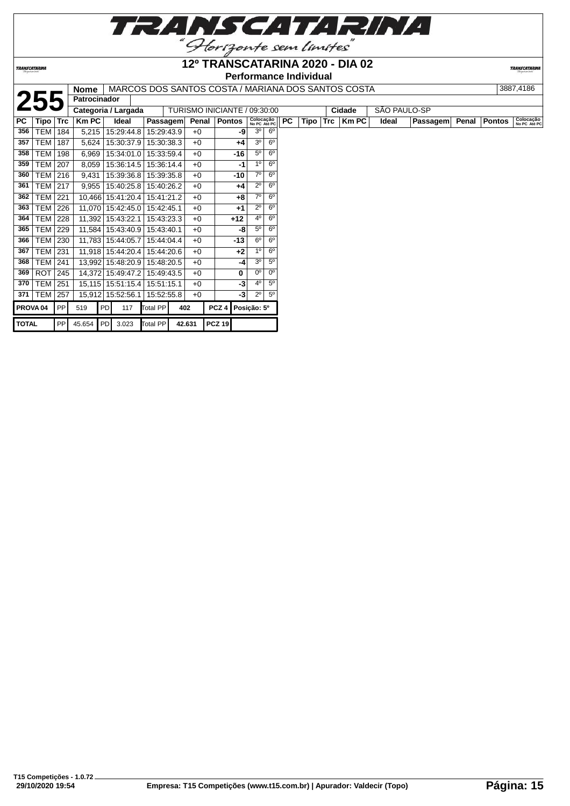

**TRANSCATARINA** 

#### **12º TRANSCATARINA 2020 - DIA 02 Performance Individual**

|              |                     |     | <b>Nome</b>         |           |                                  |            |     |        |                              |       |                           |                |    |      |            | MARCOS DOS SANTOS COSTA / MARIANA DOS SANTOS COSTA |       |              |       |               | 3887,4186                 |
|--------------|---------------------|-----|---------------------|-----------|----------------------------------|------------|-----|--------|------------------------------|-------|---------------------------|----------------|----|------|------------|----------------------------------------------------|-------|--------------|-------|---------------|---------------------------|
|              | 255                 |     | <b>Patrocinador</b> |           |                                  |            |     |        |                              |       |                           |                |    |      |            |                                                    |       |              |       |               |                           |
|              |                     |     | Categoria / Largada |           |                                  |            |     |        | TURISMO INICIANTE / 09:30:00 |       |                           |                |    |      |            | Cidade                                             |       | SÃO PAULO-SP |       |               |                           |
| PC           | Tipo   Trc          |     | $Km$ PC             |           | Ideal                            | Passagem   |     | Penal  | <b>Pontos</b>                |       | Colocação<br>No PC Até PC |                | PC | Tipo | <b>Trc</b> | Km PC                                              | Ideal | Passagem     | Penal | <b>Pontos</b> | Colocação<br>No PC Até PC |
| 356          | TEM                 | 184 | 5,215               |           | 15:29:44.8                       | 15:29:43.9 |     | $+0$   |                              | -9    | 3 <sup>o</sup>            | $6^{\circ}$    |    |      |            |                                                    |       |              |       |               |                           |
| 357          | TEM I               | 187 | 5,624               |           | 15:30:37.9                       | 15:30:38.3 |     | $+0$   |                              | $+4$  | 3 <sup>o</sup>            | $6^{\circ}$    |    |      |            |                                                    |       |              |       |               |                           |
| 358          | TEM                 | 198 | 6,969               |           | 15:34:01.0                       | 15:33:59.4 |     | $+0$   |                              | $-16$ | $5^{\circ}$               | $6^{\circ}$    |    |      |            |                                                    |       |              |       |               |                           |
| 359          | TEM 207             |     | 8,059               |           | 15:36:14.5                       | 15:36:14.4 |     | $+0$   |                              | -1    | 1 <sup>0</sup>            | $6^{\circ}$    |    |      |            |                                                    |       |              |       |               |                           |
| 360          | TEM   216           |     | 9,431               |           | 15:39:36.8                       | 15:39:35.8 |     | $+0$   |                              | $-10$ | $7^\circ$                 | $6^{\circ}$    |    |      |            |                                                    |       |              |       |               |                           |
| 361          | <b>TEM 217</b>      |     | 9,955               |           | 15:40:25.8                       | 15:40:26.2 |     | $+0$   |                              | $+4$  | $2^{\circ}$               | $6^{\circ}$    |    |      |            |                                                    |       |              |       |               |                           |
| 362          | TEM                 | 221 | 10,466              |           | 15:41:20.4                       | 15:41:21.2 |     | $+0$   |                              | $+8$  | $7^\circ$                 | $6^{\circ}$    |    |      |            |                                                    |       |              |       |               |                           |
| 363          | TEM 226             |     | 11,070              |           | 15:42:45.0                       | 15:42:45.1 |     | $+0$   |                              | $+1$  | $2^{\circ}$               | $6^{\circ}$    |    |      |            |                                                    |       |              |       |               |                           |
| 364          | <b>TEM 228</b>      |     | 11,392              |           | 15:43:22.1                       | 15:43:23.3 |     | $+0$   |                              | $+12$ | 4 <sup>0</sup>            | $6^{\circ}$    |    |      |            |                                                    |       |              |       |               |                           |
| 365          | <b>TEM   229</b>    |     | 11,584              |           | 15:43:40.9                       | 15:43:40.1 |     | $+0$   |                              | -8    | 5 <sup>o</sup>            | $6^{\circ}$    |    |      |            |                                                    |       |              |       |               |                           |
| 366          | TEM 230             |     | 11,783              |           | 15:44:05.7                       | 15:44:04.4 |     | $+0$   |                              | $-13$ | $6^{\circ}$               | $6^{\circ}$    |    |      |            |                                                    |       |              |       |               |                           |
| 367          | <b>TEM 231</b>      |     |                     |           | 11,918 15:44:20.4                | 15:44:20.6 |     | $+0$   |                              | $+2$  | 1 <sup>0</sup>            | $6^{\circ}$    |    |      |            |                                                    |       |              |       |               |                           |
| 368          | <b>TEM 241</b>      |     | 13,992              |           | 15:48:20.9                       | 15:48:20.5 |     | $+0$   |                              | -4    | 3 <sup>o</sup>            | $5^{\circ}$    |    |      |            |                                                    |       |              |       |               |                           |
| 369          | $ROT$ 245           |     | 14,372              |           | 15:49:47.2                       | 15:49:43.5 |     | $+0$   |                              | 0     | $0^{\circ}$               | $0^{\circ}$    |    |      |            |                                                    |       |              |       |               |                           |
| 370          | <b>TEM   251</b>    |     |                     |           | 15,115   15:51:15.4   15:51:15.1 |            |     | $+0$   |                              | -3    | 4 <sup>0</sup>            | 5 <sup>0</sup> |    |      |            |                                                    |       |              |       |               |                           |
| 371          | <b>TEM 257</b>      |     | 15,912              |           | 15:52:56.1                       | 15:52:55.8 |     | $+0$   |                              | $-3$  | $2^{\circ}$               | 5 <sup>0</sup> |    |      |            |                                                    |       |              |       |               |                           |
|              | PROVA <sub>04</sub> | PP  | 519                 | <b>PD</b> | 117                              | Total PP   | 402 |        | PCZ <sub>4</sub>             |       | Posição: 5º               |                |    |      |            |                                                    |       |              |       |               |                           |
| <b>TOTAL</b> |                     | PP  | 45.654 PD           |           | 3.023                            | Total PP   |     | 42.631 | <b>PCZ 19</b>                |       |                           |                |    |      |            |                                                    |       |              |       |               |                           |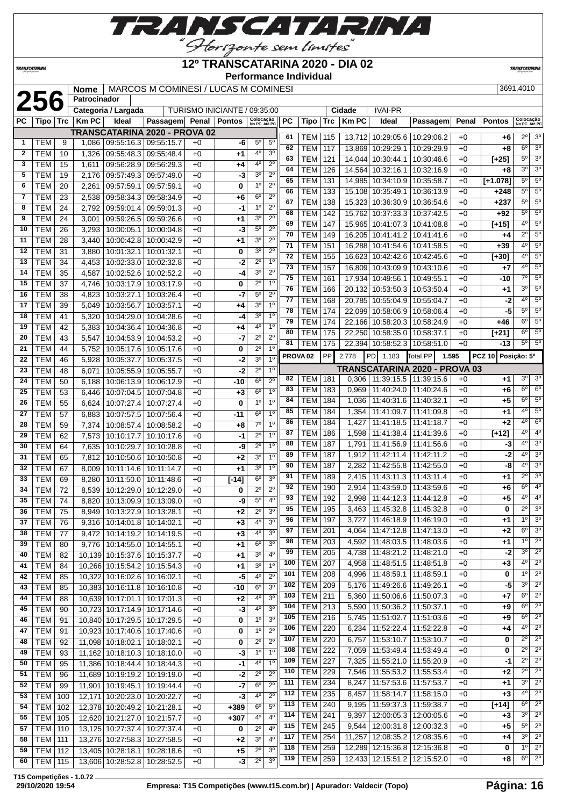

**12º TRANSCATARINA 2020 - DIA 02**

**TRANSCATARIN** 

**TRANSCATARINA** 

#### **Performance Individual**

|  | 3691 4010 |
|--|-----------|

|              |                |          | <b>Nome</b>  |                                  | MARCOS M COMINESI / LUCAS M COMINESI |          |                              |                           |                  |           |                     |           |             |                                   |                               |       |                    | 3691,4010                             |
|--------------|----------------|----------|--------------|----------------------------------|--------------------------------------|----------|------------------------------|---------------------------|------------------|-----------|---------------------|-----------|-------------|-----------------------------------|-------------------------------|-------|--------------------|---------------------------------------|
|              | 256            |          | Patrocinador |                                  |                                      |          |                              |                           |                  |           |                     |           |             |                                   |                               |       |                    |                                       |
|              |                |          |              | Categoria / Largada              |                                      |          | TURISMO INICIANTE / 09:35:00 |                           |                  |           |                     |           | Cidade      | <b>IVAI-PR</b>                    |                               |       |                    |                                       |
| PC           | Tipo           | Trc      | KmPC         | Ideal                            | Passagem Penal Pontos                |          |                              | Colocação<br>No PC Até PC |                  | <b>PC</b> | <b>Tipo</b>         | Trc       | <b>KmPC</b> | Ideal                             | Passagem                      | Penal | <b>Pontos</b>      | Colocação<br>No PC Até PC             |
|              |                |          |              |                                  | TRANSCATARINA 2020 - PROVA 02        |          |                              |                           |                  | 61        |                     |           |             | 13,712 10:29:05.6 10:29:06.2      |                               |       |                    | $2^{\circ}$<br>3 <sup>0</sup>         |
| 1            | TEM            | 9        |              | 1,086   09:55:16.3   09:55:15.7  |                                      | $+0$     | -6                           | $5^{\circ}$               | $5^{\circ}$      | 62        | TEM                 | 115       |             |                                   |                               | +0    | +6                 | $6^{\circ}$<br>3 <sup>o</sup>         |
| $\mathbf{2}$ | TEM            | 10       | 1,326        | 09:55:48.3                       | 09:55:48.4                           | $+0$     | $^{+1}$                      | 4 <sup>0</sup>            | 3 <sup>0</sup>   |           | <b>TEM</b>          | 117       |             | 13,869 10:29:29.1                 | 10:29:29.9                    | $+0$  | +8                 | $5^{\circ}$<br>3 <sup>o</sup>         |
| 3            | <b>TEM</b>     | 15       | 1,611        | 09:56:28.9                       | 09:56:29.3                           | +0       | $+4$                         | 40                        | $2^{\circ}$      | 63        | <b>TEM</b>          | 121       | 14,044      | 10:30:44.1                        | 10:30:46.6                    | $+0$  | $[+25]$            | $\overline{3^0}$                      |
| 5            | <b>TEM</b>     | 19       | 2,176        | 09:57:49.3                       | 09:57:49.0                           | $+0$     | -3                           | 3 <sup>0</sup>            | $2^{\circ}$      | 64        | <b>TEM</b>          | 126       |             | 14,564 10:32:16.1                 | 10:32:16.9                    | $+0$  | +8                 | $3^{\circ}$                           |
| 6            | <b>TEM</b>     | 20       | 2,261        | 09:57:59.1                       | 09:57:59.1                           | $+0$     | 0                            | 1 <sup>0</sup>            | $2^{\circ}$      | 65        | <b>TEM</b>          | 131       |             | 14.985 10:34:10.9                 | 10:35:58.7                    | $+0$  | $[+1.078]$         | $5^{\circ}$<br>$5^{\circ}$            |
| 7            | <b>TEM</b>     | 23       | 2,538        | 09:58:34.3 09:58:34.9            |                                      | $+0$     | $+6$                         | 6 <sup>o</sup>            | $2^{\circ}$      | 66        | <b>TEM</b>          | 133       |             | 15,108 10:35:49.1                 | 10:36:13.9                    | $+0$  | $+248$             | $5^\circ$<br>$5^{\circ}$              |
| 8            | <b>TEM</b>     | 24       | 2,792        | 09:59:01.4                       | 09:59:01.3                           | $+0$     | -1                           | 1 <sup>0</sup>            | $2^{\circ}$      | 67        | <b>TEM</b>          | 138       |             | 15,323 10:36:30.9 10:36:54.6      |                               | $+0$  | $+237$             | $5^{\circ}$<br>$5^{\circ}$            |
| 9            | <b>TEM</b>     | 24       | 3,001        | 09:59:26.5                       | 09:59:26.6                           | $+0$     | $+1$                         | 3 <sup>o</sup>            | $2^{\circ}$      | 68        | <b>TEM</b>          | 142       | 15,762      | 10:37:33.3                        | 10:37:42.5                    | $+0$  | $+92$              | 5 <sup>o</sup><br>$5^{\circ}$         |
| 10           | TEM            | 26       | 3,293        | 10:00:05.1                       | 10:00:04.8                           | $+0$     | -3                           | 5 <sup>0</sup>            | $2^{\circ}$      | 69        | <b>TEM</b>          | 147       | 15,965      | 10:41:07.3                        | 10:41:08.8                    | $+0$  | $[+15]$            | $4^{\circ}$<br>$5^{\circ}$            |
| 11           | <b>TEM</b>     | 28       | 3,440        | 10:00:42.8 10:00:42.9            |                                      | $+0$     | $+1$                         | 3 <sup>o</sup>            | $2^{\circ}$      | 70        | <b>TEM</b>          | 149       | 16,205      | 10:41:41.2                        | 10:41:41.6                    | $+0$  | +4                 | $2^{\circ}$<br>5 <sup>o</sup>         |
| 12           | <b>TEM</b>     | 31       | 3,880        | 10:01:32.1                       | 10:01:32.1                           | $+0$     | 0                            | 3 <sup>0</sup>            | $2^{\circ}$      | 71        | <b>TEM</b>          | 151       | 16,288      | 10:41:54.6                        | 10:41:58.5                    | $+0$  | $+39$              | $\overline{5^0}$<br>$4^{\circ}$       |
| 13           | <b>TEM</b>     | 34       | 4,453        | 10:02:33.0                       | 10:02:32.8                           | +0       | -2                           | $2^{\circ}$               | 1 <sup>0</sup>   | 72        | <b>TEM</b>          | 155       | 16,623      | 10:42:42.6                        | 10:42:45.6                    | $+0$  | $[+30]$            | $4^{\circ}$<br>$5^{\circ}$            |
| 14           | <b>TEM</b>     | 35       |              | 10:02:52.6                       |                                      |          | $-4$                         | 3 <sup>0</sup>            | $2^{\circ}$      | 73        | <b>TEM</b>          | 157       | 16,809      | 10:43:09.9                        | 10:43:10.6                    | $+0$  | +7                 | $4^{\circ}$<br>5 <sup>o</sup>         |
|              |                |          | 4,587        |                                  | 10:02:52.2                           | $+0$     |                              | $2^{\circ}$               | 1 <sup>0</sup>   | 75        | <b>TEM</b>          | 161       | 17,934      | 10:49:56.1                        | 10:49:55.1                    | $+0$  | -10                | $7^\circ$<br>$\overline{5^0}$         |
| 15           | <b>TEM</b>     | 37       | 4,746        | 10:03:17.9                       | 10:03:17.9                           | $+0$     | 0                            |                           |                  | 76        | <b>TEM</b>          | 166       | 20,132      | 10:53:50.3                        | 10:53:50.4                    | $+0$  | +1                 | $3^{\circ}$<br>$5^{\circ}$            |
| 16           | <b>TEM</b>     | 38       | 4,823        | 10:03:27.1                       | 10:03:26.4                           | $+0$     | -7                           | $5^{\rm o}$               | $2^{\circ}$      | 77        | <b>TEM</b>          | 168       |             | 20,785 10:55:04.9 10:55:04.7      |                               | $+0$  | $-2$               | $4^{\circ}$<br>$5^{\circ}$            |
| 17           | <b>TEM</b>     | 39       | 5,049        | 10:03:56.7                       | 10:03:57.1                           | $+0$     | $+4$                         | 3 <sup>0</sup>            | 1 <sup>0</sup>   | 78        | <b>TEM</b>          | 174       |             | 22,099 10:58:06.9                 | 10:58:06.4                    | $+0$  | -5                 | $5^\circ$<br>5 <sup>0</sup>           |
| 18           | <b>TEM</b>     | 41       | 5,320        | 10:04:29.0                       | 10:04:28.6                           | $+0$     | -4                           | 3 <sup>0</sup>            | 1 <sup>0</sup>   | 79        | <b>TEM</b>          | 174       |             | 22,166 10:58:20.3                 | 10:58:24.9                    | $+0$  | +46                | $6^{\circ}$<br>$5^{\circ}$            |
| 19           | <b>TEM</b>     | 42       | 5,383        | 10:04:36.4                       | 10:04:36.8                           | $+0$     | $+4$                         | 4 <sup>0</sup>            | $\overline{1^0}$ | 80        | <b>TEM</b>          | 175       |             | 22,250 10:58:35.0                 | 10:58:37.1                    | $+0$  | $[+21]$            | $5^{\circ}$<br>$6^{\circ}$            |
| 20           | <b>TEM</b>     | 43       | 5,547        | 10:04:53.9                       | 10:04:53.2                           | $+0$     | -7                           | $2^{\circ}$               | $2^{\circ}$      | 81        | <b>TEM</b>          | 175       |             | 22,394 10:58:52.3                 | 10:58:51.0                    | $+0$  | $-13$              | $5^{\circ}$<br>5 <sup>o</sup>         |
| 21           | <b>TEM</b>     | 44       | 5,752        | 10:05:17.6                       | 10:05:17.6                           | $+0$     | 0                            | $2^{\circ}$               | 1 <sup>0</sup>   |           | PROVA <sub>02</sub> | <b>PP</b> | 2.778       | 1.183<br>PD.                      | <b>Total PP</b><br>1.595      |       | PCZ 10 Posição: 5° |                                       |
| 22           | <b>TEM</b>     | 46       | 5,928        | 10:05:37.7                       | 10:05:37.5                           | +0       | -2                           | 3 <sup>0</sup>            | 1 <sup>0</sup>   |           |                     |           |             |                                   |                               |       |                    |                                       |
| 23           | <b>TEM</b>     | 48       | 6,071        | 10:05:55.9                       | 10:05:55.7                           | $+0$     | $-2$                         | $2^{\circ}$               | $1^{\circ}$      |           |                     |           |             |                                   | TRANSCATARINA 2020 - PROVA 03 |       |                    |                                       |
| 24           | <b>TEM</b>     | 50       | 6,188        | 10:06:13.9                       | 10:06:12.9                           | $+0$     | -10                          | 6 <sup>o</sup>            | $2^{\circ}$      | 82        | <b>TEM</b>          | 181       |             | $0,306$   11:39:15.5   11:39:15.6 |                               | $+0$  | $+1$               | $3^{\circ}$<br>$3^{\circ}$            |
| 25           | <b>TEM</b>     | 53       | 6,446        | 10:07:04.5                       | 10:07:04.8                           | $+0$     | $+3$                         | 6 <sup>o</sup>            | 1 <sup>0</sup>   | 83        | <b>TEM</b>          | 183       | 0,969       | 11:40:24.0                        | 11:40:24.6                    | $+0$  | +6                 | $6^{\circ}$<br>$6^{\circ}$            |
| 26           | <b>TEM</b>     | 55       | 6,624        | 10:07:27.4                       | 10:07:27.4                           | $+0$     | $\mathbf 0$                  | 1 <sup>0</sup>            | 1 <sup>0</sup>   | 84        | <b>TEM</b>          | 184       | 1,036       | 11:40:31.6                        | 11:40:32.1                    | $+0$  | +5                 | $6^{\circ}$<br>$5^\circ$              |
| 27           | <b>TEM</b>     | 57       | 6,883        | 10:07:57.5                       | 10:07:56.4                           | $+0$     | $-11$                        | 6 <sup>o</sup>            | 1 <sup>0</sup>   | 85        | <b>TEM</b>          | 184       | 1,354       | 11:41:09.7                        | 11:41:09.8                    | $+0$  | +1                 | 5 <sup>0</sup><br>$4^{\circ}$         |
| 28           | <b>TEM</b>     | 59       | 7,374        | 10:08:57.4 10:08:58.2            |                                      | $+0$     | $+8$                         | $7^\circ$                 | 1 <sup>0</sup>   | 86        | <b>TEM</b>          | 184       | 1,427       | 11:41:18.5                        | 11:41:18.7                    | $+0$  | +2                 | $4^{\circ}$<br>6 <sup>o</sup>         |
| 29           | <b>TEM</b>     | 62       | 7,573        | 10:10:17.7                       | 10:10:17.6                           | $+0$     | $-1$                         | $2^{\circ}$               | 1 <sup>0</sup>   | 87        | TEM                 | 186       | 1,598       | 11:41:38.4                        | 11:41:39.6                    | $+0$  | $[+12]$            | $4^{\circ}$<br>4 <sup>0</sup>         |
| 30           | <b>TEM</b>     | 64       | 7,635        | 10:10:29.7                       | 10:10:28.8                           | $+0$     | -9                           | $2^{\circ}$               | 1 <sup>0</sup>   | 88        | <b>TEM</b>          | 187       | 1,791       | 11:41:56.9   11:41:56.6           |                               | $+0$  | $-3$               | $4^{\circ}$<br>3 <sup>o</sup>         |
| 31           | <b>TEM</b>     | 65       | 7,812        | 10:10:50.6                       | 10:10:50.8                           | $+0$     | $+2$                         | 3 <sup>0</sup>            | 1 <sup>0</sup>   | 89        | <b>TEM</b>          | 187       | 1,912       | 11:42:11.4                        | 11:42:11.2                    | $+0$  | -2                 | $4^{\circ}$<br>3 <sup>o</sup>         |
| 32           | <b>TEM</b>     | 67       | 8,009        | 10:11:14.6                       | 10:11:14.7                           | $+0$     | $+1$                         | 3 <sup>0</sup>            | 1 <sup>0</sup>   | 90        | <b>TEM</b>          | 187       | 2,282       | 11:42:55.8                        | 11:42:55.0                    | $+0$  | -8                 | $4^{\circ}$<br>3 <sup>0</sup>         |
| 33           | <b>TEM</b>     | 69       | 8,280        | 10:11:50.0                       | 10:11:48.6                           | $+0$     | $[-14]$                      | 6 <sup>o</sup>            | 3 <sup>0</sup>   | 91        | <b>TEM</b>          | 189       | 2,415       | 11:43:11.3                        | 11:43:11.4                    | $+0$  | +1                 | 3 <sup>o</sup><br>$2^{\circ}$         |
| 34           | <b>TEM</b>     | 72       | 8,539        | 10:12:29.0                       | 10:12:29.0                           | $+0$     | 0                            | $2^{\circ}$               | $2^{\circ}$      | 92        | <b>TEM</b>          | 190       | 2,914       | 11:43:59.0                        | 11:43:59.6                    | $+0$  | +6                 | $6^{\circ}$<br>4 <sup>o</sup>         |
| 35           | <b>TEM</b>     | 74       |              | 8,820 10:13:09.9 10:13:09.0      |                                      | $+0$     | -9                           | $5^{\circ}$               | 4 <sup>0</sup>   | 93        | <b>TEM</b>          | 192       | 2,998       | 11:44:12.3                        | 11:44:12.8                    | $+0$  | +5                 | 4 <sup>0</sup><br>$4^{\circ}$         |
|              | $36$ TEM       | 75       |              | 8,949 10:13:27.9 10:13:28.1      |                                      | $+0$     | $+2$                         | $2^{\circ}$               | 3 <sup>o</sup>   | 95        | <b>TEM 195</b>      |           |             | 3,463 11:45:32.8 11:45:32.8       |                               | $+0$  | 0                  | $2^{\circ}$<br>3 <sup>o</sup>         |
| 37           | <b>TEM</b>     | 76       |              | 9,316   10:14:01.8   10:14:02.1  |                                      | $+0$     | $+3$                         | 4 <sup>0</sup>            | 3 <sup>0</sup>   | 96        | <b>TEM</b>          | 197       | 3,727       | 11:46:18.9   11:46:19.0           |                               | $+0$  | +1                 | 3 <sup>o</sup><br>$1^{\circ}$         |
| 38           | <b>TEM</b>     | 77       |              | 9,472   10:14:19.2   10:14:19.5  |                                      | $+0$     | $+3$                         | 4 <sup>0</sup>            | 3 <sup>o</sup>   | 97        | <b>TEM 201</b>      |           | 4,064       |                                   | 11:47:12.8   11:47:13.0       | $+0$  | +2                 | $6^{\circ}$<br>$3^\circ$              |
| 39           | <b>TEM</b>     | 80       |              | 9,776   10:14:55.0   10:14:55.1  |                                      | $+0$     | +1                           | 6 <sup>o</sup>            | 3 <sup>o</sup>   | 98        | <b>TEM 203</b>      |           |             | 4,592   11:48:03.5   11:48:03.6   |                               | $+0$  | +1                 | 1 <sup>°</sup><br>$2^{\circ}$         |
| 40           | <b>TEM</b>     |          |              | 10,139 10:15:37.6 10:15:37.7     |                                      |          |                              | 3 <sup>o</sup>            | $4^{\circ}$      | 99        | <b>TEM</b>          | 205       | 4,738       | 11:48:21.2   11:48:21.0           |                               | $+0$  | -2                 | $3^{\circ}$<br>$2^{\circ}$            |
| 41           | <b>TEM</b>     | 82<br>84 |              | 10,266 10:15:54.2 10:15:54.3     |                                      | +0<br>+0 | +1                           | 3 <sup>0</sup>            | 1 <sup>0</sup>   | 100       | <b>TEM</b>          | 207       | 4,958       | 11:48:51.5                        | 11:48:51.8                    | $+0$  | $+3$               | $\overline{2^{\circ}}$<br>$4^{\circ}$ |
| 42           | <b>TEM</b>     | 85       |              | 10,322 10:16:02.6 10:16:02.1     |                                      |          | +1<br>$-5$                   | 4 <sup>0</sup>            | $2^{\circ}$      | 101       | <b>TEM</b>          | 208       | 4,996       | 11:48:59.1                        | 11:48:59.1                    | $+0$  | 0                  | $1^{\circ}$<br>$2^{\circ}$            |
| 43           |                |          |              |                                  |                                      | $+0$     |                              | 6 <sup>o</sup>            | 3 <sup>o</sup>   | 102       | <b>TEM</b>          | 209       | 5,176       | 11:49:26.6                        | 11:49:26.1                    | $+0$  | $-5$               | $2^{\circ}$<br>$3^{\circ}$            |
|              | <b>TEM</b>     | 85       |              | 10,383 10:16:11.8 10:16:10.8     |                                      | $+0$     | -10                          | 4 <sup>0</sup>            | 3 <sup>o</sup>   | 103       | TEM                 | 211       | 5,360       |                                   | 11:50:06.6   11:50:07.3       | $+0$  | +7                 | $6^{\circ}$<br>$2^{\circ}$            |
| 44           | <b>TEM</b>     | 88       |              | 10,639 10:17:01.1 10:17:01.3     |                                      | $+0$     | $+2$                         |                           |                  | 104       | <b>TEM</b>          | 213       | 5,590       | 11:50:36.2                        | 11:50:37.1                    | $+0$  | +9                 | $\overline{2^0}$<br>$6^{\circ}$       |
| 45           | <b>TEM</b>     | 90       |              | 10,723 10:17:14.9 10:17:14.6     |                                      | +0       | $-3$                         | 4 <sup>0</sup>            | 3 <sup>0</sup>   | 105       | <b>TEM</b>          | 216       | 5,745       | 11:51:02.7   11:51:03.6           |                               | $+0$  | +9                 | $6^{\circ}$<br>$2^{\circ}$            |
| 46           | <b>TEM</b>     | 91       |              | 10,840 10:17:29.5 10:17:29.5     |                                      | $+0$     | 0                            | 1 <sup>o</sup>            | 3 <sup>o</sup>   | 106       | <b>TEM 220</b>      |           | 6,234       | 11:52:22.4                        | 11:52:22.8                    | $+0$  | +4                 | $\overline{2^0}$<br>$4^{\circ}$       |
| 47           | <b>TEM</b>     | 91       |              |                                  | 10,923 10:17:40.6 10:17:40.6         | $+0$     | 0                            | 1 <sup>o</sup>            | $2^{\circ}$      |           |                     |           |             |                                   |                               |       |                    | $2^{\circ}$<br>$2^{\circ}$            |
| 48           | <b>TEM</b>     | 92       |              | 11,098 10:18:02.1 10:18:02.1     |                                      | $+0$     | 0                            | $2^{\circ}$               | $2^{\circ}$      | 107       | <b>TEM</b>          | 220       | 6,757       | 11:53:10.7   11:53:10.7           |                               | $+0$  | 0                  | $2^{\circ}$<br>$\overline{2^0}$       |
| 49           | <b>TEM</b>     | 93       |              | 11,162 10:18:10.3 10:18:10.0     |                                      | +0       | -3                           | 1 <sup>0</sup>            | 1 <sup>0</sup>   | 108       | <b>TEM</b>          | 222       | 7,059       | 11:53:49.4                        | 11:53:49.4                    | $+0$  | 0                  | $2^{\circ}$                           |
| 50           | <b>TEM</b>     | 95       |              | 11,386 10:18:44.4 10:18:44.3     |                                      | $+0$     | $-1$                         | $4^{\circ}$               | 1 <sup>0</sup>   | 109       | <b>TEM</b>          | 227       | 7,325       | 11:55:21.0                        | 11:55:20.9                    | $+0$  | -1                 | $\overline{2^{\circ}}$                |
| 51           | <b>TEM</b>     | 96       |              | 11,689 10:19:19.2 10:19:19.0     |                                      | $+0$     | -2                           | $2^{\circ}$               | $\overline{2^0}$ | 110       | <b>TEM</b>          | 229       | 7,546       | 11:55:53.2                        | 11:55:53.4                    | $+0$  | $+2$               | $2^{\circ}$<br>$2^{\circ}$            |
| 52           | <b>TEM</b>     | 99       |              | 11,901   10:19:45.1   10:19:44.4 |                                      | $+0$     | $-7$                         | 6 <sup>o</sup>            | $\overline{2^0}$ | 111       | <b>TEM</b>          | 234       | 8,247       | 11:57:53.6                        | 11:57:53.7                    | $+0$  | +1                 | $3^{\circ}$<br>$2^{\circ}$            |
| 53           | TEM            | 100      |              | 12,171 10:20:23.0 10:20:22.7     |                                      | $+0$     | -3                           | $4^{\rm o}$               | $2^{\circ}$      | 112       | <b>TEM</b>          | 235       | 8,457       | 11:58:14.7                        | 11:58:15.0                    | $+0$  | $+3$               | $4^{\circ}$<br>$2^{\circ}$            |
| 54           | TEM            | 102      |              | 12,378 10:20:49.2 10:21:28.1     |                                      | $+0$     | $+389$                       | 6 <sup>o</sup>            | $5^{\circ}$      | 113       | <b>TEM</b>          | 240       | 9,195       | 11:59:37.3                        | 11:59:38.7                    | +0    | $[+14]$            | $6^{\circ}$<br>$2^{\circ}$            |
| 55           | <b>TEM</b>     | 105      |              | 12,620 10:21:27.0 10:21:57.7     |                                      | $+0$     | $+307$                       | $4^{\circ}$               | 4 <sup>o</sup>   | 114       | <b>TEM</b>          | 241       | 9,397       | 12:00:05.3                        | 12:00:05.6                    | $+0$  | $+3$               | $2^{\circ}$<br>$3^{\circ}$            |
| 57           | TEM            | 110      |              | 13,125 10:27:37.4 10:27:37.4     |                                      | $+0$     | 0                            | $2^{\circ}$               | 4 <sup>0</sup>   | 115       | <b>TEM 245</b>      |           | 9,544       |                                   | 12:00:31.8   12:00:32.3       | $+0$  | +5                 | $2^{\circ}$<br>$5^{\circ}$            |
| 58           | TEM   111      |          |              | 13,276 10:27:58.3 10:27:58.5     |                                      | $+0$     | $+2$                         | 3 <sup>o</sup>            | $4^{\circ}$      | 117       | <b>TEM 254</b>      |           | 11,257      |                                   | 12:08:35.2   12:08:35.6       | $+0$  | +4                 | $3^{\circ}$<br>$\overline{2^0}$       |
| 59           | TEM   112      |          |              | 13,405 10:28:18.1 10:28:18.6     |                                      | +0       | +5                           | $2^{\circ}$               | 3 <sup>o</sup>   | 118       | <b>TEM</b>          | 259       |             |                                   | 12,289 12:15:36.8 12:15:36.8  | $+0$  | 0                  | $1^{\circ}$<br>$2^{\circ}$            |
| 60           | <b>TEM 115</b> |          |              | 13,606 10:28:52.8 10:28:52.5     |                                      | $+0$     | $-3$                         | $2^{\circ}$               | 3 <sup>o</sup>   |           | 119   TEM   259     |           |             |                                   | 12,433 12:15:51.2 12:15:52.0  | $+0$  | +8                 | $6^{\circ}$<br>$2^{\circ}$            |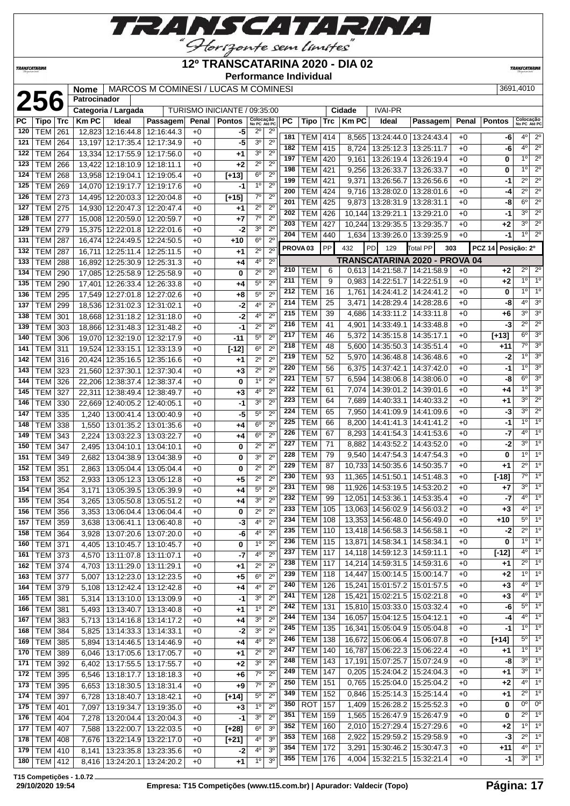

**TRANSCATAR** 

Horizonte sem limites **12º TRANSCATARINA 2020 - DIA 02** *TRANSCATARINA* **Performance Individual Nome** MARCOS M COMINESI / LUCAS M COMINESI | Cidade | IVAI-PR | 3691,4010<br>
| Categoria / Largada | TURISMO INICIANTE / 09:35:00 | Cidade | IVAI-PR **Patrocinador Categoria / Largada** TURISMO INICIANTE / 09:35:00 **Cidade** IVAI-PR **PC Tipo Trc Km PC Ideal Passagem Penal Pontos Colocação No PC Até PC PC Tipo Trc Km PC Ideal Passagem Penal Pontos Colocação No PC Até PC** TEM 261 12,823 12:16:44.8 12:16:44.3 +0 **-5** 2º 2º TEM 414 8,565 13:24:44.0 13:24:43.4 +0 **-6** 4º 2º TEM 264 13,197 12:17:35.4 12:17:34.9 +0 **-5** 3º 2º | TEM | 415 | 8,724 | 13:25:12.3 | 13:25:11.7 | +0 | **-6** | 4<sup>o</sup> | 2<sup>o</sup> TEM 264 13,334 12:17:55.9 12:17:56.0 +0 **+1** 3º 2º TEM 420 9,161 13:26:19.4 13:26:19.4 +0 **0** 1º 2º TEM 266 13,422 12:18:10.9 12:18:11.1 +0 **+2** 2º 2º TEM 421 9,256 13:26:33.7 13:26:33.7 +0 **0** 1º 2º TEM 268 13,958 12:19:04.1 12:19:05.4 +0 **[+13]** 6º 2º TEM 421 9,371 13:26:56.7 13:26:56.6 +0 **-1** 2º 2º TEM 269 14,070 12:19:17.7 12:19:17.6 +0 **-1** 1º 2º TEM 424 9,716 13:28:02.0 13:28:01.6 +0 **-4** 2º 2º TEM 273 14,495 12:20:03.3 12:20:04.8 +0 **[+15]** 7º 2º TEM 425 9,873 13:28:31.9 13:28:31.1 +0 **-8** 6º 2º TEM 275 14,930 12:20:47.3 12:20:47.4 +0 **+1** 2º 2º TEM 426 10,144 13:29:21.1 13:29:21.0 +0 **-1** 3º 2º TEM 277 15,008 12:20:59.0 12:20:59.7 +0 **+7** 7º 2º TEM 427 10,244 13:29:35.5 13:29:35.7 +0 **+2** 3º 2º TEM 279 15,375 12:22:01.8 12:22:01.6 +0 **-2** 3º 2º | TEM | 440 | 1,634 | 13:39:26.0 | 13:39:25.9 | +0 | -1| <sup>10</sup> | 2<sup>0</sup> | TEM | 287 | 16,474 | 12:24:49.5 | 12:24:50.5 | +0 | +10 | 6<sup>°</sup> | 2<sup>°</sup> **PROVA 03** PP 432 PD 129 Total PP **303 PCZ 14 Posição: 2º** TEM 287 16,711 12:25:11.4 12:25:11.5 +0 **+1** 2º 2º **TRANSCATARINA 2020 - PROVA 04** | TEM | 288 | 16,892 | 12:25:30.9 | 12:25:31.3 | +0 | +4 | 4<sup>o</sup> | 2<sup>o</sup> | TEM | 6 | 0,613 | 14:21:58.7 | 14:21:58.9 | +0 | +2 | 2<sup>0</sup> | 2 TEM 290 17,085 12:25:58.9 12:25:58.9 +0 **0** 2º 2º TEM 9 0,983 14:22:51.7 14:22:51.9 +0 **+2** 1º 1º TEM 290 17,401 12:26:33.4 12:26:33.8 +0 **+4** 5º 2º TEM 16 1,761 14:24:41.2 14:24:41.2 +0 **0** 1<sup>o</sup> 1<sup>o</sup> TEM 295 17,549 12:27:01.8 12:27:02.6 +0 **+8** 5º 2º TEM 25 3,471 14:28:29.4 14:28:28.6 +0 -8 4° 3<sup>o</sup> TEM 299 18,536 12:31:02.3 12:31:02.1 +0 **-2** 4º 2º TEM 39 4,686 14:33:11.2 14:33:11.8 +0 +6 3<sup>o</sup> 3<sup>o</sup> TEM 301 18,668 12:31:18.2 12:31:18.0 +0 **-2** 4º 2º TEM 41 4,901 14:33:49.1 14:33:48.8 +0 **-3** 2º 2º TEM 303 18,866 12:31:48.3 12:31:48.2 +0 **-1** 2º 2º | TEM | 46 | 5.372 | 14:35:15.8 | 14:35:17.1 | +0 | **[+13]** | 6<sup>°</sup> 3<sup>°</sup> TEM 306 19,070 12:32:19.0 12:32:17.9 +0 **-11** 5º 2º TEM 48 5,600 14:35:50.3 14:35:51.4 +0 **+11** 7º 3º TEM 311 19,524 12:33:15.1 12:33:13.9 +0 **[-12]** 6º 2º TEM 52 5,970 14:36:48.8 14:36:48.6 +0 **-2** 1º 3º TEM 316 20,424 12:35:16.5 12:35:16.6 +0 **+1** 2º 2º TEM 56 6,375 14:37:42.1 14:37:42.0 +0 **-1** 1º 3º TEM 323 21,560 12:37:30.1 12:37:30.4 +0 **+3** 2º 2º TEM 57 6,594 14:38:06.8 14:38:06.0 +0 **-8** 6º 3º TEM 326 22,206 12:38:37.4 12:38:37.4 +0 **0** 1º 2º TEM 61 7,074 14:39:01.2 14:39:01.6 +0 +4 1<sup>o</sup> 3<sup>°</sup> TEM 327 22,311 12:38:49.4 12:38:49.7 +0 **+3** 4º 2º TEM 64 7,689 14:40:33.1 14:40:33.2 +0 +1 3° 2 TEM 330 22,669 12:40:05.2 12:40:05.1 +0 **-1** 3º 2º TEM 65 7,950 14:41:09.9 14:41:09.6 +0 **-3** 3º 2º TEM 335 1,240 13:00:41.4 13:00:40.9 +0 **-5** 5º 2º TEM 66 8,200 14:41:41.3 14:41:41.2 +0 **-1** 1º 1º TEM 338 1,550 13:01:35.2 13:01:35.6 +0 **+4** 6º 2º TEM 67 8,293 14:41:54.3 14:41:53.6 +0 **-7** 4º 1º TEM 343 2,224 13:03:22.3 13:03:22.7 +0 **+4** 6º 2º TEM 71 8,882 14:43:52.2 14:43:52.0 +0 **-2** 3º 1º TEM 347 2,495 13:04:10.1 13:04:10.1 +0 **0** 2º 2º TEM 79 9,540 14:47:54.3 14:47:54.3 +0 **0** 1º 1º TEM 349 2,682 13:04:38.9 13:04:38.9 +0 **0** 3º 2º TEM 87 10,733 14:50:35.6 14:50:35.7 +0 **+1** 2º 1º TEM 351 2,863 13:05:04.4 13:05:04.4 +0 **0** 2º 2º TEM 93 11,365 14:51:50.1 14:51:48.3 +0 **[-18]** 7º 1º TEM 352 2,933 13:05:12.3 13:05:12.8 +0 **+5** 2º 2º TEM 354 3,171 13:05:39.5 13:05:39.9 +0 **+4** 5º 2º TEM 98 11,926 14:53:19.5 14:53:20.2 +0 **+7** 3º 1º TEM 354 3,265 13:05:50.8 13:05:51.2 +0 **+4** 3º 2º TEM 99 12,051 14:53:36.1 14:53:35.4 +0 **-7** 4º 1º TEM 105 13,063 14:56:02.9 14:56:03.2 +0  $+3$   $4^{\circ}$  1 | TEM | 356 | 3,353 | 13:06:04.4 | 13:06:04.4 | +0 | **0** | 2<sup>°</sup> 2<sup>°</sup> TEM 108 13,353 14:56:48.0 14:56:49.0 +0 +10 5<sup>o</sup> 1 | TEM | 359 | 3,638 | 13:06:41.1 | 13:06:40.8 | +0 | -3| 4<sup>o</sup> | 2<sup>o</sup> TEM 110 13,418 14:56:58.3 14:56:58.1 +0 -2 2<sup>°</sup> 1 TEM 364 3,928 13:07:20.6 13:07:20.0 +0 **-6** 4º 2º

**T15 Competições - 1.0.72**

 TEM 371 4,405 13:10:45.7 13:10:45.7 +0 **0** 1º 2º TEM 373 4,570 13:11:07.8 13:11:07.1 +0 **-7** 4º 2º TEM 374 4,703 13:11:29.0 13:11:29.1 +0 **+1** 2º 2º TEM 377 5,007 13:12:23.0 13:12:23.5 +0 **+5** 6º 2º TEM 379 5,108 13:12:42.4 13:12:42.8 +0 **+4** 4º 2º TEM 381 5,314 13:13:10.0 13:13:09.9 +0 **-1** 3º 2º TEM 381 5,493 13:13:40.7 13:13:40.8 +0 **+1** 1º 2º TEM 383 5,713 13:14:16.8 13:14:17.2 +0 **+4** 3º 2º TEM 384 5,825 13:14:33.3 13:14:33.1 +0 **-2** 3º 2º TEM 385 5,894 13:14:46.5 13:14:46.9 +0 **+4** 4º 2º TEM 389 6,046 13:17:05.6 13:17:05.7 +0 **+1** 2º 2º TEM 392 6,402 13:17:55.5 13:17:55.7 +0 **+2** 3º 2º TEM 395 6,546 13:18:17.7 13:18:18.3 +0 **+6** 7º 2º TEM 395 6,653 13:18:30.5 13:18:31.4 +0 **+9** 7º 2º TEM 397 6,728 13:18:40.7 13:18:42.1 +0 **[+14]** 5º 2º TEM 401 7,097 13:19:34.7 13:19:35.0 +0 **+3** 1º 2º TEM 404 7,278 13:20:04.4 13:20:04.3 +0 **-1** 3º 2º TEM 407 7,588 13:22:00.7 13:22:03.5 +0 **[+28]** 6º 3º TEM 408 7,676 13:22:14.9 13:22:17.0 +0 **[+21]** 4º 3º | **TEM** | 410 | 8,141 | 13:23:35.8 | 13:23:35.6 | +0 | **-2** | 4<sup>o</sup> | 3<sup>o</sup> TEM 412 8,416 13:24:20.1 13:24:20.2 +0 **+1** 1º 3º

 TEM 115 13,871 14:58:34.1 14:58:34.1 +0 **0** 1º 1º TEM 117 14,118 14:59:12.3 14:59:11.1 +0 **[-12]** 4º 1º TEM 117 14,214 14:59:31.5 14:59:31.6 +0 +1 2<sup>o</sup> 1 TEM 118 14,447 15:00:14.5 15:00:14.7 +0 +2 1<sup>o</sup> 1 TEM 126 15,241 15:01:57.2 15:01:57.5 +0 +3 4<sup>o</sup> 1 TEM 128 15.421 15:02:21.5 15:02:21.8 +0 +3  $4^{\circ}$  1 TEM 131 15,810 15:03:33.0 15:03:32.4 +0 **-6** 5<sup>°</sup> 1 TEM 134 16,057 15:04:12.5 15:04:12.1 +0 -4 4<sup>o</sup> 1 TEM 135 16,341 15:05:04.9 15:05:04.8 +0 **-1** 1º 1º TEM 138 16,672 15:06:06.4 15:06:07.8 +0 **[+14]** 5º 1º TEM 140 16,787 15:06:22.3 15:06:22.4 +0 +1 1<sup>o</sup> 1 TEM 143 17,191 15:07:25.7 15:07:24.9 +0 -8 3<sup>o</sup> 1 TEM 147 0,205 15:24:04.2 15:24:04.3 +0 **+1** 3º 1º TEM 151 0,765 15:25:04.0 15:25:04.2 +0 **+2** 4º 1º TEM 152 0,846 15:25:14.3 15:25:14.4 +0 **+1** 2º 1º ROT 157 1,409 15:26:28.2 15:25:52.3 +0 **0** 0º 0º TEM 159 1,565 15:26:47.9 15:26:47.9 +0 **0** 2<sup>°</sup> 1 TEM 160 2,010 15:27:29.4 15:27:29.6 +0 **+2** 1º 1º TEM 168 2,922 15:29:59.2 15:29:58.9 +0 **-3** 2º 1º TEM 172 3,291 15:30:46.2 15:30:47.3 +0 **+11** 4º 1º TEM 176 4,004 15:32:21.5 15:32:21.4 +0 **-1** 3º 1º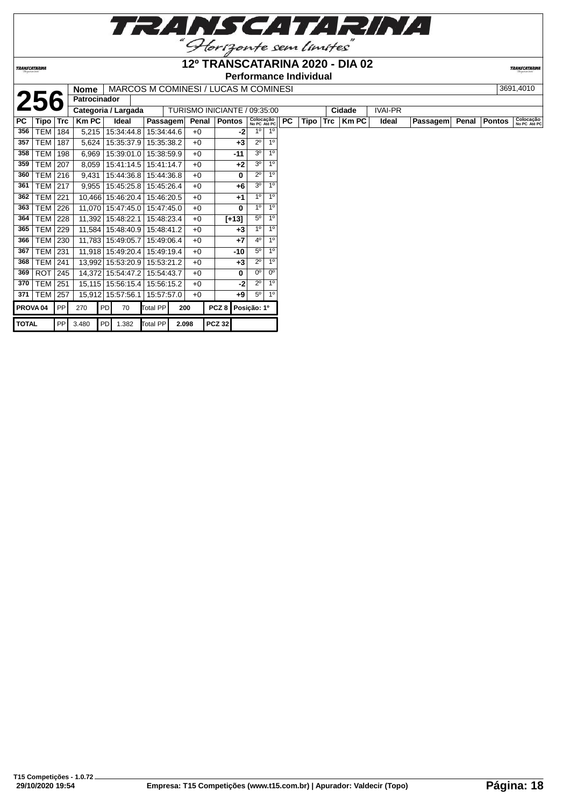

# **12º TRANSCATARINA 2020 - DIA 02**

**Performance Individual**<br>**I Nome | MARCOS M COMINESI / LUCAS M COMINESI** 

**TRANSCATARI** 

|              |                     |             | <b>Nome</b>  |            | MARCOS M COMINESI / LUCAS M COMINESI |          |            |                              |                  |               |                           |                |           |      |            |        |                |                 |       |               | 3691,4010                 |
|--------------|---------------------|-------------|--------------|------------|--------------------------------------|----------|------------|------------------------------|------------------|---------------|---------------------------|----------------|-----------|------|------------|--------|----------------|-----------------|-------|---------------|---------------------------|
|              | 256                 |             | Patrocinador |            |                                      |          |            |                              |                  |               |                           |                |           |      |            |        |                |                 |       |               |                           |
|              |                     |             |              |            | Categoria / Largada                  |          |            | TURISMO INICIANTE / 09:35:00 |                  |               |                           |                |           |      |            | Cidade | <b>IVAI-PR</b> |                 |       |               |                           |
| <b>PC</b>    | Tipo                | $\sf{Trc}$  | <b>Km PC</b> |            | Ideal                                |          | Passagem   | Penal                        |                  | <b>Pontos</b> | Colocação<br>No PC Até PC |                | <b>PC</b> | Tipo | <b>Trc</b> | Km PC  | Ideal          | <b>Passagem</b> | Penal | <b>Pontos</b> | Colocação<br>No PC Até PC |
| 356          | <b>TEM</b>          | 184         | 5,215        |            | 15:34:44.8                           |          | 15:34:44.6 | $+0$                         |                  | -21           | $1^{\circ}$               | 1 <sup>0</sup> |           |      |            |        |                |                 |       |               |                           |
| 357          | TEM                 | 187         | 5,624        |            | 15:35:37.9                           |          | 15:35:38.2 | $+0$                         |                  | $+3$          | $2^{\circ}$               | 1 <sup>0</sup> |           |      |            |        |                |                 |       |               |                           |
| 358          | <b>TEM</b>          | 198         | 6,969        |            | 15:39:01.0                           |          | 15:38:59.9 | $+0$                         |                  | $-11$         | 3 <sup>o</sup>            | 1 <sup>0</sup> |           |      |            |        |                |                 |       |               |                           |
| 359          | <b>TEM</b>          | 207         | 8,059        |            | 15:41:14.5                           |          | 15:41:14.7 | $+0$                         |                  | $+2$          | 3 <sup>o</sup>            | 1 <sup>0</sup> |           |      |            |        |                |                 |       |               |                           |
| 360          | TEM   216           |             | 9,431        |            | 15:44:36.8                           |          | 15:44:36.8 | $+0$                         |                  | 0             | $2^{\circ}$               | 1 <sup>0</sup> |           |      |            |        |                |                 |       |               |                           |
| 361          | TEM                 | 217         | 9,955        |            | 15:45:25.8                           |          | 15:45:26.4 | $+0$                         |                  | +6            | 3 <sup>o</sup>            | 1 <sup>0</sup> |           |      |            |        |                |                 |       |               |                           |
| 362          | <b>TEM</b>          | 221         |              |            | 10,466 15:46:20.4                    |          | 15:46:20.5 | $+0$                         |                  | +1            | 1 <sup>0</sup>            | 1 <sup>0</sup> |           |      |            |        |                |                 |       |               |                           |
| 363          | TEM                 | 226         |              |            | 11,070 15:47:45.0                    |          | 15:47:45.0 | $+0$                         |                  | 0             | 1 <sup>0</sup>            | 1 <sup>0</sup> |           |      |            |        |                |                 |       |               |                           |
| 364          | TEM                 | 228         |              |            | 11,392 15:48:22.1                    |          | 15:48:23.4 | $+0$                         |                  | $[+13]$       | $5^{\circ}$               | 1 <sup>0</sup> |           |      |            |        |                |                 |       |               |                           |
| 365          | <b>TEM</b>          | 229         |              |            | 11,584 15:48:40.9                    |          | 15:48:41.2 | $+0$                         |                  | $+3$          | 1 <sup>0</sup>            | 1 <sup>0</sup> |           |      |            |        |                |                 |       |               |                           |
| 366          | TEM                 | 230         |              |            | 11,783 15:49:05.7                    |          | 15:49:06.4 | $+0$                         |                  | $+7$          | 4 <sup>0</sup>            | 1 <sup>0</sup> |           |      |            |        |                |                 |       |               |                           |
| 367          | <b>TEM</b>          | 231         |              |            | 11,918 15:49:20.4                    |          | 15:49:19.4 | $+0$                         |                  | $-10$         | $5^{\circ}$               | 1 <sup>0</sup> |           |      |            |        |                |                 |       |               |                           |
| 368          | TEM                 | 241         |              |            | 13,992 15:53:20.9                    |          | 15:53:21.2 | $+0$                         |                  | $+3$          | $2^{\circ}$               | 1 <sup>0</sup> |           |      |            |        |                |                 |       |               |                           |
| 369          | ROT                 | $\vert$ 245 |              |            | 14,372 15:54:47.2                    |          | 15:54:43.7 | $+0$                         |                  | 0             | $0^{\circ}$               | $0^{\circ}$    |           |      |            |        |                |                 |       |               |                           |
| 370          | <b>TEM</b>          | 251         |              |            | 15,115 15:56:15.4                    |          | 15:56:15.2 | $+0$                         |                  | $-2$          | $2^{\circ}$               | 1 <sup>0</sup> |           |      |            |        |                |                 |       |               |                           |
| 371          | <b>TEM</b>          | 257         |              |            | 15,912 15:57:56.1                    |          | 15:57:57.0 | $+0$                         |                  | +9            | $5^{\circ}$               | 1 <sup>0</sup> |           |      |            |        |                |                 |       |               |                           |
|              | PROVA <sub>04</sub> | PP          | 270          | PD         | 70                                   | Total PP |            | 200                          | PCZ <sub>8</sub> |               | Posição: 1º               |                |           |      |            |        |                |                 |       |               |                           |
| <b>TOTAL</b> |                     | PP          | 3.480        | <b>PDI</b> | 1.382                                | Total PP |            | 2.098                        | <b>PCZ 32</b>    |               |                           |                |           |      |            |        |                |                 |       |               |                           |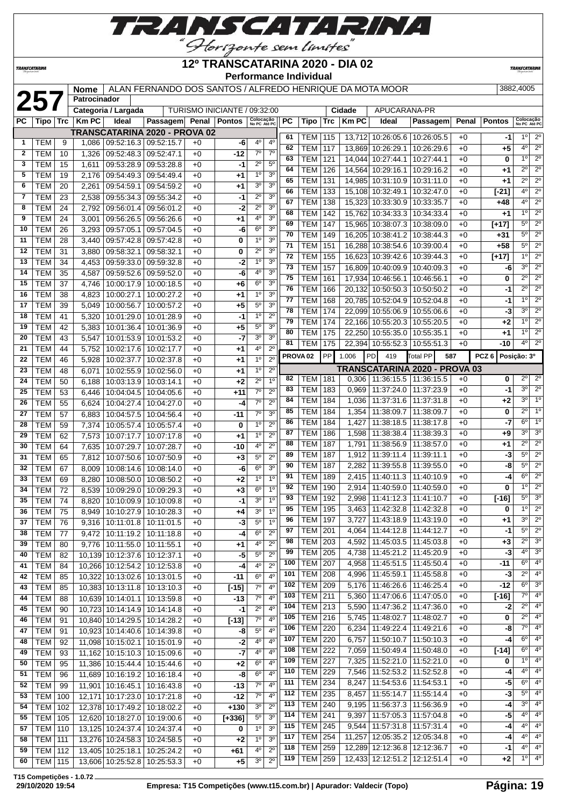

**TRANSCATARINA** 

#### **12º TRANSCATARINA 2020 - DIA 02 Performance Individual**

**TRANSCATARINA** 

|              |                  | Performance individual<br>ALAN FERNANDO DOS SANTOS / ALFREDO HENRIQUE DA MOTA MOOR<br>3882,4005<br><b>Nome</b><br>257<br>Patrocinador |              |                                              |                          |                              |               |                           |                |          |                     |     |              |                                   |                                      |       |                  |                                                                       |
|--------------|------------------|---------------------------------------------------------------------------------------------------------------------------------------|--------------|----------------------------------------------|--------------------------|------------------------------|---------------|---------------------------|----------------|----------|---------------------|-----|--------------|-----------------------------------|--------------------------------------|-------|------------------|-----------------------------------------------------------------------|
|              |                  |                                                                                                                                       |              |                                              |                          |                              |               |                           |                |          |                     |     |              |                                   |                                      |       |                  |                                                                       |
|              |                  |                                                                                                                                       |              | Categoria / Largada                          |                          | TURISMO INICIANTE / 09:32:00 |               |                           |                |          |                     |     | Cidade       | APUCARANA-PR                      |                                      |       |                  |                                                                       |
| РC           | Tipo             | Trc                                                                                                                                   | <b>Km PC</b> | Ideal                                        | Passagem                 | Penal                        | <b>Pontos</b> | Colocação<br>No PC Até PC |                | PC       | Tipo                | Trc | <b>Km PC</b> | Ideal                             | Passagem                             | Penal | <b>Pontos</b>    | Colocação<br>No PC Até PC                                             |
|              |                  |                                                                                                                                       |              | <b>TRANSCATARINA 2020 - PROVA 02</b>         |                          |                              |               |                           |                |          |                     |     |              |                                   |                                      |       |                  | 1 <sup>0</sup>                                                        |
| 1            | <b>TEM</b>       | 9                                                                                                                                     | 1,086        | 09:52:16.3                                   | 09:52:15.7               | $+0$                         | -6            | 4°                        | 4°             | 61<br>62 | TEM                 | 115 |              | 13,712 10:26:05.6                 | 10:26:05.5                           | $+0$  | -1               | $2^{\circ}$<br>$2^{\circ}$<br>$4^{\circ}$                             |
| $\mathbf{2}$ | <b>TEM</b>       | 10                                                                                                                                    | 1,326        | 09:52:48.3                                   | 09:52:47.1               | $+0$                         | -12           | $7^\circ$                 | $7^\circ$      | 63       | TEM                 | 117 | 13,869       | 10:26:29.1                        | 10:26:29.6                           | $+0$  | +5               | $2^{\circ}$<br>$1^{\circ}$                                            |
| 3            | TEM              | 15                                                                                                                                    | 1,611        | 09:53:28.9                                   | 09:53:28.8               | $+0$                         | -1            | $2^{\circ}$               | $5^{\circ}$    | 64       | TEM                 | 121 | 14,044       | 10:27:44.1                        | 10:27:44.1                           | $+0$  | 0                | $\overline{2^{\circ}}$<br>$2^{\circ}$                                 |
| 5            | <b>TEM</b>       | 19                                                                                                                                    | 2,176        | 09:54:49.3                                   | 09:54:49.4               | $+0$                         | +1            | 1 <sup>0</sup>            | 3 <sup>o</sup> |          | TEM                 | 126 | 14,564       | 10:29:16.1                        | 10:29:16.2                           | $+0$  | +1               |                                                                       |
| 6            | TEM              | 20                                                                                                                                    | 2,261        | 09:54:59.1                                   | 09:54:59.2               | $+0$                         | +1            | 3 <sup>o</sup>            | 3 <sup>o</sup> | 65       | TEM                 | 131 | 14,985       | 10:31:10.9                        | 10:31:11.0                           | $+0$  | +1               | $\overline{2^0}$<br>$2^{\circ}$<br>4 <sup>0</sup><br>$\overline{2^0}$ |
| 7            | TEM              | 23                                                                                                                                    | 2,538        | 09:55:34.3                                   | 09:55:34.2               | $+0$                         | -1            | $2^{\circ}$               | 3 <sup>o</sup> | 66       | <b>TEM</b>          | 133 |              | 15,108 10:32:49.1                 | 10:32:47.0                           | $+0$  | [-21]            |                                                                       |
| 8            | TEM              | 24                                                                                                                                    | 2,792        | 09:56:01.4                                   | 09:56:01.2               | $+0$                         | -2            | $2^{\circ}$               | 3 <sup>o</sup> | 67       | TEM                 | 138 |              | 15,323 10:33:30.9                 | 10:33:35.7                           | $+0$  | +48              | $4^{\circ}$<br>$2^{\circ}$                                            |
| 9            | <b>TEM</b>       | 24                                                                                                                                    | 3,001        | 09:56:26.5                                   | 09:56:26.6               | $+0$                         | +1            | 4°                        | 3 <sup>o</sup> | 68       | <b>TEM</b>          | 142 |              | 15,762 10:34:33.3                 | 10:34:33.4                           | $+0$  | +1               | 1 <sup>0</sup><br>$2^{\circ}$                                         |
| 10           | <b>TEM</b>       | 26                                                                                                                                    | 3,293        | 09:57:05.1                                   | 09:57:04.5               | $+0$                         | -6            | $6^{\circ}$               | 3 <sup>o</sup> | 69       | <b>TEM</b>          | 147 |              | 15,965 10:38:07.3                 | 10:38:09.0                           | $+0$  | [+17]            | $2^{\circ}$<br>$5^{\circ}$                                            |
| 11           | <b>TEM</b>       | 28                                                                                                                                    | 3,440        | 09:57:42.8                                   | 09:57:42.8               | $+0$                         | 0             | 1 <sup>0</sup>            | 3 <sup>o</sup> | 70       | <b>TEM</b>          | 149 | 16,205       | 10:38:41.2                        | 10:38:44.3                           | $+0$  | +31              | $\overline{2^0}$<br>$5^{\circ}$                                       |
| 12           | TEM              | 31                                                                                                                                    | 3,880        | 09:58:32.1                                   | 09:58:32.1               | $+0$                         | 0             | $2^{\circ}$               | 3 <sup>o</sup> | 71       | <b>TEM</b>          | 151 |              | 16,288 10:38:54.6                 | 10:39:00.4                           | $+0$  | +58              | $2^{\circ}$<br>$5^{\circ}$                                            |
| 13           | TEM              | 34                                                                                                                                    | 4,453        | 09:59:33.0                                   | 09:59:32.8               | $+0$                         | -2            | 1 <sup>0</sup>            | 3 <sup>o</sup> | 72       | <b>TEM</b>          | 155 |              | 16,623 10:39:42.6                 | 10:39:44.3                           | $+0$  | $[+17]$          | $2^{\circ}$<br>$1^{\circ}$                                            |
| 14           | TEM              | 35                                                                                                                                    | 4,587        | 09:59:52.6                                   | 09:59:52.0               | $+0$                         | -6            | 4°                        | 3 <sup>o</sup> | 73       | TEM                 | 157 | 16,809       | 10:40:09.9                        | 10:40:09.3                           | $+0$  | -6               | $2^{\circ}$<br>3 <sup>0</sup>                                         |
| 15           | <b>TEM</b>       | 37                                                                                                                                    | 4,746        | 10:00:17.9                                   | 10:00:18.5               | $+0$                         | +6            | $6^{\circ}$               | 3 <sup>o</sup> | 75       | <b>TEM</b>          | 161 | 17,934       | 10:46:56.1                        | 10:46:56.1                           | $+0$  | 0                | $\overline{2^0}$<br>$2^{\circ}$                                       |
| 16           | <b>TEM</b>       | 38                                                                                                                                    | 4,823        | 10:00:27.1                                   | 10:00:27.2               | $+0$                         | +1            | 1 <sup>0</sup>            | 3 <sup>o</sup> | 76       | <b>TEM</b>          | 166 |              | 20.132 10:50:50.3                 | 10:50:50.2                           | $+0$  | -1               | $2^{\circ}$<br>$2^{\circ}$                                            |
| 17           | <b>TEM</b>       | 39                                                                                                                                    | 5,049        | 10:00:56.7                                   | 10:00:57.2               | $+0$                         | +5            | $5^{\circ}$               | 3 <sup>o</sup> | 77       | TEM                 | 168 |              | 20,785 10:52:04.9                 | 10:52:04.8                           | $+0$  | -1               | $2^{\circ}$<br>1 <sup>0</sup>                                         |
| 18           | TEM              | 41                                                                                                                                    | 5,320        | 10:01:29.0                                   | 10:01:28.9               | $+0$                         | -1            | 1 <sup>0</sup>            | $2^{\circ}$    | 78       | TEM                 | 174 |              | 22.099 10:55:06.9                 | 10:55:06.6                           | $+0$  | -3               | $2^{\circ}$<br>3 <sup>0</sup>                                         |
| 19           | <b>TEM</b>       | 42                                                                                                                                    |              | 10:01:36.4                                   | 10:01:36.9               | $+0$                         | $+5$          | $5^{\circ}$               | 3 <sup>o</sup> | 79       | <b>TEM</b>          | 174 |              | 22,166 10:55:20.3                 | 10:55:20.5                           | $+0$  | +2               | $2^{\circ}$<br>1 <sup>0</sup>                                         |
| 20           | <b>TEM</b>       | 43                                                                                                                                    | 5,383        |                                              |                          |                              | $-7$          | 3 <sup>o</sup>            | 3 <sup>o</sup> | 80       | <b>TEM</b>          | 175 |              | 22,250 10:55:35.0                 | 10:55:35.1                           | $+0$  | +1               | $\overline{2^0}$<br>1 <sup>0</sup>                                    |
| 21           |                  |                                                                                                                                       | 5,547        | 10:01:53.9                                   | 10:01:53.2               | $+0$                         |               | 4°                        | $2^{\circ}$    | 81       | TEM                 | 175 |              | 22,394 10:55:52.3                 | 10:55:51.3                           | $+0$  | -10              | $2^{\circ}$<br>$4^{\circ}$                                            |
| 22           | TEM<br>TEM       | 44<br>46                                                                                                                              | 5,752        | 10:02:17.6<br>10:02:37.7                     | 10:02:17.7<br>10:02:37.8 | $+0$<br>$+0$                 | +1            | 1 <sup>0</sup>            | $2^{\circ}$    |          | PROVA <sub>02</sub> | PP  | 1.006        | PD<br>419                         | <b>Total PP</b><br>587               |       | PCZ <sub>6</sub> | Posição: 3º                                                           |
| 23           | <b>TEM</b>       | 48                                                                                                                                    | 5,928        | 10:02:55.9                                   | 10:02:56.0               | $+0$                         | +1            | 1 <sup>0</sup>            | $2^{\circ}$    |          |                     |     |              |                                   | <b>TRANSCATARINA 2020 - PROVA 03</b> |       |                  |                                                                       |
| 24           | <b>TEM</b>       | 50                                                                                                                                    | 6,071        |                                              |                          | $+0$                         | +1            | $2^{\circ}$               | 1 <sup>0</sup> | 82       | <b>TEM</b>          | 181 | 0,306        | 11:36:15.5                        | 11:36:15.5                           | $+0$  | 0                | $2^{\circ}$<br>$2^{\circ}$                                            |
|              |                  |                                                                                                                                       | 6,188        | 10:03:13.9                                   | 10:03:14.1               |                              | +2            | $7^\circ$                 | $2^{\circ}$    | 83       | <b>TEM</b>          | 183 | 0,969        | 11:37:24.0                        | 11:37:23.9                           | $+0$  | -1               | 3 <sup>0</sup><br>$2^{\circ}$                                         |
| 25           | <b>TEM</b>       | 53                                                                                                                                    | 6,446        | 10:04:04.5                                   | 10:04:05.6               | $+0$                         | $+11$         | $7^\circ$                 |                | 84       | TEM                 | 184 | 1,036        | 11:37:31.6                        | 11:37:31.8                           | $+0$  | +2               | 30<br>$1^{\circ}$                                                     |
| 26           | <b>TEM</b>       | 55                                                                                                                                    | 6,624        | 10:04:27.4                                   | 10:04:27.0               | $+0$                         | -4            | 70                        | $2^{\circ}$    | 85       | TEM                 | 184 | 1,354        | 11:38:09.7                        | 11:38:09.7                           | $+0$  | 0                | 1 <sup>0</sup><br>$2^{\circ}$                                         |
| 27           | <b>TEM</b>       | 57                                                                                                                                    | 6,883        | 10:04:57.5                                   | 10:04:56.4               | $+0$                         | $-11$         |                           | 3 <sup>0</sup> | 86       | TEM                 | 184 | 1,427        | 11:38:18.5                        | 11:38:17.8                           | $+0$  | -7               | 6 <sup>o</sup><br>$1^{\circ}$                                         |
| 28           | <b>TEM</b>       | 59                                                                                                                                    | 7,374        | 10:05:57.4                                   | 10:05:57.4               | $+0$                         | 0             | 1 <sup>0</sup>            | $2^{\circ}$    | 87       | <b>TEM</b>          | 186 | 1,598        | 11:38:38.4                        | 11:38:39.3                           | $+0$  | +9               | 3 <sup>0</sup><br>3 <sup>o</sup>                                      |
| 29           | <b>TEM</b>       | 62                                                                                                                                    | 7,573        | 10:07:17.7                                   | 10:07:17.8               | $+0$                         | +1            | 1 <sup>0</sup>            | $2^{\circ}$    | 88       | TEM                 | 187 | 1,791        | 11:38:56.9                        | 11:38:57.0                           | $+0$  | +1               | $2^{\circ}$<br>$2^{\circ}$                                            |
| 30           | <b>TEM</b>       | 64                                                                                                                                    | 7,635        | 10:07:29.7                                   | 10:07:28.7               | $+0$                         | -10           | 4°                        | $2^{\circ}$    | 89       | <b>TEM</b>          | 187 | 1,912        | 11:39:11.4                        | 11:39:11.1                           | $+0$  | -3               | $5^{\circ}$<br>$2^{\circ}$                                            |
| 31           | TEM              | 65                                                                                                                                    | 7,812        | 10:07:50.6                                   | 10:07:50.9               | $+0$                         | $+3$          | $5^{\circ}$               | $2^{\circ}$    | 90       | <b>TEM</b>          | 187 | 2,282        | 11:39:55.8                        | 11:39:55.0                           | $+0$  | -8               | 5 <sup>0</sup><br>$2^{\circ}$                                         |
| 32           | <b>TEM</b>       | 67                                                                                                                                    | 8,009        | 10:08:14.6                                   | 10:08:14.0               | $+0$                         | -6            | 6 <sup>o</sup>            | 3 <sup>o</sup> | 91       | <b>TEM</b>          | 189 | 2,415        | 11:40:11.3                        | 11:40:10.9                           | $+0$  | -4               | $\overline{2^{\circ}}$<br>6 <sup>o</sup>                              |
| 33           | <b>TEM</b>       | 69                                                                                                                                    | 8,280        | 10:08:50.0                                   | 10:08:50.2               | $+0$                         | +2            | 1 <sup>0</sup>            | 1 <sup>0</sup> | 92       | <b>TEM</b>          | 190 | 2,914        | 11:40:59.0                        | 11:40:59.0                           | $+0$  | 0                | $2^{\circ}$<br>1 <sup>0</sup>                                         |
| 34           | TEM              | 72                                                                                                                                    | 8,539        | 10:09:29.0                                   | 10:09:29.3               | $+0$                         | +3            | 6 <sup>o</sup>            | 1 <sup>0</sup> | 93       | TEM                 | 192 | 2,998        | 11:41:12.3                        | 11:41:10.7                           | $+0$  | $[-16]$          | 3 <sup>o</sup><br>$5^{\circ}$                                         |
| 35           | TEM              | 74                                                                                                                                    | 8,820        | 10:10:09.9   10:10:09.8                      |                          | $+0$                         | $-1$          | 30                        | 1 <sup>0</sup> | 95       |                     |     |              |                                   |                                      |       |                  | 1°<br>$2^{\circ}$                                                     |
| 36           | TEM              | 75                                                                                                                                    |              | 8,949   10:10:27.9   10:10:28.3              |                          | +0                           | +4            | 3 <sup>o</sup>            | $1^{\circ}$    |          | TEM   195           |     |              | 3,463   11:42:32.8   11:42:32.8   |                                      | $+0$  | 0                | $2^{\circ}$<br>3 <sup>o</sup>                                         |
| 37           | <b>TEM</b>       | 76                                                                                                                                    |              | 9,316   10:11:01.8   10:11:01.5              |                          | $+0$                         | $-3$          | $5^{\circ}$               | $1^{\circ}$    | 96       | <b>TEM 197</b>      |     | 3,727        | 11:43:18.9   11:43:19.0           |                                      | $+0$  | +1               | $5^{\circ}$<br>$2^{\circ}$                                            |
| 38           | <b>TEM</b>       | 77                                                                                                                                    |              | $9,472$   10:11:19.2   10:11:18.8            |                          | $+0$                         | $-4$          | 6 <sup>o</sup>            | $2^{\circ}$    | 97       | <b>TEM 201</b>      |     |              | 4,064   11:44:12.8   11:44:12.7   |                                      | $+0$  | -1               |                                                                       |
| 39           | <b>TEM</b>       | 80                                                                                                                                    |              | 9,776   10:11:55.0   10:11:55.1              |                          | $+0$                         | +1            | 40                        | $2^{\circ}$    | 98       | <b>TEM 203</b>      |     |              | 4,592   11:45:03.5   11:45:03.8   |                                      | $+0$  | +3               | 3 <sup>o</sup><br>$2^{\circ}$                                         |
| 40           | <b>TEM</b>       | 82                                                                                                                                    |              | 10,139 10:12:37.6 10:12:37.1                 |                          | $+0$                         | -5            | $5^{\circ}$               | $2^{\circ}$    | 99       | <b>TEM 205</b>      |     |              | 4,738   11:45:21.2   11:45:20.9   |                                      | $+0$  | -3               | 3 <sup>o</sup><br>$4^{\circ}$                                         |
| 41           | <b>TEM</b>       | 84                                                                                                                                    |              | 10,266 10:12:54.2 10:12:53.8                 |                          | $+0$                         | -4            | 40                        | $2^{\circ}$    | 100      | <b>TEM 207</b>      |     |              | 4,958   11:45:51.5   11:45:50.4   |                                      | $+0$  | -11              | 4 <sup>o</sup><br>$6^{\circ}$                                         |
| 42           | <b>TEM</b>       | 85                                                                                                                                    |              | 10,322 10:13:02.6 10:13:01.5                 |                          | $+0$                         | -11           | 6 <sup>o</sup>            | 4 <sup>0</sup> | 101      | <b>TEM</b>          | 208 |              | 4,996 11:45:59.1                  | 11:45:58.8                           | $+0$  | -3               | $2^{\circ}$<br>$4^{\circ}$                                            |
| 43           | <b>TEM</b>       | 85                                                                                                                                    |              | 10,383 10:13:11.8 10:13:10.3                 |                          | $+0$                         | $[-15]$       | 7 <sup>0</sup>            | 4 <sup>0</sup> | 102      | TEM                 | 209 |              | 5,176   11:46:26.6   11:46:25.4   |                                      | $+0$  | -12              | $6^{\circ}$<br>3 <sup>o</sup>                                         |
| 44           | <b>TEM</b>       | 88                                                                                                                                    |              | 10,639 10:14:01.1 10:13:59.8                 |                          | $+0$                         | $-13$         | $7^\circ$                 | $4^{\rm o}$    | 103      | <b>TEM</b>          | 211 |              | $5,360$   11:47:06.6              | 11:47:05.0                           | $+0$  | $[-16]$          | $7^\circ$<br>4 <sup>o</sup>                                           |
| 45           | <b>TEM</b>       | 90                                                                                                                                    |              | 10,723 10:14:14.9 10:14:14.8                 |                          | $+0$                         | -1            | $2^{\circ}$               | 4°             | 104      | <b>TEM 213</b>      |     |              | 5,590   11:47:36.2   11:47:36.0   |                                      | $+0$  | -2               | $2^{\circ}$<br>$4^{\circ}$                                            |
| 46           | <b>TEM</b>       | 91                                                                                                                                    |              | 10,840 10:14:29.5 10:14:28.2                 |                          | $+0$                         | $[-13]$       | $7^\circ$                 | 4 <sup>0</sup> | 105      | <b>TEM 216</b>      |     |              | 5,745   11:48:02.7                | 11:48:02.7                           | $+0$  | 0                | 4 <sup>0</sup><br>$2^{\circ}$                                         |
| 47           | <b>TEM</b>       | 91                                                                                                                                    |              | 10,923 10:14:40.6 10:14:39.8                 |                          | $+0$                         | -8            | $5^{\circ}$               | 4 <sup>0</sup> | 106      | <b>TEM 220</b>      |     |              | $6,234$   11:49:22.4   11:49:21.6 |                                      | $+0$  | -8               | $7^\circ$<br>4 <sup>0</sup>                                           |
| 48           | <b>TEM</b>       | 92                                                                                                                                    |              | 11,098 10:15:02.1 10:15:01.9                 |                          | $+0$                         | $-2$          | 40                        | $4^{\rm o}$    | 107      | <b>TEM 220</b>      |     |              | 6,757 11:50:10.7                  | 11:50:10.3                           | $+0$  | -4               | $6^{\circ}$<br>$4^{\circ}$                                            |
| 49           | <b>TEM</b>       | 93                                                                                                                                    |              | 11,162 10:15:10.3 10:15:09.6                 |                          | $+0$                         | $-7$          | 40                        | 4°             | 108      | <b>TEM 222</b>      |     |              | 7,059 11:50:49.4                  | 11:50:48.0                           | $+0$  | $[-14]$          | $6^{\circ}$<br>$4^{\circ}$                                            |
| 50           | <b>TEM</b>       | 95                                                                                                                                    |              | 11,386   10:15:44.4   10:15:44.6             |                          | $+0$                         | $+2$          | 6 <sup>o</sup>            | 40             | 109      | <b>TEM 227</b>      |     |              | 7,325   11:52:21.0   11:52:21.0   |                                      | $+0$  | 0                | 4 <sup>o</sup><br>$1^{\circ}$                                         |
| 51           | <b>TEM</b>       | 96                                                                                                                                    |              | 11,689 10:16:19.2 10:16:18.4                 |                          | $+0$                         | $-8$          | 6 <sup>o</sup>            | 4 <sup>0</sup> | 110      | TEM                 | 229 |              | 7,546 11:52:53.2                  | 11:52:52.8                           | $+0$  | -4               | 4 <sup>o</sup><br>$4^{\circ}$                                         |
| 52           | <b>TEM</b>       | 99                                                                                                                                    |              | 11,901 10:16:45.1 10:16:43.8                 |                          | $+0$                         | $-13$         | $7^\circ$                 | $4^{\circ}$    | 111      | <b>TEM</b>          | 234 | 8,247        | 11:54:53.6                        | 11:54:53.1                           | $+0$  | -5               | 4 <sup>0</sup><br>$6^{\circ}$                                         |
| 53           | <b>TEM   100</b> |                                                                                                                                       |              | 12,171 10:17:23.0 10:17:21.8                 |                          | $+0$                         | $-12$         | $7^\circ$                 | $4^{\rm o}$    | 112      | <b>TEM</b>          | 235 |              | 8,457   11:55:14.7                | 11:55:14.4                           | $+0$  | -3               | 4 <sup>0</sup><br>$5^{\circ}$                                         |
| 54           | <b>TEM 102</b>   |                                                                                                                                       |              | 12,378 10:17:49.2 10:18:02.2                 |                          | $+0$                         | $+130$        | 3 <sup>0</sup>            | $2^{\circ}$    | 113      | <b>TEM</b>          | 240 |              | 9,195   11:56:37.3   11:56:36.9   |                                      | $+0$  | -4               | 4 <sup>o</sup><br>$3^{\circ}$                                         |
| 55           | <b>TEM   105</b> |                                                                                                                                       |              | 12,620 10:18:27.0 10:19:00.6                 |                          | $+0$                         | $[+336]$      | $5^{\circ}$               | 3 <sup>o</sup> | 114      | <b>TEM</b>          | 241 |              | $9,397$   11:57:05.3   11:57:04.8 |                                      | $+0$  | -5               | $4^{\circ}$<br>$4^{\circ}$                                            |
| 57           | <b>TEM 110</b>   |                                                                                                                                       |              | 13,125 10:24:37.4 10:24:37.4                 |                          | $+0$                         | 0             | 1 <sup>0</sup>            | 3 <sup>0</sup> | 115      | <b>TEM 245</b>      |     |              | 9,544   11:57:31.8   11:57:31.4   |                                      | $+0$  | -4               | 4 <sup>0</sup><br>$4^{\circ}$                                         |
| 58           | <b>TEM 111</b>   |                                                                                                                                       |              | 13,276 10:24:58.3 10:24:58.5                 |                          | $+0$                         | $+2$          | 1 <sup>o</sup>            | 3 <sup>0</sup> | 117      | <b>TEM 254</b>      |     |              | 11,257   12:05:35.2   12:05:34.8  |                                      | $+0$  | -4               | $4^{\circ}$ 4 <sup>°</sup>                                            |
| 59           | TEM   112        |                                                                                                                                       |              | 13,405 10:25:18.1 10:25:24.2                 |                          | $+0$                         | +61           | $4^{\circ}$               | $2^{\circ}$    | 118      | <b>TEM 259</b>      |     |              | 12,289 12:12:36.8 12:12:36.7      |                                      | $+0$  | -1               | $4^{\circ}$<br>$4^{\circ}$                                            |
| 60 l         |                  |                                                                                                                                       |              | TEM   115   13.606   10:25:52.8   10:25:53.3 |                          | $+0$                         | $+5$          | $3^\circ$                 | $2^{\circ}$    |          | 119   TEM   259     |     |              | 12,433 12:12:51.2 12:12:51.4      |                                      | $+0$  | $+2$             | $1^{\circ}$ 4 <sup>°</sup>                                            |

**T15 Competições - 1.0.72**

TEM 115 13,606 10:25:52.8 10:25:53.3 +0 **+5**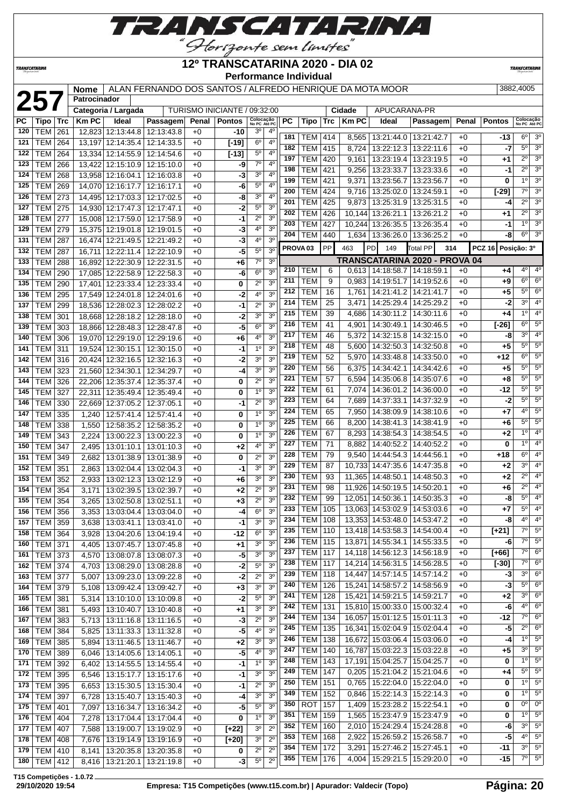

**TRANSCATARINA** 

#### **12º TRANSCATARINA 2020 - DIA 02 Performance Individual**

**TRANSCATARIN** 

|            |                                  |            | <b>Nome</b>    |                                                    | ALAN FERNANDO DOS SANTOS / ALFREDO HENRIQUE DA MOTA MOOR |              |                              |                               |                                  |                     |                          |            |                |                                                              |                               |              |               | 3882,4005                  |                                  |
|------------|----------------------------------|------------|----------------|----------------------------------------------------|----------------------------------------------------------|--------------|------------------------------|-------------------------------|----------------------------------|---------------------|--------------------------|------------|----------------|--------------------------------------------------------------|-------------------------------|--------------|---------------|----------------------------|----------------------------------|
|            | 257                              |            | Patrocinador   |                                                    |                                                          |              |                              |                               |                                  |                     |                          |            |                |                                                              |                               |              |               |                            |                                  |
|            |                                  |            |                | Categoria / Largada                                |                                                          |              | TURISMO INICIANTE / 09:32:00 |                               |                                  |                     |                          |            | Cidade         | APUCARANA-PR                                                 |                               |              |               |                            |                                  |
| PC         | Tipo                             | Trc        | <b>KmPC</b>    | Ideal                                              | Passagem                                                 | Penal        | <b>Pontos</b>                | Colocação<br>No PC Até PC     |                                  | <b>PC</b>           | Tipo                     | Trc        | <b>Km PC</b>   | Ideal                                                        | Passagem                      | Penal        | <b>Pontos</b> | Colocação<br>No PC Até PC  |                                  |
| 120        | <b>TEM</b>                       | 261        |                | 12,823 12:13:44.8                                  | 12:13:43.8                                               | $+0$         | -10                          | 30                            | 4°                               | 181                 | <b>TEM</b>               | 414        | 8,565          | 13:21:44.0   13:21:42.7                                      |                               | $+0$         | -13           | $6^{\circ}$                | 3 <sup>o</sup>                   |
| 121        | <b>TEM</b>                       | 264        |                | 13,197 12:14:35.4                                  | 12:14:33.5                                               | $+0$         | $[-19]$                      | $6^{\circ}$                   | $4^{\circ}$                      | 182                 | <b>TEM</b>               | 415        | 8.724          | 13:22:12.3   13:22:11.6                                      |                               | $+0$         | -7            | $5^{\circ}$                | 3 <sup>o</sup>                   |
| 122        | <b>TEM</b>                       | 264        |                | 13,334 12:14:55.9                                  | 12:14:54.6                                               | $+0$         | $[-13]$                      | 5 <sup>o</sup>                | $4^{\circ}$                      | 197                 | <b>TEM</b>               | 420        | 9,161          | 13:23:19.4   13:23:19.5                                      |                               | $+0$         | +1            | $2^{\circ}$                | 3 <sup>o</sup>                   |
| 123        | <b>TEM</b>                       | 266        |                | 13,422 12:15:10.9 12:15:10.0                       |                                                          | $+0$         | -9                           | $7^\circ$<br>3 <sup>o</sup>   | 4°<br>$4^{\circ}$                | 198                 | <b>TEM</b>               | 421        | 9,256          | 13:23:33.7   13:23:33.6                                      |                               | $+0$         | -1            | $2^{\circ}$                | 3 <sup>o</sup>                   |
| 124<br>125 | <b>TEM</b>                       | 268        |                | 13,958 12:16:04.1                                  | 12:16:03.8                                               | $+0$         | -3                           | $5^{\circ}$                   | 4 <sup>0</sup>                   | 199                 | <b>TEM</b>               | 421        | 9,371          | 13:23:56.7   13:23:56.7                                      |                               | $+0$         | 0             | $1^{\circ}$                | 3 <sup>o</sup>                   |
| 126        | <b>TEM</b><br><b>TEM</b>         | 269<br>273 |                | 14,070 12:16:17.7<br>14,495 12:17:03.3 12:17:02.5  | 12:16:17.1                                               | $+0$<br>$+0$ | -6<br>-8                     | 3 <sup>0</sup>                | $4^{\circ}$                      | 200                 | <b>TEM</b>               | 424        | 9,716          | 13:25:02.0   13:24:59.1                                      |                               | $+0$         | [-29]         | 7º                         | 3 <sup>o</sup>                   |
| 127        | TEM                              | 275        |                | 14,930 12:17:47.3 12:17:47.1                       |                                                          | $+0$         | -2                           | $5^{\rm o}$                   | 3 <sup>0</sup>                   | 201                 | <b>TEM</b>               | 425        | 9,873          | 13:25:31.9   13:25:31.5                                      |                               | $+0$         | -4            | $2^{\circ}$                | 3 <sup>o</sup>                   |
| 128        | TEM                              | 277        |                | 15.008 12:17:59.0 12:17:58.9                       |                                                          | $+0$         | -1                           | $2^{\circ}$                   | 3 <sup>o</sup>                   | 202                 | <b>TEM</b>               | 426        |                | 10,144 13:26:21.1                                            | 13.26:21.2                    | $+0$         | +1            | $2^{\circ}$                | 3 <sup>o</sup>                   |
| 129        | <b>TEM</b>                       | 279        |                | 15,375 12:19:01.8 12:19:01.5                       |                                                          | $+0$         | -3                           | 4°                            | 3 <sup>o</sup>                   | 203                 | <b>TEM</b>               | 427        |                | 10,244 13:26:35.5 13:26:35.4                                 |                               | $+0$         | -1            | $1^{\circ}$                | 3 <sup>o</sup>                   |
| 131        | <b>TEM</b>                       | 287        |                | 16,474 12:21:49.5 12:21:49.2                       |                                                          | $+0$         | -3                           | 4°                            | 3 <sup>o</sup>                   | 204                 | <b>TEM</b>               | 440        | 1,634          | 13:36:26.0   13:36:25.2                                      |                               | $+0$         | -8            | $6^{\circ}$                | 3 <sup>o</sup>                   |
| 132        | <b>TEM</b>                       | 287        |                | 16,711 12:22:11.4                                  | 12:22:10.9                                               | $+0$         | -5                           | $5^{\rm o}$                   | 3 <sup>o</sup>                   | PROVA <sub>03</sub> |                          | PP         | 463            | PD<br>149                                                    | Total PP<br>314               |              | <b>PCZ 16</b> | Posição: 3º                |                                  |
| 133        | TEM                              | 288        |                | 16,892 12:22:30.9 12:22:31.5                       |                                                          | $+0$         | +6                           | $7^\circ$                     | 3 <sup>o</sup>                   |                     |                          |            |                |                                                              | TRANSCATARINA 2020 - PROVA 04 |              |               |                            |                                  |
| 134        | <b>TEM</b>                       | 290        |                | 17,085 12:22:58.9                                  | 12:22:58.3                                               | $+0$         | -6                           | $6^{\circ}$                   | 3 <sup>o</sup>                   | 210                 | <b>TEM</b>               | 6          |                | $0,613$   14:18:58.7   14:18:59.1                            |                               | $+0$         | +4            | 4º                         | $4^{\circ}$                      |
| 135        | <b>TEM</b>                       | 290        |                | 17,401 12:23:33.4                                  | 12:23:33.4                                               | $+0$         | 0                            | $2^{\circ}$                   | 3 <sup>o</sup>                   | 211                 | <b>TEM</b>               | 9          | 0,983          | 14:19:51.7   14:19:52.6                                      |                               | $+0$         | +9            | $6^{\circ}$                | 6 <sup>o</sup>                   |
| 136        | <b>TEM</b>                       | 295        |                | 17,549 12:24:01.8 12:24:01.6                       |                                                          | $+0$         | -2                           | 4 <sup>0</sup>                | 3 <sup>o</sup>                   | 212                 | <b>TEM</b>               | 16         | 1,761          | 14:21:41.2 14:21:41.7                                        |                               | $+0$         | $+5$          | $5^{\circ}$                | $6^{\circ}$                      |
| 137        | <b>TEM</b>                       | 299        |                | 18,536 12:28:02.3 12:28:02.2                       |                                                          | $+0$         | $-1$                         | $2^{\circ}$                   | 3 <sup>0</sup>                   | 214                 | <b>TEM</b>               | 25         | 3,471          | 14:25:29.4   14:25:29.2                                      |                               | $+0$         | -2            | $3^{\circ}$                | 4 <sup>o</sup>                   |
| 138        | <b>TEM</b>                       | 301        |                | 18,668 12:28:18.2 12:28:18.0                       |                                                          | $+0$         | -2                           | 3 <sup>o</sup>                | 3 <sup>o</sup>                   | 215                 | <b>TEM</b>               | 39         | 4.686          | 14:30:11.2   14:30:11.6                                      |                               | $+0$         | +4            | $1^{\circ}$                | $4^{\circ}$                      |
| 139        | <b>TEM</b>                       | 303        |                | 18.866 12:28:48.3 12:28:47.8                       |                                                          | $+0$         | -5                           | $6^{\circ}$                   | 3 <sup>o</sup>                   | 216                 | TEM                      | 41         | 4,901          | 14:30:49.1   14:30:46.5                                      |                               | $+0$         | [-26]         | $6^{\circ}$                | $5^{\circ}$                      |
| 140        | <b>TEM</b>                       | 306        |                | 19,070 12:29:19.0 12:29:19.6                       |                                                          | $+0$         | +6                           | 4°                            | 3 <sup>o</sup>                   | 217                 | <b>TEM</b>               | 46         | 5,372          | 14:32:15.8   14:32:15.0                                      |                               | $+0$         | -8            | $3^{\circ}$<br>$5^{\circ}$ | $4^{\circ}$<br>$5^{\circ}$       |
| 141        | <b>TEM</b>                       | 311        |                | 19.524 12:30:15.1                                  | 12:30:15.0                                               | $+0$         | -1                           | 1 <sup>0</sup>                | 3 <sup>o</sup>                   | 218<br>219          | <b>TEM</b><br>TEM        | 48<br>52   | 5,600          | 14:32:50.3   14:32:50.8                                      |                               | $+0$<br>$+0$ | $+5$          | $6^{\circ}$                | $5^{\circ}$                      |
| 142        | <b>TEM</b>                       | 316        |                | 20,424 12:32:16.5 12:32:16.3                       |                                                          | $+0$         | -2                           | 3 <sup>o</sup>                | 3 <sup>o</sup>                   | 220                 | <b>TEM</b>               | 56         | 5,970<br>6,375 | 14:33:48.8   14:33:50.0<br>14:34:42.1   14:34:42.6           |                               | $+0$         | +12<br>$+5$   | $5^{\circ}$                | $5^{\circ}$                      |
| 143        | <b>TEM</b>                       | 323        |                | 21,560 12:34:30.1                                  | 12:34:29.7                                               | $+0$         | -4                           | 3 <sup>o</sup>                | 3 <sup>o</sup>                   | 221                 | <b>TEM</b>               | 57         | 6,594          | 14:35:06.8   14:35:07.6                                      |                               | $+0$         | $+8$          | $5^{\circ}$                | 5 <sup>o</sup>                   |
| 144<br>145 | <b>TEM</b>                       | 326        |                | 22,206 12:35:37.4                                  | 12:35:37.4                                               | $+0$         | 0                            | $2^{\circ}$<br>1 <sup>0</sup> | 3 <sup>o</sup><br>3 <sup>o</sup> | 222                 | <b>TEM</b>               | 61         | 7,074          | 14:36:01.2   14:36:00.0                                      |                               | $+0$         | -12           | $5^{\circ}$                | $5^{\circ}$                      |
| 146        | <b>TEM</b><br><b>TEM</b>         | 327<br>330 | 22,311         | 12:35:49.4<br>22,669 12:37:05.2                    | 12:35:49.4                                               | $+0$<br>$+0$ | 0<br>-1                      | $2^{\circ}$                   | 3 <sup>o</sup>                   | 223                 | <b>TEM</b>               | 64         | 7,689          | 14:37:33.1   14:37:32.9                                      |                               | $+0$         | -2            | $5^{\circ}$                | 5 <sup>o</sup>                   |
| 147        | <b>TEM</b>                       | 335        | 1,240          | 12:57:41.4                                         | 12:37:05.1<br>12:57:41.4                                 | $+0$         | 0                            | 1 <sup>0</sup>                | 3 <sup>0</sup>                   | 224                 | TEM                      | 65         | 7,950          |                                                              | 14:38:09.9   14:38:10.6       | $+0$         | +7            | $4^{\circ}$                | 5 <sup>0</sup>                   |
| 148        | <b>TEM</b>                       | 338        | 1,550          | 12:58:35.2   12:58:35.2                            |                                                          | $+0$         | 0                            | 1 <sup>0</sup>                | 3 <sup>o</sup>                   | 225                 | <b>TEM</b>               | 66         | 8,200          | 14:38:41.3   14:38:41.9                                      |                               | $+0$         | +6            | $5^{\circ}$                | $5^\circ$                        |
| 149        | <b>TEM</b>                       | 343        | 2,224          | 13:00:22.3   13:00:22.3                            |                                                          | $+0$         | 0                            | 1 <sup>0</sup>                | 3 <sup>o</sup>                   | 226                 | <b>TEM</b>               | 67         | 8,293          | 14:38:54.3   14:38:54.5                                      |                               | $+0$         | +2            | $1^{\circ}$                | $4^{\circ}$                      |
| 150        | <b>TEM</b>                       | 347        | 2,495          | 13:01:10.1                                         | 13:01:10.3                                               | $+0$         | $+2$                         | 4°                            | 3 <sup>o</sup>                   | 227                 | <b>TEM</b>               | 71         | 8,882          | 14:40:52.2 14:40:52.2                                        |                               | $+0$         | 0             | $1^{\circ}$                | 4 <sup>0</sup>                   |
| 151        | <b>TEM</b>                       | 349        | 2,682          | 13:01:38.9   13:01:38.9                            |                                                          | $+0$         | 0                            | $2^{\circ}$                   | 3 <sup>o</sup>                   | 228                 | <b>TEM</b>               | 79         | 9,540          | 14:44:54.3   14:44:56.1                                      |                               | $+0$         | +18           | $6^{\circ}$                | 4 <sup>0</sup>                   |
| 152        | <b>TEM</b>                       | 351        | 2,863          | 13:02:04.4                                         | 13:02:04.3                                               | $+0$         | -1                           | 3 <sup>o</sup>                | 3 <sup>o</sup>                   | 229                 | <b>TEM</b>               | 87         |                | 10,733 14:47:35.6 14:47:35.8                                 |                               | $+0$         | $+2$          | $3^{\circ}$                | $4^{\circ}$                      |
| 153        | <b>TEM</b>                       | 352        | 2,933          | 13:02:12.3                                         | 13:02:12.9                                               | $+0$         | +6                           | 3 <sup>o</sup>                | 3 <sup>o</sup>                   | 230                 | <b>TEM</b>               | 93         |                | 11,365   14:48:50.1   14:48:50.3                             |                               | $+0$         | $+2$          | $2^{\circ}$                | 4 <sup>o</sup>                   |
| 154        | <b>TEM</b>                       | 354        | 3,171          | 13:02:39.5                                         | 13:02:39.7                                               | $+0$         | +2                           | $2^{\circ}$                   | 3 <sup>0</sup>                   | 231                 | <b>TEM</b>               | 98         | 11.926         | 14:50:19.5   14:50:20.1                                      |                               | $+0$         | +6            | $2^{\circ}$                | 4 <sup>0</sup>                   |
| 155        | <b>TEM</b>                       | 354        | 3,265          | 13:02:50.8   13:02:51.1                            |                                                          | $+0$         | $+3$                         | $2^{\circ}$                   | 3 <sup>0</sup>                   | 232<br>233          | <b>TEM</b>               | 99         |                | 12,051 14:50:36.1 14:50:35.3                                 |                               | $+0$         | -8            | $5^{\circ}$<br>$5^{\circ}$ | 4 <sup>0</sup><br>4 <sup>0</sup> |
|            | 156 TEM 356                      |            |                | 3,353 13:03:04.4 13:03:04.0                        |                                                          | $+0$         | $-4$                         |                               | $6^{\circ}$ 3 <sup>0</sup>       | 234                 | <b>TEM</b><br><b>TEM</b> | 105<br>108 |                | 13,063 14:53:02.9 14:53:03.6<br>13,353 14:53:48.0 14:53:47.2 |                               | $+0$<br>$+0$ | $+7$<br>-8    | 4º                         | $4^{\circ}$                      |
| 157        | TEM 359                          |            | 3,638          | 13:03:41.1   13:03:41.0                            |                                                          | $+0$         | -1                           | 3 <sup>o</sup>                | 3 <sup>o</sup>                   | 235                 | <b>TEM</b>               | 110        |                | 13,418 14:53:58.3 14:54:00.4                                 |                               | $+0$         | $[+21]$       |                            | $7^\circ$ 5°                     |
| 158        | <b>TEM 364</b>                   |            | 3,928          | 13:04:20.6   13:04:19.4                            |                                                          | +0           | $-12$                        | $6^{\circ}$<br>3 <sup>o</sup> | 3 <sup>o</sup><br>3 <sup>o</sup> | 236                 | <b>TEM</b>               | 115        |                | 13,871 14:55:34.1 14:55:33.5                                 |                               | $+0$         | -6            |                            | $7^\circ$ 5°                     |
| 160<br>161 | <b>TEM 371</b><br><b>TEM 373</b> |            | 4,405          | 13:07:45.7   13:07:45.8<br>13:08:07.8   13:08:07.3 |                                                          | $+0$         | $+1$<br>$-5$                 | 3 <sup>o</sup>                | 3 <sup>o</sup>                   | 237                 | <b>TEM</b>               | 117        |                | 14,118 14:56:12.3 14:56:18.9                                 |                               | $+0$         | [+66]         |                            | $7^\circ$ 6°                     |
| 162        | <b>TEM 374</b>                   |            | 4,570          | 4,703   13:08:29.0   13:08:28.8                    |                                                          | $+0$<br>$+0$ | -2                           | $5^{\circ}$                   | 3 <sup>o</sup>                   | 238                 | <b>TEM</b>               | 117        |                | 14,214 14:56:31.5 14:56:28.5                                 |                               | $+0$         | $[-30]$       | 7º                         | $6^{\circ}$                      |
| 163        | TEM                              | 377        | 5,007          | 13:09:23.0   13:09:22.8                            |                                                          | +0           | $-2$                         | $2^{\circ}$                   | 3 <sup>o</sup>                   | 239                 | <b>TEM</b>               | 118        |                | 14,447 14:57:14.5 14:57:14.2                                 |                               | $+0$         | -3            | $3^{\circ}$                | $6^{\circ}$                      |
| 164        | <b>TEM 379</b>                   |            | 5,108          | 13:09:42.4   13:09:42.7                            |                                                          | +0           | $+3$                         | 3 <sup>o</sup>                | 3 <sup>o</sup>                   | 240                 | <b>TEM</b>               | 126        |                | 15,241 14:58:57.2 14:58:56.9                                 |                               | $+0$         | -3            | $5^{\circ}$                | 6 <sup>o</sup>                   |
| 165        | <b>TEM 381</b>                   |            | 5,314          | 13:10:10.0 13:10:09.8                              |                                                          | $+0$         | $-2$                         | $5^{\circ}$                   | 3 <sup>0</sup>                   | 241                 | <b>TEM</b>               | 128        |                | 15,421 14:59:21.5 14:59:21.7                                 |                               | $+0$         | $+2$          | $3^{\circ}$                | 6 <sup>o</sup>                   |
| 166        | <b>TEM 381</b>                   |            |                | 5,493   13:10:40.7   13:10:40.8                    |                                                          | $+0$         | $+1$                         | 3 <sup>o</sup>                | 3 <sup>o</sup>                   | 242                 | <b>TEM</b>               | 131        |                | 15,810 15:00:33.0 15:00:32.4                                 |                               | $+0$         | -6            | $4^{\circ}$                | 6 <sup>o</sup>                   |
| 167        | <b>TEM 383</b>                   |            |                | 5,713 13:11:16.8 13:11:16.5                        |                                                          | $+0$         | $-3$                         | $2^{\circ}$                   | 3 <sup>o</sup>                   | 244                 | <b>TEM</b>               | 134        |                | 16,057   15:01:12.5   15:01:11.3                             |                               | $+0$         | -12           | 7º                         | $6^{\circ}$                      |
| 168        | <b>TEM 384</b>                   |            | 5,825          | 13:11:33.3   13:11:32.8                            |                                                          | $+0$         | $-5$                         | 4°                            | 3 <sup>o</sup>                   | 245                 | <b>TEM</b>               | 135        |                | 16,341   15:02:04.9   15:02:04.4                             |                               | $+0$         | -5            | 2º                         | $6^{\circ}$                      |
| 169        | <b>TEM 385</b>                   |            | 5,894          | 13:11:46.5                                         | 13:11:46.7                                               | $+0$         | $+2$                         | 3 <sup>o</sup>                | 3 <sup>o</sup>                   | 246                 | <b>TEM</b>               | 138        |                | 16,672 15:03:06.4 15:03:06.0                                 |                               | $+0$         | -4            | $1^{\circ}$                | $5^{\circ}$                      |
| 170        | TEM                              | 389        | 6,046          | 13:14:05.6   13:14:05.1                            |                                                          | $+0$         | $-5$                         | 4 <sup>0</sup>                | 3 <sup>o</sup>                   | 247                 | <b>TEM</b>               | 140        |                | 16,787 15:03:22.3 15:03:22.8                                 |                               | $+0$         | $+5$          |                            | $3^0$ 5 <sup>0</sup>             |
| 171        | TEM                              | 392        | 6,402          | 13:14:55.5   13:14:55.4                            |                                                          | $+0$         | -1                           | 1 <sup>0</sup>                | 3 <sup>o</sup>                   | 248                 | <b>TEM</b>               | 143        |                | 17,191 15:04:25.7 15:04:25.7                                 |                               | $+0$         | 0             | $1^{\circ}$<br>$5^{\circ}$ | $5^{\circ}$<br>$5^\circ$         |
| 172        | <b>TEM</b>                       | 395        | 6,546          | 13:15:17.7                                         | 13:15:17.6                                               | +0           | -1                           | 3 <sup>o</sup>                | 3 <sup>o</sup>                   | 249<br>250          | <b>TEM</b>               | 147        | 0,205          | 15:21:04.2   15:21:04.6                                      |                               | $+0$         | +4            | $1^{\circ}$                | $5^\circ$                        |
| 173        | <b>TEM</b>                       | 395        | 6,653          | 13:15:30.5   13:15:30.4                            |                                                          | +0           | -1                           | $2^{\circ}$                   | 3 <sup>o</sup>                   | 349                 | <b>TEM</b><br><b>TEM</b> | 151<br>152 | 0,765<br>0,846 | 15:22:14.3   15:22:14.3                                      | 15:22:04.0   15:22:04.0       | $+0$<br>$+0$ | 0<br>0        |                            | $10^{6}$ 5 <sup>0</sup>          |
| 174        | TEM                              | 397        | 6,728          | 13:15:40.7   13:15:40.3                            |                                                          | $+0$         | -4                           | 3 <sup>0</sup><br>$5^{\circ}$ | 3 <sup>0</sup><br>3 <sup>o</sup> | 350                 | <b>ROT</b>               | 157        | 1,409          | 15:23:28.2                                                   | 15:22:54.1                    | $+0$         | 0             | 0°                         | $0^{\circ}$                      |
| 175<br>176 | TEM<br>TEM                       | 401<br>404 | 7,097<br>7,278 | 13:16:34.7   13:16:34.2<br>13:17:04.4   13:17:04.4 |                                                          | $+0$<br>$+0$ | $-5$<br>0                    | $1^{\circ}$                   | 3 <sup>o</sup>                   | 351                 | <b>TEM</b>               | 159        | 1,565          | 15:23:47.9   15:23:47.9                                      |                               | $+0$         | 0             | $1^{\circ}$                | $5^{\circ}$                      |
| 177        | TEM                              | 407        | 7,588          | 13:19:00.7   13:19:02.9                            |                                                          | $+0$         | $[+22]$                      | 3 <sup>o</sup>                | $2^{\circ}$                      | 352                 | <b>TEM</b>               | 160        | 2,010          |                                                              | 15:24:29.4   15:24:28.8       | $+0$         | -6            | 3º                         | $5^{\circ}$                      |
| 178        | <b>TEM 408</b>                   |            | 7,676          | 13:19:14.9 13:19:16.9                              |                                                          | $+0$         | $[+20]$                      | 3 <sup>o</sup>                | $2^{\circ}$                      | 353                 | <b>TEM</b>               | 168        | 2,922          | 15:26:59.2   15:26:58.7                                      |                               | $+0$         | -5            | 4º                         | $5^{\circ}$                      |
| 179        | <b>TEM 410</b>                   |            | 8,141          | 13:20:35.8   13:20:35.8                            |                                                          | $+0$         | 0                            | $2^{\circ}$                   | $2^{\circ}$                      | 354                 | <b>TEM</b>               | 172        | 3,291          | 15:27:46.2   15:27:45.1                                      |                               | $+0$         | -11           |                            | $3^0$ 5 <sup>0</sup>             |
| 180        | <b>TEM 412</b>                   |            |                | 8,416 13:21:20.1                                   | 13:21:19.8                                               | $+0$         | $-3$                         | $5^{\circ}$                   | $2^{\circ}$                      | 355                 | <b>TEM</b>               | 176        | 4,004          |                                                              | 15:29:21.5   15:29:20.0       | $+0$         | -15           |                            | $7^\circ$ 5°                     |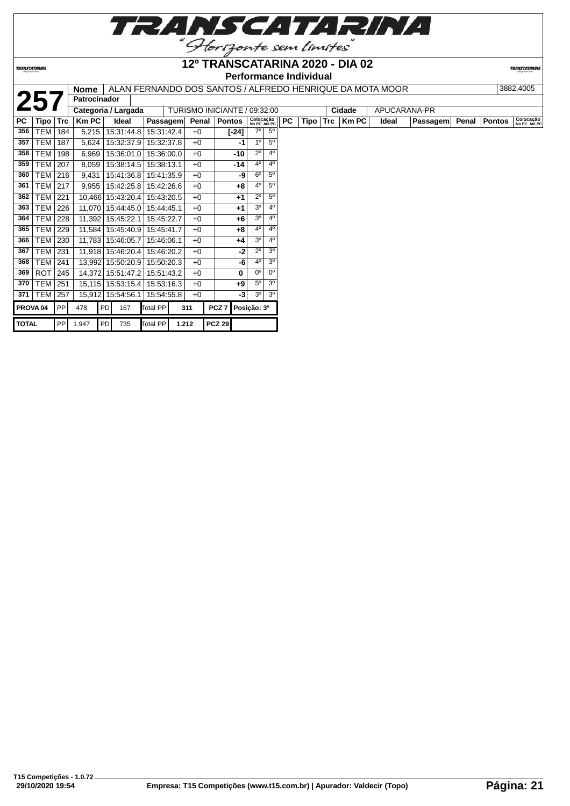

**TRANSCATARINA** 

#### **12º TRANSCATARINA 2020 - DIA 02 Performance Individual**

|              |                     |            | <b>Nome</b>         |                |            |            |       |       | ALAN FERNANDO DOS SANTOS / ALFREDO HENRIQUE DA MOTA MOOR |                           |                |           |               |            |              |       |              |       |               | 3882.4005                 |
|--------------|---------------------|------------|---------------------|----------------|------------|------------|-------|-------|----------------------------------------------------------|---------------------------|----------------|-----------|---------------|------------|--------------|-------|--------------|-------|---------------|---------------------------|
| 25           |                     |            | <b>Patrocinador</b> |                |            |            |       |       |                                                          |                           |                |           |               |            |              |       |              |       |               |                           |
|              |                     |            | Categoria / Largada |                |            |            |       |       | TURISMO INICIANTE / 09:32:00                             |                           |                |           |               |            | Cidade       |       | APUCARANA-PR |       |               |                           |
| <b>PC</b>    | Tipo                | <b>Trc</b> | <b>Km PC</b>        |                | Ideal      | Passagem   |       | Penal | <b>Pontos</b>                                            | Colocação<br>No PC Até PC |                | <b>PC</b> | Tipo <b>I</b> | <b>Trc</b> | <b>Km PC</b> | Ideal | Passagem     | Penal | <b>Pontos</b> | Colocação<br>No PC Até PC |
| 356          | TEM                 | 184        | 5,215               |                | 15:31:44.8 | 15:31:42.4 |       | $+0$  | $[-24]$                                                  | $7^\circ$                 | 5 <sup>0</sup> |           |               |            |              |       |              |       |               |                           |
| 357          | <b>TEM</b>          | 187        | 5,624               |                | 15:32:37.9 | 15:32:37.8 |       | $+0$  | -1                                                       | 1 <sup>0</sup>            | $5^{\circ}$    |           |               |            |              |       |              |       |               |                           |
| 358          | <b>TEM</b>          | 198        | 6,969               |                | 15:36:01.0 | 15:36:00.0 |       | $+0$  | -10                                                      | $2^{\circ}$               | 4 <sup>0</sup> |           |               |            |              |       |              |       |               |                           |
| 359          | <b>TEM   207</b>    |            | 8,059               |                | 15:38:14.5 | 15:38:13.1 |       | $+0$  | $-14$                                                    | $4^{\circ}$               | 4 <sup>0</sup> |           |               |            |              |       |              |       |               |                           |
| 360          | <b>TEM</b>          | 216        | 9,431               |                | 15:41:36.8 | 15:41:35.9 |       | $+0$  | -9                                                       | $6^{\circ}$               | $5^{\circ}$    |           |               |            |              |       |              |       |               |                           |
| 361          | TEM                 | 217        | 9,955               |                | 15:42:25.8 | 15:42:26.6 |       | $+0$  | $+8$                                                     | 40                        | $5^{\circ}$    |           |               |            |              |       |              |       |               |                           |
| 362          | <b>TEM 221</b>      |            | 10,466 15:43:20.4   |                |            | 15:43:20.5 |       | $+0$  | $+1$                                                     | $2^{\circ}$               | $5^{\circ}$    |           |               |            |              |       |              |       |               |                           |
| 363          | TEM                 | 226        | 11,070 15:44:45.0   |                |            | 15:44:45.1 |       | $+0$  | $+1$                                                     | 3 <sup>o</sup>            | 4 <sup>0</sup> |           |               |            |              |       |              |       |               |                           |
| 364          | TEM                 | 228        | 11,392 15:45:22.1   |                |            | 15:45:22.7 |       | $+0$  | $+6$                                                     | 3 <sup>o</sup>            | 4 <sup>0</sup> |           |               |            |              |       |              |       |               |                           |
| 365          | <b>TEM</b>          | 229        | 11,584 15:45:40.9   |                |            | 15:45:41.7 |       | $+0$  | $+8$                                                     | $4^{\circ}$               | 4 <sup>0</sup> |           |               |            |              |       |              |       |               |                           |
| 366          | <b>TEM 230</b>      |            | 11,783 15:46:05.7   |                |            | 15:46:06.1 |       | $+0$  | $+4$                                                     | 3 <sup>o</sup>            | 4 <sup>0</sup> |           |               |            |              |       |              |       |               |                           |
| 367          | <b>TEM</b>          | 231        | 11,918 15:46:20.4   |                |            | 15:46:20.2 |       | $+0$  | $-2$                                                     | $2^{\circ}$               | 3 <sup>o</sup> |           |               |            |              |       |              |       |               |                           |
| 368          | <b>TEM</b>          | 241        | 13,992 15:50:20.9   |                |            | 15:50:20.3 |       | $+0$  | -6                                                       | $4^{\circ}$               | 3 <sup>o</sup> |           |               |            |              |       |              |       |               |                           |
| 369          | <b>ROT</b>          | 245        | 14,372 15:51:47.2   |                |            | 15:51:43.2 |       | $+0$  | 0                                                        | $0^{\circ}$               | 0 <sup>o</sup> |           |               |            |              |       |              |       |               |                           |
| 370          | <b>TEM</b>          | 251        | 15,115 15:53:15.4   |                |            | 15:53:16.3 |       | $+0$  | $+9$                                                     | $5^{\circ}$               | 3 <sup>0</sup> |           |               |            |              |       |              |       |               |                           |
| 371          | <b>TEM</b>          | 257        | 15,912 15:54:56.1   |                |            | 15:54:55.8 |       | $+0$  | -3                                                       | 3 <sup>o</sup>            | 3 <sup>o</sup> |           |               |            |              |       |              |       |               |                           |
|              | PROVA <sub>04</sub> | PP         | 478                 | PD             | 167        | Total PP   |       | 311   | PCZ <sub>7</sub>                                         | Posição: 3º               |                |           |               |            |              |       |              |       |               |                           |
| <b>TOTAL</b> |                     | PP         | 1.947               | P <sub>D</sub> | 735        | Total PP   | 1.212 |       | <b>PCZ 29</b>                                            |                           |                |           |               |            |              |       |              |       |               |                           |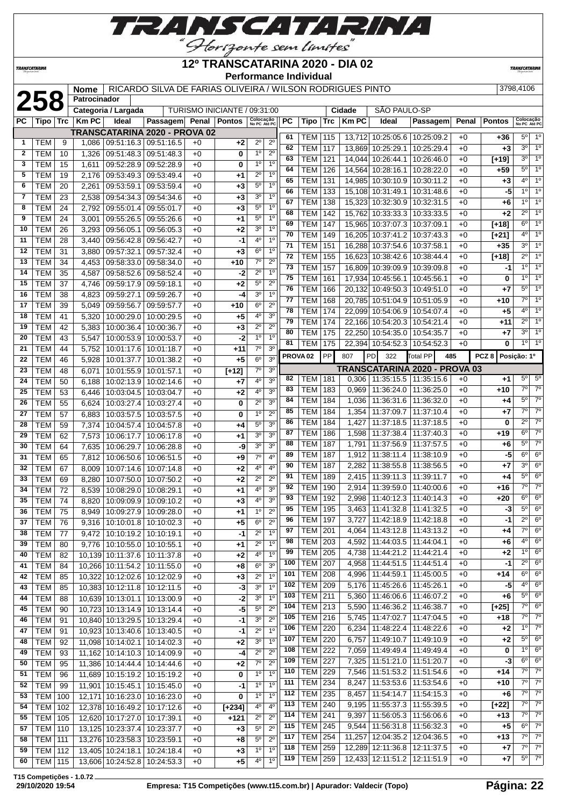

*TRANSCATARINI* 

**Patrocinador**

#### **12º TRANSCATARINA 2020 - DIA 02 Performance Individual**

**TRANSCATAR** 

 TEM 201 4,064 11:43:12.8 11:43:13.2 +0 **+4** 7º 6º TEM 203 4,592 11:44:03.5 11:44:04.1 +0 **+6** 4º 6º TEM 205 4,738 11:44:21.2 11:44:21.4 +0 **+2** 1º 6º TEM 207 4,958 11:44:51.5 11:44:51.4 +0 **-1** 2º 6º TEM 208 4,996 11:44:59.1 11:45:00.5 +0 **+14** 6º 6º TEM 209 5,176 11:45:26.6 11:45:26.1 +0 -5 4° 6 TEM 211 5,360 11:46:06.6 11:46:07.2 +0 **+6** 5º 6º TEM 213 5,590 11:46:36.2 11:46:38.7 +0 **[+25]** 7º 6º TEM 216 5,745 11:47:02.7 11:47:04.5 +0 **+18** 7º 7º TEM 220 6,234 11:48:22.4 11:48:22.6 +0 **+2** 1º 7º TEM 220 6,757 11:49:10.7 11:49:10.9 +0 **+2** 5º 6º TEM 222 7,059 11:49:49.4 11:49:49.4 +0 **0** 1º 6º TEM 227 7,325 11:51:21.0 11:51:20.7 +0 **-3** 6º 6º TEM 229 7,546 11:51:53.2 11:51:54.6 +0 +14 7° 7 TEM 234 8,247 11:53:53.6 11:53:54.6 +0 **+10** 7º 7º TEM 235 8,457 11:54:14.7 11:54:15.3 +0 **+6** 7º 7º TEM 240 9,195 11:55:37.3 11:55:39.5 +0 **[+22]** 7º 7º TEM 241 9,397 11:56:05.3 11:56:06.6 +0 **+13** 7º 7º TEM 245 9,544 11:56:31.8 11:56:32.3 +0 **+5** 6º 7º TEM 254 11,257 12:04:35.2 12:04:36.5 +0 **+13** 7º 7º TEM 259 12,289 12:11:36.8 12:11:37.5 +0 **+7** 7º 7º TEM 259 12,433 12:11:51.2 12:11:51.9 +0 **+7** 5º 7º

# **258 Nome** RICARDO SILVA DE FARIAS OLIVEIRA / WILSON RODRIGUES PINTO 3798,4106<br> **258 Patrocinador**<br>
PC | Tipo | Trc | Km PC | Ideal | Passagem| Penal | Pontos | Sancta Anagel | PC | Tipo | Trc | Km PC | Ideal | Passage

**TURISMO INICIANTE / 09:31:00** 

| $\overline{\mathsf{PC}}$ | Tipo $ $ Trc $ $ |    | <b>KmPC</b> | Ideal                       | Passagem Penal Pontos                   |      |          | Colocação<br>No PC Até PC |                  | <b>PC</b>       | Tipo                | Trc        | <b>Km PC</b> | Ideal                                                        | Passagem                             |              | <b>Penal Pontos</b> | Colocação<br>No PC Até PC |                  |
|--------------------------|------------------|----|-------------|-----------------------------|-----------------------------------------|------|----------|---------------------------|------------------|-----------------|---------------------|------------|--------------|--------------------------------------------------------------|--------------------------------------|--------------|---------------------|---------------------------|------------------|
|                          |                  |    |             |                             | TRANSCATARINA 2020 - PROVA 02           |      |          |                           |                  | 61              | <b>TEM</b>          | 115        |              | 13,712 10:25:05.6 10:25:09.2                                 |                                      | $+0$         | $+36$               | $5^{\circ}$               | $1^{\circ}$      |
| $\mathbf 1$              | <b>TEM</b>       | 9  |             | 1,086 09:51:16.3 09:51:16.5 |                                         | $+0$ | +2       | $2^{\circ}$               | $2^{\circ}$      | 62              | <b>TEM</b>          | 117        |              | 13,869 10:25:29.1                                            | 10:25:29.4                           | $+0$         | $+3$                | 3 <sup>o</sup>            | 1 <sup>0</sup>   |
| $\mathbf{2}$             | <b>TEM</b>       | 10 | 1,326       |                             | $\overline{09:51:48.3 \mid 09:51:48.3}$ | $+0$ | 0        | $1^{\circ}$               | $2^{\circ}$      | 63              | <b>TEM</b>          | 121        |              | 14,044 10:26:44.1                                            | 10:26:46.0                           | $+0$         | $[+19]$             | 3 <sup>o</sup>            | 1 <sup>0</sup>   |
| 3                        | <b>TEM</b>       | 15 | 1,611       | 09:52:28.9 09:52:28.9       |                                         | $+0$ | 0        | $1^{\circ}$               | 1 <sup>0</sup>   | 64              | <b>TEM</b>          | 126        |              | 14,564 10:28:16.1 10:28:22.0                                 |                                      | $+0$         | $+59$               | $5^{\circ}$               | 1 <sup>0</sup>   |
| 5                        | <b>TEM</b>       | 19 | 2,176       | 09:53:49.3 09:53:49.4       |                                         | $+0$ | +1       | $2^{\circ}$               | 1 <sup>0</sup>   | 65              | <b>TEM</b>          |            |              |                                                              |                                      |              |                     | $4^{\circ}$               | 1 <sup>0</sup>   |
| 6                        | <b>TEM</b>       | 20 | 2,261       |                             | 09:53:59.1 09:53:59.4                   | $+0$ | $+3$     | 5 <sup>o</sup>            | 1 <sup>0</sup>   | 66              | <b>TEM</b>          | 131<br>133 |              | 14,985 10:30:10.9 10:30:11.2<br>15,108 10:31:49.1 10:31:48.6 |                                      | $+0$<br>$+0$ | $+3$<br>$-5$        | 10                        | 10               |
| $\overline{7}$           | <b>TEM</b>       | 23 | 2,538       |                             | 09:54:34.3 09:54:34.6                   | $+0$ | $+3$     | 3 <sup>0</sup>            | 1 <sup>0</sup>   | 67              | <b>TEM</b>          | 138        |              | 15,323 10:32:30.9 10:32:31.5                                 |                                      | $+0$         | +6                  | 1 <sup>0</sup>            | 10               |
| 8                        | <b>TEM</b>       | 24 | 2.792       | 09:55:01.4 09:55:01.7       |                                         | $+0$ | $+3$     | $5^{\circ}$               | 1 <sup>0</sup>   | 68              | <b>TEM</b>          | 142        |              | 15,762 10:33:33.3                                            | 10:33:33.5                           | $+0$         | $+2$                | $2^{\circ}$               | 1 <sup>0</sup>   |
| 9                        | <b>TEM</b>       | 24 | 3.001       |                             | 09:55:26.5 09:55:26.6                   | $+0$ | +1       | $5^{\rm o}$               | 1 <sup>0</sup>   | 69              | <b>TEM</b>          | 147        |              | 15,965 10:37:07.3 10:37:09.1                                 |                                      | $+0$         |                     | $6^{\circ}$               | 10               |
| 10                       | <b>TEM</b>       | 26 | 3,293       | 09:56:05.1                  | 09:56:05.3                              | $+0$ | $+2$     | 3 <sup>o</sup>            | 1 <sup>0</sup>   | 70              | <b>TEM</b>          | 149        |              | 16,205 10:37:41.2                                            | 10:37:43.3                           | $+0$         | $[+18]$<br>$[+21]$  | $4^{\circ}$               | 10               |
| 11                       | <b>TEM</b>       | 28 | 3,440       | 09:56:42.8                  | 09:56:42.7                              | $+0$ | -1       | 4 <sup>0</sup>            | 1 <sup>0</sup>   | 71              | <b>TEM</b>          | 151        |              | 16,288 10:37:54.6                                            | 10:37:58.1                           | $+0$         | $+35$               | 3 <sup>o</sup>            | 1 <sup>0</sup>   |
| 12                       | <b>TEM</b>       | 31 | 3,880       | 09:57:32.1                  | 09:57:32.4                              | $+0$ | $+3$     | $6^{\circ}$               | 1 <sup>0</sup>   | 72              | <b>TEM</b>          | 155        |              | 16,623 10:38:42.6                                            | 10:38:44.4                           | $+0$         | $[+18]$             | $2^{\circ}$               | 10               |
| 13                       | <b>TEM</b>       | 34 | 4,453       |                             | 09:58:33.0 09:58:34.0                   | $+0$ | $+10$    | $7^\circ$                 | $2^{\circ}$      | $\overline{73}$ | <b>TEM</b>          | 157        |              | 16,809 10:39:09.9                                            | 10:39:09.8                           | $+0$         | -1                  | 10                        | 1 <sup>0</sup>   |
| 14                       | <b>TEM</b>       | 35 | 4,587       | 09:58:52.6                  | 09:58:52.4                              | $+0$ | $-2$     | $2^{\circ}$               | 1 <sup>0</sup>   | 75              | <b>TEM</b>          | 161        |              | 17,934 10:45:56.1                                            | 10:45:56.1                           | $+0$         | 0                   | 10                        | 10               |
| 15                       | <b>TEM</b>       | 37 | 4.746       | 09:59:17.9 09:59:18.1       |                                         | $+0$ | $+2$     | 5 <sup>0</sup>            | $\overline{2^0}$ | 76              | <b>TEM</b>          | 166        |              | 20,132 10:49:50.3                                            | 10:49:51.0                           | $+0$         | $+7$                | $5^{\circ}$               | 1 <sup>0</sup>   |
| 16                       | <b>TEM</b>       | 38 | 4,823       | 09:59:27.1                  | 09:59:26.7                              | $+0$ | -4       | 3 <sup>0</sup>            | 1 <sup>0</sup>   | 77              | <b>TEM</b>          | 168        |              | 20,785 10:51:04.9                                            | 10:51:05.9                           | $+0$         | $+10$               | $7^\circ$                 | 10               |
| 17                       | <b>TEM</b>       | 39 | 5,049       | 09:59:56.7                  | 09:59:57.7                              | $+0$ | $+10$    | 6 <sup>o</sup>            | $2^{\circ}$      | 78              | <b>TEM</b>          | 174        |              | 22,099 10:54:06.9                                            | 10:54:07.4                           | $+0$         | $+5$                | 4 <sup>0</sup>            | 1 <sup>0</sup>   |
| 18                       | <b>TEM</b>       | 41 | 5,320       | 10:00:29.0                  | 10:00:29.5                              | $+0$ | $+5$     | 4 <sup>0</sup>            | 3 <sup>o</sup>   | 79              | <b>TEM</b>          | 174        |              | 22,166 10:54:20.3                                            | 10:54:21.4                           | $+0$         | $+11$               | $2^{\circ}$               | 10               |
| 19                       | <b>TEM</b>       | 42 | 5,383       | 10:00:36.4                  | 10:00:36.7                              | $+0$ | $+3$     | $2^{\circ}$               | $2^{\circ}$      | 80              | <b>TEM</b>          | 175        |              | 22,250 10:54:35.0                                            | 10:54:35.7                           | $+0$         | $+7$                | 3 <sup>0</sup>            | $\overline{1^0}$ |
| 20                       | <b>TEM</b>       | 43 | 5,547       | 10:00:53.9                  | 10:00:53.7                              | $+0$ | $-2$     | 1 <sup>0</sup>            | 1 <sup>0</sup>   | 81              | <b>TEM</b>          | 175        |              | 22,394 10:54:52.3                                            | 10:54:52.3                           | $+0$         | 0                   | $1^{\circ}$               | $\overline{1^0}$ |
| 21                       | <b>TEM</b>       | 44 | 5,752       | 10:01:17.6                  | 10:01:18.7                              | $+0$ | $+11$    | 7 <sup>0</sup>            | 3 <sup>0</sup>   |                 |                     | PP         |              |                                                              |                                      |              |                     |                           |                  |
| 22                       | <b>TEM</b>       | 46 | 5,928       | 10:01:37.7                  | 10:01:38.2                              | $+0$ | $+5$     | 6 <sup>o</sup>            | 3 <sup>o</sup>   |                 | PROVA <sub>02</sub> |            | 807          | PD<br>322                                                    | Total PP<br>485                      |              | PCZ 8 Posicão: 1º   |                           |                  |
| 23                       | <b>TEM</b>       | 48 | 6,071       | 10:01:55.9                  | 10:01:57.1                              | $+0$ | $[t+12]$ | $7^\circ$                 | 3 <sup>o</sup>   |                 |                     |            |              |                                                              | <b>TRANSCATARINA 2020 - PROVA 03</b> |              |                     | 5 <sup>0</sup>            | $5^{\circ}$      |
| 24                       | <b>TEM</b>       | 50 | 6.188       | 10:02:13.9                  | 10:02:14.6                              | $+0$ | +7       | 4 <sup>0</sup>            | 3 <sup>0</sup>   | 82              | TEM                 | 181        |              | $0,306$   11:35:15.5                                         | 11:35:15.6                           | $+0$         | +1                  | $7^\circ$                 | $\overline{70}$  |
| 25                       | <b>TEM</b>       | 53 | 6,446       | 10:03:04.5                  | 10:03:04.7                              | $+0$ | $+2$     | $4^{\circ}$               | 3 <sup>o</sup>   | 83              | <b>TEM</b>          | 183        | 0.969        | 11:36:24.0                                                   | 11:36:25.0                           | $+0$         | $+10$               | $5^{\circ}$               | $\overline{70}$  |
| 26                       | <b>TEM</b>       | 55 | 6.624       | 10:03:27.4                  | 10:03:27.4                              | $+0$ | 0        | $2^{\circ}$               | 3 <sup>0</sup>   | 84              | TEM                 | 184        |              | 1,036   11:36:31.6                                           | 11:36:32.0                           | $+0$         | $+4$                | 7 <sup>0</sup>            | 70               |
| 27                       | <b>TEM</b>       | 57 | 6,883       | 10:03:57.5                  | 10:03:57.5                              | $+0$ | 0        | 1 <sup>0</sup>            | $2^{\circ}$      | 85              | <b>TEM</b>          | 184        |              | 1,354 11:37:09.7                                             | 11:37:10.4                           | $+0$         | $+7$                | $2^{\circ}$               | 70               |
| 28                       | <b>TEM</b>       | 59 | 7,374       | 10:04:57.4                  | 10:04:57.8                              | $+0$ | +4       | 5 <sup>0</sup>            | 3 <sup>0</sup>   | 86              | TEM                 | 184        | 1,427        | 11:37:18.5                                                   | 11:37:18.5                           | $+0$         | 0                   | $6^{\circ}$               | $\overline{70}$  |
| 29                       | <b>TEM</b>       | 62 | 7,573       | 10:06:17.7                  | 10:06:17.8                              | $+0$ | $+1$     | 3 <sup>0</sup>            | 3 <sup>0</sup>   | 87              | <b>TEM</b>          | 186        | 1,598        | 11:37:38.4                                                   | 11:37:40.3                           | $+0$         | $+19$               | $5^{\circ}$               | $\overline{70}$  |
| 30                       | <b>TEM</b>       | 64 | 7,635       | 10:06:29.7                  | 10:06:28.8                              | $+0$ | -9       | 3 <sup>o</sup>            | 3 <sup>0</sup>   | 88              | <b>TEM</b>          | 187        | 1,791        | 11:37:56.9                                                   | 11:37:57.5                           | $+0$         | +6                  | 6 <sup>o</sup>            | $6^{\circ}$      |
| 31                       | <b>TEM</b>       | 65 | 7,812       | 10:06:50.6                  | 10:06:51.5                              | $+0$ | $+9$     | $7^\circ$                 | 4 <sup>0</sup>   | 89<br>90        | <b>TEM</b>          | 187        | 1,912        | 11:38:11.4                                                   | 11:38:10.9                           | $+0$         | -5                  | 3 <sup>0</sup>            | 6 <sup>o</sup>   |
| 32                       | <b>TEM</b>       | 67 | 8,009       | 10:07:14.6                  | 10:07:14.8                              | $+0$ | $+2$     | $4^{\circ}$               | 4 <sup>0</sup>   | 91              | <b>TEM</b>          | 187        | 2,282        | 11:38:55.8                                                   | 11:38:56.5                           | $+0$         | $+7$                | $5^{\circ}$               | 6 <sup>o</sup>   |
| 33                       | <b>TEM</b>       | 69 | 8,280       | 10:07:50.0                  | 10:07:50.2                              | $+0$ | $+2$     | $2^{\circ}$               | $2^{\circ}$      | 92              | <b>TEM</b>          | 189        | 2,415        | 11:39:11.3                                                   | 11:39:11.7                           | $+0$         | $+4$                | $\overline{7^0}$          | $\overline{70}$  |
| 34                       | <b>TEM</b>       | 72 | 8,539       | 10:08:29.0                  | 10:08:29.1                              | $+0$ | $+1$     | 40                        | 3 <sup>0</sup>   | 93              | <b>TEM</b>          | 190        |              | 2,914   11:39:59.0                                           | 11:40:00.6                           | $+0$         | $+16$<br>$+20$      | $6^{\circ}$               | 6 <sup>0</sup>   |
| 35                       | <b>TEM</b>       | 74 | 8.820       | 10:09:09.9                  | 10:09:10.2                              | $+0$ | $+3$     | 4 <sup>0</sup>            | 3 <sup>0</sup>   | 95              | <b>TEM</b>          | 192        | 2,998        | 11:40:12.3                                                   | 11:40:14.3                           | $+0$         |                     | 5 <sup>0</sup>            | $6^{\circ}$      |
| 36                       | <b>TEM</b>       | 75 | 8,949       | 10:09:27.9                  | 10:09:28.0                              | $+0$ | $+1$     | 1 <sup>0</sup>            | $2^{\circ}$      |                 | <b>TEM</b>          | 195        | 3.463        | 11:41:32.8                                                   | 11:41:32.5                           | $+0$         | -3                  | $2^{\circ}$               | $6^{\circ}$      |
| $\overline{37}$          | <b>TEM</b>       | 76 | 9.316       |                             | $10:10:01.8$ 10:10:02.3                 | $+0$ | $+5$     | $6^{\circ}$               | $2^{\circ}$      | 96              | <b>TEM</b>          | 197        | 3,727        | 11:42:18.9                                                   | 11:42:18.8                           | $+0$         | -11                 |                           |                  |

**T15 Competições - 1.0.72**

 TEM 77 9,472 10:10:19.2 10:10:19.1 +0 **-1** 2º 1º TEM 80 9,776 10:10:55.0 10:10:55.1 +0 **+1** 2º 1º TEM 82 10,139 10:11:37.6 10:11:37.8 +0 **+2** 4º 1º TEM 84 10,266 10:11:54.2 10:11:55.0 +0 **+8** 6º 3º TEM 85 10,322 10:12:02.6 10:12:02.9 +0 **+3** 2º 1º TEM 85 10,383 10:12:11.8 10:12:11.5 +0 **-3** 3º 1º TEM 88 10,639 10:13:01.1 10:13:00.9 +0 **-2** 3º 1º TEM 90 10,723 10:13:14.9 10:13:14.4 +0 **-5** 5º 2º TEM 91 10,840 10:13:29.5 10:13:29.4 +0 **-1** 3º 2º TEM 91 10,923 10:13:40.6 10:13:40.5 +0 **-1** 2º 1º TEM 92 11,098 10:14:02.1 10:14:02.3 +0 **+2** 3º 1º TEM 93 11,162 10:14:10.3 10:14:09.9 +0 **-4** 2º 2º TEM 95 11,386 10:14:44.4 10:14:44.6 +0 **+2** 7º 2º TEM 96 11,689 10:15:19.2 10:15:19.2 +0 **0** 1º 1º TEM 99 11,901 10:15:45.1 10:15:45.0 +0 **-1** 1º 1º TEM 100 12,171 10:16:23.0 10:16:23.0 +0 **0** 1º 1º TEM 102 12,378 10:16:49.2 10:17:12.6 +0 **[+234]** 4º 4º TEM 105 12,620 10:17:27.0 10:17:39.1 +0 **+121** 2º 2º TEM 110 13,125 10:23:37.4 10:23:37.7 +0 **+3** 5º 2º TEM 111 13,276 10:23:58.3 10:23:59.1 +0 **+8** 5º 2º TEM 112 13,405 10:24:18.1 10:24:18.4 +0 +3 TEM 115 13,606 10:24:52.8 10:24:53.3 +0 **+5** 4º 1º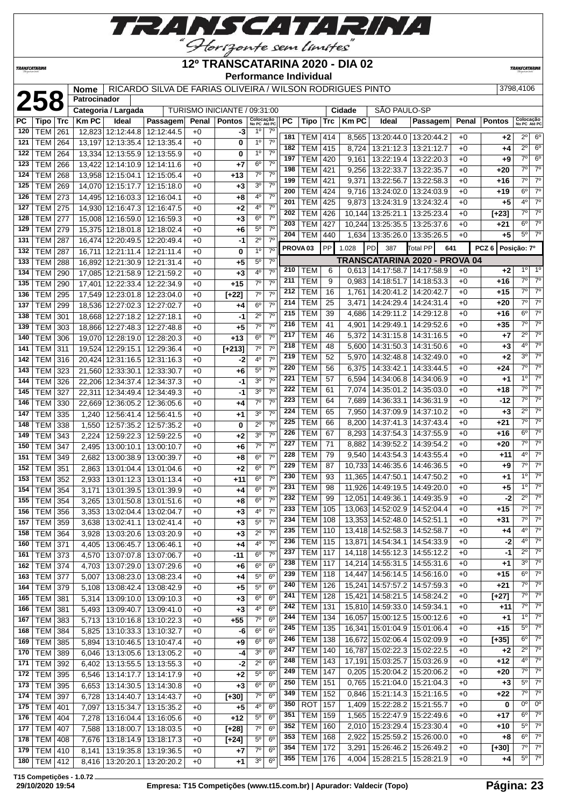

# **12º TRANSCATARINA 2020 - DIA 02**

**TRANSCATARIN** 

**TRANSCATARINA** 

#### **Performance Individual**

**2589,4106** Nome RICARDO SILVA DE FARIAS OLIVEIRA / WILSON RODRIGUES PINTO 3798,4106

|  | 2709 1106 |  |
|--|-----------|--|

|           | <b>258</b>     |     | Patrocinador |                     |                                                    |       |                              |                           |                  |                     |                |           |              |                                   |                               |       |                  |                           |                |
|-----------|----------------|-----|--------------|---------------------|----------------------------------------------------|-------|------------------------------|---------------------------|------------------|---------------------|----------------|-----------|--------------|-----------------------------------|-------------------------------|-------|------------------|---------------------------|----------------|
|           |                |     |              | Categoria / Largada |                                                    |       | TURISMO INICIANTE / 09:31:00 |                           |                  |                     |                |           | Cidade       | SÃO PAULO-SP                      |                               |       |                  |                           |                |
| <b>PC</b> | Tipo           | Trc | <b>Km PC</b> | Ideal               | Passagem                                           | Penal | <b>Pontos</b>                | Colocação<br>No PC Até PC |                  | <b>PC</b>           | Tipo           | Trc       | <b>Km PC</b> | <b>Ideal</b>                      | Passagem                      | Penal | <b>Pontos</b>    | Colocação<br>No PC Até PC |                |
| 120       | <b>TEM</b>     | 261 |              | 12,823 12:12:44.8   | 12:12:44.5                                         | $+0$  | -3                           | $1^{\circ}$               | $7^\circ$        |                     |                |           |              |                                   |                               |       |                  |                           |                |
| 121       | TEM            | 264 | 13,197       | 12:13:35.4          | 12:13:35.4                                         | $+0$  | 0                            | $1^{\circ}$               | $7^\circ$        | 181                 | TEM            | 414       | 8,565        |                                   | 13:20:44.0   13:20:44.2       | $+0$  | +2               | $2^{\circ}$               | $6^{\circ}$    |
| 122       | <b>TEM</b>     | 264 |              | 13,334 12:13:55.9   | 12:13:55.9                                         | $+0$  | 0                            | $1^{\circ}$               | 7 <sup>0</sup>   | 182                 | <b>TEM</b>     | 415       | 8,724        | 13:21:12.3                        | 13:21:12.7                    | $+0$  | $+4$             | 20                        | $6^{\circ}$    |
| 123       | <b>TEM</b>     | 266 | 13.422       | 12:14:10.9          | 12:14:11.6                                         | $+0$  | +7                           | $6^{\circ}$               | 7 <sup>0</sup>   | 197                 | <b>TEM</b>     | 420       | 9,161        | 13:22:19.4                        | 13:22:20.3                    | $+0$  | +9               | 7°                        | $6^{\circ}$    |
| 124       | <b>TEM</b>     | 268 |              | 13,958 12:15:04.1   | 12:15:05.4                                         | $+0$  | $+13$                        | $7^\circ$                 | 7 <sup>0</sup>   | 198                 | TEM            | 421       | 9,256        | 13:22:33.7                        | 13:22:35.7                    | +0    | +20              | 7° l                      | $7^\circ$      |
| 125       | <b>TEM</b>     | 269 |              | 14,070 12:15:17.7   | 12:15:18.0                                         | $+0$  | $+3$                         | 3 <sup>o</sup>            | 7 <sup>0</sup>   | 199                 | <b>TEM</b>     | 421       | 9,371        | 13:22:56.7                        | 13:22:58.3                    | $+0$  | +16              | 7°                        | $7^\circ$      |
| 126       | <b>TEM</b>     | 273 |              |                     | 14,495 12:16:03.3 12:16:04.1                       | $+0$  | $+8$                         | 4º                        | 7 <sup>0</sup>   | 200                 | TEM            | 424       | 9,716        |                                   | 13:24:02.0   13:24:03.9       | $+0$  | +19              | $6^{\circ}$               | $7^\circ$      |
| 127       | <b>TEM</b>     | 275 |              | 14.930 12:16:47.3   | 12:16:47.5                                         | $+0$  | $+2$                         | 4°                        | 7 <sup>0</sup>   | 201                 | TEM            | 425       | 9,873        |                                   | 13:24:31.9   13:24:32.4       | $+0$  | +5               | $4^{\circ}$               | $7^\circ$      |
| 128       | <b>TEM</b>     |     |              |                     |                                                    |       |                              | $6^{\circ}$               | $7^{\circ}$      | 202                 | <b>TEM</b>     | 426       | 10,144       |                                   | 13:25:21.1   13:25:23.4       | $+0$  | [+23]            | $7^\circ$                 | $7^\circ$      |
|           |                | 277 |              | 15,008 12:16:59.0   | 12:16:59.3                                         | $+0$  | $+3$                         |                           | 7 <sup>0</sup>   | 203                 | <b>TEM</b>     | 427       | 10,244       | 13:25:35.5                        | 13:25:37.6                    | $+0$  | +21              | $6^{\circ}$               | $7^\circ$      |
| 129       | <b>TEM 279</b> |     |              | 15,375 12:18:01.8   | 12:18:02.4                                         | $+0$  | $+6$                         | $5^{\circ}$               |                  | 204                 | <b>TEM</b>     | 440       | 1,634        | 13:35:26.0   13:35:26.5           |                               | $+0$  | +5               | $5^{\circ}$               | $7^\circ$      |
| 131       | <b>TEM</b>     | 287 |              |                     | 16,474 12:20:49.5 12:20:49.4                       | $+0$  | -1                           | $2^{\circ}$               | 7 <sup>0</sup>   | PROVA <sub>03</sub> |                | <b>PP</b> | 1.028        | 387<br><b>PD</b>                  | <b>Total PP</b><br>641        |       | PCZ <sub>6</sub> | Posição: 7º               |                |
| 132       | <b>TEM</b>     | 287 |              | 16,711   12:21:11.4 | 12:21:11.4                                         | $+0$  | 0                            | $1^{\circ}$               | 7 <sup>0</sup>   |                     |                |           |              |                                   |                               |       |                  |                           |                |
| 133       | <b>TEM</b>     | 288 |              | 16,892 12:21:30.9   | 12:21:31.4                                         | $+0$  | $+5$                         | $5^{\circ}$               | 7 <sup>0</sup>   |                     |                |           |              |                                   | TRANSCATARINA 2020 - PROVA 04 |       |                  | $1^{\circ}$               | $1^{\circ}$    |
| 134       | <b>TEM</b>     | 290 |              | 17,085 12:21:58.9   | 12:21:59.2                                         | +0    | $+3$                         | 40                        | $7^\circ$        | 210                 | TEM            | 6         | 0,613        | 14:17:58.7                        | 14:17:58.9                    | +0    | +2               | 7º                        | $7^\circ$      |
| 135       | <b>TEM</b>     | 290 | 17,401       | 12:22:33.4          | 12:22:34.9                                         | $+0$  | $+15$                        | $7^\circ$                 | 70               | 211                 | <b>TEM</b>     | 9         | 0.983        | 14:18:51.7                        | 14:18:53.3                    | $+0$  | $+16$            |                           |                |
| 136       | <b>TEM</b>     | 295 |              |                     | 17,549 12:23:01.8 12:23:04.0                       | $+0$  | $[+22]$                      | $7^\circ$                 | 7 <sup>0</sup>   | 212                 | TEM            | 16        | 1,761        | 14:20:41.2                        | 14:20:42.7                    | $+0$  | +15              | $7^{\circ}$               | $7^\circ$      |
| 137       | <b>TEM</b>     | 299 |              | 18,536 12:27:02.3   | 12:27:02.7                                         | $+0$  | +4                           | $6^{\circ}$               | $7^{\circ}$      | 214                 | <b>TEM</b>     | 25        | 3,471        |                                   | 14:24:29.4   14:24:31.4       | $+0$  | +20              | $7^\circ$                 | $7^\circ$      |
| 138       | <b>TEM</b>     | 301 |              | 18,668 12:27:18.2   | 12:27:18.1                                         | $+0$  | -1                           | $2^{\circ}$               | $7^\circ$        | 215                 | <b>TEM</b>     | 39        | 4,686        | 14:29:11.2                        | 14:29:12.8                    | $+0$  | +16              | $6^{\circ}$               | $7^\circ$      |
| 139       | <b>TEM</b>     | 303 |              | 18,866 12:27:48.3   | 12:27:48.8                                         | $+0$  | $+5$                         | $7^\circ$                 | $\overline{7^0}$ | 216                 | <b>TEM</b>     | 41        | 4,901        |                                   | 14:29:49.1   14:29:52.6       | $+0$  | +35              | $7^\circ$                 | $7^\circ$      |
| 140       | <b>TEM</b>     | 306 |              | 19,070 12:28:19.0   | 12:28:20.3                                         | $+0$  | $+13$                        | $6^{\circ}$               | 7 <sup>0</sup>   | 217                 | <b>TEM</b>     | 46        | 5,372        |                                   | 14:31:15.8   14:31:16.5       | $+0$  | +7               | $2^{\circ}$               | $7^\circ$      |
| 141       | <b>TEM</b>     | 311 |              | 19,524 12:29:15.1   | 12:29:36.4                                         | $+0$  | $[+213]$                     | $7^\circ$                 | 7 <sup>0</sup>   | 218                 | <b>TEM</b>     | 48        | 5,600        |                                   | 14:31:50.3   14:31:50.6       | $+0$  | +3               | $4^{\circ}$               | $7^\circ$      |
| 142       | <b>TEM</b>     | 316 |              | 20,424 12:31:16.5   | 12:31:16.3                                         | $+0$  | -2                           | 4°                        | $7^\circ$        | 219                 | <b>TEM</b>     | 52        | 5,970        |                                   | 14:32:48.8   14:32:49.0       | $+0$  | +2               | 3 <sup>0</sup>            | $7^\circ$      |
| 143       | <b>TEM</b>     | 323 |              | 21,560 12:33:30.1   | 12:33:30.7                                         | +0    | $+6$                         | 5°                        | 7 <sup>0</sup>   | 220                 | <b>TEM</b>     | 56        | 6,375        |                                   | 14:33:42.1   14:33:44.5       | $+0$  | +24              | $7^\circ$                 | $7^\circ$      |
| 144       | <b>TEM</b>     | 326 |              | 22,206 12:34:37.4   | 12:34:37.3                                         | $+0$  | -1                           | 3 <sup>o</sup>            | 7 <sup>0</sup>   | 221                 | <b>TEM</b>     | 57        | 6,594        | 14:34:06.8                        | 14:34:06.9                    | $+0$  | +1               | 1 <sup>°</sup>            | $7^\circ$      |
| 145       | <b>TEM</b>     | 327 | 22,311       | 12:34:49.4          | 12:34:49.3                                         | $+0$  | -1                           | 3 <sup>o</sup>            | $7^{\circ}$      | 222                 | TEM            | 61        | 7,074        | 14:35:01.2                        | 14:35:03.0                    | $+0$  | +18              | $7^\circ$                 | $7^\circ$      |
| 146       | <b>TEM</b>     | 330 |              | 22,669 12:36:05.2   | 12:36:05.6                                         | $+0$  | +4                           | $7^\circ$                 | $7^\circ$        | 223                 | <b>TEM</b>     | 64        | 7,689        |                                   | 14:36:33.1   14:36:31.9       | $+0$  | -12              | 7°                        | $7^\circ$      |
| 147       | <b>TEM</b>     | 335 | 1,240        | 12:56:41.4          | 12:56:41.5                                         | $+0$  | $+1$                         | 30                        | $7^{\circ}$      | 224                 | <b>TEM</b>     | 65        | 7,950        |                                   | 14:37:09.9   14:37:10.2       | $+0$  | +3               | $2^{\circ}$               | $7^\circ$      |
| 148       | <b>TEM</b>     | 338 | 1,550        | 12:57:35.2          | 12:57:35.2                                         | $+0$  | 0                            | $2^{\circ}$               | $7^\circ$        | 225                 | <b>TEM</b>     | 66        | 8,200        |                                   | 14:37:41.3   14:37:43.4       | $+0$  | +21              | $7^\circ$                 | $7^\circ$      |
|           |                |     |              |                     |                                                    |       |                              | 3 <sup>o</sup>            | $7^\circ$        | 226                 | <b>TEM</b>     | 67        | 8,293        |                                   | 14:37:54.3   14:37:55.9       | $+0$  | +16              | $6^{\circ}$               | $7^\circ$      |
| 149       | <b>TEM</b>     | 343 | 2,224        |                     | 12:59:22.3   12:59:22.5                            | $+0$  | +2                           |                           |                  | 227                 | <b>TEM</b>     | 71        | 8,882        |                                   | 14:39:52.2   14:39:54.2       | $+0$  | +20              | $7^{\circ}$               | $7^\circ$      |
| 150       | <b>TEM</b>     | 347 | 2,495        | 13:00:10.1          | 13:00:10.7                                         | $+0$  | $+6$                         | $7^\circ$                 | $7^\circ$        | 228                 | <b>TEM</b>     | 79        | 9,540        |                                   | 14:43:54.3   14:43:55.4       | $+0$  | +11              | $4^{\circ}$               | $7^\circ$      |
| 151       | <b>TEM</b>     | 349 | 2,682        | 13:00:38.9          | 13:00:39.7                                         | $+0$  | +8                           | $6^{\circ}$               | 7 <sup>0</sup>   | 229                 | <b>TEM</b>     | 87        | 10,733       |                                   | 14:46:35.6   14:46:36.5       | $+0$  | +9               | $7^\circ$                 | $7^\circ$      |
| 152       | <b>TEM</b>     | 351 | 2,863        | 13:01:04.4          | 13:01:04.6                                         | $+0$  | $+2$                         | $6^{\circ}$               | 7 <sup>0</sup>   | 230                 | <b>TEM</b>     | 93        | 11,365       | 14:47:50.1                        | 14:47:50.2                    | $+0$  |                  | 10                        | $7^\circ$      |
| 153       | <b>TEM</b>     | 352 | 2,933        | 13:01:12.3          | 13:01:13.4                                         | $+0$  | +11                          | 6 <sup>o</sup>            | 7 <sup>0</sup>   | 231                 |                |           |              |                                   |                               |       | +1               | 1 <sup>°</sup>            | $7^\circ$      |
| 154       | <b>TEM</b>     | 354 | 3,171        | 13:01:39.5          | 13:01:39.9                                         | $+0$  | +4                           | $6^{\circ}$               | $7^\circ$        |                     | <b>TEM</b>     | 98        | 11,926       | 14:49:19.5                        | 14:49:20.0                    | $+0$  | +5               |                           |                |
| 155       | <b>TEM</b>     | 354 | 3,265        | 13:01:50.8          | 13:01:51.6                                         | $+0$  | $+8$                         | 6°                        | 7 <sup>0</sup>   | 232                 | <b>TEM</b>     | 99        | 12,051       | 14:49:36.1                        | 14:49:35.9                    | $+0$  | -2               | $2^{\circ}$               | $7^\circ$      |
| 156       | <b>TEM</b>     | 356 | 3,353        |                     | 13:02:04.4   13:02:04.7                            | $+0$  | $+3$                         | 40                        | 7 <sup>0</sup>   | 233                 | <b>TEM</b>     | 105       | 13,063       |                                   | 14:52:02.9   14:52:04.4       | $+0$  | +15              | 7°                        | $7^\circ$      |
| 157       | <b>TEM</b> 359 |     |              |                     | 3,638   13:02:41.1   13:02:41.4                    | $+0$  | $+3$                         | $5^{\circ}$               | 70               | 234                 | <b>TEM</b>     | 108       |              | 13,353 14:52:48.0 14:52:51.1      |                               | $+0$  | $+31$            | $7^\circ$                 | $7^\circ$      |
| 158       | TEM   364      |     | 3,928        |                     | 13:03:20.6   13:03:20.9                            | $+0$  | $+3$                         | $2^{\circ}$               | 7 <sup>0</sup>   | 235                 | <b>TEM 110</b> |           |              | 13,418 14:52:58.3 14:52:58.7      |                               | $+0$  | +4               | $4^{\circ}$               | $7^\circ$      |
| 160       | <b>TEM 371</b> |     | 4,405        |                     | 13:06:45.7   13:06:46.1                            | $+0$  | $+4$                         | 4º                        | 7 <sup>0</sup>   | 236                 | <b>TEM 115</b> |           |              | 13,871 14:54:34.1 14:54:33.9      |                               | $+0$  | $-2$             | $4^{\circ}$               | $7^\circ$      |
| 161       | TEM 373        |     | 4,570        |                     | 13:07:07.8   13:07:06.7                            | $+0$  | -11                          | $6^{\circ}$               | $7^\circ$        | 237                 | <b>TEM</b>     | 117       |              | 14,118 14:55:12.3 14:55:12.2      |                               | $+0$  | -1               | $2^{\circ}$               | $7^\circ$      |
| 162       | <b>TEM 374</b> |     | 4,703        |                     | 13:07:29.0   13:07:29.6                            | $+0$  | $+6$                         | $6^{\circ}$               | 6 <sup>o</sup>   | 238                 | TEM            | 117       |              | 14,214 14:55:31.5 14:55:31.6      |                               | $+0$  | +1               | $3^{\circ}$               | $7^\circ$      |
| 163       | <b>TEM 377</b> |     | 5,007        |                     | 13:08:23.0 13:08:23.4                              | $+0$  | +4                           | $5^{\circ}$               | 6 <sup>o</sup>   | 239                 | TEM            | 118       |              | 14,447 14:56:14.5 14:56:16.0      |                               | $+0$  | $+15$            | $6^{\circ}$               | $7^\circ$      |
| 164       | TEM 379        |     | 5,108        |                     | 13:08:42.4   13:08:42.9                            | $+0$  | $+5$                         | $5^{\circ}$               | 6 <sup>o</sup>   | 240                 | <b>TEM</b>     | 126       |              |                                   | 15,241 14:57:57.2 14:57:59.3  | $+0$  | +21              | $7^\circ$                 | $7^\circ$      |
| 165       | <b>TEM</b> 381 |     | 5,314        |                     | 13:09:10.0   13:09:10.3                            | $+0$  | $+3$                         | $6^{\circ}$               | 6 <sup>o</sup>   | 241                 | <b>TEM</b>     | 128       |              | 15,421 14:58:21.5 14:58:24.2      |                               | $+0$  | $[+27]$          | 7°                        | $7^\circ$      |
| 166       | TEM 381        |     | 5,493        |                     | 13:09:40.7   13:09:41.0                            | $+0$  | $+3$                         | $4^{\circ}$               | 6 <sup>o</sup>   | 242                 | TEM            | 131       |              | 15,810 14:59:33.0 14:59:34.1      |                               | $+0$  | $+11$            | $7^\circ$                 | $7^\circ$      |
| 167       | <b>TEM 383</b> |     | 5,713        |                     | 13:10:16.8 13:10:22.3                              | $+0$  | $+55$                        | $7^\circ$                 | 6 <sup>o</sup>   | 244                 | <b>TEM</b>     | 134       |              | 16,057 15:00:12.5 15:00:12.6      |                               | $+0$  | $+1$             | $1^{\circ}$               | $7^\circ$      |
| 168       | <b>TEM 384</b> |     | 5,825        |                     | 13:10:33.3 13:10:32.7                              | $+0$  | -6                           | $6^{\circ}$               | 6 <sup>o</sup>   | 245                 | TEM            | 135       |              | 16,341   15:01:04.9   15:01:06.4  |                               | $+0$  | $+15$            | $5^{\circ}$               | $7^\circ$      |
| 169       | <b>TEM 385</b> |     |              |                     |                                                    |       |                              | $6^{\circ}$               | 6 <sup>o</sup>   | 246                 | TEM            | 138       |              | 16,672 15:02:06.4   15:02:09.9    |                               | $+0$  | $[+35]$          | $6^{\circ}$               | $7^\circ$      |
| 170       | TEM 389        |     | 5,894        |                     | 13:10:46.5   13:10:47.4<br>13:13:05.6   13:13:05.2 | $+0$  | +9                           | 30                        | 6 <sup>o</sup>   | 247                 | <b>TEM</b>     | 140       |              | 16,787 15:02:22.3 15:02:22.5      |                               | $+0$  | $+2$             | $2^{\circ}$               | $7^\circ$      |
|           |                |     | 6,046        |                     |                                                    | $+0$  | -4                           | $2^{\circ}$               | 6 <sup>o</sup>   | 248                 | TEM            | 143       |              | 17,191 15:03:25.7   15:03:26.9    |                               | $+0$  | $+12$            | $4^{\circ}$               | $7^\circ$      |
| 171       | TEM 392        |     | 6,402        |                     | 13:13:55.5   13:13:55.3                            | $+0$  | $-2$                         | $5^{\circ}$               | 6 <sup>o</sup>   | 249                 | TEM            | 147       |              | $0,205$   15:20:04.2   15:20:06.2 |                               | $+0$  | $+20$            | $7^\circ$                 | $7^\circ$      |
| 172       | TEM 395        |     | 6,546        |                     | 13:14:17.7   13:14:17.9                            | $+0$  | $+2$                         |                           |                  | 250                 | <b>TEM</b>     | 151       | 0,765        |                                   | 15:21:04.0   15:21:04.3       | +0    | $+3$             | $5^{\circ}$               | $7^\circ$      |
| 173       | TEM 395        |     | 6,653        |                     | 13:14:30.5   13:14:30.8                            | $+0$  | $+3$                         | $6^{\circ}$               | $6^{\circ}$      | 349                 | <b>TEM</b>     | 152       | 0,846        | 15:21:14.3   15:21:16.5           |                               | $+0$  | $+22$            | $7^\circ$                 | $7^\circ$      |
| 174       | <b>TEM 397</b> |     | 6,728        |                     | 13:14:40.7   13:14:43.7                            | $+0$  | $[+30]$                      | $7^\circ$                 | 6 <sup>o</sup>   |                     |                |           |              |                                   |                               |       |                  | 0 <sup>0</sup>            | 0 <sup>o</sup> |
| 175       | TEM   401      |     | 7,097        |                     | 13:15:34.7   13:15:35.2                            | $+0$  | $+5$                         | 4°                        | 6 <sup>o</sup>   | 350                 | <b>ROT</b>     | 157       | 1,409        | 15:22:28.2   15:21:55.7           |                               | $+0$  | 0                |                           | $7^\circ$      |
| 176       | <b>TEM 404</b> |     | 7,278        |                     | 13:16:04.4   13:16:05.6                            | $+0$  | $+12$                        | $5^{\circ}$               | $6^{\circ}$      | 351                 | TEM            | 159       |              | 1,565   15:22:47.9   15:22:49.6   |                               | +0    | $+17$            | $6^{\circ}$               |                |
| 177       | <b>TEM 407</b> |     | 7,588        | 13:18:00.7          | 13:18:03.5                                         | $+0$  | $[+28]$                      | 7 <sup>o</sup>            | 6 <sup>o</sup>   | 352                 | <b>TEM</b>     | 160       |              | 2,010   15:23:29.4   15:23:30.4   |                               | $+0$  | +10              | $5^{\circ}$               | $7^\circ$      |
| 178       | <b>TEM 408</b> |     | 7,676        |                     | 13:18:14.9 13:18:17.3                              | $+0$  | $[+24]$                      | $5^{\rm o}$               | 6 <sup>o</sup>   | 353                 | <b>TEM</b>     | 168       | 2,922        |                                   | 15:25:59.2   15:26:00.0       | $+0$  | $+8$             | $6^{\circ}$               | $7^\circ$      |
| 179       | TEM 410        |     | 8,141        |                     | 13:19:35.8   13:19:36.5                            | $+0$  | $+7$                         | $7^\circ$                 | $6^{\circ}$      | 354                 | <b>TEM 172</b> |           | 3,291        |                                   | 15:26:46.2   15:26:49.2       | $+0$  | $[+30]$          | $7^\circ$                 | $7^\circ$      |
| 180       | <b>TEM 412</b> |     | 8,416        |                     | 13:20:20.1   13:20:20.2                            | $+0$  | +1                           | $3o$                      | 6 <sup>o</sup>   | 355                 | <b>TEM 176</b> |           |              | 4,004   15:28:21.5   15:28:21.9   |                               | $+0$  | +4               | $5^{\circ}$               | $7^\circ$      |